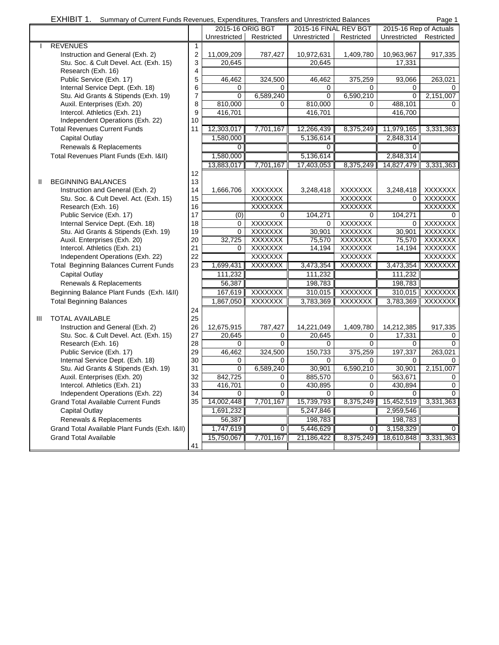|  | EXHIBIT 1. Summary of Current Funds Revenues, Expenditures, Transfers and Unrestricted Balances |  |  | Page 1 |
|--|-------------------------------------------------------------------------------------------------|--|--|--------|
|--|-------------------------------------------------------------------------------------------------|--|--|--------|

|                |                                               |                         | 2015-16 ORIG BGT |                | 2015-16 FINAL REV BGT |                | 2015-16 Rep of Actuals |                |
|----------------|-----------------------------------------------|-------------------------|------------------|----------------|-----------------------|----------------|------------------------|----------------|
|                |                                               |                         | Unrestricted     | Restricted     | Unrestricted          | Restricted     | Unrestricted           | Restricted     |
|                | <b>REVENUES</b>                               | 1                       |                  |                |                       |                |                        |                |
|                | Instruction and General (Exh. 2)              | $\overline{\mathbf{c}}$ | 11,009,209       | 787,427        | 10,972,631            | 1,409,780      | 10,963,967             | 917,335        |
|                | Stu. Soc. & Cult Devel. Act. (Exh. 15)        | 3                       | 20,645           |                | 20,645                |                | 17,331                 |                |
|                | Research (Exh. 16)                            | 4                       |                  |                |                       |                |                        |                |
|                | Public Service (Exh. 17)                      | 5                       | 46,462           | 324,500        | 46,462                | 375,259        | 93,066                 | 263,021        |
|                | Internal Service Dept. (Exh. 18)              | 6                       | 0                | 0              | 0                     | 0              | 0                      | 0              |
|                | Stu. Aid Grants & Stipends (Exh. 19)          | $\overline{7}$          | 0                | 6,589,240      | 0                     | 6,590,210      | $\mathbf 0$            | 2,151,007      |
|                | Auxil. Enterprises (Exh. 20)                  | 8                       | 810,000          | 0              | 810,000               | $\Omega$       | 488,101                | 0              |
|                | Intercol. Athletics (Exh. 21)                 | 9                       | 416,701          |                | 416,701               |                | 416.700                |                |
|                | Independent Operations (Exh. 22)              | 10                      |                  |                |                       |                |                        |                |
|                | <b>Total Revenues Current Funds</b>           | 11                      | 12,303,017       |                |                       |                |                        |                |
|                |                                               |                         |                  | 7,701,167      | 12,266,439            | 8,375,249      | 11,979,165             | 3,331,363      |
|                | <b>Capital Outlay</b>                         |                         | 1,580,000        |                | 5,136,614             |                | 2,848,314              |                |
|                | Renewals & Replacements                       |                         | 0                |                | 0                     |                | 0                      |                |
|                | Total Revenues Plant Funds (Exh. 1&II)        |                         | 1,580,000        |                | 5,136,614             |                | 2,848,314              |                |
|                |                                               |                         | 13,883,017       | 7,701,167      | 17,403,053            | 8,375,249      | 14,827,479             | 3,331,363      |
|                |                                               | 12                      |                  |                |                       |                |                        |                |
| $\mathbf{I}$   | <b>BEGINNING BALANCES</b>                     | 13                      |                  |                |                       |                |                        |                |
|                | Instruction and General (Exh. 2)              | 14                      | 1,666,706        | <b>XXXXXXX</b> | 3,248,418             | <b>XXXXXXX</b> | 3,248,418              | XXXXXXX        |
|                | Stu. Soc. & Cult Devel. Act. (Exh. 15)        | 15                      |                  | <b>XXXXXXX</b> |                       | <b>XXXXXXX</b> | 0                      | <b>XXXXXXX</b> |
|                | Research (Exh. 16)                            | 16                      |                  | <b>XXXXXXX</b> |                       | <b>XXXXXXX</b> |                        | <b>XXXXXXX</b> |
|                | Public Service (Exh. 17)                      | 17                      | (0)              | 0              | 104,271               | 0              | 104.271                |                |
|                | Internal Service Dept. (Exh. 18)              | 18                      | 0                | <b>XXXXXXX</b> | 0                     | <b>XXXXXXX</b> | $\mathbf 0$            | XXXXXXX        |
|                | Stu. Aid Grants & Stipends (Exh. 19)          | 19                      | $\Omega$         | <b>XXXXXXX</b> | 30,901                | <b>XXXXXXX</b> | 30,901                 | <b>XXXXXXX</b> |
|                | Auxil. Enterprises (Exh. 20)                  | 20                      | 32,725           | <b>XXXXXXX</b> | 75.570                | <b>XXXXXXX</b> | 75,570                 | <b>XXXXXXX</b> |
|                | Intercol. Athletics (Exh. 21)                 | 21                      | 0                | <b>XXXXXXX</b> | 14,194                | <b>XXXXXXX</b> | 14,194                 | XXXXXXX        |
|                | Independent Operations (Exh. 22)              | 22                      |                  | <b>XXXXXXX</b> |                       | <b>XXXXXXX</b> |                        | <b>XXXXXXX</b> |
|                | <b>Total Beginning Balances Current Funds</b> | 23                      | 1,699,431        | XXXXXXX        | 3,473,354             | XXXXXXX        | 3,473,354              | XXXXXXX        |
|                | Capital Outlay                                |                         | 111,232          |                | 111,232               |                | 111,232                |                |
|                | Renewals & Replacements                       |                         | 56,387           |                | 198,783               |                | 198,783                |                |
|                | Beginning Balance Plant Funds (Exh. 1&II)     |                         | 167,619          | XXXXXXX        | 310,015               | XXXXXX         | 310,015                | <b>XXXXXXX</b> |
|                |                                               |                         |                  | XXXXXXX        |                       | <b>XXXXXXX</b> |                        | <b>XXXXXXX</b> |
|                | <b>Total Beginning Balances</b>               |                         | 1,867,050        |                | 3,783,369             |                | 3,783,369              |                |
|                |                                               | 24                      |                  |                |                       |                |                        |                |
| $\mathbf{III}$ | <b>TOTAL AVAILABLE</b>                        | 25                      |                  |                |                       |                |                        |                |
|                | Instruction and General (Exh. 2)              | 26                      | 12,675,915       | 787,427        | 14,221,049            | 1,409,780      | 14,212,385             | 917,335        |
|                | Stu. Soc. & Cult Devel. Act. (Exh. 15)        | 27                      | 20,645           | 0              | 20,645                | 0              | 17,331                 | 0              |
|                | Research (Exh. 16)                            | 28                      | 0                | $\Omega$       | 0                     | $\Omega$       | 0                      | $\Omega$       |
|                | Public Service (Exh. 17)                      | 29                      | 46,462           | 324,500        | 150,733               | 375,259        | 197,337                | 263,021        |
|                | Internal Service Dept. (Exh. 18)              | 30                      | 0                | 0              | 0                     | 0              | 0                      | 0              |
|                | Stu. Aid Grants & Stipends (Exh. 19)          | 31                      | $\Omega$         | 6,589,240      | 30,901                | 6,590,210      | 30,901                 | 2,151,007      |
|                | Auxil. Enterprises (Exh. 20)                  | 32                      | 842,725          | 0              | 885,570               | 0              | 563,671                | 0              |
|                | Intercol. Athletics (Exh. 21)                 | 33                      | 416,701          | $\mathbf 0$    | 430,895               | 0              | 430,894                | 0              |
|                | Independent Operations (Exh. 22)              | 34                      | 0                | 0              | 0                     | 0              | 0                      | 0              |
|                | <b>Grand Total Available Current Funds</b>    | 35                      | 14,002,448       | 7,701,167      | 15,739,793            | 8,375,249      | 15,452,519             | 3,331,363      |
|                | <b>Capital Outlay</b>                         |                         | 1,691,232        |                | 5,247,846             |                | 2,959,546              |                |
|                | Renewals & Replacements                       |                         | 56,387           |                | 198,783               |                | 198,783                |                |
|                | Grand Total Available Plant Funds (Exh. 1&II) |                         | 1,747,619        | 0              | 5,446,629             | 0              | 3,158,329              | 0              |
|                | <b>Grand Total Available</b>                  |                         | 15,750,067       | 7,701,167      | 21,186,422            | 8,375,249      | 18,610,848             | 3,331,363      |
|                |                                               | 41                      |                  |                |                       |                |                        |                |
|                |                                               |                         |                  |                |                       |                |                        |                |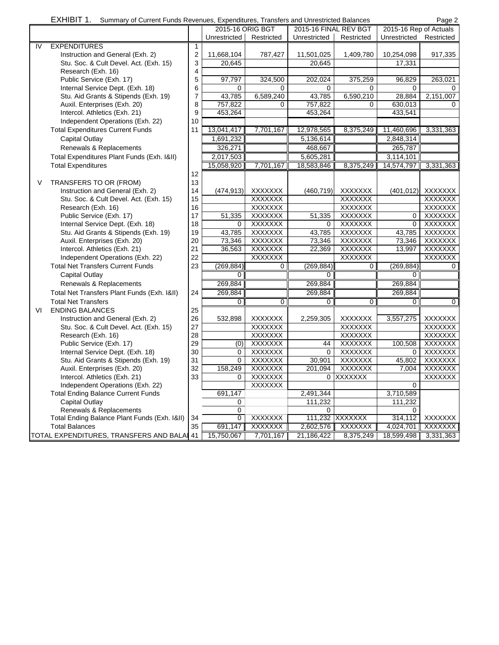|  |  |  |  | EXHIBIT 1. Summary of Current Funds Revenues, Expenditures, Transfers and Unrestricted Balances | Page 2 |
|--|--|--|--|-------------------------------------------------------------------------------------------------|--------|
|--|--|--|--|-------------------------------------------------------------------------------------------------|--------|

|    |                                              |                         | 2015-16 ORIG BGT |                | 2015-16 FINAL REV BGT |                | 2015-16 Rep of Actuals |                |
|----|----------------------------------------------|-------------------------|------------------|----------------|-----------------------|----------------|------------------------|----------------|
|    |                                              |                         | Unrestricted     | Restricted     | Unrestricted          | Restricted     | Unrestricted           | Restricted     |
| IV | <b>EXPENDITURES</b>                          | $\mathbf{1}$            |                  |                |                       |                |                        |                |
|    | Instruction and General (Exh. 2)             | $\boldsymbol{2}$        | 11,668,104       | 787,427        | 11,501,025            | 1,409,780      | 10,254,098             | 917,335        |
|    | Stu. Soc. & Cult Devel. Act. (Exh. 15)       | 3                       | 20,645           |                | 20,645                |                | 17,331                 |                |
|    | Research (Exh. 16)                           | $\overline{\mathbf{4}}$ |                  |                |                       |                |                        |                |
|    | Public Service (Exh. 17)                     | 5                       | 97,797           | 324,500        | 202,024               | 375,259        | 96,829                 | 263,021        |
|    | Internal Service Dept. (Exh. 18)             | 6                       | 0                | 0              | 0                     | 0              | $\Omega$               | 0              |
|    | Stu. Aid Grants & Stipends (Exh. 19)         | 7                       | 43,785           | 6,589,240      | 43,785                | 6,590,210      | 28,884                 | 2,151,007      |
|    | Auxil. Enterprises (Exh. 20)                 | 8                       | 757,822          | $\Omega$       | 757,822               | $\Omega$       | 630.013                | $\Omega$       |
|    | Intercol. Athletics (Exh. 21)                | 9                       | 453,264          |                | 453,264               |                | 433,541                |                |
|    | Independent Operations (Exh. 22)             | 10                      |                  |                |                       |                |                        |                |
|    | <b>Total Expenditures Current Funds</b>      | 11                      | 13,041,417       | 7,701,167      | 12,978,565            | 8,375,249      | 11,460,696             | 3,331,363      |
|    | <b>Capital Outlay</b>                        |                         | 1,691,232        |                | 5,136,614             |                | 2,848,314              |                |
|    | Renewals & Replacements                      |                         | 326,271          |                | 468,667               |                | 265,787                |                |
|    | Total Expenditures Plant Funds (Exh. 1&II)   |                         | 2,017,503        |                | 5,605,281             |                | 3,114,101              |                |
|    | <b>Total Expenditures</b>                    |                         | 15,058,920       | 7,701,167      | 18,583,846            | 8,375,249      | 14,574,797             | 3,331,363      |
|    |                                              | 12                      |                  |                |                       |                |                        |                |
| V  | TRANSFERS TO OR (FROM)                       | 13                      |                  |                |                       |                |                        |                |
|    | Instruction and General (Exh. 2)             | 14                      | (474,913)        | <b>XXXXXXX</b> | (460, 719)            | <b>XXXXXXX</b> | (401, 012)             | XXXXXXX        |
|    | Stu. Soc. & Cult Devel. Act. (Exh. 15)       | 15                      |                  | <b>XXXXXXX</b> |                       | <b>XXXXXXX</b> |                        | <b>XXXXXXX</b> |
|    | Research (Exh. 16)                           | 16                      |                  | <b>XXXXXXX</b> |                       | <b>XXXXXXX</b> |                        | XXXXXXX        |
|    | Public Service (Exh. 17)                     | 17                      | 51,335           | <b>XXXXXXX</b> | 51,335                | <b>XXXXXXX</b> | $\Omega$               | <b>XXXXXXX</b> |
|    | Internal Service Dept. (Exh. 18)             | 18                      | 0                | <b>XXXXXXX</b> | 0                     | <b>XXXXXXX</b> | $\mathbf 0$            | <b>XXXXXXX</b> |
|    | Stu. Aid Grants & Stipends (Exh. 19)         | 19                      | 43,785           | <b>XXXXXXX</b> | 43,785                | <b>XXXXXXX</b> | 43,785                 | <b>XXXXXXX</b> |
|    | Auxil. Enterprises (Exh. 20)                 | 20                      | 73,346           | <b>XXXXXXX</b> | 73,346                | <b>XXXXXXX</b> | 73,346                 | <b>XXXXXXX</b> |
|    | Intercol. Athletics (Exh. 21)                | 21                      | 36,563           | <b>XXXXXXX</b> | 22,369                | <b>XXXXXXX</b> | 13,997                 | <b>XXXXXXX</b> |
|    | Independent Operations (Exh. 22)             | 22                      |                  | <b>XXXXXXX</b> |                       | <b>XXXXXXX</b> |                        | <b>XXXXXXX</b> |
|    | <b>Total Net Transfers Current Funds</b>     | 23                      | (269, 884)       | 0              | (269, 884)            | $\Omega$       | (269, 884)             | $\mathbf{0}$   |
|    | <b>Capital Outlay</b>                        |                         |                  |                |                       |                |                        |                |
|    |                                              |                         | 0                |                | 0                     |                | 0                      |                |
|    | Renewals & Replacements                      |                         | 269,884          |                | 269,884               |                | 269,884                |                |
|    | Total Net Transfers Plant Funds (Exh. 1&II)  | 24                      | 269,884          |                | 269,884               |                | 269,884                |                |
|    | <b>Total Net Transfers</b>                   |                         | $\overline{0}$   | $\overline{0}$ | $\overline{0}$        | $\overline{0}$ | $\overline{0}$         | $\overline{0}$ |
| VI | <b>ENDING BALANCES</b>                       | 25                      |                  |                |                       |                |                        |                |
|    | Instruction and General (Exh. 2)             | 26                      | 532,898          | <b>XXXXXXX</b> | 2,259,305             | <b>XXXXXXX</b> | 3,557,275              | <b>XXXXXXX</b> |
|    | Stu. Soc. & Cult Devel. Act. (Exh. 15)       | 27                      |                  | <b>XXXXXXX</b> |                       | <b>XXXXXXX</b> |                        | <b>XXXXXXX</b> |
|    | Research (Exh. 16)                           | 28                      |                  | <b>XXXXXXX</b> |                       | <b>XXXXXXX</b> |                        | <b>XXXXXXX</b> |
|    | Public Service (Exh. 17)                     | 29                      | (0)              | <b>XXXXXXX</b> | 44                    | <b>XXXXXXX</b> | 100,508                | <b>XXXXXXX</b> |
|    | Internal Service Dept. (Exh. 18)             | 30                      | 0                | <b>XXXXXXX</b> | $\Omega$              | <b>XXXXXXX</b> | $\Omega$               | <b>XXXXXXX</b> |
|    | Stu. Aid Grants & Stipends (Exh. 19)         | 31                      | 0                | <b>XXXXXXX</b> | 30,901                | <b>XXXXXXX</b> | 45,802                 | <b>XXXXXXX</b> |
|    | Auxil. Enterprises (Exh. 20)                 | 32                      | 158,249          | <b>XXXXXXX</b> | 201,094               | <b>XXXXXXX</b> | 7,004                  | <b>XXXXXXX</b> |
|    | Intercol. Athletics (Exh. 21)                | 33                      | 0                | <b>XXXXXXX</b> |                       | 0 XXXXXXX      |                        | <b>XXXXXXX</b> |
|    | Independent Operations (Exh. 22)             |                         |                  | <b>XXXXXXX</b> |                       |                | $\Omega$               |                |
|    | <b>Total Ending Balance Current Funds</b>    |                         | 691,147          |                | 2,491,344             |                | 3,710,589              |                |
|    | <b>Capital Outlay</b>                        |                         | 0                |                | 111,232               |                | 111,232                |                |
|    | Renewals & Replacements                      |                         | 0                |                | 0                     |                | $\Omega$               |                |
|    | Total Ending Balance Plant Funds (Exh. 1&II) | 34                      | $\Omega$         | <b>XXXXXXX</b> |                       | 111,232 XXXXXX | 314,112                | <b>XXXXXXX</b> |
|    | <b>Total Balances</b>                        | 35                      | 691,147          | <b>XXXXXXX</b> | 2,602,576             | <b>XXXXXXX</b> | 4,024,701              | XXXXXXX        |
|    | TOTAL EXPENDITURES, TRANSFERS AND BALAI 41   |                         | 15,750,067       | 7,701,167      | 21,186,422            | 8,375,249      | 18,599,498             | 3,331,363      |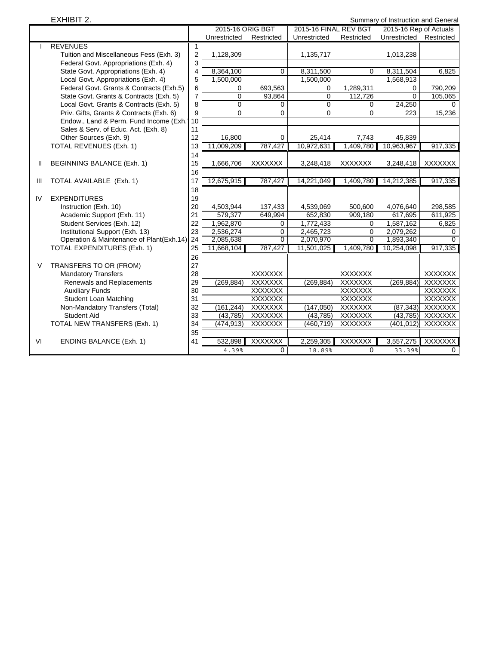EXHIBIT 2. Summary of Instruction and General

|    |                                          |                         | 2015-16 ORIG BGT |                | 2015-16 FINAL REV BGT |                | 2015-16 Rep of Actuals |                |
|----|------------------------------------------|-------------------------|------------------|----------------|-----------------------|----------------|------------------------|----------------|
|    |                                          |                         | Unrestricted     | Restricted     | Unrestricted          | Restricted     | Unrestricted           | Restricted     |
|    | <b>REVENUES</b>                          | 1                       |                  |                |                       |                |                        |                |
|    | Tuition and Miscellaneous Fess (Exh. 3)  | $\boldsymbol{2}$        | 1,128,309        |                | 1,135,717             |                | 1,013,238              |                |
|    | Federal Govt. Appropriations (Exh. 4)    | 3                       |                  |                |                       |                |                        |                |
|    | State Govt. Appropriations (Exh. 4)      | $\overline{\mathbf{4}}$ | 8,364,100        | $\Omega$       | 8,311,500             | $\Omega$       | 8,311,504              | 6,825          |
|    | Local Govt. Appropriations (Exh. 4)      | 5                       | 1,500,000        |                | 1,500,000             |                | 1,568,913              |                |
|    | Federal Govt. Grants & Contracts (Exh.5) | 6                       | 0                | 693,563        | $\Omega$              | 1,289,311      | 0                      | 790,209        |
|    | State Govt. Grants & Contracts (Exh. 5)  | $\overline{7}$          | 0                | 93,864         | 0                     | 112,726        | $\mathbf 0$            | 105,065        |
|    | Local Govt. Grants & Contracts (Exh. 5)  | 8                       | $\overline{0}$   | $\Omega$       | $\Omega$              | $\Omega$       | 24,250                 | $\Omega$       |
|    | Priv. Gifts, Grants & Contracts (Exh. 6) | 9                       | 0                | $\Omega$       | $\Omega$              | $\Omega$       | 223                    | 15,236         |
|    | Endow., Land & Perm. Fund Income (Exh.)  | 10                      |                  |                |                       |                |                        |                |
|    | Sales & Serv. of Educ. Act. (Exh. 8)     | 11                      |                  |                |                       |                |                        |                |
|    | Other Sources (Exh. 9)                   | 12                      | 16,800           | $\Omega$       | 25,414                | 7,743          | 45.839                 |                |
|    | TOTAL REVENUES (Exh. 1)                  | 13                      | 11,009,209       | 787,427        | 10,972,631            | 1,409,780      | 10,963,967             | 917,335        |
|    |                                          | 14                      |                  |                |                       |                |                        |                |
| Ш  | BEGINNING BALANCE (Exh. 1)               | 15                      | 1,666,706        | <b>XXXXXXX</b> | 3,248,418             | <b>XXXXXXX</b> | 3,248,418              | <b>XXXXXXX</b> |
|    |                                          | 16                      |                  |                |                       |                |                        |                |
| Ш  | TOTAL AVAILABLE (Exh. 1)                 | 17                      | 12,675,915       | 787,427        | 14,221,049            | 1,409,780      | 14,212,385             | 917,335        |
|    |                                          | 18                      |                  |                |                       |                |                        |                |
| IV | <b>EXPENDITURES</b>                      | 19                      |                  |                |                       |                |                        |                |
|    | Instruction (Exh. 10)                    | 20                      | 4,503,944        | 137,433        | 4,539,069             | 500,600        | 4,076,640              | 298,585        |
|    | Academic Support (Exh. 11)               | 21                      | 579,377          | 649,994        | 652,830               | 909,180        | 617,695                | 611,925        |
|    | Student Services (Exh. 12)               | 22                      | 1,962,870        | 0              | 1,772,433             | 0              | 1,587,162              | 6,825          |
|    | Institutional Support (Exh. 13)          | 23                      | 2,536,274        | 0              | 2,465,723             | 0              | 2,079,262              | $\Omega$       |
|    | Operation & Maintenance of Plant(Exh.14) | 24                      | 2,085,638        | $\Omega$       | 2,070,970             | $\Omega$       | 1,893,340              | $\Omega$       |
|    | <b>TOTAL EXPENDITURES (Exh. 1)</b>       | 25                      | 11,668,104       | 787,427        | 11,501,025            | 1,409,780      | 10,254,098             | 917,335        |
|    |                                          | 26                      |                  |                |                       |                |                        |                |
| V  | TRANSFERS TO OR (FROM)                   | 27                      |                  |                |                       |                |                        |                |
|    | <b>Mandatory Transfers</b>               | 28                      |                  | <b>XXXXXXX</b> |                       | <b>XXXXXXX</b> |                        | <b>XXXXXXX</b> |
|    | Renewals and Replacements                | 29                      | (269, 884)       | <b>XXXXXXX</b> | (269, 884)            | <b>XXXXXXX</b> | (269, 884)             | <b>XXXXXXX</b> |
|    | <b>Auxiliary Funds</b>                   | 30                      |                  | <b>XXXXXXX</b> |                       | <b>XXXXXXX</b> |                        | <b>XXXXXXX</b> |
|    | <b>Student Loan Matching</b>             | 31                      |                  | <b>XXXXXXX</b> |                       | <b>XXXXXXX</b> |                        | <b>XXXXXXX</b> |
|    | Non-Mandatory Transfers (Total)          | 32                      | (161, 244)       | <b>XXXXXXX</b> | (147, 050)            | <b>XXXXXXX</b> | (87, 343)              | <b>XXXXXXX</b> |
|    | <b>Student Aid</b>                       | 33                      | (43, 785)        | <b>XXXXXXX</b> | (43, 785)             | <b>XXXXXXX</b> | (43, 785)              | <b>XXXXXXX</b> |
|    | TOTAL NEW TRANSFERS (Exh. 1)             | 34                      | (474, 913)       | <b>XXXXXXX</b> | (460, 719)            | <b>XXXXXXX</b> | (401, 012)             | <b>XXXXXXX</b> |
|    |                                          | 35                      |                  |                |                       |                |                        |                |
| VI | <b>ENDING BALANCE (Exh. 1)</b>           | 41                      | 532,898          | <b>XXXXXXX</b> | 2,259,305             | <b>XXXXXXX</b> | 3,557,275              | <b>XXXXXXX</b> |
|    |                                          |                         | 4.39%            | $\Omega$       | 18.89%                | $\Omega$       | 33.39%                 | $\mathbf{0}$   |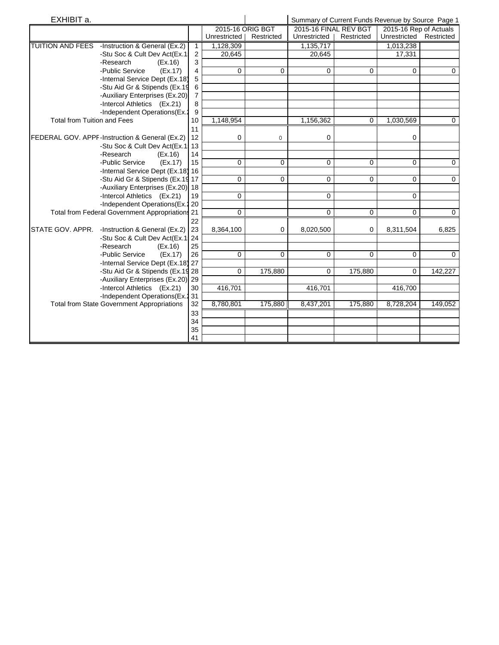| EXHIBIT a.                         |                                                   |                |                  | Summary of Current Funds Revenue by Source Page 1 |                       |            |                        |             |
|------------------------------------|---------------------------------------------------|----------------|------------------|---------------------------------------------------|-----------------------|------------|------------------------|-------------|
|                                    |                                                   |                | 2015-16 ORIG BGT |                                                   | 2015-16 FINAL REV BGT |            | 2015-16 Rep of Actuals |             |
|                                    |                                                   |                | Unrestricted     | Restricted                                        | Unrestricted          | Restricted | Unrestricted           | Restricted  |
| <b>TUITION AND FEES</b>            | -Instruction & General (Ex.2)                     | $\mathbf{1}$   | 1,128,309        |                                                   | 1,135,717             |            | 1,013,238              |             |
|                                    | -Stu Soc & Cult Dev Act(Ex.1)                     | $\overline{c}$ | 20,645           |                                                   | 20,645                |            | 17,331                 |             |
|                                    | -Research<br>(EX.16)                              | 3              |                  |                                                   |                       |            |                        |             |
|                                    | -Public Service<br>(EX.17)                        | 4              | $\Omega$         | 0                                                 | 0                     | $\Omega$   | $\Omega$               | $\Omega$    |
|                                    | -Internal Service Dept (Ex.18)                    | 5              |                  |                                                   |                       |            |                        |             |
|                                    | -Stu Aid Gr & Stipends (Ex.19                     | 6              |                  |                                                   |                       |            |                        |             |
|                                    | -Auxiliary Enterprises (Ex.20)                    | $\overline{7}$ |                  |                                                   |                       |            |                        |             |
|                                    | -Intercol Athletics (Ex.21)                       | 8              |                  |                                                   |                       |            |                        |             |
|                                    | -Independent Operations(Ex.2                      | 9              |                  |                                                   |                       |            |                        |             |
| <b>Total from Tuition and Fees</b> |                                                   | 10             | 1,148,954        |                                                   | 1,156,362             | 0          | 1,030,569              | 0           |
|                                    |                                                   | 11             |                  |                                                   |                       |            |                        |             |
|                                    | FEDERAL GOV. APPF-Instruction & General (Ex.2)    | 12             | 0                | 0                                                 | 0                     |            | 0                      |             |
|                                    | -Stu Soc & Cult Dev Act(Ex.1, 13                  |                |                  |                                                   |                       |            |                        |             |
|                                    | -Research<br>(EX.16)                              | 14             |                  |                                                   |                       |            |                        |             |
|                                    | -Public Service<br>(EX.17)                        | 15             | 0                | 0                                                 | 0                     | $\Omega$   | $\Omega$               | $\mathbf 0$ |
|                                    | -Internal Service Dept (Ex.18) 16                 |                |                  |                                                   |                       |            |                        |             |
|                                    | -Stu Aid Gr & Stipends (Ex.19 17                  |                | $\Omega$         | $\Omega$                                          | $\Omega$              | $\Omega$   | $\Omega$               | $\Omega$    |
|                                    | -Auxiliary Enterprises (Ex.20) 18                 |                |                  |                                                   |                       |            |                        |             |
|                                    | -Intercol Athletics (Ex.21)                       | 19             | 0                |                                                   | 0                     |            | $\Omega$               |             |
|                                    | -Independent Operations (Ex. 20                   |                |                  |                                                   |                       |            |                        |             |
|                                    | Total from Federal Government Appropriations 21   |                | 0                |                                                   | $\Omega$              | $\Omega$   | $\Omega$               | $\Omega$    |
|                                    |                                                   | 22             |                  |                                                   |                       |            |                        |             |
| STATE GOV. APPR.                   | -Instruction & General (Ex.2)                     | 23             | 8,364,100        | 0                                                 | 8,020,500             | 0          | 8,311,504              | 6,825       |
|                                    | -Stu Soc & Cult Dev Act(Ex.1: 24                  |                |                  |                                                   |                       |            |                        |             |
|                                    | -Research<br>(EX.16)                              | 25             |                  |                                                   |                       |            |                        |             |
|                                    | -Public Service<br>(EX.17)                        | 26             | $\mathbf 0$      | 0                                                 | 0                     | 0          | $\Omega$               | $\Omega$    |
|                                    | -Internal Service Dept (Ex.18) 27                 |                |                  |                                                   |                       |            |                        |             |
|                                    | -Stu Aid Gr & Stipends (Ex.19 28                  |                | 0                | 175,880                                           | 0                     | 175,880    | 0                      | 142,227     |
|                                    | -Auxiliary Enterprises (Ex.20) 29                 |                |                  |                                                   |                       |            |                        |             |
|                                    | -Intercol Athletics (Ex.21)                       | 30             | 416,701          |                                                   | 416,701               |            | 416,700                |             |
|                                    | -Independent Operations (Ex. 231                  |                |                  |                                                   |                       |            |                        |             |
|                                    | <b>Total from State Government Appropriations</b> | 32             | 8,780,801        | 175,880                                           | 8,437,201             | 175,880    | 8,728,204              | 149,052     |
|                                    |                                                   | 33             |                  |                                                   |                       |            |                        |             |
|                                    |                                                   | 34             |                  |                                                   |                       |            |                        |             |
|                                    |                                                   | 35             |                  |                                                   |                       |            |                        |             |
|                                    |                                                   | 41             |                  |                                                   |                       |            |                        |             |
|                                    |                                                   |                |                  |                                                   |                       |            |                        |             |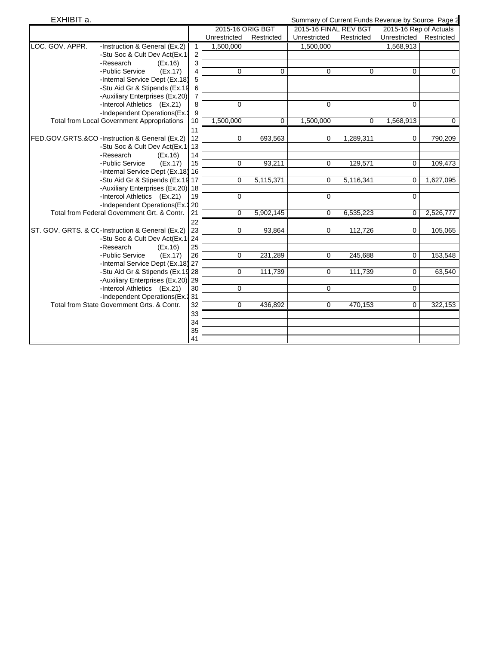| EXHIBIT a. |  |
|------------|--|
|            |  |

Summary of Current Funds Revenue by Source Page 2

|                                                   |                | 2015-16 ORIG BGT |             | 2015-16 FINAL REV BGT |             | 2015-16 Rep of Actuals |             |
|---------------------------------------------------|----------------|------------------|-------------|-----------------------|-------------|------------------------|-------------|
|                                                   |                | Unrestricted     | Restricted  | Unrestricted          | Restricted  | Unrestricted           | Restricted  |
| LOC. GOV. APPR.<br>-Instruction & General (Ex.2)  | $\mathbf{1}$   | 1,500,000        |             | 1,500,000             |             | 1,568,913              |             |
| -Stu Soc & Cult Dev Act(Ex.1)                     | 2              |                  |             |                       |             |                        |             |
| -Research<br>(EX.16)                              | 3              |                  |             |                       |             |                        |             |
| -Public Service<br>(EX.17)                        | 4              | $\mathbf 0$      | 0           | $\mathbf 0$           | $\mathbf 0$ | $\mathbf 0$            | $\mathbf 0$ |
| -Internal Service Dept (Ex.18)                    | 5              |                  |             |                       |             |                        |             |
| -Stu Aid Gr & Stipends (Ex.19                     | $\,6$          |                  |             |                       |             |                        |             |
| -Auxiliary Enterprises (Ex.20)                    | $\overline{7}$ |                  |             |                       |             |                        |             |
| -Intercol Athletics (Ex.21)                       | 8              | $\mathbf 0$      |             | 0                     |             | $\mathbf 0$            |             |
| -Independent Operations(Ex.2                      | 9              |                  |             |                       |             |                        |             |
| <b>Total from Local Government Appropriations</b> | 10             | 1,500,000        | $\mathbf 0$ | 1,500,000             | 0           | 1,568,913              | 0           |
|                                                   | 11             |                  |             |                       |             |                        |             |
| FED.GOV.GRTS.&CO -Instruction & General (Ex.2)    | 12             | 0                | 693,563     | 0                     | 1,289,311   | 0                      | 790,209     |
| -Stu Soc & Cult Dev Act(Ex.1! 13                  |                |                  |             |                       |             |                        |             |
| -Research<br>(EX.16)                              | 14             |                  |             |                       |             |                        |             |
| -Public Service<br>(EX.17)                        | 15             | 0                | 93,211      | $\mathbf 0$           | 129,571     | 0                      | 109,473     |
| -Internal Service Dept (Ex.18) 16                 |                |                  |             |                       |             |                        |             |
| -Stu Aid Gr & Stipends (Ex.19 17                  |                | $\mathbf 0$      | 5,115,371   | $\mathbf 0$           | 5,116,341   | 0                      | 1,627,095   |
| -Auxiliary Enterprises (Ex.20) 18                 |                |                  |             |                       |             |                        |             |
| -Intercol Athletics (Ex.21)                       | 19             | 0                |             | 0                     |             | 0                      |             |
| -Independent Operations (Ex. 20                   |                |                  |             |                       |             |                        |             |
| Total from Federal Government Grt. & Contr.       | 21             | $\mathbf 0$      | 5,902,145   | $\mathbf 0$           | 6,535,223   | $\mathbf 0$            | 2,526,777   |
|                                                   | 22             |                  |             |                       |             |                        |             |
| ST. GOV. GRTS. & CC-Instruction & General (Ex.2)  | 23             | 0                | 93,864      | $\mathbf 0$           | 112,726     | 0                      | 105,065     |
| -Stu Soc & Cult Dev Act(Ex.1: 24                  |                |                  |             |                       |             |                        |             |
| -Research<br>(EX.16)                              | 25             |                  |             |                       |             |                        |             |
| -Public Service<br>(EX.17)                        | 26             | 0                | 231,289     | 0                     | 245,688     | 0                      | 153,548     |
| -Internal Service Dept (Ex.18) 27                 |                |                  |             |                       |             |                        |             |
| -Stu Aid Gr & Stipends (Ex.19 28                  |                | $\mathbf 0$      | 111,739     | $\mathbf 0$           | 111,739     | $\Omega$               | 63,540      |
| -Auxiliary Enterprises (Ex.20) 29                 |                |                  |             |                       |             |                        |             |
| -Intercol Athletics (Ex.21)                       | 30             | $\mathbf 0$      |             | 0                     |             | $\Omega$               |             |
| -Independent Operations (Ex. 231                  |                |                  |             |                       |             |                        |             |
| Total from State Government Grts, & Contr.        | 32             | $\mathbf 0$      | 436,892     | 0                     | 470,153     | $\mathbf 0$            | 322,153     |
|                                                   | 33             |                  |             |                       |             |                        |             |
|                                                   | 34             |                  |             |                       |             |                        |             |
|                                                   | 35             |                  |             |                       |             |                        |             |
|                                                   | 41             |                  |             |                       |             |                        |             |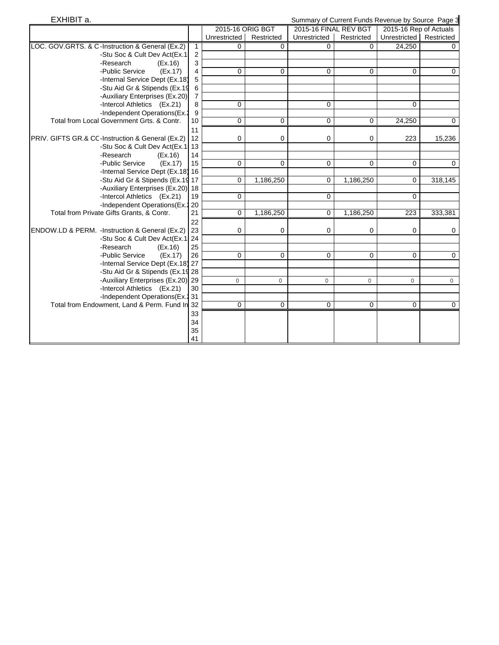| EXHIBIT a.                                             | Summary of Current Funds Revenue by Source Page 3 |            |                       |            |                        |             |  |
|--------------------------------------------------------|---------------------------------------------------|------------|-----------------------|------------|------------------------|-------------|--|
|                                                        | 2015-16 ORIG BGT                                  |            | 2015-16 FINAL REV BGT |            | 2015-16 Rep of Actuals |             |  |
|                                                        | Unrestricted                                      | Restricted | Unrestricted          | Restricted | Unrestricted           | Restricted  |  |
| LOC. GOV.GRTS. & C-Instruction & General (Ex.2)<br>1   | $\Omega$                                          | 0          | 0                     | 0          | 24,250                 | 0           |  |
| $\overline{2}$<br>-Stu Soc & Cult Dev Act(Ex.1)        |                                                   |            |                       |            |                        |             |  |
| 3<br>-Research<br>(EX.16)                              |                                                   |            |                       |            |                        |             |  |
| -Public Service<br>(EX.17)<br>4                        | $\mathbf 0$                                       | 0          | 0                     | 0          | 0                      | $\mathbf 0$ |  |
| 5<br>-Internal Service Dept (Ex.18)                    |                                                   |            |                       |            |                        |             |  |
| -Stu Aid Gr & Stipends (Ex.19<br>6                     |                                                   |            |                       |            |                        |             |  |
| -Auxiliary Enterprises (Ex.20)<br>$\overline{7}$       |                                                   |            |                       |            |                        |             |  |
| -Intercol Athletics (Ex.21)<br>8                       | 0                                                 |            | 0                     |            | 0                      |             |  |
| -Independent Operations(Ex.2<br>9                      |                                                   |            |                       |            |                        |             |  |
| Total from Local Government Grts, & Contr.<br>10       | 0                                                 | 0          | 0                     | 0          | 24,250                 | 0           |  |
| 11                                                     |                                                   |            |                       |            |                        |             |  |
| PRIV. GIFTS GR.& CC-Instruction & General (Ex.2)<br>12 | 0                                                 | 0          | 0                     | 0          | 223                    | 15,236      |  |
| -Stu Soc & Cult Dev Act(Ex.1: 13                       |                                                   |            |                       |            |                        |             |  |
| -Research<br>(EX.16)<br>14                             |                                                   |            |                       |            |                        |             |  |
| -Public Service<br>(EX.17)<br>15                       | $\mathbf 0$                                       | 0          | 0                     | 0          | 0                      | $\mathbf 0$ |  |
| -Internal Service Dept (Ex.18) 16                      |                                                   |            |                       |            |                        |             |  |
| -Stu Aid Gr & Stipends (Ex.19 17                       | 0                                                 | 1,186,250  | 0                     | 1,186,250  | 0                      | 318,145     |  |
| -Auxiliary Enterprises (Ex.20) 18                      |                                                   |            |                       |            |                        |             |  |
| -Intercol Athletics (Ex.21)<br>19                      | 0                                                 |            | 0                     |            | 0                      |             |  |
| -Independent Operations (Ex. 20                        |                                                   |            |                       |            |                        |             |  |
| Total from Private Gifts Grants, & Contr.<br>21        | $\mathbf 0$                                       | 1,186,250  | 0                     | 1,186,250  | $\overline{223}$       | 333,381     |  |
| 22                                                     |                                                   |            |                       |            |                        |             |  |
| ENDOW.LD & PERM. - Instruction & General (Ex.2)<br>23  | $\mathbf 0$                                       | 0          | 0                     | 0          | 0                      | 0           |  |
| -Stu Soc & Cult Dev Act(Ex.1: 24                       |                                                   |            |                       |            |                        |             |  |
| -Research<br>25<br>(EX.16)                             |                                                   |            |                       |            |                        |             |  |
| -Public Service<br>(EX.17)<br>26                       | 0                                                 | 0          | 0                     | 0          | 0                      | $\mathbf 0$ |  |
| -Internal Service Dept (Ex.18) 27                      |                                                   |            |                       |            |                        |             |  |
| -Stu Aid Gr & Stipends (Ex.19 28                       |                                                   |            |                       |            |                        |             |  |
| -Auxiliary Enterprises (Ex.20) 29                      | 0                                                 | 0          | 0                     | $\circ$    | $\mathbf 0$            | $\circ$     |  |
| -Intercol Athletics (Ex.21)<br>30                      |                                                   |            |                       |            |                        |             |  |
| -Independent Operations(Ex.2 31                        |                                                   |            |                       |            |                        |             |  |
| Total from Endowment, Land & Perm. Fund In 32          | $\mathbf 0$                                       | 0          | 0                     | 0          | 0                      | $\mathbf 0$ |  |
| 33                                                     |                                                   |            |                       |            |                        |             |  |
| 34                                                     |                                                   |            |                       |            |                        |             |  |
| 35                                                     |                                                   |            |                       |            |                        |             |  |
| 41                                                     |                                                   |            |                       |            |                        |             |  |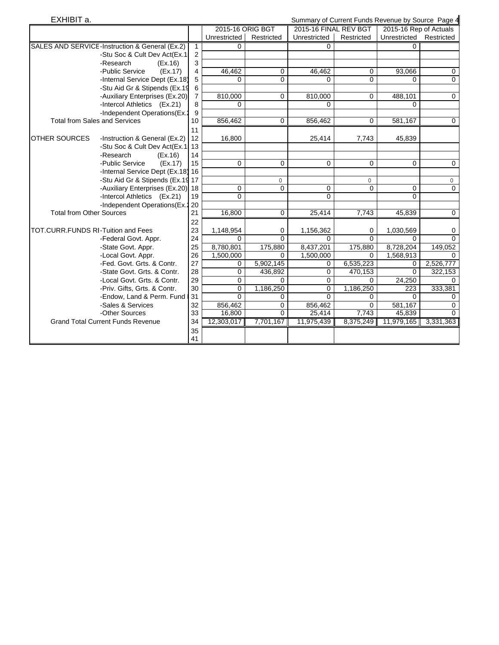| EXHIBIT a.                           | Summary of Current Funds Revenue by Source Page 4 |                |                  |                |                       |                |                        |                |
|--------------------------------------|---------------------------------------------------|----------------|------------------|----------------|-----------------------|----------------|------------------------|----------------|
|                                      |                                                   |                | 2015-16 ORIG BGT |                | 2015-16 FINAL REV BGT |                | 2015-16 Rep of Actuals |                |
|                                      |                                                   |                | Unrestricted     | Restricted     | Unrestricted          | Restricted     | Unrestricted           | Restricted     |
|                                      | SALES AND SERVICE-Instruction & General (Ex.2)    | $\mathbf{1}$   | 0                |                | $\Omega$              |                | $\Omega$               |                |
|                                      | -Stu Soc & Cult Dev Act(Ex.1!                     | $\overline{2}$ |                  |                |                       |                |                        |                |
|                                      | -Research<br>(EX.16)                              | 3              |                  |                |                       |                |                        |                |
|                                      | -Public Service<br>(EX.17)                        | $\overline{4}$ | 46,462           | 0              | 46,462                | 0              | 93,066                 | 0              |
|                                      | -Internal Service Dept (Ex.18)                    | 5              | $\Omega$         | $\Omega$       | $\Omega$              | $\Omega$       | $\Omega$               | $\mathbf 0$    |
|                                      | -Stu Aid Gr & Stipends (Ex.19                     | 6              |                  |                |                       |                |                        |                |
|                                      | -Auxiliary Enterprises (Ex.20)                    | $\overline{7}$ | 810,000          | 0              | 810,000               | $\Omega$       | 488,101                | $\mathbf 0$    |
|                                      | -Intercol Athletics (Ex.21)                       | 8              | 0                |                | 0                     |                | 0                      |                |
|                                      | -Independent Operations(Ex.2                      | 9              |                  |                |                       |                |                        |                |
| <b>Total from Sales and Services</b> |                                                   | 10             | 856,462          | 0              | 856,462               | $\Omega$       | 581,167                | $\Omega$       |
|                                      |                                                   | 11             |                  |                |                       |                |                        |                |
| <b>OTHER SOURCES</b>                 | -Instruction & General (Ex.2)                     | 12             | 16,800           |                | 25,414                | 7,743          | 45,839                 |                |
|                                      | -Stu Soc & Cult Dev Act(Ex.1, 13                  |                |                  |                |                       |                |                        |                |
|                                      | -Research<br>(EX.16)                              | 14             |                  |                |                       |                |                        |                |
|                                      | -Public Service<br>(EX.17)                        | 15             | 0                | 0              | 0                     | 0              | $\mathbf 0$            | $\mathbf 0$    |
|                                      | -Internal Service Dept (Ex.18) 16                 |                |                  |                |                       |                |                        |                |
|                                      | -Stu Aid Gr & Stipends (Ex.19 17                  |                |                  | $\circ$        |                       | 0              |                        | 0              |
|                                      | -Auxiliary Enterprises (Ex.20) 18                 |                | 0                | 0              | 0                     | $\mathbf 0$    | $\mathbf 0$            | $\overline{0}$ |
|                                      | -Intercol Athletics (Ex.21)                       | 19             | 0                |                | $\Omega$              |                | $\Omega$               |                |
|                                      | -Independent Operations (Ex. 20                   |                |                  |                |                       |                |                        |                |
| <b>Total from Other Sources</b>      |                                                   | 21             | 16,800           | 0              | 25,414                | 7,743          | 45,839                 | $\mathbf 0$    |
|                                      |                                                   | 22             |                  |                |                       |                |                        |                |
| TOT.CURR.FUNDS RI-Tuition and Fees   |                                                   | 23             | 1,148,954        | 0              | 1,156,362             | 0              | 1,030,569              | 0              |
|                                      | -Federal Govt. Appr.                              | 24             | $\Omega$         | $\overline{0}$ | $\Omega$              | $\overline{0}$ | $\Omega$               | $\overline{0}$ |
|                                      | -State Govt. Appr.                                | 25             | 8,780,801        | 175,880        | 8,437,201             | 175,880        | 8,728,204              | 149,052        |
|                                      | -Local Govt. Appr.                                | 26             | 1,500,000        | 0              | 1,500,000             | $\Omega$       | 1,568,913              | $\Omega$       |
|                                      | -Fed. Govt. Grts. & Contr.                        | 27             | 0                | 5,902,145      | 0                     | 6,535,223      | 0                      | 2,526,777      |
|                                      | -State Govt. Grts. & Contr.                       | 28             | 0                | 436,892        | $\mathbf 0$           | 470,153        | $\mathbf 0$            | 322,153        |
|                                      | -Local Govt. Grts. & Contr.                       | 29             | $\Omega$         | $\Omega$       | $\mathbf 0$           | $\Omega$       | 24,250                 | $\Omega$       |
|                                      | -Priv. Gifts, Grts. & Contr.                      | 30             | 0                | 1,186,250      | 0                     | 1,186,250      | 223                    | 333,381        |
|                                      | -Endow, Land & Perm. Fund                         | 31             | $\Omega$         | $\mathbf 0$    | $\Omega$              | 0              | $\Omega$               | 0              |
|                                      | -Sales & Services                                 | 32             | 856,462          | 0              | 856,462               | $\Omega$       | 581,167                | $\mathbf 0$    |
|                                      | -Other Sources                                    | 33             | 16,800           | $\Omega$       | 25,414                | 7,743          | 45,839                 | $\Omega$       |
|                                      | <b>Grand Total Current Funds Revenue</b>          | 34             | 12,303,017       | 7,701,167      | 11,975,439            | 8,375,249      | 11,979,165             | 3,331,363      |
|                                      |                                                   | 35             |                  |                |                       |                |                        |                |
|                                      |                                                   | 41             |                  |                |                       |                |                        |                |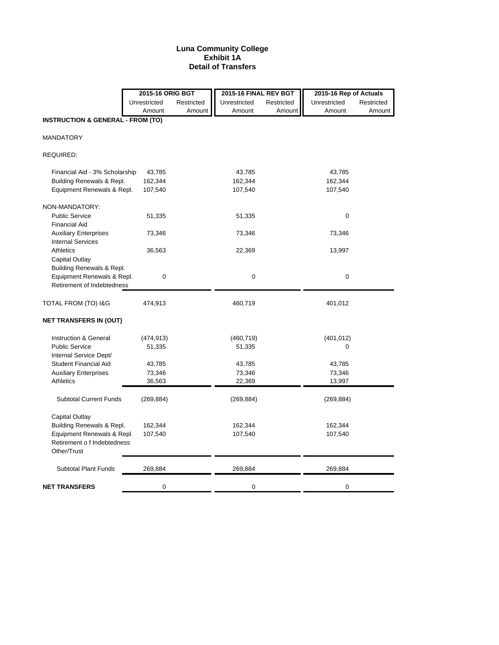### **Luna Community College Exhibit 1A Detail of Transfers**

|                                              | 2015-16 ORIG BGT |            | 2015-16 FINAL REV BGT |            | 2015-16 Rep of Actuals |            |
|----------------------------------------------|------------------|------------|-----------------------|------------|------------------------|------------|
|                                              | Unrestricted     | Restricted | Unrestricted          | Restricted | Unrestricted           | Restricted |
|                                              | Amount           | Amount     | Amount                | Amount     | Amount                 | Amount     |
| <b>INSTRUCTION &amp; GENERAL - FROM (TO)</b> |                  |            |                       |            |                        |            |
| <b>MANDATORY</b>                             |                  |            |                       |            |                        |            |
| REQUIRED:                                    |                  |            |                       |            |                        |            |
| Financial Aid - 3% Scholarship               | 43,785           |            | 43,785                |            | 43,785                 |            |
| Building Renewals & Repl.                    | 162,344          |            | 162,344               |            | 162,344                |            |
| Equipment Renewals & Repl.                   | 107,540          |            | 107,540               |            | 107,540                |            |
| NON-MANDATORY:                               |                  |            |                       |            |                        |            |
| <b>Public Service</b>                        | 51,335           |            | 51,335                |            | 0                      |            |
| <b>Financial Aid</b>                         |                  |            |                       |            |                        |            |
| <b>Auxiliary Enterprises</b>                 | 73,346           |            | 73,346                |            | 73,346                 |            |
| <b>Internal Services</b>                     |                  |            |                       |            |                        |            |
| Athletics                                    | 36,563           |            | 22,369                |            | 13,997                 |            |
| Capital Outlay                               |                  |            |                       |            |                        |            |
| Building Renewals & Repl.                    |                  |            |                       |            |                        |            |
| Equipment Renewals & Repl.                   | 0                |            | 0                     |            | $\boldsymbol{0}$       |            |
| Retirement of Indebtedness                   |                  |            |                       |            |                        |            |
| TOTAL FROM (TO) I&G                          | 474,913          |            | 460,719               |            | 401,012                |            |
| <b>NET TRANSFERS IN (OUT)</b>                |                  |            |                       |            |                        |            |
| Instruction & General                        | (474, 913)       |            | (460, 719)            |            | (401, 012)             |            |
| <b>Public Service</b>                        | 51,335           |            | 51,335                |            | 0                      |            |
| Internal Service Dept/                       |                  |            |                       |            |                        |            |
| Student Financial Aid                        | 43,785           |            | 43,785                |            | 43,785                 |            |
| <b>Auxiliary Enterprises</b>                 | 73,346           |            | 73,346                |            | 73,346                 |            |
| Athletics                                    | 36,563           |            | 22,369                |            | 13,997                 |            |
| <b>Subtotal Current Funds</b>                | (269, 884)       |            | (269, 884)            |            | (269, 884)             |            |
| Capital Outlay                               |                  |            |                       |            |                        |            |
| Building Renewals & Repl.                    | 162,344          |            | 162,344               |            | 162,344                |            |
| Equipment Renewals & Repl.                   | 107,540          |            | 107,540               |            | 107,540                |            |
| Retirement o f Indebtedness                  |                  |            |                       |            |                        |            |
| Other/Trust                                  |                  |            |                       |            |                        |            |
| <b>Subtotal Plant Funds</b>                  | 269,884          |            | 269,884               |            | 269,884                |            |
| <b>NET TRANSFERS</b>                         | 0                |            | 0                     |            | 0                      |            |
|                                              |                  |            |                       |            |                        |            |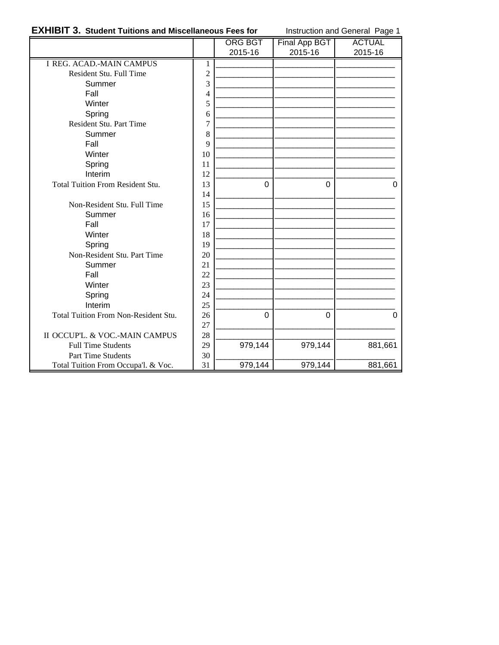## **EXHIBIT 3. Student Tuitions and Miscellaneous Fees for** Instruction and General Page 1

|                                         |                | <b>ORG BGT</b> | Final App BGT | <b>ACTUAL</b> |
|-----------------------------------------|----------------|----------------|---------------|---------------|
|                                         |                | 2015-16        | 2015-16       | 2015-16       |
| <b>I REG. ACAD.-MAIN CAMPUS</b>         | 1              |                |               |               |
| Resident Stu. Full Time                 | $\overline{c}$ |                |               |               |
| Summer                                  | 3              |                |               |               |
| Fall                                    | 4              |                |               |               |
| Winter                                  | 5              |                |               |               |
| Spring                                  | 6              |                |               |               |
| Resident Stu. Part Time                 | 7              |                |               |               |
| Summer                                  | 8              |                |               |               |
| Fall                                    | 9              |                |               |               |
| Winter                                  | 10             |                |               |               |
| Spring                                  | 11             |                |               |               |
| Interim                                 | 12             |                |               |               |
| <b>Total Tuition From Resident Stu.</b> | 13             | $\Omega$       | 0             | $\Omega$      |
|                                         | 14             |                |               |               |
| Non-Resident Stu. Full Time             | 15             |                |               |               |
| Summer                                  | 16             |                |               |               |
| Fall                                    | 17             |                |               |               |
| Winter                                  | 18             |                |               |               |
| Spring                                  | 19             |                |               |               |
| Non-Resident Stu. Part Time             | 20             |                |               |               |
| Summer                                  | 21             |                |               |               |
| Fall                                    | 22             |                |               |               |
| Winter                                  | 23             |                |               |               |
| Spring                                  | 24             |                |               |               |
| Interim                                 | 25             |                |               |               |
| Total Tuition From Non-Resident Stu.    | 26             | $\Omega$       | $\Omega$      | $\Omega$      |
|                                         | 27             |                |               |               |
| II OCCUP'L. & VOC.-MAIN CAMPUS          | 28             |                |               |               |
| <b>Full Time Students</b>               | 29             | 979,144        | 979,144       | 881,661       |
| Part Time Students                      | 30             |                |               |               |
| Total Tuition From Occupa'l. & Voc.     | 31             | 979,144        | 979,144       | 881,661       |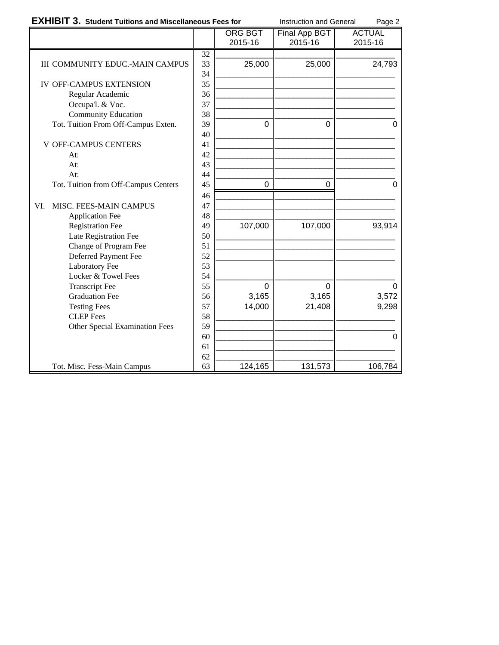| <b>EXHIBIT 3. Student Tuitions and Miscellaneous Fees for</b> |                 |                | Instruction and General | Page 2        |
|---------------------------------------------------------------|-----------------|----------------|-------------------------|---------------|
|                                                               |                 | <b>ORG BGT</b> | Final App BGT           | <b>ACTUAL</b> |
|                                                               |                 | 2015-16        | 2015-16                 | 2015-16       |
|                                                               | $\overline{32}$ |                |                         |               |
| <b>III COMMUNITY EDUC.-MAIN CAMPUS</b>                        | 33              | 25,000         | 25,000                  | 24,793        |
|                                                               | 34              |                |                         |               |
| <b>IV OFF-CAMPUS EXTENSION</b>                                | 35              |                |                         |               |
| Regular Academic                                              | 36              |                |                         |               |
| Occupa'l. & Voc.                                              | 37              |                |                         |               |
| <b>Community Education</b>                                    | 38              |                |                         |               |
| Tot. Tuition From Off-Campus Exten.                           | 39              | $\overline{0}$ | $\Omega$                | $\Omega$      |
|                                                               | 40              |                |                         |               |
| <b>V OFF-CAMPUS CENTERS</b>                                   | 41              |                |                         |               |
| At:                                                           | 42              |                |                         |               |
| At:                                                           | 43              |                |                         |               |
| At:                                                           | 44              |                |                         |               |
| Tot. Tuition from Off-Campus Centers                          | 45              | 0              | 0                       | 0             |
|                                                               | 46              |                |                         |               |
| MISC. FEES-MAIN CAMPUS<br>VI.                                 | 47              |                |                         |               |
| <b>Application Fee</b>                                        | 48              |                |                         |               |
| <b>Registration Fee</b>                                       | 49              | 107,000        | 107,000                 | 93,914        |
| Late Registration Fee                                         | 50              |                |                         |               |
| Change of Program Fee                                         | 51              |                |                         |               |
| Deferred Payment Fee                                          | 52              |                |                         |               |
| Laboratory Fee                                                | 53              |                |                         |               |
| Locker & Towel Fees                                           | 54              |                |                         |               |
| <b>Transcript Fee</b>                                         | 55              | $\overline{0}$ | $\Omega$                | 0             |
| <b>Graduation Fee</b>                                         | 56              | 3,165          | 3,165                   | 3,572         |
| <b>Testing Fees</b>                                           | 57              | 14,000         | 21,408                  | 9,298         |
| <b>CLEP</b> Fees                                              | 58              |                |                         |               |
| <b>Other Special Examination Fees</b>                         | 59              |                |                         |               |
|                                                               | 60              |                |                         | 0             |
|                                                               | 61              |                |                         |               |
|                                                               | 62              |                |                         |               |
| Tot. Misc. Fess-Main Campus                                   | 63              | 124,165        | 131,573                 | 106,784       |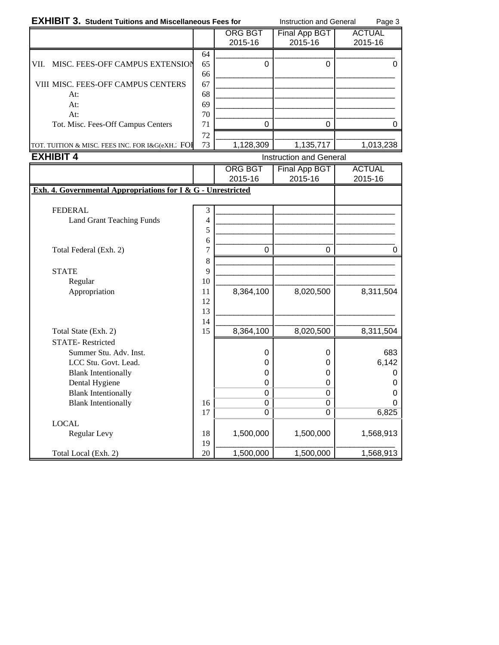| <b>EXHIBIT 3. Student Tuitions and Miscellaneous Fees for</b> |    |                | <b>Instruction and General</b> | Page 3        |
|---------------------------------------------------------------|----|----------------|--------------------------------|---------------|
|                                                               |    | <b>ORG BGT</b> | Final App BGT                  | <b>ACTUAL</b> |
|                                                               |    | 2015-16        | 2015-16                        | 2015-16       |
|                                                               | 64 |                |                                |               |
| MISC. FEES-OFF CAMPUS EXTENSION<br>VII.                       | 65 |                |                                |               |
|                                                               | 66 |                |                                |               |
| <b>VIII MISC. FEES-OFF CAMPUS CENTERS</b>                     | 67 |                |                                |               |
| At:                                                           | 68 |                |                                |               |
| At:                                                           | 69 |                |                                |               |
| At:                                                           | 70 |                |                                |               |
| Tot. Misc. Fees-Off Campus Centers                            | 71 |                |                                |               |
|                                                               | 72 |                |                                |               |
| TOT. TUITION & MISC. FEES INC. FOR I&G(eXH. FOH               | 73 | 1,128,309      | 1,135,717                      | 1,013,238     |

| <b>EXHIBIT 4</b>                                             |                |                            | <b>Instruction and General</b> |                         |
|--------------------------------------------------------------|----------------|----------------------------|--------------------------------|-------------------------|
|                                                              |                | <b>ORG BGT</b>             | Final App BGT                  | <b>ACTUAL</b>           |
|                                                              |                | 2015-16                    | 2015-16                        | 2015-16                 |
| Exh. 4. Governmental Appropriations for I & G - Unrestricted |                |                            |                                |                         |
|                                                              |                |                            |                                |                         |
| <b>FEDERAL</b>                                               | 3              |                            |                                |                         |
| <b>Land Grant Teaching Funds</b>                             | $\overline{4}$ |                            |                                |                         |
|                                                              | 5<br>6         |                            |                                |                         |
| Total Federal (Exh. 2)                                       | $\overline{7}$ | 0                          | 0                              | 0                       |
|                                                              | 8              |                            |                                |                         |
| <b>STATE</b>                                                 | 9              |                            |                                |                         |
| Regular                                                      | 10             |                            |                                |                         |
| Appropriation                                                | 11             | 8,364,100                  | 8,020,500                      | 8,311,504               |
|                                                              | 12             |                            |                                |                         |
|                                                              | 13             |                            |                                |                         |
|                                                              | 14             |                            |                                |                         |
| Total State (Exh. 2)                                         | 15             | 8,364,100                  | 8,020,500                      | 8,311,504               |
| <b>STATE-Restricted</b>                                      |                |                            |                                |                         |
| Summer Stu. Adv. Inst.                                       |                | $\mathbf 0$                | 0                              | 683                     |
| LCC Stu. Govt. Lead.                                         |                | 0                          | 0                              | 6,142                   |
| <b>Blank Intentionally</b>                                   |                | 0                          | 0                              | 0                       |
| Dental Hygiene                                               |                | 0                          | 0                              | 0                       |
| <b>Blank Intentionally</b><br><b>Blank Intentionally</b>     | 16             | $\mathbf 0$<br>$\mathbf 0$ | 0<br>$\Omega$                  | $\mathbf 0$<br>$\Omega$ |
|                                                              | 17             | 0                          | $\Omega$                       | 6,825                   |
| <b>LOCAL</b>                                                 |                |                            |                                |                         |
| Regular Levy                                                 | 18             | 1,500,000                  | 1,500,000                      | 1,568,913               |
|                                                              | 19             |                            |                                |                         |
| Total Local (Exh. 2)                                         | 20             | 1,500,000                  | 1,500,000                      | 1,568,913               |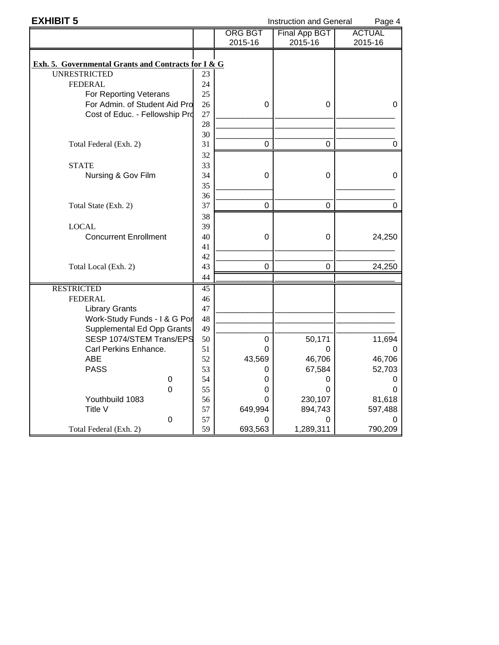| <b>EXHIBIT 5</b>                                    |    |                | <b>Instruction and General</b> | Page 4        |
|-----------------------------------------------------|----|----------------|--------------------------------|---------------|
|                                                     |    | <b>ORG BGT</b> | <b>Final App BGT</b>           | <b>ACTUAL</b> |
|                                                     |    | 2015-16        | 2015-16                        | 2015-16       |
|                                                     |    |                |                                |               |
| Exh. 5. Governmental Grants and Contracts for I & G |    |                |                                |               |
| <b>UNRESTRICTED</b>                                 | 23 |                |                                |               |
| <b>FEDERAL</b>                                      | 24 |                |                                |               |
| For Reporting Veterans                              | 25 |                |                                |               |
| For Admin. of Student Aid Pro                       | 26 | 0              | 0                              | 0             |
| Cost of Educ. - Fellowship Pro                      | 27 |                |                                |               |
|                                                     | 28 |                |                                |               |
|                                                     | 30 |                |                                |               |
| Total Federal (Exh. 2)                              | 31 | 0              | 0                              | 0             |
|                                                     | 32 |                |                                |               |
| <b>STATE</b>                                        | 33 |                |                                |               |
| Nursing & Gov Film                                  | 34 | 0              | 0                              | 0             |
|                                                     | 35 |                |                                |               |
|                                                     | 36 |                |                                |               |
| Total State (Exh. 2)                                | 37 | $\mathbf 0$    | $\mathbf 0$                    | 0             |
|                                                     | 38 |                |                                |               |
| <b>LOCAL</b>                                        | 39 |                |                                |               |
| <b>Concurrent Enrollment</b>                        | 40 | 0              | 0                              | 24,250        |
|                                                     | 41 |                |                                |               |
|                                                     | 42 |                |                                |               |
| Total Local (Exh. 2)                                | 43 | $\Omega$       | 0                              | 24,250        |
|                                                     | 44 |                |                                |               |
| <b>RESTRICTED</b>                                   | 45 |                |                                |               |
| <b>FEDERAL</b>                                      | 46 |                |                                |               |
| <b>Library Grants</b>                               | 47 |                |                                |               |
| Work-Study Funds - I & G Por                        | 48 |                |                                |               |
| Supplemental Ed Opp Grants                          | 49 |                |                                |               |
| SESP 1074/STEM Trans/EPS                            | 50 | 0              | 50,171                         | 11,694        |
| Carl Perkins Enhance.                               | 51 | 0              | 0                              | 0             |
| <b>ABE</b>                                          | 52 | 43,569         | 46,706                         | 46,706        |
| <b>PASS</b>                                         | 53 | 0              | 67,584                         | 52,703        |
| 0                                                   | 54 | 0              | 0                              | O             |
| 0                                                   | 55 | 0              | 0                              | 0             |
| Youthbuild 1083                                     | 56 | 0              | 230,107                        | 81,618        |
| Title V                                             | 57 | 649,994        | 894,743                        | 597,488       |
| 0                                                   | 57 | 0              | 0                              | 0             |
| Total Federal (Exh. 2)                              | 59 | 693,563        | 1,289,311                      | 790,209       |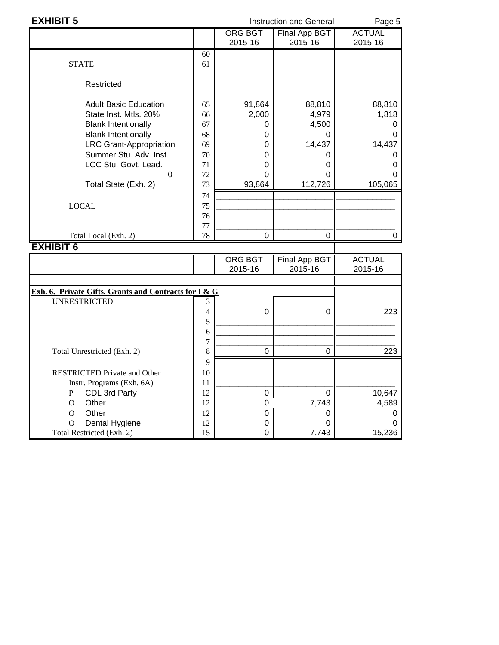| <b>EXHIBIT 5</b>                                      |                |                           | <b>Instruction and General</b> | Page 5                   |  |  |
|-------------------------------------------------------|----------------|---------------------------|--------------------------------|--------------------------|--|--|
|                                                       |                | <b>ORG BGT</b><br>2015-16 | Final App BGT<br>2015-16       | <b>ACTUAL</b><br>2015-16 |  |  |
|                                                       | 60             |                           |                                |                          |  |  |
| <b>STATE</b>                                          | 61             |                           |                                |                          |  |  |
| Restricted                                            |                |                           |                                |                          |  |  |
| <b>Adult Basic Education</b>                          | 65             | 91,864                    | 88,810                         | 88,810                   |  |  |
| State Inst. Mtls. 20%                                 | 66             | 2,000                     | 4,979                          | 1,818                    |  |  |
| <b>Blank Intentionally</b>                            | 67             | 0                         | 4,500                          | 0                        |  |  |
| <b>Blank Intentionally</b>                            | 68             | 0                         | 0                              | 0                        |  |  |
| <b>LRC Grant-Appropriation</b>                        | 69             | 0                         | 14,437                         | 14,437                   |  |  |
| Summer Stu. Adv. Inst.                                | 70             | 0                         | 0                              | 0                        |  |  |
| LCC Stu. Govt. Lead.                                  | 71             | 0                         | 0                              | 0                        |  |  |
| $\mathbf 0$                                           | 72             | 0                         | 0                              | 0                        |  |  |
| Total State (Exh. 2)                                  | 73             | 93,864                    | 112,726                        | 105,065                  |  |  |
|                                                       | 74             |                           |                                |                          |  |  |
| <b>LOCAL</b>                                          | 75             |                           |                                |                          |  |  |
|                                                       | 76             |                           |                                |                          |  |  |
|                                                       | 77             |                           |                                |                          |  |  |
| Total Local (Exh. 2)                                  | 78             | $\Omega$                  | $\Omega$                       | 0                        |  |  |
| <b>EXHIBIT 6</b>                                      |                |                           |                                |                          |  |  |
|                                                       |                | <b>ORG BGT</b>            | <b>Final App BGT</b>           | <b>ACTUAL</b>            |  |  |
|                                                       |                | 2015-16                   | 2015-16                        | 2015-16                  |  |  |
| Exh. 6. Private Gifts, Grants and Contracts for I & G |                |                           |                                |                          |  |  |
| <b>UNRESTRICTED</b>                                   | 3              |                           |                                |                          |  |  |
|                                                       | $\overline{4}$ | $\overline{0}$            | 0                              | 223                      |  |  |
|                                                       | 5              |                           |                                |                          |  |  |
|                                                       | 6              |                           |                                |                          |  |  |
|                                                       | $\overline{7}$ |                           |                                |                          |  |  |
| Total Unrestricted (Exh. 2)                           | 8              | 0                         | 0                              | 223                      |  |  |
|                                                       | 9              |                           |                                |                          |  |  |
| <b>RESTRICTED Private and Other</b>                   | 10             |                           |                                |                          |  |  |
| Instr. Programs (Exh. 6A)                             | 11             |                           |                                |                          |  |  |

Instr. Programs (Exh. 6A)<br>
P CDL 3rd Party<br>
O Other 12 0 7,743 4,589 P CDL 3rd Party 12 0 0 10,647 O Other 12 0 7,743 4,589 O Other 12 0 0 0 0 O Other<br>
O Dental Hygiene  $\begin{array}{c|cc} 12 & 0 & 0 & 0 \\ 12 & 0 & 0 & 0 \\ 18 & 15 & 0 & 7,743 & 15,236 \end{array}$ 

Total Restricted (Exh. 2)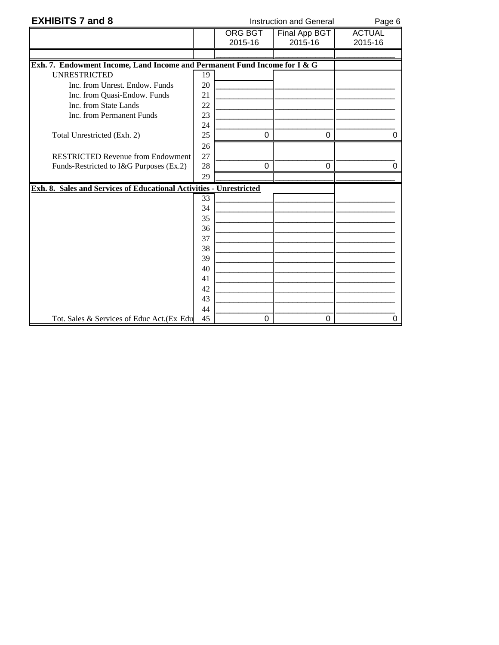| <b>EXHIBITS 7 and 8</b>                                                   | <b>Instruction and General</b> |                |                      |               |  |  |  |  |  |  |
|---------------------------------------------------------------------------|--------------------------------|----------------|----------------------|---------------|--|--|--|--|--|--|
|                                                                           |                                | <b>ORG BGT</b> | <b>Final App BGT</b> | <b>ACTUAL</b> |  |  |  |  |  |  |
|                                                                           |                                | 2015-16        | 2015-16              | 2015-16       |  |  |  |  |  |  |
|                                                                           |                                |                |                      |               |  |  |  |  |  |  |
| Exh. 7. Endowment Income, Land Income and Permanent Fund Income for I & G |                                |                |                      |               |  |  |  |  |  |  |
| <b>UNRESTRICTED</b>                                                       | 19                             |                |                      |               |  |  |  |  |  |  |
| Inc. from Unrest. Endow. Funds                                            | 20                             |                |                      |               |  |  |  |  |  |  |
| Inc. from Quasi-Endow. Funds                                              | 21                             |                |                      |               |  |  |  |  |  |  |
| Inc. from State Lands                                                     | 22                             |                |                      |               |  |  |  |  |  |  |
| Inc. from Permanent Funds                                                 | 23                             |                |                      |               |  |  |  |  |  |  |
|                                                                           | 24                             |                |                      |               |  |  |  |  |  |  |
| Total Unrestricted (Exh. 2)                                               | 25                             | $\mathbf 0$    | $\mathbf 0$          | ი             |  |  |  |  |  |  |
|                                                                           | 26                             |                |                      |               |  |  |  |  |  |  |
| <b>RESTRICTED Revenue from Endowment</b>                                  | 27                             |                |                      |               |  |  |  |  |  |  |
| Funds-Restricted to I&G Purposes (Ex.2)                                   | 28                             | 0              | 0                    |               |  |  |  |  |  |  |
|                                                                           | 29                             |                |                      |               |  |  |  |  |  |  |
| Exh. 8. Sales and Services of Educational Activities - Unrestricted       |                                |                |                      |               |  |  |  |  |  |  |
|                                                                           | 33                             |                |                      |               |  |  |  |  |  |  |
|                                                                           | 34                             |                |                      |               |  |  |  |  |  |  |
|                                                                           | 35                             |                |                      |               |  |  |  |  |  |  |
|                                                                           | 36                             |                |                      |               |  |  |  |  |  |  |
|                                                                           | 37                             |                |                      |               |  |  |  |  |  |  |
|                                                                           | 38                             |                |                      |               |  |  |  |  |  |  |
|                                                                           | 39                             |                |                      |               |  |  |  |  |  |  |
|                                                                           | 40                             |                |                      |               |  |  |  |  |  |  |
|                                                                           | 41                             |                |                      |               |  |  |  |  |  |  |
|                                                                           | 42                             |                |                      |               |  |  |  |  |  |  |
|                                                                           | 43                             |                |                      |               |  |  |  |  |  |  |
|                                                                           | 44                             |                |                      |               |  |  |  |  |  |  |
| Tot. Sales & Services of Educ Act. (Ex Edu                                | 45                             | 0              | 0                    | 0             |  |  |  |  |  |  |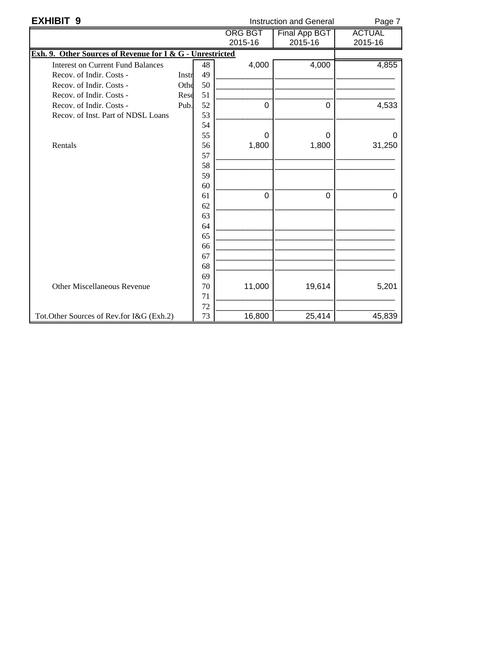| <b>EXHIBIT 9</b>                                          | <b>Instruction and General</b> | Page 7 |                |               |               |
|-----------------------------------------------------------|--------------------------------|--------|----------------|---------------|---------------|
|                                                           |                                |        | <b>ORG BGT</b> | Final App BGT | <b>ACTUAL</b> |
|                                                           |                                |        | 2015-16        | 2015-16       | 2015-16       |
| Exh. 9. Other Sources of Revenue for I & G - Unrestricted |                                |        |                |               |               |
| <b>Interest on Current Fund Balances</b>                  |                                | 48     | 4,000          | 4,000         | 4,855         |
| Recov. of Indir. Costs -                                  | Instr                          | 49     |                |               |               |
| Recov. of Indir. Costs -                                  | Othe                           | 50     |                |               |               |
| Recov. of Indir. Costs -                                  | Rese                           | 51     |                |               |               |
| Recov. of Indir. Costs -                                  | Pub.                           | 52     | 0              | $\mathbf 0$   | 4,533         |
| Recov. of Inst. Part of NDSL Loans                        |                                | 53     |                |               |               |
|                                                           |                                | 54     |                |               |               |
|                                                           |                                | 55     | $\Omega$       | $\Omega$      | 0             |
| Rentals                                                   |                                | 56     | 1,800          | 1,800         | 31,250        |
|                                                           |                                | 57     |                |               |               |
|                                                           |                                | 58     |                |               |               |
|                                                           |                                | 59     |                |               |               |
|                                                           |                                | 60     |                |               |               |
|                                                           |                                | 61     | $\Omega$       | $\Omega$      | 0             |
|                                                           |                                | 62     |                |               |               |
|                                                           |                                | 63     |                |               |               |
|                                                           |                                | 64     |                |               |               |
|                                                           |                                | 65     |                |               |               |
|                                                           |                                | 66     |                |               |               |
|                                                           |                                | 67     |                |               |               |
|                                                           |                                | 68     |                |               |               |
|                                                           |                                | 69     |                |               |               |
| <b>Other Miscellaneous Revenue</b>                        |                                | 70     | 11,000         | 19,614        | 5,201         |
|                                                           |                                | 71     |                |               |               |
|                                                           |                                | 72     |                |               |               |
| Tot.Other Sources of Rev.for I&G (Exh.2)                  |                                | 73     | 16,800         | 25,414        | 45,839        |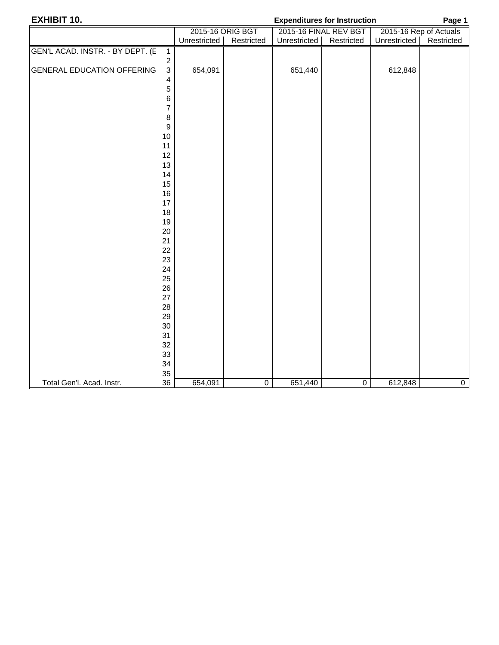| <b>EXHIBIT 10.</b>                |                  |                  |                | Page 1       |                       |              |                        |
|-----------------------------------|------------------|------------------|----------------|--------------|-----------------------|--------------|------------------------|
|                                   |                  | 2015-16 ORIG BGT |                |              | 2015-16 FINAL REV BGT |              | 2015-16 Rep of Actuals |
|                                   |                  | Unrestricted     | Restricted     | Unrestricted | Restricted            | Unrestricted | Restricted             |
| GEN'L ACAD. INSTR. - BY DEPT. (E  | $\mathbf{1}$     |                  |                |              |                       |              |                        |
|                                   | $\boldsymbol{2}$ |                  |                |              |                       |              |                        |
| <b>GENERAL EDUCATION OFFERING</b> | $\mathbf{3}$     | 654,091          |                | 651,440      |                       | 612,848      |                        |
|                                   | 4                |                  |                |              |                       |              |                        |
|                                   | 5                |                  |                |              |                       |              |                        |
|                                   | 6                |                  |                |              |                       |              |                        |
|                                   | $\overline{7}$   |                  |                |              |                       |              |                        |
|                                   | $\bf 8$          |                  |                |              |                       |              |                        |
|                                   | $\boldsymbol{9}$ |                  |                |              |                       |              |                        |
|                                   | 10               |                  |                |              |                       |              |                        |
|                                   | 11               |                  |                |              |                       |              |                        |
|                                   | 12               |                  |                |              |                       |              |                        |
|                                   | 13<br>14         |                  |                |              |                       |              |                        |
|                                   | 15               |                  |                |              |                       |              |                        |
|                                   | 16               |                  |                |              |                       |              |                        |
|                                   | 17               |                  |                |              |                       |              |                        |
|                                   | 18               |                  |                |              |                       |              |                        |
|                                   | 19               |                  |                |              |                       |              |                        |
|                                   | 20               |                  |                |              |                       |              |                        |
|                                   | 21               |                  |                |              |                       |              |                        |
|                                   | 22               |                  |                |              |                       |              |                        |
|                                   | 23               |                  |                |              |                       |              |                        |
|                                   | 24               |                  |                |              |                       |              |                        |
|                                   | 25               |                  |                |              |                       |              |                        |
|                                   | 26               |                  |                |              |                       |              |                        |
|                                   | 27               |                  |                |              |                       |              |                        |
|                                   | 28               |                  |                |              |                       |              |                        |
|                                   | 29               |                  |                |              |                       |              |                        |
|                                   | 30               |                  |                |              |                       |              |                        |
|                                   | 31               |                  |                |              |                       |              |                        |
|                                   | 32               |                  |                |              |                       |              |                        |
|                                   | 33               |                  |                |              |                       |              |                        |
|                                   | 34<br>35         |                  |                |              |                       |              |                        |
| Total Gen'l. Acad. Instr.         | 36               | 654,091          | $\overline{0}$ | 651,440      | $\overline{0}$        | 612,848      | $\overline{0}$         |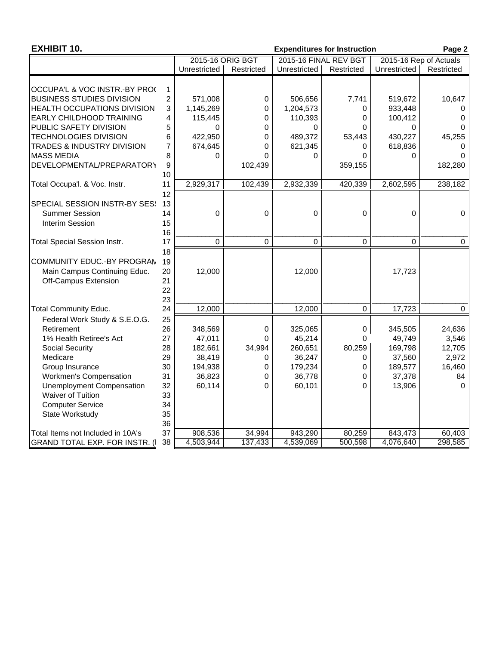| <b>EXHIBIT 10.</b>                  |                | <b>Expenditures for Instruction</b><br>Page 2<br>2015-16 FINAL REV BGT |             |                        |            |              |            |  |  |  |  |
|-------------------------------------|----------------|------------------------------------------------------------------------|-------------|------------------------|------------|--------------|------------|--|--|--|--|
|                                     |                | 2015-16 ORIG BGT                                                       |             | 2015-16 Rep of Actuals |            |              |            |  |  |  |  |
|                                     |                | Unrestricted                                                           | Restricted  | Unrestricted           | Restricted | Unrestricted | Restricted |  |  |  |  |
| OCCUPA'L & VOC INSTR.-BY PRO        | 1              |                                                                        |             |                        |            |              |            |  |  |  |  |
| <b>BUSINESS STUDIES DIVISION</b>    | $\overline{c}$ | 571,008                                                                | 0           | 506,656                | 7,741      | 519,672      | 10,647     |  |  |  |  |
| <b>HEALTH OCCUPATIONS DIVISION</b>  | 3              | 1,145,269                                                              | 0           | 1,204,573              | 0          | 933,448      | 0          |  |  |  |  |
| <b>EARLY CHILDHOOD TRAINING</b>     | 4              | 115,445                                                                | 0           | 110,393                | 0          | 100,412      | 0          |  |  |  |  |
| PUBLIC SAFETY DIVISION              | 5              | $\Omega$                                                               | $\Omega$    | 0                      | $\Omega$   | 0            | $\Omega$   |  |  |  |  |
| <b>TECHNOLOGIES DIVISION</b>        | 6              | 422,950                                                                | 0           | 489,372                | 53,443     | 430,227      | 45,255     |  |  |  |  |
| TRADES & INDUSTRY DIVISION          | 7              | 674,645                                                                | 0           | 621,345                | 0          | 618,836      | $\Omega$   |  |  |  |  |
| <b>MASS MEDIA</b>                   | 8              | 0                                                                      | $\Omega$    | 0                      | 0          | $\Omega$     | $\Omega$   |  |  |  |  |
| DEVELOPMENTAL/PREPARATORY           | 9              |                                                                        | 102,439     |                        | 359,155    |              | 182,280    |  |  |  |  |
|                                     | 10             |                                                                        |             |                        |            |              |            |  |  |  |  |
| Total Occupa'l. & Voc. Instr.       | 11             | 2,929,317                                                              | 102,439     | 2,932,339              | 420,339    | 2,602,595    | 238,182    |  |  |  |  |
| <b>SPECIAL SESSION INSTR-BY SES</b> | 12<br>13       |                                                                        |             |                        |            |              |            |  |  |  |  |
| <b>Summer Session</b>               | 14             | $\mathbf 0$                                                            | 0           | $\mathbf 0$            | $\Omega$   | 0            | 0          |  |  |  |  |
| <b>Interim Session</b>              | 15             |                                                                        |             |                        |            |              |            |  |  |  |  |
|                                     | 16             |                                                                        |             |                        |            |              |            |  |  |  |  |
| <b>Total Special Session Instr.</b> | 17             | 0                                                                      | $\mathbf 0$ | $\mathbf 0$            | $\Omega$   | 0            | $\Omega$   |  |  |  |  |
|                                     | 18             |                                                                        |             |                        |            |              |            |  |  |  |  |
| COMMUNITY EDUC.-BY PROGRAN          | 19             |                                                                        |             |                        |            |              |            |  |  |  |  |
| Main Campus Continuing Educ.        | 20             | 12,000                                                                 |             | 12,000                 |            | 17,723       |            |  |  |  |  |
| Off-Campus Extension                | 21             |                                                                        |             |                        |            |              |            |  |  |  |  |
|                                     | 22             |                                                                        |             |                        |            |              |            |  |  |  |  |
|                                     | 23             |                                                                        |             |                        |            |              |            |  |  |  |  |
| <b>Total Community Educ.</b>        | 24             | 12,000                                                                 |             | 12,000                 | $\Omega$   | 17,723       | 0          |  |  |  |  |
| Federal Work Study & S.E.O.G.       | 25             |                                                                        |             |                        |            |              |            |  |  |  |  |
| Retirement                          | 26             | 348,569                                                                | 0           | 325,065                | 0          | 345,505      | 24,636     |  |  |  |  |
| 1% Health Retiree's Act             | 27             | 47,011                                                                 | 0           | 45,214                 | 0          | 49,749       | 3,546      |  |  |  |  |
| Social Security                     | 28             | 182,661                                                                | 34,994      | 260,651                | 80,259     | 169,798      | 12,705     |  |  |  |  |
| Medicare                            | 29             | 38,419                                                                 | 0           | 36,247                 | 0          | 37,560       | 2,972      |  |  |  |  |
| Group Insurance                     | 30             | 194,938                                                                |             | 179,234                | 0          | 189,577      | 16,460     |  |  |  |  |
| Workmen's Compensation              | 31             | 36,823                                                                 | 0<br>0      | 36,778                 | 0          | 37,378       | 84         |  |  |  |  |
|                                     | 32             |                                                                        | 0           |                        | $\Omega$   |              | $\Omega$   |  |  |  |  |
| <b>Unemployment Compensation</b>    | 33             | 60,114                                                                 |             | 60,101                 |            | 13,906       |            |  |  |  |  |
| Waiver of Tuition                   | 34             |                                                                        |             |                        |            |              |            |  |  |  |  |
| <b>Computer Service</b>             |                |                                                                        |             |                        |            |              |            |  |  |  |  |
| State Workstudy                     | 35             |                                                                        |             |                        |            |              |            |  |  |  |  |
|                                     | 36<br>37       |                                                                        |             |                        |            |              |            |  |  |  |  |
| Total Items not Included in 10A's   |                | 908,536                                                                | 34,994      | 943,290                | 80,259     | 843,473      | 60,403     |  |  |  |  |
| GRAND TOTAL EXP. FOR INSTR. (       | 38             | 4,503,944                                                              | 137,433     | 4,539,069              | 500,598    | 4,076,640    | 298,585    |  |  |  |  |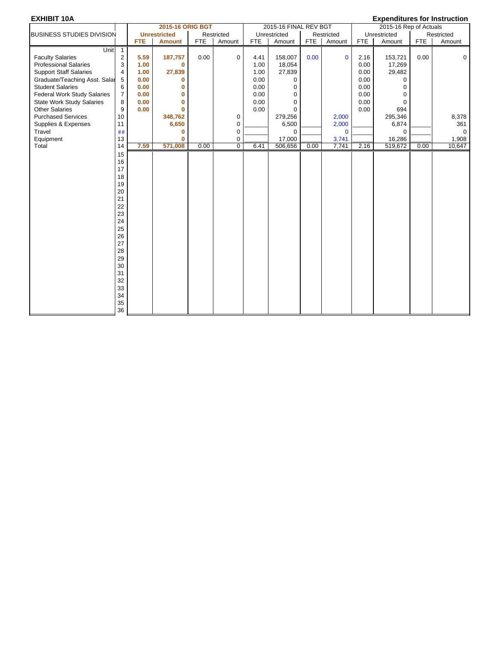|                                    |                |            | 2015-16 ORIG BGT    |            |             |            | 2015-16 FINAL REV BGT |            |              |            | 2015-16 Rep of Actuals |            |              |  |
|------------------------------------|----------------|------------|---------------------|------------|-------------|------------|-----------------------|------------|--------------|------------|------------------------|------------|--------------|--|
| BUSINESS STUDIES DIVISION          |                |            | <b>Unrestricted</b> |            | Restricted  |            | Unrestricted          |            | Restricted   |            | Unrestricted           |            | Restricted   |  |
|                                    |                | <b>FTE</b> | <b>Amount</b>       | <b>FTE</b> | Amount      | <b>FTE</b> | Amount                | <b>FTE</b> | Amount       | <b>FTE</b> | Amount                 | <b>FTE</b> | Amount       |  |
| Unit                               | $\mathbf{1}$   |            |                     |            |             |            |                       |            |              |            |                        |            |              |  |
| <b>Faculty Salaries</b>            | $\overline{2}$ | 5.59       | 187,757             | 0.00       | $\mathbf 0$ | 4.41       | 158,007               | 0.00       | $\mathbf{0}$ | 2.16       | 153,721                | 0.00       | $\mathbf{0}$ |  |
| <b>Professional Salaries</b>       | 3              | 1.00       | $\mathbf 0$         |            |             | 1.00       | 18,054                |            |              | 0.00       | 17,269                 |            |              |  |
| <b>Support Staff Salaries</b>      | $\overline{4}$ | 1.00       | 27,839              |            |             | 1.00       | 27,839                |            |              | 0.00       | 29,482                 |            |              |  |
| Graduate/Teaching Asst. Salar      | 5              | 0.00       | 0                   |            |             | 0.00       | 0                     |            |              | 0.00       | <sup>0</sup>           |            |              |  |
| <b>Student Salaries</b>            | 6              | 0.00       | 0                   |            |             | 0.00       | 0                     |            |              | 0.00       | O                      |            |              |  |
| <b>Federal Work Study Salaries</b> | $\overline{7}$ | 0.00       | 0                   |            |             | 0.00       | $\mathbf 0$           |            |              | 0.00       | 0                      |            |              |  |
| <b>State Work Study Salaries</b>   | 8              | 0.00       | 0                   |            |             | 0.00       | $\mathbf 0$           |            |              | 0.00       | $\Omega$               |            |              |  |
| <b>Other Salaries</b>              | 9              | 0.00       | $\bf{0}$            |            |             | 0.00       | $\Omega$              |            |              | 0.00       | 694                    |            |              |  |
| <b>Purchased Services</b>          | 10             |            | 348,762             |            | 0           |            | 279,256               |            | 2,000        |            | 295,346                |            | 8,378        |  |
| Supplies & Expenses                | 11             |            | 6,650               |            | 0           |            | 6,500                 |            | 2,000        |            | 6,874                  |            | 361          |  |
| Travel                             | ##             |            | 0                   |            | $\mathbf 0$ |            | $\mathbf 0$           |            | $\mathbf{0}$ |            | $\Omega$               |            | $\mathbf 0$  |  |
| Equipment                          | 13             |            | 0                   |            | 0           |            | 17,000                |            | 3,741        |            | 16,286                 |            | 1,908        |  |
| Total                              | 14             | 7.59       | 571,008             | 0.00       | $\mathbf 0$ | 6.41       | 506,656               | 0.00       | 7,741        | 2.16       | 519,672                | 0.00       | 10,647       |  |
|                                    | 15             |            |                     |            |             |            |                       |            |              |            |                        |            |              |  |
|                                    | 16             |            |                     |            |             |            |                       |            |              |            |                        |            |              |  |
|                                    | 17             |            |                     |            |             |            |                       |            |              |            |                        |            |              |  |
|                                    | 18             |            |                     |            |             |            |                       |            |              |            |                        |            |              |  |
|                                    | 19             |            |                     |            |             |            |                       |            |              |            |                        |            |              |  |
|                                    | 20             |            |                     |            |             |            |                       |            |              |            |                        |            |              |  |
|                                    | 21             |            |                     |            |             |            |                       |            |              |            |                        |            |              |  |
|                                    | 22             |            |                     |            |             |            |                       |            |              |            |                        |            |              |  |
|                                    | 23             |            |                     |            |             |            |                       |            |              |            |                        |            |              |  |
|                                    | 24             |            |                     |            |             |            |                       |            |              |            |                        |            |              |  |
|                                    | 25             |            |                     |            |             |            |                       |            |              |            |                        |            |              |  |
|                                    | 26             |            |                     |            |             |            |                       |            |              |            |                        |            |              |  |
|                                    | 27             |            |                     |            |             |            |                       |            |              |            |                        |            |              |  |
|                                    | 28             |            |                     |            |             |            |                       |            |              |            |                        |            |              |  |
|                                    | 29             |            |                     |            |             |            |                       |            |              |            |                        |            |              |  |
|                                    | 30             |            |                     |            |             |            |                       |            |              |            |                        |            |              |  |
|                                    | 31             |            |                     |            |             |            |                       |            |              |            |                        |            |              |  |
|                                    | 32             |            |                     |            |             |            |                       |            |              |            |                        |            |              |  |
|                                    | 33             |            |                     |            |             |            |                       |            |              |            |                        |            |              |  |
|                                    | 34             |            |                     |            |             |            |                       |            |              |            |                        |            |              |  |
|                                    |                |            |                     |            |             |            |                       |            |              |            |                        |            |              |  |
|                                    | 35<br>36       |            |                     |            |             |            |                       |            |              |            |                        |            |              |  |
|                                    |                |            |                     |            |             |            |                       |            |              |            |                        |            |              |  |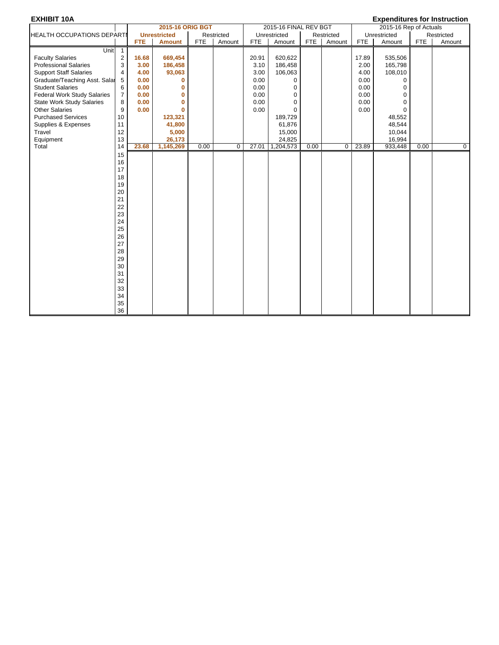| ----------                         |                            |            | 2015-16 ORIG BGT    |            |             |       | 2015-16 FINAL REV BGT |            |            |       | 2015-16 Rep of Actuals |            |            |  |
|------------------------------------|----------------------------|------------|---------------------|------------|-------------|-------|-----------------------|------------|------------|-------|------------------------|------------|------------|--|
| <b>HEALTH OCCUPATIONS DEPARTI</b>  |                            |            | <b>Unrestricted</b> |            | Restricted  |       | Unrestricted          |            | Restricted |       | Unrestricted           |            | Restricted |  |
|                                    |                            | <b>FTE</b> | <b>Amount</b>       | <b>FTE</b> | Amount      | FTE   | Amount                | <b>FTE</b> | Amount     | FTE   | Amount                 | <b>FTE</b> | Amount     |  |
| Unit                               | $\overline{\phantom{0}}$ 1 |            |                     |            |             |       |                       |            |            |       |                        |            |            |  |
| <b>Faculty Salaries</b>            | 2                          | 16.68      | 669,454             |            |             | 20.91 | 620,622               |            |            | 17.89 | 535,506                |            |            |  |
| <b>Professional Salaries</b>       | 3                          | 3.00       | 186,458             |            |             | 3.10  | 186,458               |            |            | 2.00  | 165,798                |            |            |  |
| <b>Support Staff Salaries</b>      | 4                          | 4.00       | 93,063              |            |             | 3.00  | 106,063               |            |            | 4.00  | 108,010                |            |            |  |
| Graduate/Teaching Asst. Salar      | 5                          | 0.00       | 0                   |            |             | 0.00  | $\Omega$              |            |            | 0.00  | $\Omega$               |            |            |  |
| <b>Student Salaries</b>            | 6                          | 0.00       | 0                   |            |             | 0.00  | 0                     |            |            | 0.00  | $\Omega$               |            |            |  |
| <b>Federal Work Study Salaries</b> | $\overline{7}$             | 0.00       | $\mathbf{0}$        |            |             | 0.00  | 0                     |            |            | 0.00  | $\Omega$               |            |            |  |
| <b>State Work Study Salaries</b>   | 8                          | 0.00       | $\bf{0}$            |            |             | 0.00  | 0                     |            |            | 0.00  | $\Omega$               |            |            |  |
| <b>Other Salaries</b>              | 9                          | 0.00       | $\mathbf{0}$        |            |             | 0.00  | 0                     |            |            | 0.00  | $\Omega$               |            |            |  |
| <b>Purchased Services</b>          | 10                         |            | 123,321             |            |             |       | 189,729               |            |            |       | 48,552                 |            |            |  |
| Supplies & Expenses                | 11                         |            | 41,800              |            |             |       | 61,876                |            |            |       | 48,544                 |            |            |  |
| Travel                             | 12                         |            | 5,000               |            |             |       | 15,000                |            |            |       | 10,044                 |            |            |  |
| Equipment                          | 13                         |            | 26,173              |            |             |       | 24,825                |            |            |       | 16,994                 |            |            |  |
| Total                              | 14                         | 23.68      | 1,145,269           | 0.00       | $\mathbf 0$ | 27.01 | 1,204,573             | 0.00       | $\Omega$   | 23.89 | 933,448                | 0.00       | 0          |  |
|                                    | 15                         |            |                     |            |             |       |                       |            |            |       |                        |            |            |  |
|                                    | 16                         |            |                     |            |             |       |                       |            |            |       |                        |            |            |  |
|                                    | 17                         |            |                     |            |             |       |                       |            |            |       |                        |            |            |  |
|                                    | 18                         |            |                     |            |             |       |                       |            |            |       |                        |            |            |  |
|                                    | 19                         |            |                     |            |             |       |                       |            |            |       |                        |            |            |  |
|                                    | 20                         |            |                     |            |             |       |                       |            |            |       |                        |            |            |  |
|                                    | 21                         |            |                     |            |             |       |                       |            |            |       |                        |            |            |  |
|                                    | 22                         |            |                     |            |             |       |                       |            |            |       |                        |            |            |  |
|                                    | 23                         |            |                     |            |             |       |                       |            |            |       |                        |            |            |  |
|                                    | 24                         |            |                     |            |             |       |                       |            |            |       |                        |            |            |  |
|                                    | 25                         |            |                     |            |             |       |                       |            |            |       |                        |            |            |  |
|                                    | 26                         |            |                     |            |             |       |                       |            |            |       |                        |            |            |  |
|                                    | 27                         |            |                     |            |             |       |                       |            |            |       |                        |            |            |  |
|                                    | 28                         |            |                     |            |             |       |                       |            |            |       |                        |            |            |  |
|                                    | 29                         |            |                     |            |             |       |                       |            |            |       |                        |            |            |  |
|                                    | $30\,$                     |            |                     |            |             |       |                       |            |            |       |                        |            |            |  |
|                                    | 31                         |            |                     |            |             |       |                       |            |            |       |                        |            |            |  |
|                                    | 32                         |            |                     |            |             |       |                       |            |            |       |                        |            |            |  |
|                                    | 33                         |            |                     |            |             |       |                       |            |            |       |                        |            |            |  |
|                                    | 34                         |            |                     |            |             |       |                       |            |            |       |                        |            |            |  |
|                                    | 35                         |            |                     |            |             |       |                       |            |            |       |                        |            |            |  |
|                                    | 36                         |            |                     |            |             |       |                       |            |            |       |                        |            |            |  |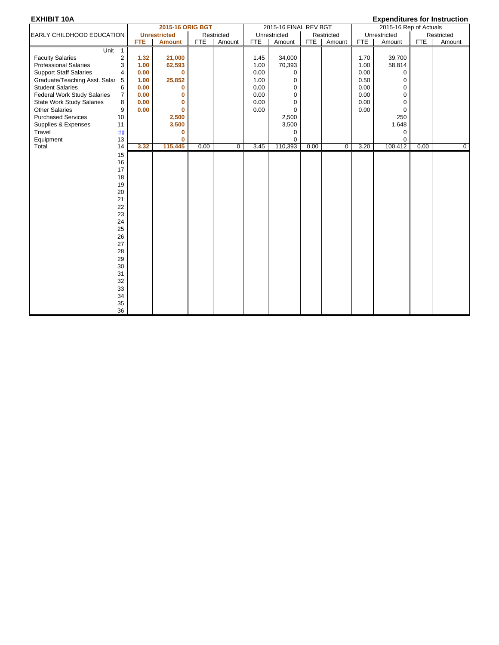|                                    |                |            | 2015-16 ORIG BGT    |      |             |      | 2015-16 FINAL REV BGT |      |             |      | 2015-16 Rep of Actuals |            |            |  |
|------------------------------------|----------------|------------|---------------------|------|-------------|------|-----------------------|------|-------------|------|------------------------|------------|------------|--|
| EARLY CHILDHOOD EDUCATION          |                |            | <b>Unrestricted</b> |      | Restricted  |      | Unrestricted          |      | Restricted  |      | Unrestricted           |            | Restricted |  |
|                                    |                | <b>FTE</b> | <b>Amount</b>       | FTE  | Amount      | FTE  | Amount                | FTE  | Amount      | FTE  | Amount                 | <b>FTE</b> | Amount     |  |
| Unit                               | $\overline{1}$ |            |                     |      |             |      |                       |      |             |      |                        |            |            |  |
| <b>Faculty Salaries</b>            | 2              | 1.32       | 21,000              |      |             | 1.45 | 34,000                |      |             | 1.70 | 39,700                 |            |            |  |
| <b>Professional Salaries</b>       | 3              | 1.00       | 62,593              |      |             | 1.00 | 70,393                |      |             | 1.00 | 58,814                 |            |            |  |
| <b>Support Staff Salaries</b>      | 4              | 0.00       | $\bf{0}$            |      |             | 0.00 | 0                     |      |             | 0.00 | 0                      |            |            |  |
| Graduate/Teaching Asst. Salar      | 5              | 1.00       | 25,852              |      |             | 1.00 | 0                     |      |             | 0.50 | $\mathbf 0$            |            |            |  |
| <b>Student Salaries</b>            | 6              | 0.00       | $\bf{0}$            |      |             | 0.00 | 0                     |      |             | 0.00 | $\Omega$               |            |            |  |
| <b>Federal Work Study Salaries</b> | $\overline{7}$ | 0.00       | 0                   |      |             | 0.00 | $\Omega$              |      |             | 0.00 | $\Omega$               |            |            |  |
| <b>State Work Study Salaries</b>   | 8              | 0.00       | $\bf{0}$            |      |             | 0.00 | 0                     |      |             | 0.00 | $\mathbf 0$            |            |            |  |
| <b>Other Salaries</b>              | 9              | 0.00       | $\bf{0}$            |      |             | 0.00 | $\Omega$              |      |             | 0.00 | $\mathbf 0$            |            |            |  |
| <b>Purchased Services</b>          | 10             |            | 2,500               |      |             |      | 2,500                 |      |             |      | 250                    |            |            |  |
| Supplies & Expenses                | 11             |            | 3,500               |      |             |      | 3,500                 |      |             |      | 1,648                  |            |            |  |
| Travel                             | ##             |            | 0                   |      |             |      | 0                     |      |             |      | $\mathbf 0$            |            |            |  |
| Equipment                          | 13             |            | $\mathbf{0}$        |      |             |      | 0                     |      |             |      | $\Omega$               |            |            |  |
| Total                              | 14             | 3.32       | 115,445             | 0.00 | $\mathbf 0$ | 3.45 | 110,393               | 0.00 | $\mathbf 0$ | 3.20 | 100,412                | 0.00       | 0          |  |
|                                    | 15             |            |                     |      |             |      |                       |      |             |      |                        |            |            |  |
|                                    | 16             |            |                     |      |             |      |                       |      |             |      |                        |            |            |  |
|                                    | 17             |            |                     |      |             |      |                       |      |             |      |                        |            |            |  |
|                                    | 18             |            |                     |      |             |      |                       |      |             |      |                        |            |            |  |
|                                    | 19             |            |                     |      |             |      |                       |      |             |      |                        |            |            |  |
|                                    | 20             |            |                     |      |             |      |                       |      |             |      |                        |            |            |  |
|                                    | 21             |            |                     |      |             |      |                       |      |             |      |                        |            |            |  |
|                                    | 22             |            |                     |      |             |      |                       |      |             |      |                        |            |            |  |
|                                    | 23<br>24       |            |                     |      |             |      |                       |      |             |      |                        |            |            |  |
|                                    | 25             |            |                     |      |             |      |                       |      |             |      |                        |            |            |  |
|                                    | 26             |            |                     |      |             |      |                       |      |             |      |                        |            |            |  |
|                                    | 27             |            |                     |      |             |      |                       |      |             |      |                        |            |            |  |
|                                    | 28             |            |                     |      |             |      |                       |      |             |      |                        |            |            |  |
|                                    | 29             |            |                     |      |             |      |                       |      |             |      |                        |            |            |  |
|                                    | $30\,$         |            |                     |      |             |      |                       |      |             |      |                        |            |            |  |
|                                    | 31             |            |                     |      |             |      |                       |      |             |      |                        |            |            |  |
|                                    | 32             |            |                     |      |             |      |                       |      |             |      |                        |            |            |  |
|                                    | 33             |            |                     |      |             |      |                       |      |             |      |                        |            |            |  |
|                                    | 34             |            |                     |      |             |      |                       |      |             |      |                        |            |            |  |
|                                    | 35             |            |                     |      |             |      |                       |      |             |      |                        |            |            |  |
|                                    | 36             |            |                     |      |             |      |                       |      |             |      |                        |            |            |  |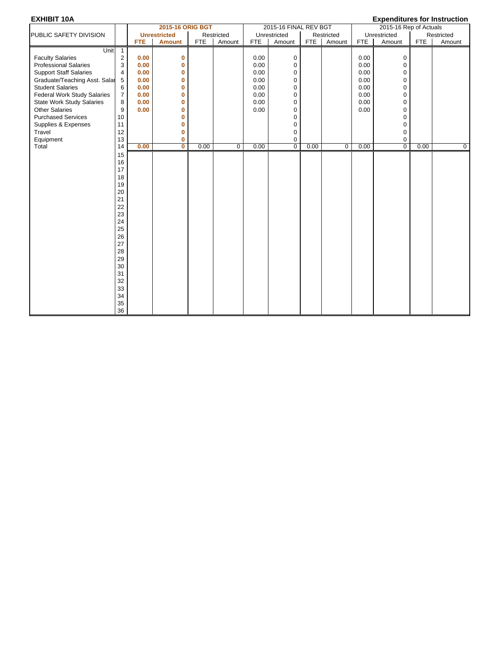| ----------                         |                |            | 2015-16 ORIG BGT    |      |             |            | 2015-16 FINAL REV BGT |      |                |      | = * ponunu von vinnou uou vi<br>2015-16 Rep of Actuals |            |            |
|------------------------------------|----------------|------------|---------------------|------|-------------|------------|-----------------------|------|----------------|------|--------------------------------------------------------|------------|------------|
| PUBLIC SAFETY DIVISION             |                |            | <b>Unrestricted</b> |      | Restricted  |            | Unrestricted          |      | Restricted     |      | Unrestricted                                           |            | Restricted |
|                                    |                | <b>FTE</b> | <b>Amount</b>       | FTE  | Amount      | <b>FTE</b> | Amount                | FTE  | Amount         | FTE  | Amount                                                 | <b>FTE</b> | Amount     |
| Unit                               | $\overline{1}$ |            |                     |      |             |            |                       |      |                |      |                                                        |            |            |
| <b>Faculty Salaries</b>            | $\overline{c}$ | 0.00       | 0                   |      |             | 0.00       | 0                     |      |                | 0.00 | $\mathbf 0$                                            |            |            |
| <b>Professional Salaries</b>       | 3              | 0.00       | $\mathbf{0}$        |      |             | 0.00       | 0                     |      |                | 0.00 | $\mathbf 0$                                            |            |            |
| <b>Support Staff Salaries</b>      | 4              | 0.00       | 0                   |      |             | 0.00       | 0                     |      |                | 0.00 | 0                                                      |            |            |
| Graduate/Teaching Asst. Salar      | 5              | 0.00       | 0                   |      |             | 0.00       | 0                     |      |                | 0.00 | 0                                                      |            |            |
| <b>Student Salaries</b>            | 6              | 0.00       | $\mathbf{0}$        |      |             | 0.00       | 0                     |      |                | 0.00 | 0                                                      |            |            |
| <b>Federal Work Study Salaries</b> | $\overline{7}$ | 0.00       | 0                   |      |             | 0.00       | 0                     |      |                | 0.00 | $\mathbf 0$                                            |            |            |
| <b>State Work Study Salaries</b>   | 8              | 0.00       | $\mathbf{0}$        |      |             | 0.00       | 0                     |      |                | 0.00 | $\mathbf 0$                                            |            |            |
| <b>Other Salaries</b>              | 9              | 0.00       | $\mathbf{0}$        |      |             | 0.00       | 0                     |      |                | 0.00 | $\Omega$                                               |            |            |
| <b>Purchased Services</b>          | 10             |            | $\mathbf{0}$        |      |             |            | 0                     |      |                |      | $\Omega$                                               |            |            |
| Supplies & Expenses                | 11             |            | $\mathbf{0}$        |      |             |            | 0                     |      |                |      | $\mathbf 0$                                            |            |            |
| Travel                             | 12             |            | 0                   |      |             |            | 0                     |      |                |      | 0                                                      |            |            |
| Equipment                          | 13             |            | $\mathbf{0}$        |      |             |            | 0                     |      |                |      | 0                                                      |            |            |
| Total                              | 14             | 0.00       | $\mathbf 0$         | 0.00 | $\mathbf 0$ | 0.00       | $\overline{0}$        | 0.00 | $\overline{0}$ | 0.00 | $\overline{0}$                                         | 0.00       | 0          |
|                                    | 15             |            |                     |      |             |            |                       |      |                |      |                                                        |            |            |
|                                    | 16             |            |                     |      |             |            |                       |      |                |      |                                                        |            |            |
|                                    | 17             |            |                     |      |             |            |                       |      |                |      |                                                        |            |            |
|                                    | 18             |            |                     |      |             |            |                       |      |                |      |                                                        |            |            |
|                                    | 19             |            |                     |      |             |            |                       |      |                |      |                                                        |            |            |
|                                    | 20             |            |                     |      |             |            |                       |      |                |      |                                                        |            |            |
|                                    | 21             |            |                     |      |             |            |                       |      |                |      |                                                        |            |            |
|                                    | 22             |            |                     |      |             |            |                       |      |                |      |                                                        |            |            |
|                                    | 23             |            |                     |      |             |            |                       |      |                |      |                                                        |            |            |
|                                    | 24             |            |                     |      |             |            |                       |      |                |      |                                                        |            |            |
|                                    | 25             |            |                     |      |             |            |                       |      |                |      |                                                        |            |            |
|                                    | 26             |            |                     |      |             |            |                       |      |                |      |                                                        |            |            |
|                                    | 27             |            |                     |      |             |            |                       |      |                |      |                                                        |            |            |
|                                    | 28             |            |                     |      |             |            |                       |      |                |      |                                                        |            |            |
|                                    | 29             |            |                     |      |             |            |                       |      |                |      |                                                        |            |            |
|                                    | 30             |            |                     |      |             |            |                       |      |                |      |                                                        |            |            |
|                                    | 31             |            |                     |      |             |            |                       |      |                |      |                                                        |            |            |
|                                    | 32             |            |                     |      |             |            |                       |      |                |      |                                                        |            |            |
|                                    | 33             |            |                     |      |             |            |                       |      |                |      |                                                        |            |            |
|                                    | 34             |            |                     |      |             |            |                       |      |                |      |                                                        |            |            |
|                                    | 35<br>36       |            |                     |      |             |            |                       |      |                |      |                                                        |            |            |
|                                    |                |            |                     |      |             |            |                       |      |                |      |                                                        |            |            |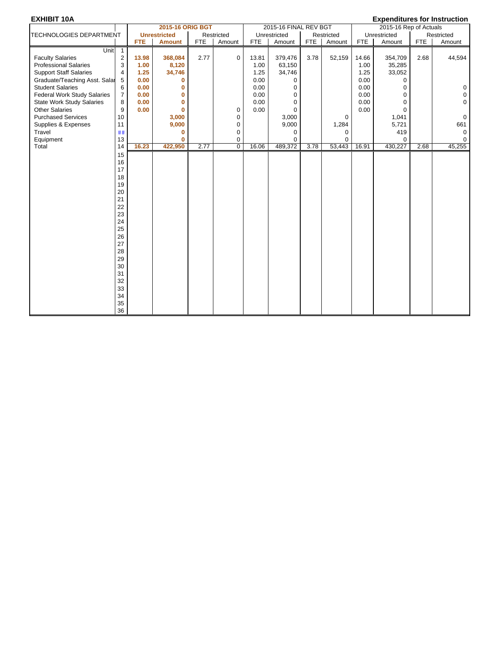|                                    |                |            | 2015-16 ORIG BGT    |            |             |            | 2015-16 FINAL REV BGT |            |            |            | 2015-16 Rep of Actuals |            |             |
|------------------------------------|----------------|------------|---------------------|------------|-------------|------------|-----------------------|------------|------------|------------|------------------------|------------|-------------|
| TECHNOLOGIES DEPARTMENT            |                |            | <b>Unrestricted</b> |            | Restricted  |            | Unrestricted          |            | Restricted |            | Unrestricted           |            | Restricted  |
|                                    |                | <b>FTE</b> | <b>Amount</b>       | <b>FTE</b> | Amount      | <b>FTE</b> | Amount                | <b>FTE</b> | Amount     | <b>FTE</b> | Amount                 | <b>FTE</b> | Amount      |
| Unit                               | $\overline{1}$ |            |                     |            |             |            |                       |            |            |            |                        |            |             |
| <b>Faculty Salaries</b>            | 2              | 13.98      | 368,084             | 2.77       | $\mathbf 0$ | 13.81      | 379,476               | 3.78       | 52,159     | 14.66      | 354,709                | 2.68       | 44,594      |
| <b>Professional Salaries</b>       | 3              | 1.00       | 8,120               |            |             | 1.00       | 63,150                |            |            | 1.00       | 35,285                 |            |             |
| <b>Support Staff Salaries</b>      | 4              | 1.25       | 34,746              |            |             | 1.25       | 34,746                |            |            | 1.25       | 33,052                 |            |             |
| Graduate/Teaching Asst. Salar      | 5              | 0.00       | 0                   |            |             | 0.00       | 0                     |            |            | 0.00       | $\Omega$               |            |             |
| <b>Student Salaries</b>            | 6              | 0.00       | 0                   |            |             | 0.00       | $\mathbf 0$           |            |            | 0.00       | $\Omega$               |            | 0           |
| <b>Federal Work Study Salaries</b> | $\overline{7}$ | 0.00       | $\mathbf{0}$        |            |             | 0.00       | $\mathbf 0$           |            |            | 0.00       | 0                      |            | 0           |
| <b>State Work Study Salaries</b>   | 8              | 0.00       | $\bf{0}$            |            |             | 0.00       | $\mathbf 0$           |            |            | 0.00       | $\Omega$               |            | $\Omega$    |
| <b>Other Salaries</b>              | 9              | 0.00       | $\mathbf{0}$        |            | 0           | 0.00       | $\Omega$              |            |            | 0.00       | $\Omega$               |            |             |
| <b>Purchased Services</b>          | 10             |            | 3,000               |            | 0           |            | 3,000                 |            | 0          |            | 1,041                  |            | $\mathbf 0$ |
| Supplies & Expenses                | 11             |            | 9,000               |            | 0           |            | 9,000                 |            | 1,284      |            | 5,721                  |            | 661         |
| Travel                             | ##             |            | 0                   |            | 0           |            | 0                     |            | 0          |            | 419                    |            | $\mathbf 0$ |
| Equipment                          | 13             |            | $\bf{0}$            |            | $\mathbf 0$ |            | $\Omega$              |            | $\Omega$   |            | $\Omega$               |            | $\Omega$    |
| Total                              | 14             | 16.23      | 422,950             | 2.77       | $\mathbf 0$ | 16.06      | 489,372               | 3.78       | 53,443     | 16.91      | 430,227                | 2.68       | 45,255      |
|                                    | 15             |            |                     |            |             |            |                       |            |            |            |                        |            |             |
|                                    | 16             |            |                     |            |             |            |                       |            |            |            |                        |            |             |
|                                    | 17             |            |                     |            |             |            |                       |            |            |            |                        |            |             |
|                                    | 18             |            |                     |            |             |            |                       |            |            |            |                        |            |             |
|                                    | 19             |            |                     |            |             |            |                       |            |            |            |                        |            |             |
|                                    | 20             |            |                     |            |             |            |                       |            |            |            |                        |            |             |
|                                    | 21             |            |                     |            |             |            |                       |            |            |            |                        |            |             |
|                                    | 22             |            |                     |            |             |            |                       |            |            |            |                        |            |             |
|                                    | 23             |            |                     |            |             |            |                       |            |            |            |                        |            |             |
|                                    | 24             |            |                     |            |             |            |                       |            |            |            |                        |            |             |
|                                    | 25             |            |                     |            |             |            |                       |            |            |            |                        |            |             |
|                                    | 26             |            |                     |            |             |            |                       |            |            |            |                        |            |             |
|                                    | 27             |            |                     |            |             |            |                       |            |            |            |                        |            |             |
|                                    | 28             |            |                     |            |             |            |                       |            |            |            |                        |            |             |
|                                    | 29             |            |                     |            |             |            |                       |            |            |            |                        |            |             |
|                                    | 30             |            |                     |            |             |            |                       |            |            |            |                        |            |             |
|                                    | 31             |            |                     |            |             |            |                       |            |            |            |                        |            |             |
|                                    | 32             |            |                     |            |             |            |                       |            |            |            |                        |            |             |
|                                    | 33             |            |                     |            |             |            |                       |            |            |            |                        |            |             |
|                                    | 34             |            |                     |            |             |            |                       |            |            |            |                        |            |             |
|                                    | 35             |            |                     |            |             |            |                       |            |            |            |                        |            |             |
|                                    | 36             |            |                     |            |             |            |                       |            |            |            |                        |            |             |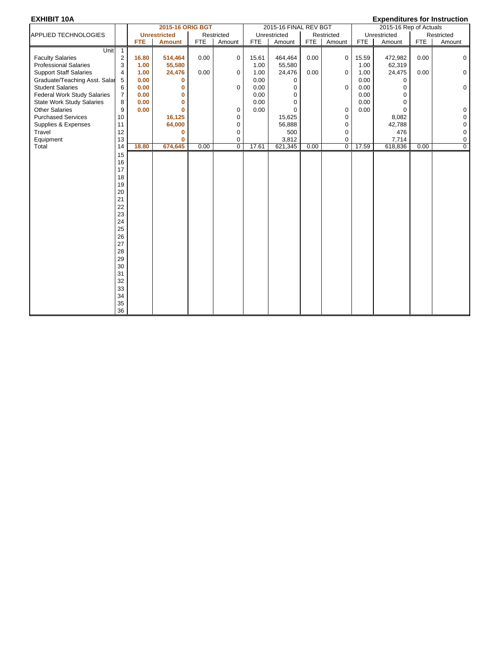|                                    |                |            | 2015-16 ORIG BGT    |            |             |            | 2015-16 FINAL REV BGT |            |                |       | 2015-16 Rep of Actuals |            |                |
|------------------------------------|----------------|------------|---------------------|------------|-------------|------------|-----------------------|------------|----------------|-------|------------------------|------------|----------------|
| APPLIED TECHNOLOGIES               |                |            | <b>Unrestricted</b> |            | Restricted  |            | Unrestricted          |            | Restricted     |       | Unrestricted           |            | Restricted     |
|                                    |                | <b>FTE</b> | <b>Amount</b>       | <b>FTE</b> | Amount      | <b>FTE</b> | Amount                | <b>FTE</b> | Amount         | FTE   | Amount                 | <b>FTE</b> | Amount         |
| Unit $1$                           |                |            |                     |            |             |            |                       |            |                |       |                        |            |                |
| <b>Faculty Salaries</b>            | 2              | 16.80      | 514,464             | 0.00       | 0           | 15.61      | 464,464               | 0.00       | 0              | 15.59 | 472,982                | 0.00       | $\mathbf 0$    |
| <b>Professional Salaries</b>       | 3              | 1.00       | 55,580              |            |             | 1.00       | 55,580                |            |                | 1.00  | 62,319                 |            |                |
| <b>Support Staff Salaries</b>      | 4              | 1.00       | 24,476              | 0.00       | 0           | 1.00       | 24,476                | 0.00       | 0              | 1.00  | 24,475                 | 0.00       | 0              |
| Graduate/Teaching Asst. Salar      | 5              | 0.00       | 0                   |            |             | 0.00       | 0                     |            |                | 0.00  | 0                      |            |                |
| <b>Student Salaries</b>            | 6              | 0.00       | $\mathbf{0}$        |            | 0           | 0.00       | $\mathbf 0$           |            | $\mathbf 0$    | 0.00  | 0                      |            | 0              |
| <b>Federal Work Study Salaries</b> | $\overline{7}$ | 0.00       | $\bf{0}$            |            |             | 0.00       | $\mathbf 0$           |            |                | 0.00  | $\Omega$               |            |                |
| <b>State Work Study Salaries</b>   | 8              | 0.00       | $\mathbf{0}$        |            |             | 0.00       | $\Omega$              |            |                | 0.00  | $\Omega$               |            |                |
| <b>Other Salaries</b>              | 9              | 0.00       | $\mathbf{0}$        |            | 0           | 0.00       | $\Omega$              |            | $\mathbf 0$    | 0.00  | $\Omega$               |            | $\mathbf 0$    |
| <b>Purchased Services</b>          | 10             |            | 16,125              |            | 0           |            | 15,625                |            | 0              |       | 8,082                  |            | 0              |
| Supplies & Expenses                | 11             |            | 64,000              |            | 0           |            | 56,888                |            | $\mathbf 0$    |       | 42,788                 |            | 0              |
| Travel                             | 12             |            | 0                   |            | 0           |            | 500                   |            | 0              |       | 476                    |            | $\mathbf 0$    |
| Equipment                          | 13             |            | $\bf{0}$            |            | 0           |            | 3,812                 |            | $\mathbf 0$    |       | 7,714                  |            | $\mathbf 0$    |
| Total                              | 14             | 18.80      | 674,645             | 0.00       | $\mathbf 0$ | 17.61      | 621,345               | 0.00       | $\overline{0}$ | 17.59 | 618,836                | 0.00       | $\overline{0}$ |
|                                    | 15             |            |                     |            |             |            |                       |            |                |       |                        |            |                |
|                                    | 16             |            |                     |            |             |            |                       |            |                |       |                        |            |                |
|                                    | 17             |            |                     |            |             |            |                       |            |                |       |                        |            |                |
|                                    | 18             |            |                     |            |             |            |                       |            |                |       |                        |            |                |
|                                    | 19             |            |                     |            |             |            |                       |            |                |       |                        |            |                |
|                                    | 20             |            |                     |            |             |            |                       |            |                |       |                        |            |                |
|                                    | 21             |            |                     |            |             |            |                       |            |                |       |                        |            |                |
|                                    | 22             |            |                     |            |             |            |                       |            |                |       |                        |            |                |
|                                    | 23             |            |                     |            |             |            |                       |            |                |       |                        |            |                |
|                                    | 24             |            |                     |            |             |            |                       |            |                |       |                        |            |                |
|                                    | 25             |            |                     |            |             |            |                       |            |                |       |                        |            |                |
|                                    | 26             |            |                     |            |             |            |                       |            |                |       |                        |            |                |
|                                    | 27             |            |                     |            |             |            |                       |            |                |       |                        |            |                |
|                                    | 28             |            |                     |            |             |            |                       |            |                |       |                        |            |                |
|                                    | 29             |            |                     |            |             |            |                       |            |                |       |                        |            |                |
|                                    | 30             |            |                     |            |             |            |                       |            |                |       |                        |            |                |
|                                    | 31             |            |                     |            |             |            |                       |            |                |       |                        |            |                |
|                                    | 32             |            |                     |            |             |            |                       |            |                |       |                        |            |                |
|                                    | 33             |            |                     |            |             |            |                       |            |                |       |                        |            |                |
|                                    | 34             |            |                     |            |             |            |                       |            |                |       |                        |            |                |
|                                    | 35             |            |                     |            |             |            |                       |            |                |       |                        |            |                |
|                                    | 36             |            |                     |            |             |            |                       |            |                |       |                        |            |                |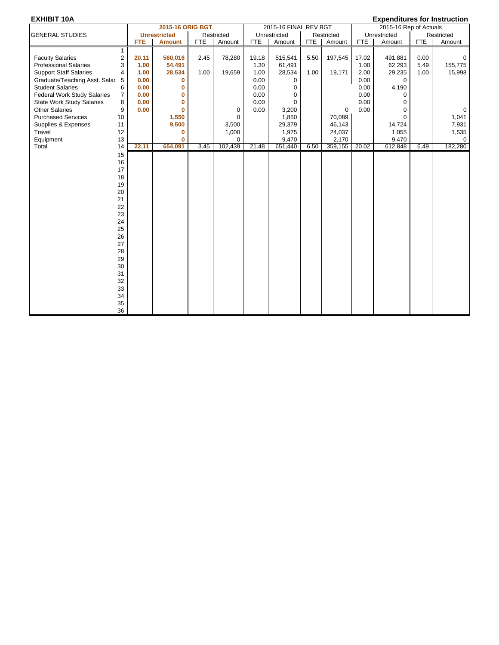|                                    |                         |            | <b>2015-16 ORIG BGT</b> |            |             |            | 2015-16 FINAL REV BGT |            |             |            | 2015-16 Rep of Actuals |            |              |
|------------------------------------|-------------------------|------------|-------------------------|------------|-------------|------------|-----------------------|------------|-------------|------------|------------------------|------------|--------------|
| <b>GENERAL STUDIES</b>             |                         |            | <b>Unrestricted</b>     |            | Restricted  |            | Unrestricted          |            | Restricted  |            | Unrestricted           |            | Restricted   |
|                                    |                         | <b>FTE</b> | <b>Amount</b>           | <b>FTE</b> | Amount      | <b>FTE</b> | Amount                | <b>FTE</b> | Amount      | <b>FTE</b> | Amount                 | <b>FTE</b> | Amount       |
|                                    | 1                       |            |                         |            |             |            |                       |            |             |            |                        |            |              |
| <b>Faculty Salaries</b>            | $\overline{c}$          | 20.11      | 560,016                 | 2.45       | 78,280      | 19.18      | 515,541               | 5.50       | 197,545     | 17.02      | 491,881                | 0.00       | 0            |
| <b>Professional Salaries</b>       | 3                       | 1.00       | 54,491                  |            |             | 1.30       | 61,491                |            |             | 1.00       | 62,293                 | 5.49       | 155,775      |
| <b>Support Staff Salaries</b>      | $\overline{\mathbf{4}}$ | 1.00       | 28,534                  | 1.00       | 19,659      | 1.00       | 28,534                | 1.00       | 19,171      | 2.00       | 29,235                 | 1.00       | 15,998       |
| Graduate/Teaching Asst. Salar      | 5                       | 0.00       | $\bf{0}$                |            |             | 0.00       | $\Omega$              |            |             | 0.00       | $\Omega$               |            |              |
| <b>Student Salaries</b>            | 6                       | 0.00       | 0                       |            |             | 0.00       | $\Omega$              |            |             | 0.00       | 4,190                  |            |              |
| <b>Federal Work Study Salaries</b> | $\overline{7}$          | 0.00       | 0                       |            |             | 0.00       | $\Omega$              |            |             | 0.00       | $\Omega$               |            |              |
| <b>State Work Study Salaries</b>   | 8                       | 0.00       | 0                       |            |             | 0.00       | $\Omega$              |            |             | 0.00       | $\Omega$               |            |              |
| <b>Other Salaries</b>              | 9                       | 0.00       | $\bf{0}$                |            | 0           | 0.00       | 3,200                 |            | $\mathbf 0$ | 0.00       | $\Omega$               |            | $\mathbf{0}$ |
| <b>Purchased Services</b>          | 10                      |            | 1,550                   |            | $\mathbf 0$ |            | 1,850                 |            | 70,089      |            | $\Omega$               |            | 1,041        |
| Supplies & Expenses                | 11                      |            | 9,500                   |            | 3,500       |            | 29,379                |            | 46,143      |            | 14,724                 |            | 7,931        |
| Travel                             | 12                      |            | 0                       |            | 1,000       |            | 1,975                 |            | 24,037      |            | 1,055                  |            | 1,535        |
| Equipment                          | 13                      |            | $\bf{0}$                |            | $\Omega$    |            | 9,470                 |            | 2,170       |            | 9,470                  |            | $\Omega$     |
| Total                              | 14                      | 22.11      | 654,091                 | 3.45       | 102,439     | 21.48      | 651,440               | 6.50       | 359,155     | 20.02      | 612,848                | 6.49       | 182,280      |
|                                    | 15                      |            |                         |            |             |            |                       |            |             |            |                        |            |              |
|                                    | 16                      |            |                         |            |             |            |                       |            |             |            |                        |            |              |
|                                    | 17                      |            |                         |            |             |            |                       |            |             |            |                        |            |              |
|                                    | 18                      |            |                         |            |             |            |                       |            |             |            |                        |            |              |
|                                    | 19                      |            |                         |            |             |            |                       |            |             |            |                        |            |              |
|                                    | 20                      |            |                         |            |             |            |                       |            |             |            |                        |            |              |
|                                    | 21                      |            |                         |            |             |            |                       |            |             |            |                        |            |              |
|                                    | 22                      |            |                         |            |             |            |                       |            |             |            |                        |            |              |
|                                    | 23                      |            |                         |            |             |            |                       |            |             |            |                        |            |              |
|                                    | 24                      |            |                         |            |             |            |                       |            |             |            |                        |            |              |
|                                    | 25                      |            |                         |            |             |            |                       |            |             |            |                        |            |              |
|                                    | 26                      |            |                         |            |             |            |                       |            |             |            |                        |            |              |
|                                    | 27                      |            |                         |            |             |            |                       |            |             |            |                        |            |              |
|                                    | 28                      |            |                         |            |             |            |                       |            |             |            |                        |            |              |
|                                    | 29                      |            |                         |            |             |            |                       |            |             |            |                        |            |              |
|                                    | 30                      |            |                         |            |             |            |                       |            |             |            |                        |            |              |
|                                    | 31                      |            |                         |            |             |            |                       |            |             |            |                        |            |              |
|                                    | 32                      |            |                         |            |             |            |                       |            |             |            |                        |            |              |
|                                    | 33                      |            |                         |            |             |            |                       |            |             |            |                        |            |              |
|                                    | 34                      |            |                         |            |             |            |                       |            |             |            |                        |            |              |
|                                    | 35                      |            |                         |            |             |            |                       |            |             |            |                        |            |              |
|                                    | 36                      |            |                         |            |             |            |                       |            |             |            |                        |            |              |
|                                    |                         |            |                         |            |             |            |                       |            |             |            |                        |            |              |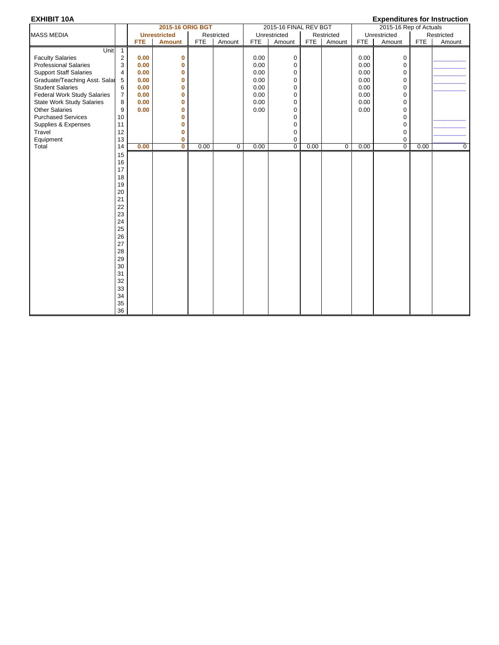| <b>EXHIBIT 10A</b>               |                |            |                         |            |             |            |                       |            |             |            |                        |            | <b>Expenditures for Instruction</b> |
|----------------------------------|----------------|------------|-------------------------|------------|-------------|------------|-----------------------|------------|-------------|------------|------------------------|------------|-------------------------------------|
|                                  |                |            | 2015-16 ORIG BGT        |            |             |            | 2015-16 FINAL REV BGT |            |             |            | 2015-16 Rep of Actuals |            |                                     |
| <b>MASS MEDIA</b>                |                |            | <b>Unrestricted</b>     |            | Restricted  |            | Unrestricted          |            | Restricted  |            | Unrestricted           |            | Restricted                          |
|                                  |                | <b>FTE</b> | <b>Amount</b>           | <b>FTE</b> | Amount      | <b>FTE</b> | Amount                | <b>FTE</b> | Amount      | <b>FTE</b> | Amount                 | <b>FTE</b> | Amount                              |
| Unit                             | $\mathbf{1}$   |            |                         |            |             |            |                       |            |             |            |                        |            |                                     |
| <b>Faculty Salaries</b>          | $\sqrt{2}$     | 0.00       | 0                       |            |             | 0.00       | 0                     |            |             | 0.00       | 0                      |            |                                     |
| <b>Professional Salaries</b>     | 3              | 0.00       | 0                       |            |             | 0.00       | 0                     |            |             | 0.00       | $\mathbf 0$            |            |                                     |
| <b>Support Staff Salaries</b>    | $\overline{4}$ | 0.00       | 0                       |            |             | 0.00       | 0                     |            |             | 0.00       | 0                      |            |                                     |
| Graduate/Teaching Asst. Salar    | 5              | 0.00       | 0                       |            |             | 0.00       | 0                     |            |             | 0.00       | $\mathbf 0$            |            |                                     |
| <b>Student Salaries</b>          | 6              | 0.00       | 0                       |            |             | 0.00       | $\Omega$              |            |             | 0.00       | $\mathbf 0$            |            |                                     |
| Federal Work Study Salaries      | $\overline{7}$ | 0.00       | 0                       |            |             | 0.00       | 0                     |            |             | 0.00       | $\mathbf 0$            |            |                                     |
| <b>State Work Study Salaries</b> | 8              | 0.00       | 0                       |            |             | 0.00       | 0                     |            |             | 0.00       | 0                      |            |                                     |
| <b>Other Salaries</b>            | 9              | 0.00       | 0                       |            |             | 0.00       | 0                     |            |             | 0.00       | $\mathbf 0$            |            |                                     |
| <b>Purchased Services</b>        | 10             |            | 0                       |            |             |            | $\Omega$              |            |             |            | $\mathbf 0$            |            |                                     |
| Supplies & Expenses              | 11             |            | 0                       |            |             |            | 0                     |            |             |            | $\mathbf 0$            |            |                                     |
| Travel                           | 12             |            | 0                       |            |             |            | 0                     |            |             |            | $\mathbf 0$            |            |                                     |
| Equipment                        | 13             |            | 0                       |            |             |            | 0                     |            |             |            | 0                      |            |                                     |
| Total                            | 14             | 0.00       | $\overline{\mathbf{0}}$ | 0.00       | $\mathbf 0$ | 0.00       | $\overline{0}$        | 0.00       | $\mathbf 0$ | 0.00       | $\overline{0}$         | 0.00       | $\mathbf 0$                         |
|                                  | 15             |            |                         |            |             |            |                       |            |             |            |                        |            |                                     |
|                                  | 16             |            |                         |            |             |            |                       |            |             |            |                        |            |                                     |
|                                  | 17             |            |                         |            |             |            |                       |            |             |            |                        |            |                                     |
|                                  | 18             |            |                         |            |             |            |                       |            |             |            |                        |            |                                     |
|                                  | 19             |            |                         |            |             |            |                       |            |             |            |                        |            |                                     |
|                                  | 20             |            |                         |            |             |            |                       |            |             |            |                        |            |                                     |
|                                  | 21             |            |                         |            |             |            |                       |            |             |            |                        |            |                                     |
|                                  | 22             |            |                         |            |             |            |                       |            |             |            |                        |            |                                     |
|                                  | 23             |            |                         |            |             |            |                       |            |             |            |                        |            |                                     |
|                                  | 24             |            |                         |            |             |            |                       |            |             |            |                        |            |                                     |
|                                  | 25             |            |                         |            |             |            |                       |            |             |            |                        |            |                                     |
|                                  | 26             |            |                         |            |             |            |                       |            |             |            |                        |            |                                     |
|                                  | 27             |            |                         |            |             |            |                       |            |             |            |                        |            |                                     |
|                                  | 28             |            |                         |            |             |            |                       |            |             |            |                        |            |                                     |
|                                  | 29             |            |                         |            |             |            |                       |            |             |            |                        |            |                                     |
|                                  | 30             |            |                         |            |             |            |                       |            |             |            |                        |            |                                     |
|                                  | 31             |            |                         |            |             |            |                       |            |             |            |                        |            |                                     |
|                                  | 32             |            |                         |            |             |            |                       |            |             |            |                        |            |                                     |
|                                  | 33             |            |                         |            |             |            |                       |            |             |            |                        |            |                                     |
|                                  | 34             |            |                         |            |             |            |                       |            |             |            |                        |            |                                     |
|                                  | 35             |            |                         |            |             |            |                       |            |             |            |                        |            |                                     |
|                                  | 36             |            |                         |            |             |            |                       |            |             |            |                        |            |                                     |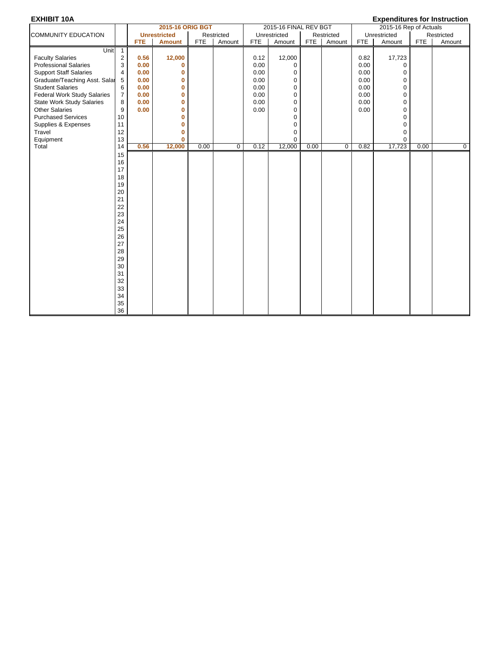|                                                                                                                                                                                                                                                                                              |                                                                                                                                      |                                                              | 2015-16 ORIG BGT                                                                                                 |            |             |                                                              | 2015-16 FINAL REV BGT                          |            |             |                                                              | 2015-16 Rep of Actuals                                                                                           |            |            |
|----------------------------------------------------------------------------------------------------------------------------------------------------------------------------------------------------------------------------------------------------------------------------------------------|--------------------------------------------------------------------------------------------------------------------------------------|--------------------------------------------------------------|------------------------------------------------------------------------------------------------------------------|------------|-------------|--------------------------------------------------------------|------------------------------------------------|------------|-------------|--------------------------------------------------------------|------------------------------------------------------------------------------------------------------------------|------------|------------|
| <b>COMMUNITY EDUCATION</b>                                                                                                                                                                                                                                                                   |                                                                                                                                      |                                                              | <b>Unrestricted</b>                                                                                              |            | Restricted  |                                                              | Unrestricted                                   |            | Restricted  |                                                              | Unrestricted                                                                                                     |            | Restricted |
|                                                                                                                                                                                                                                                                                              |                                                                                                                                      | <b>FTE</b>                                                   | <b>Amount</b>                                                                                                    | <b>FTE</b> | Amount      | <b>FTE</b>                                                   | Amount                                         | <b>FTE</b> | Amount      | FTE                                                          | Amount                                                                                                           | <b>FTE</b> | Amount     |
| Unit<br><b>Faculty Salaries</b><br><b>Professional Salaries</b><br><b>Support Staff Salaries</b><br>Graduate/Teaching Asst. Salar<br><b>Student Salaries</b><br><b>Federal Work Study Salaries</b><br><b>State Work Study Salaries</b><br><b>Other Salaries</b><br><b>Purchased Services</b> | $\overline{1}$<br>$\overline{c}$<br>3<br>4<br>5<br>6<br>$\overline{7}$<br>8<br>9<br>10                                               | 0.56<br>0.00<br>0.00<br>0.00<br>0.00<br>0.00<br>0.00<br>0.00 | 12,000<br>$\mathbf{0}$<br>$\mathbf{0}$<br>0<br>0<br>$\mathbf{0}$<br>$\mathbf{0}$<br>$\mathbf{0}$<br>$\mathbf{0}$ |            |             | 0.12<br>0.00<br>0.00<br>0.00<br>0.00<br>0.00<br>0.00<br>0.00 | 12,000<br>0<br>0<br>0<br>0<br>0<br>0<br>0<br>0 |            |             | 0.82<br>0.00<br>0.00<br>0.00<br>0.00<br>0.00<br>0.00<br>0.00 | 17,723<br>$\Omega$<br>$\mathbf 0$<br>$\pmb{0}$<br>$\mathbf 0$<br>$\mathbf 0$<br>$\Omega$<br>$\Omega$<br>$\Omega$ |            |            |
| Supplies & Expenses                                                                                                                                                                                                                                                                          | 11                                                                                                                                   |                                                              | 0                                                                                                                |            |             |                                                              | 0                                              |            |             |                                                              | $\mathbf 0$                                                                                                      |            |            |
| Travel                                                                                                                                                                                                                                                                                       | 12<br>13                                                                                                                             |                                                              | $\mathbf{0}$<br>$\mathbf{0}$                                                                                     |            |             |                                                              | 0<br>0                                         |            |             |                                                              | $\mathbf 0$<br>$\Omega$                                                                                          |            |            |
| Equipment<br>Total                                                                                                                                                                                                                                                                           | 14                                                                                                                                   | 0.56                                                         | 12,000                                                                                                           | 0.00       | $\mathbf 0$ | 0.12                                                         | 12,000                                         | 0.00       | $\mathbf 0$ | 0.82                                                         | 17,723                                                                                                           | 0.00       | 0          |
|                                                                                                                                                                                                                                                                                              | 15<br>16<br>17<br>18<br>19<br>20<br>21<br>22<br>23<br>24<br>25<br>26<br>27<br>28<br>29<br>$30\,$<br>31<br>32<br>33<br>34<br>35<br>36 |                                                              |                                                                                                                  |            |             |                                                              |                                                |            |             |                                                              |                                                                                                                  |            |            |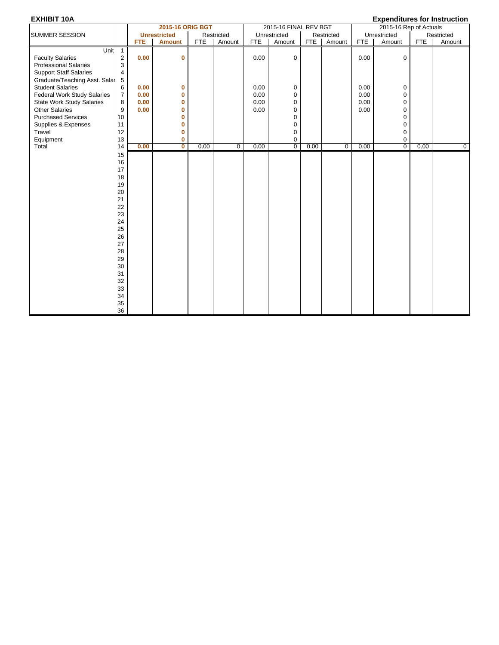|                                                                                           |                                                                                                                                  |                      | <b>2015-16 ORIG BGT</b> |            |             |              | 2015-16 FINAL REV BGT           |            |             |                      | 2015-16 Rep of Actuals |            |             |
|-------------------------------------------------------------------------------------------|----------------------------------------------------------------------------------------------------------------------------------|----------------------|-------------------------|------------|-------------|--------------|---------------------------------|------------|-------------|----------------------|------------------------|------------|-------------|
| SUMMER SESSION                                                                            |                                                                                                                                  |                      | <b>Unrestricted</b>     |            | Restricted  |              | Unrestricted                    |            | Restricted  |                      | Unrestricted           |            | Restricted  |
|                                                                                           |                                                                                                                                  | <b>FTE</b>           | <b>Amount</b>           | <b>FTE</b> | Amount      | <b>FTE</b>   | Amount                          | <b>FTE</b> | Amount      | <b>FTE</b>           | Amount                 | <b>FTE</b> | Amount      |
| Unit<br><b>Faculty Salaries</b><br><b>Professional Salaries</b>                           | $\overline{1}$<br>$\overline{2}$<br>3                                                                                            | 0.00                 | 0                       |            |             | 0.00         | 0                               |            |             | 0.00                 | $\mathbf 0$            |            |             |
| <b>Support Staff Salaries</b><br>Graduate/Teaching Asst. Salar<br><b>Student Salaries</b> | 4<br>5                                                                                                                           |                      |                         |            |             | 0.00         |                                 |            |             |                      |                        |            |             |
| <b>Federal Work Study Salaries</b><br><b>State Work Study Salaries</b>                    | 6<br>$\overline{7}$<br>8                                                                                                         | 0.00<br>0.00<br>0.00 | 0<br>0<br>0             |            |             | 0.00<br>0.00 | 0<br>0<br>$\mathbf 0$           |            |             | 0.00<br>0.00<br>0.00 | 0<br>0<br>0            |            |             |
| <b>Other Salaries</b><br><b>Purchased Services</b>                                        | 9<br>10                                                                                                                          | 0.00                 | 0<br>0                  |            |             | 0.00         | $\mathbf 0$<br>$\mathbf 0$      |            |             | 0.00                 | $\mathbf 0$<br>0       |            |             |
| Supplies & Expenses<br>Travel<br>Equipment                                                | 11<br>12<br>13                                                                                                                   |                      | 0<br>0<br>0             |            |             |              | $\mathbf 0$<br>0<br>$\mathbf 0$ |            |             |                      | 0<br>0<br>0            |            |             |
| Total                                                                                     | 14                                                                                                                               | 0.00                 | $\mathbf 0$             | 0.00       | $\mathbf 0$ | 0.00         | $\overline{0}$                  | 0.00       | $\mathbf 0$ | 0.00                 | $\overline{0}$         | 0.00       | $\mathbf 0$ |
|                                                                                           | 15<br>16<br>17<br>18<br>19<br>20<br>21<br>22<br>23<br>24<br>25<br>26<br>27<br>28<br>29<br>30<br>31<br>32<br>33<br>34<br>35<br>36 |                      |                         |            |             |              |                                 |            |             |                      |                        |            |             |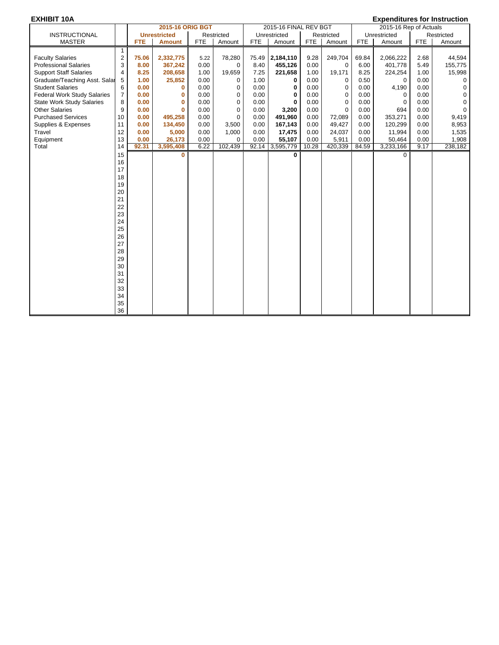|                                    |                |            | 2015-16 ORIG BGT    |            |             |            | 2015-16 FINAL REV BGT   |            |             |            | 2015-16 Rep of Actuals |            |             |
|------------------------------------|----------------|------------|---------------------|------------|-------------|------------|-------------------------|------------|-------------|------------|------------------------|------------|-------------|
| <b>INSTRUCTIONAL</b>               |                |            | <b>Unrestricted</b> |            | Restricted  |            | Unrestricted            |            | Restricted  |            | Unrestricted           |            | Restricted  |
| <b>MASTER</b>                      |                | <b>FTE</b> | <b>Amount</b>       | <b>FTE</b> | Amount      | <b>FTE</b> | Amount                  | <b>FTE</b> | Amount      | <b>FTE</b> | Amount                 | <b>FTE</b> | Amount      |
|                                    | $\mathbf{1}$   |            |                     |            |             |            |                         |            |             |            |                        |            |             |
| <b>Faculty Salaries</b>            | $\overline{c}$ | 75.06      | 2,332,775           | 5.22       | 78,280      | 75.49      | 2,184,110               | 9.28       | 249,704     | 69.84      | 2,066,222              | 2.68       | 44,594      |
| <b>Professional Salaries</b>       | 3              | 8.00       | 367,242             | 0.00       | 0           | 8.40       | 455,126                 | 0.00       | 0           | 6.00       | 401,778                | 5.49       | 155,775     |
| <b>Support Staff Salaries</b>      | 4              | 8.25       | 208,658             | 1.00       | 19,659      | 7.25       | 221,658                 | 1.00       | 19,171      | 8.25       | 224,254                | 1.00       | 15,998      |
| Graduate/Teaching Asst. Salar      | 5              | 1.00       | 25,852              | 0.00       | $\Omega$    | 1.00       | 0                       | 0.00       | 0           | 0.50       | $\Omega$               | 0.00       | $\Omega$    |
| <b>Student Salaries</b>            | 6              | 0.00       | 0                   | 0.00       | 0           | 0.00       | 0                       | 0.00       | 0           | 0.00       | 4,190                  | 0.00       | $\mathbf 0$ |
| <b>Federal Work Study Salaries</b> | 7              | 0.00       | $\mathbf 0$         | 0.00       | 0           | 0.00       | 0                       | 0.00       | $\mathbf 0$ | 0.00       | 0                      | 0.00       | $\Omega$    |
| <b>State Work Study Salaries</b>   | 8              | 0.00       | $\bf{0}$            | 0.00       | $\mathbf 0$ | 0.00       | 0                       | 0.00       | $\mathbf 0$ | 0.00       | 0                      | 0.00       | $\Omega$    |
| <b>Other Salaries</b>              | 9              | 0.00       | $\bf{0}$            | 0.00       | $\mathbf 0$ | 0.00       | 3,200                   | 0.00       | $\mathbf 0$ | 0.00       | 694                    | 0.00       | $\mathbf 0$ |
| <b>Purchased Services</b>          | 10             | 0.00       | 495.258             | 0.00       | $\mathbf 0$ | 0.00       | 491,960                 | 0.00       | 72,089      | 0.00       | 353,271                | 0.00       | 9,419       |
| Supplies & Expenses                | 11             | 0.00       | 134,450             | 0.00       | 3,500       | 0.00       | 167,143                 | 0.00       | 49,427      | 0.00       | 120,299                | 0.00       | 8,953       |
| Travel                             | 12             | 0.00       | 5,000               | 0.00       | 1,000       | 0.00       | 17,475                  | 0.00       | 24,037      | 0.00       | 11,994                 | 0.00       | 1,535       |
| Equipment                          | 13             | 0.00       | 26,173              | 0.00       | $\Omega$    | 0.00       | 55,107                  | 0.00       | 5,911       | 0.00       | 50,464                 | 0.00       | 1,908       |
| Total                              | 14             | 92.31      | 3,595,408           | 6.22       | 102,439     |            | 92.14 3,595,779         | 10.28      | 420,339     | 84.59      | 3,233,166              | 9.17       | 238,182     |
|                                    | 15             |            | $\bf{0}$            |            |             |            | $\overline{\mathbf{0}}$ |            |             |            | $\Omega$               |            |             |
|                                    | 16             |            |                     |            |             |            |                         |            |             |            |                        |            |             |
|                                    | 17             |            |                     |            |             |            |                         |            |             |            |                        |            |             |
|                                    | 18             |            |                     |            |             |            |                         |            |             |            |                        |            |             |
|                                    | 19             |            |                     |            |             |            |                         |            |             |            |                        |            |             |
|                                    | 20             |            |                     |            |             |            |                         |            |             |            |                        |            |             |
|                                    | 21             |            |                     |            |             |            |                         |            |             |            |                        |            |             |
|                                    | 22             |            |                     |            |             |            |                         |            |             |            |                        |            |             |
|                                    | 23             |            |                     |            |             |            |                         |            |             |            |                        |            |             |
|                                    | 24             |            |                     |            |             |            |                         |            |             |            |                        |            |             |
|                                    | 25             |            |                     |            |             |            |                         |            |             |            |                        |            |             |
|                                    | 26             |            |                     |            |             |            |                         |            |             |            |                        |            |             |
|                                    | 27             |            |                     |            |             |            |                         |            |             |            |                        |            |             |
|                                    | 28             |            |                     |            |             |            |                         |            |             |            |                        |            |             |
|                                    | 29             |            |                     |            |             |            |                         |            |             |            |                        |            |             |
|                                    | 30             |            |                     |            |             |            |                         |            |             |            |                        |            |             |
|                                    | 31             |            |                     |            |             |            |                         |            |             |            |                        |            |             |
|                                    | 32             |            |                     |            |             |            |                         |            |             |            |                        |            |             |
|                                    | 33             |            |                     |            |             |            |                         |            |             |            |                        |            |             |
|                                    | 34             |            |                     |            |             |            |                         |            |             |            |                        |            |             |
|                                    | 35             |            |                     |            |             |            |                         |            |             |            |                        |            |             |
|                                    | 36             |            |                     |            |             |            |                         |            |             |            |                        |            |             |
|                                    |                |            |                     |            |             |            |                         |            |             |            |                        |            |             |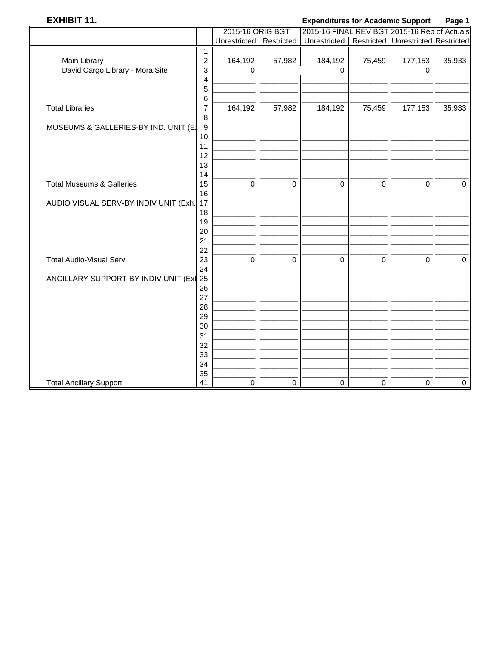## **EXHIBIT 11.**

#### **Expenditures for Academic Support** Page 1

|                                         |                  | 2015-16 ORIG BGT          |             | 2015-16 FINAL REV BGT 2015-16 Rep of Actuals          |             |             |             |
|-----------------------------------------|------------------|---------------------------|-------------|-------------------------------------------------------|-------------|-------------|-------------|
|                                         |                  | Unrestricted   Restricted |             | Unrestricted   Restricted   Unrestricted   Restricted |             |             |             |
|                                         | $\mathbf{1}$     |                           |             |                                                       |             |             |             |
| Main Library                            | $\overline{c}$   | 164,192                   | 57,982      | 184,192                                               | 75,459      | 177,153     | 35,933      |
| David Cargo Library - Mora Site         | 3                | $\Omega$                  |             | $\Omega$                                              |             | $\Omega$    |             |
|                                         | 4                |                           |             |                                                       |             |             |             |
|                                         | 5                |                           |             |                                                       |             |             |             |
|                                         | 6                |                           |             |                                                       |             |             |             |
| <b>Total Libraries</b>                  | 7                | 164,192                   | 57,982      | 184,192                                               | 75,459      | 177,153     | 35,933      |
|                                         | 8                |                           |             |                                                       |             |             |             |
| MUSEUMS & GALLERIES-BY IND. UNIT (E)    | $\boldsymbol{9}$ |                           |             |                                                       |             |             |             |
|                                         | 10               |                           |             |                                                       |             |             |             |
|                                         | 11               |                           |             |                                                       |             |             |             |
|                                         | 12               |                           |             |                                                       |             |             |             |
|                                         | 13               |                           |             |                                                       |             |             |             |
|                                         | 14               |                           |             |                                                       |             |             |             |
| <b>Total Museums &amp; Galleries</b>    | 15               | $\mathbf 0$               | $\mathbf 0$ | 0                                                     | $\mathbf 0$ | $\mathbf 0$ | $\mathbf 0$ |
|                                         | 16               |                           |             |                                                       |             |             |             |
| AUDIO VISUAL SERV-BY INDIV UNIT (Exh.   | 17               |                           |             |                                                       |             |             |             |
|                                         | 18               |                           |             |                                                       |             |             |             |
|                                         | 19               |                           |             |                                                       |             |             |             |
|                                         | 20               |                           |             |                                                       |             |             |             |
|                                         | 21               |                           |             |                                                       |             |             |             |
|                                         | 22               |                           |             |                                                       |             |             |             |
| Total Audio-Visual Serv.                | 23               | $\mathbf 0$               | 0           | 0                                                     | $\mathbf 0$ | 0           | $\mathbf 0$ |
|                                         | 24               |                           |             |                                                       |             |             |             |
| ANCILLARY SUPPORT-BY INDIV UNIT (Exi 25 |                  |                           |             |                                                       |             |             |             |
|                                         | 26               |                           |             |                                                       |             |             |             |
|                                         | 27               |                           |             |                                                       |             |             |             |
|                                         | 28               |                           |             |                                                       |             |             |             |
|                                         | 29               |                           |             |                                                       |             |             |             |
|                                         | 30               |                           |             |                                                       |             |             |             |
|                                         | 31               |                           |             |                                                       |             |             |             |
|                                         | 32               |                           |             |                                                       |             |             |             |
|                                         | 33               |                           |             |                                                       |             |             |             |
|                                         | 34               |                           |             |                                                       |             |             |             |
|                                         | 35               |                           |             |                                                       |             |             |             |
| <b>Total Ancillary Support</b>          | 41               | 0                         | 0           | $\pmb{0}$                                             | $\pmb{0}$   | $\pmb{0}$   | $\mathbf 0$ |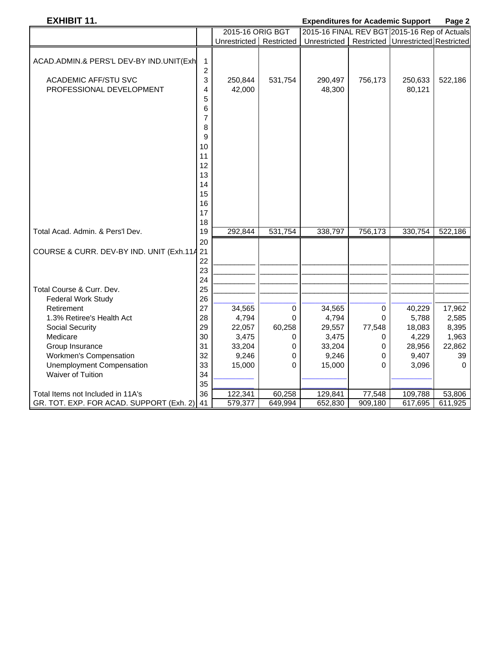## **EXHIBIT 11. Expenditures for Academic Support Page 2**

|                                             |                | 2015-16 ORIG BGT        |          | 2015-16 FINAL REV BGT 2015-16 Rep of Actuals        |         |         |          |
|---------------------------------------------|----------------|-------------------------|----------|-----------------------------------------------------|---------|---------|----------|
|                                             |                | Unrestricted Restricted |          | Unrestricted   Restricted   Unrestricted Restricted |         |         |          |
|                                             |                |                         |          |                                                     |         |         |          |
| ACAD.ADMIN.& PERS'L DEV-BY IND.UNIT(Exh     | 1              |                         |          |                                                     |         |         |          |
|                                             | $\overline{2}$ |                         |          |                                                     |         |         |          |
| <b>ACADEMIC AFF/STU SVC</b>                 | 3              | 250,844                 | 531,754  | 290,497                                             | 756,173 | 250,633 | 522,186  |
| PROFESSIONAL DEVELOPMENT                    | 4              | 42,000                  |          | 48,300                                              |         | 80,121  |          |
|                                             | 5              |                         |          |                                                     |         |         |          |
|                                             | 6              |                         |          |                                                     |         |         |          |
|                                             | 7              |                         |          |                                                     |         |         |          |
|                                             | 8              |                         |          |                                                     |         |         |          |
|                                             | 9              |                         |          |                                                     |         |         |          |
|                                             | 10             |                         |          |                                                     |         |         |          |
|                                             | 11             |                         |          |                                                     |         |         |          |
|                                             | 12             |                         |          |                                                     |         |         |          |
|                                             | 13             |                         |          |                                                     |         |         |          |
|                                             | 14             |                         |          |                                                     |         |         |          |
|                                             | 15             |                         |          |                                                     |         |         |          |
|                                             | 16             |                         |          |                                                     |         |         |          |
|                                             | 17             |                         |          |                                                     |         |         |          |
|                                             | 18             |                         |          |                                                     |         |         |          |
| Total Acad. Admin. & Pers'l Dev.            | 19             | 292,844                 | 531,754  | 338,797                                             | 756,173 | 330,754 | 522,186  |
|                                             | 20             |                         |          |                                                     |         |         |          |
| COURSE & CURR. DEV-BY IND. UNIT (Exh.114 21 |                |                         |          |                                                     |         |         |          |
|                                             | 22             |                         |          |                                                     |         |         |          |
|                                             | 23             |                         |          |                                                     |         |         |          |
|                                             | 24             |                         |          |                                                     |         |         |          |
| Total Course & Curr. Dev.                   | 25             |                         |          |                                                     |         |         |          |
| <b>Federal Work Study</b>                   | 26             |                         |          |                                                     |         |         |          |
| Retirement                                  | 27             | 34,565                  | 0        | 34,565                                              | 0       | 40,229  | 17,962   |
| 1.3% Retiree's Health Act                   | 28             | 4,794                   | $\Omega$ | 4,794                                               | 0       | 5,788   | 2,585    |
| <b>Social Security</b>                      | 29             | 22,057                  | 60,258   | 29,557                                              | 77,548  | 18,083  | 8,395    |
| Medicare                                    | 30             | 3,475                   | 0        | 3,475                                               | 0       | 4,229   | 1,963    |
| Group Insurance                             | 31             | 33,204                  | 0        | 33,204                                              | 0       | 28,956  | 22,862   |
| Workmen's Compensation                      | 32             | 9,246                   | 0        | 9,246                                               | 0       | 9,407   | 39       |
| <b>Unemployment Compensation</b>            | 33             | 15,000                  | $\Omega$ | 15,000                                              | 0       | 3,096   | $\Omega$ |
| <b>Waiver of Tuition</b>                    | 34             |                         |          |                                                     |         |         |          |
|                                             | 35             |                         |          |                                                     |         |         |          |
| Total Items not Included in 11A's           | 36             | 122,341                 | 60,258   | 129,841                                             | 77,548  | 109,788 | 53,806   |
| GR. TOT. EXP. FOR ACAD. SUPPORT (Exh. 2)    | 41             | 579,377                 | 649,994  | 652,830                                             | 909,180 | 617,695 | 611,925  |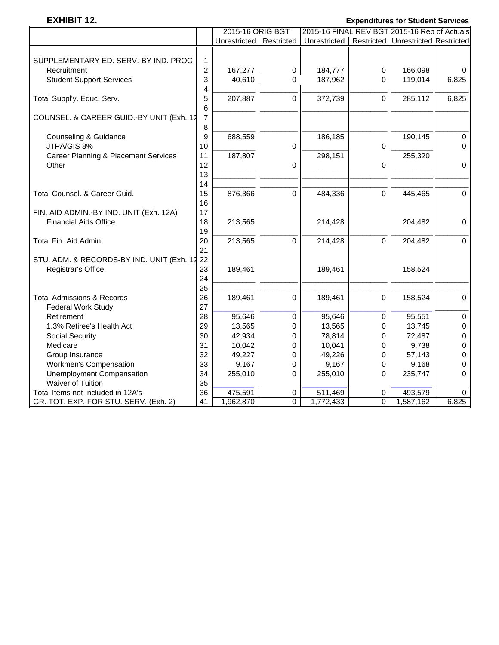## **EXHIBIT 12. Expenditures for Student Services**

|                                                 |                         | 2015-16 ORIG BGT          |                | 2015-16 FINAL REV BGT 2015-16 Rep of Actuals        |   |           |             |
|-------------------------------------------------|-------------------------|---------------------------|----------------|-----------------------------------------------------|---|-----------|-------------|
|                                                 |                         | Unrestricted   Restricted |                | Unrestricted   Restricted   Unrestricted Restricted |   |           |             |
|                                                 |                         |                           |                |                                                     |   |           |             |
| SUPPLEMENTARY ED. SERV.-BY IND. PROG.           | $\mathbf{1}$            |                           |                |                                                     |   |           |             |
| Recruitment                                     | $\overline{\mathbf{c}}$ | 167,277                   | $\mathbf 0$    | 184,777                                             | 0 | 166,098   | 0           |
| <b>Student Support Services</b>                 | 3                       | 40,610                    | 0              | 187,962                                             | 0 | 119,014   | 6,825       |
|                                                 | 4                       |                           |                |                                                     |   |           |             |
| Total Suppl'y. Educ. Serv.                      | 5                       | 207,887                   | 0              | 372,739                                             | 0 | 285,112   | 6,825       |
|                                                 | $6\phantom{1}6$         |                           |                |                                                     |   |           |             |
| COUNSEL. & CAREER GUID.-BY UNIT (Exh. 12        | $\overline{7}$          |                           |                |                                                     |   |           |             |
|                                                 | 8                       |                           |                |                                                     |   |           |             |
| Counseling & Guidance                           | 9                       | 688,559                   |                | 186,185                                             |   | 190,145   | $\pmb{0}$   |
| JTPA/GIS 8%                                     | 10                      |                           | 0              |                                                     | 0 |           | $\mathbf 0$ |
| <b>Career Planning &amp; Placement Services</b> | 11                      | 187,807                   |                | 298,151                                             |   | 255,320   |             |
| Other                                           | 12                      |                           | $\mathbf 0$    |                                                     | 0 |           | $\pmb{0}$   |
|                                                 | 13                      |                           |                |                                                     |   |           |             |
|                                                 | 14                      |                           |                |                                                     |   |           |             |
| Total Counsel. & Career Guid.                   | 15                      | 876,366                   | $\Omega$       | 484,336                                             | 0 | 445,465   | $\mathbf 0$ |
|                                                 | 16                      |                           |                |                                                     |   |           |             |
| FIN. AID ADMIN.-BY IND. UNIT (Exh. 12A)         | 17                      |                           |                |                                                     |   |           |             |
| <b>Financial Aids Office</b>                    | 18                      | 213,565                   |                | 214,428                                             |   | 204,482   | $\mathbf 0$ |
|                                                 | 19                      |                           |                |                                                     |   |           |             |
| Total Fin. Aid Admin.                           | 20                      | 213,565                   | $\Omega$       | 214,428                                             | 0 | 204,482   | $\mathbf 0$ |
|                                                 | 21                      |                           |                |                                                     |   |           |             |
| STU. ADM. & RECORDS-BY IND. UNIT (Exh. 12 22    |                         |                           |                |                                                     |   |           |             |
| Registrar's Office                              | 23                      | 189,461                   |                | 189,461                                             |   | 158,524   |             |
|                                                 | 24                      |                           |                |                                                     |   |           |             |
|                                                 | 25                      |                           |                |                                                     |   |           |             |
| <b>Total Admissions &amp; Records</b>           | 26                      | 189,461                   | 0              | 189,461                                             | 0 | 158,524   | $\pmb{0}$   |
| <b>Federal Work Study</b>                       | 27                      |                           |                |                                                     |   |           |             |
| Retirement                                      | 28                      | 95,646                    | 0              | 95,646                                              | 0 | 95,551    | $\pmb{0}$   |
| 1.3% Retiree's Health Act                       | 29                      | 13,565                    | 0              | 13,565                                              | 0 | 13,745    | $\pmb{0}$   |
| Social Security                                 | 30                      | 42,934                    | 0              | 78,814                                              | 0 | 72,487    | $\pmb{0}$   |
| Medicare                                        | 31                      | 10,042                    | 0              | 10,041                                              | 0 | 9,738     | 0           |
| Group Insurance                                 | 32                      | 49,227                    | 0              | 49,226                                              |   | 57,143    | $\mathsf 0$ |
|                                                 | 33                      |                           |                |                                                     | 0 |           |             |
| Workmen's Compensation                          |                         | 9,167                     | 0              | 9,167                                               | 0 | 9,168     | 0           |
| <b>Unemployment Compensation</b>                | 34                      | 255,010                   | 0              | 255,010                                             | 0 | 235,747   | $\Omega$    |
| <b>Waiver of Tuition</b>                        | 35                      |                           |                |                                                     |   |           |             |
| Total Items not Included in 12A's               | 36                      | 475,591                   | 0              | 511,469                                             | 0 | 493,579   | 0           |
| GR. TOT. EXP. FOR STU. SERV. (Exh. 2)           | 41                      | 1,962,870                 | $\overline{0}$ | 1,772,433                                           | 0 | 1,587,162 | 6,825       |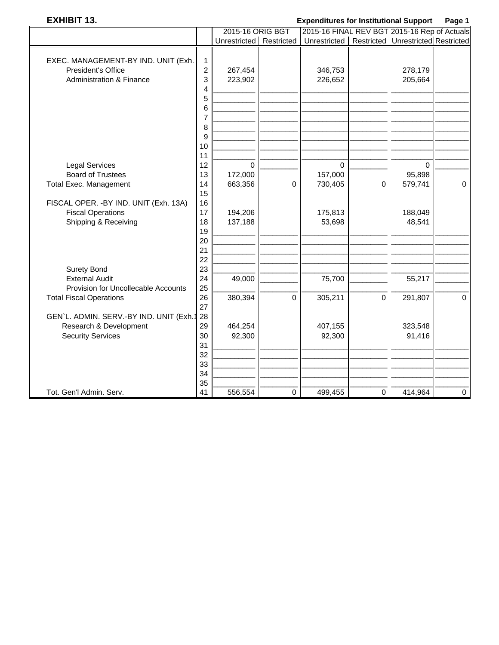## **EXHIBIT 13. Expenditures for Institutional Support Page 1**

|                                         |                | 2015-16 ORIG BGT          |             | 2015-16 FINAL REV BGT 2015-16 Rep of Actuals          |             |             |             |
|-----------------------------------------|----------------|---------------------------|-------------|-------------------------------------------------------|-------------|-------------|-------------|
|                                         |                | Unrestricted   Restricted |             | Unrestricted   Restricted   Unrestricted   Restricted |             |             |             |
| EXEC. MANAGEMENT-BY IND. UNIT (Exh.     | $\mathbf{1}$   |                           |             |                                                       |             |             |             |
| President's Office                      | $\overline{c}$ | 267,454                   |             | 346,753                                               |             | 278,179     |             |
| <b>Administration &amp; Finance</b>     | 3              | 223,902                   |             | 226,652                                               |             | 205,664     |             |
|                                         | 4              |                           |             |                                                       |             |             |             |
|                                         | 5              |                           |             |                                                       |             |             |             |
|                                         | 6              |                           |             |                                                       |             |             |             |
|                                         | 7              |                           |             |                                                       |             |             |             |
|                                         | 8              |                           |             |                                                       |             |             |             |
|                                         | 9              |                           |             |                                                       |             |             |             |
|                                         | 10             |                           |             |                                                       |             |             |             |
|                                         | 11             |                           |             |                                                       |             |             |             |
| <b>Legal Services</b>                   | 12             | $\mathbf 0$               |             | $\mathbf 0$                                           |             | $\mathbf 0$ |             |
| <b>Board of Trustees</b>                | 13             | 172,000                   |             | 157,000                                               |             | 95,898      |             |
| <b>Total Exec. Management</b>           | 14             | 663,356                   | 0           | 730,405                                               | 0           | 579,741     | $\mathbf 0$ |
|                                         | 15             |                           |             |                                                       |             |             |             |
| FISCAL OPER. - BY IND. UNIT (Exh. 13A)  | 16             |                           |             |                                                       |             |             |             |
| <b>Fiscal Operations</b>                | 17             | 194,206                   |             | 175,813                                               |             | 188,049     |             |
| Shipping & Receiving                    | 18             | 137,188                   |             | 53,698                                                |             | 48,541      |             |
|                                         | 19             |                           |             |                                                       |             |             |             |
|                                         | 20             |                           |             |                                                       |             |             |             |
|                                         | 21             |                           |             |                                                       |             |             |             |
|                                         | 22             |                           |             |                                                       |             |             |             |
| <b>Surety Bond</b>                      | 23             |                           |             |                                                       |             |             |             |
| <b>External Audit</b>                   | 24             | 49,000                    |             | 75,700                                                |             | 55,217      |             |
| Provision for Uncollecable Accounts     | 25             |                           |             |                                                       |             |             |             |
| <b>Total Fiscal Operations</b>          | 26             | 380,394                   | $\mathbf 0$ | 305,211                                               | $\mathbf 0$ | 291,807     | $\mathbf 0$ |
|                                         | 27             |                           |             |                                                       |             |             |             |
| GEN'L. ADMIN. SERV.-BY IND. UNIT (Exh.1 | 28             |                           |             |                                                       |             |             |             |
| Research & Development                  | 29             | 464,254                   |             | 407,155                                               |             | 323,548     |             |
| <b>Security Services</b>                | 30             | 92,300                    |             | 92,300                                                |             | 91,416      |             |
|                                         | 31             |                           |             |                                                       |             |             |             |
|                                         | 32             |                           |             |                                                       |             |             |             |
|                                         | 33             |                           |             |                                                       |             |             |             |
|                                         | 34             |                           |             |                                                       |             |             |             |
| Tot. Gen'l Admin. Serv.                 | 35<br>41       | 556,554                   | $\mathbf 0$ | 499,455                                               | 0           | 414,964     | $\pmb{0}$   |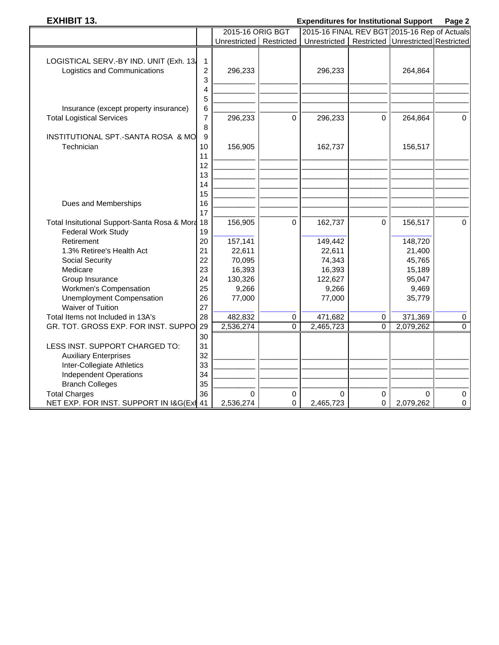## **EXHIBIT 13. Expenditures for Institutional Support Page 2**

|                                                                                              |                          | 2015-16 ORIG BGT            |        | 2015-16 FINAL REV BGT 2015-16 Rep of Actuals          |                |                            |                       |
|----------------------------------------------------------------------------------------------|--------------------------|-----------------------------|--------|-------------------------------------------------------|----------------|----------------------------|-----------------------|
|                                                                                              |                          | Unrestricted Restricted     |        | Unrestricted   Restricted   Unrestricted   Restricted |                |                            |                       |
| LOGISTICAL SERV.-BY IND. UNIT (Exh. 13.<br>Logistics and Communications                      | 1<br>$\overline{c}$<br>3 | 296,233                     |        | 296,233                                               |                | 264,864                    |                       |
|                                                                                              | 4<br>5                   |                             |        |                                                       |                |                            |                       |
| Insurance (except property insurance)<br><b>Total Logistical Services</b>                    | 6<br>7<br>8              | 296,233                     | 0      | 296,233                                               | $\mathbf 0$    | 264,864                    | $\mathbf 0$           |
| INSTITUTIONAL SPT.-SANTA ROSA & MO<br>Technician                                             | 9<br>10<br>11            | 156,905                     |        | 162,737                                               |                | 156,517                    |                       |
|                                                                                              | 12<br>13<br>14<br>15     |                             |        |                                                       |                |                            |                       |
| Dues and Memberships                                                                         | 16<br>17                 |                             |        |                                                       |                |                            |                       |
| Total Insitutional Support-Santa Rosa & Mora 18<br>Federal Work Study                        | 19                       | 156,905                     | 0      | 162,737                                               | 0              | 156,517                    | $\mathbf 0$           |
| Retirement<br>1.3% Retiree's Health Act                                                      | 20<br>21<br>22           | 157,141<br>22,611           |        | 149,442<br>22,611                                     |                | 148,720<br>21,400          |                       |
| Social Security<br>Medicare<br>Group Insurance                                               | 23<br>24                 | 70,095<br>16,393<br>130,326 |        | 74,343<br>16,393<br>122,627                           |                | 45,765<br>15,189<br>95,047 |                       |
| Workmen's Compensation<br><b>Unemployment Compensation</b><br>Waiver of Tuition              | 25<br>26<br>27           | 9,266<br>77,000             |        | 9,266<br>77,000                                       |                | 9,469<br>35,779            |                       |
| Total Items not Included in 13A's                                                            | 28                       | 482,832                     | 0      | 471,682                                               | 0              | 371,369                    | $\pmb{0}$             |
| GR. TOT. GROSS EXP. FOR INST. SUPPO                                                          | 29                       | 2,536,274                   | 0      | 2,465,723                                             | $\overline{0}$ | 2,079,262                  | $\overline{0}$        |
| LESS INST. SUPPORT CHARGED TO:<br><b>Auxiliary Enterprises</b><br>Inter-Collegiate Athletics | 30<br>31<br>32<br>33     |                             |        |                                                       |                |                            |                       |
| <b>Independent Operations</b>                                                                | 34                       |                             |        |                                                       |                |                            |                       |
| <b>Branch Colleges</b>                                                                       | 35                       |                             |        |                                                       |                |                            |                       |
| <b>Total Charges</b><br>NET EXP. FOR INST. SUPPORT IN I&G(Exil 41                            | 36                       | $\Omega$<br>2,536,274       | 0<br>0 | $\Omega$<br>2,465,723                                 | 0<br>0         | $\Omega$<br>2,079,262      | $\Omega$<br>$\pmb{0}$ |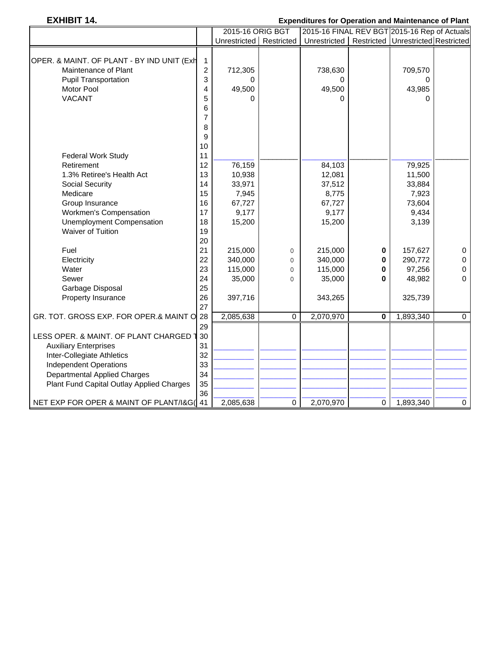# **EXHIBIT 14. Expenditures for Operation and Maintenance of Plant**

|                                            |                | 2015-16 ORIG BGT          |             |                                                       |                         | 2015-16 FINAL REV BGT 2015-16 Rep of Actuals |           |  |
|--------------------------------------------|----------------|---------------------------|-------------|-------------------------------------------------------|-------------------------|----------------------------------------------|-----------|--|
|                                            |                | Unrestricted   Restricted |             | Unrestricted   Restricted   Unrestricted   Restricted |                         |                                              |           |  |
|                                            |                |                           |             |                                                       |                         |                                              |           |  |
| OPER. & MAINT. OF PLANT - BY IND UNIT (Exh | 1              |                           |             |                                                       |                         |                                              |           |  |
| Maintenance of Plant                       | $\overline{2}$ | 712,305                   |             | 738,630                                               |                         | 709,570                                      |           |  |
| <b>Pupil Transportation</b>                | 3              | 0                         |             | 0                                                     |                         | 0                                            |           |  |
| Motor Pool                                 | 4              | 49,500                    |             | 49,500                                                |                         | 43,985                                       |           |  |
| <b>VACANT</b>                              | 5              | O                         |             | $\Omega$                                              |                         | $\Omega$                                     |           |  |
|                                            | 6              |                           |             |                                                       |                         |                                              |           |  |
|                                            | 7              |                           |             |                                                       |                         |                                              |           |  |
|                                            | 8              |                           |             |                                                       |                         |                                              |           |  |
|                                            | 9              |                           |             |                                                       |                         |                                              |           |  |
|                                            | 10             |                           |             |                                                       |                         |                                              |           |  |
| Federal Work Study                         | 11             |                           |             |                                                       |                         |                                              |           |  |
| Retirement                                 | 12             | 76,159                    |             | 84,103                                                |                         | 79,925                                       |           |  |
| 1.3% Retiree's Health Act                  | 13             | 10,938                    |             | 12,081                                                |                         | 11,500                                       |           |  |
| <b>Social Security</b>                     | 14             | 33,971                    |             | 37,512                                                |                         | 33,884                                       |           |  |
| Medicare                                   | 15             | 7,945                     |             | 8,775                                                 |                         | 7,923                                        |           |  |
| Group Insurance                            | 16             | 67,727                    |             | 67,727                                                |                         | 73,604                                       |           |  |
| Workmen's Compensation                     | 17             | 9,177                     |             | 9,177                                                 |                         | 9,434                                        |           |  |
| <b>Unemployment Compensation</b>           | 18             | 15,200                    |             | 15,200                                                |                         | 3,139                                        |           |  |
| <b>Waiver of Tuition</b>                   | 19             |                           |             |                                                       |                         |                                              |           |  |
|                                            | 20             |                           |             |                                                       |                         |                                              |           |  |
| Fuel                                       | 21             | 215,000                   | $\mathbf 0$ | 215,000                                               | 0                       | 157,627                                      | 0         |  |
| Electricity                                | 22             | 340,000                   | $\mathbf 0$ | 340,000                                               | 0                       | 290,772                                      | 0         |  |
| Water                                      | 23             | 115,000                   | 0           | 115,000                                               | 0                       | 97,256                                       | 0         |  |
| Sewer                                      | 24             | 35,000                    | $\Omega$    | 35,000                                                | $\bf{0}$                | 48,982                                       | $\Omega$  |  |
| Garbage Disposal                           | 25             |                           |             |                                                       |                         |                                              |           |  |
| Property Insurance                         | 26             | 397,716                   |             | 343,265                                               |                         | 325,739                                      |           |  |
|                                            | 27             |                           |             |                                                       |                         |                                              |           |  |
| GR. TOT. GROSS EXP. FOR OPER.& MAINT O     | 28             | 2,085,638                 | $\Omega$    | 2,070,970                                             | $\overline{\mathbf{0}}$ | 1,893,340                                    | $\Omega$  |  |
|                                            | 29             |                           |             |                                                       |                         |                                              |           |  |
| LESS OPER. & MAINT. OF PLANT CHARGED       | 30             |                           |             |                                                       |                         |                                              |           |  |
| <b>Auxiliary Enterprises</b>               | 31             |                           |             |                                                       |                         |                                              |           |  |
| Inter-Collegiate Athletics                 | 32             |                           |             |                                                       |                         |                                              |           |  |
| <b>Independent Operations</b>              | 33             |                           |             |                                                       |                         |                                              |           |  |
| <b>Departmental Applied Charges</b>        | 34             |                           |             |                                                       |                         |                                              |           |  |
| Plant Fund Capital Outlay Applied Charges  | 35             |                           |             |                                                       |                         |                                              |           |  |
|                                            | 36             |                           |             |                                                       |                         |                                              |           |  |
| NET EXP FOR OPER & MAINT OF PLANT/I&G( 41  |                | 2,085,638                 | $\mathbf 0$ | 2,070,970                                             | 0                       | 1,893,340                                    | $\pmb{0}$ |  |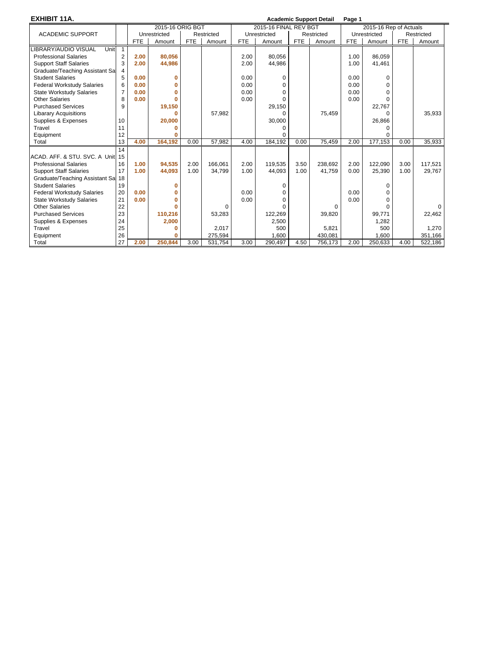**EXHIBIT 11A. Academic Support Detail Page 1** 2015-16 ORIG BGT 2015-16 FINAL REV BGT 2015-16 Rep of Actuals ACADEMIC SUPPORT | Unrestricted | Restricted | Unrestricted | Restricted | Unrestricted | Restricted | Restricted | Restricted | FTE | Amount | FTE | Amount | FTE | Amount | FTE | Amount | FTE | Amount | FTE | Amount | FTE FTE Amount LIBRARY/AUDIO VISUAL Unit Professional Salaries 2 **2 2.00 80,056** 2.00 80,056 2.00 80,056 2.00 80,059 Support Staff Salaries 3 **2.00 44,986** 2.00 44,986 4.000 44,986 1.00 41,461 Graduate/Teaching Assistant Sal 4 Student Salaries 5 **0.00 0** 0.00 0 0.00 0 **Federal Workstudy Salaries | 6 | 0.00 | 0 | 0.00 | 0.00 | 0.00 | 0.00 | 0.00 | 0.00 | 0.00 | 0.00 | 0.00 | 0.00 | 0.00 | 0.00 | 0.00 | 0.00 | 0.00 | 0.00 | 0.00 | 0.00 | 0.00 | 0.00 | 0.00 | 0.00 | 0.00 | 0.00 | 0.00 | 0.**  State Workstudy Salaries 7 **0.00 0** 0.00 0 0.00 0 Other Salaries **8 20.00 0** 0 0.00 0 0.00 0.00 0 0.00 0 Purchased Services 9 9 19,150 29,150 29,150 29,150 29,150 22,767 22,767 22,767 22,767 22,767 22,767 22,767 22,767<br>
Libarary Acquisitions 0 0 57,982 0 75,459 0 Libarary Acquisitions **0 0 0** 57,982 0 75,459 0 26,866 135,933<br>Supplies & Expenses 10 20,000 20,000 30,000 30,000 Supplies & Expenses Travel 11 **0** 0 0 Equipment 12 **0** 0 0 0 0 0 0 0 0 Total 13 **4.00 164,192** 0.00 57,982 4.00 184,192 0.00 75,459 2.00 177,153 0.00 35,933  $\frac{14}{15}$ ACAD. AFF. & STU. SVC. A Unit Professional Salaries 16 **1.00 94,535** 2.00 166,061 2.00 119,535 3.50 238,692 2.00 122,090 3.00 117,521 Support Staff Salaries | 17 | 1.00 | 44,093 | 1.00 | 34,799 | 1.00 | 44,093 | 1.00 | 41,759 | 0.00 | 25,390 | 1.00 | 29,767 Graduate/Teaching Assistant Sa 18<br>Student Salaries 19 Student Salaries 19 **0** 0 0 Federal Workstudy Salaries 20 **0.00 0** 0.00 0 0.00 0 State Workstudy Salaries 21 **0.00 0** 0.00 0 0.00 0 Other Salaries 22 **0** 0 0000 Purchased Services 23 110,216 53,283 122,269 39,820 99,771 2,462 Supplies & Expenses  $\begin{bmatrix} 24 \\ 25 \end{bmatrix}$  **2,000** 2,017 2,500 5,821 5,821 5,821 500 Travel 25 25 **0** 125 2,017 500 5,821 500 1,270 Equipment 26 **0** 275,594 1,600 430,081 1,600 351,166 Total 27 **2.00 250,844** 3.00 531,754 3.00 290,497 4.50 756,173 2.00 250,633 4.00 522,186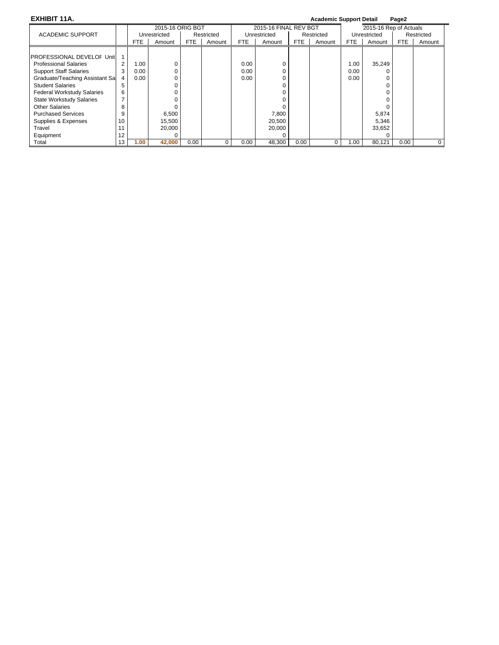**EXHIBIT 11A. Academic Support Detail Page2**

| <u>LAIILUITIIN.</u><br>Acqueinic Support Detail |    |              |                                                                                          |      |        |                       |        |            |        | гачса                  |        |            |        |
|-------------------------------------------------|----|--------------|------------------------------------------------------------------------------------------|------|--------|-----------------------|--------|------------|--------|------------------------|--------|------------|--------|
|                                                 |    |              | 2015-16 ORIG BGT<br>Restricted<br><b>FTE</b><br>Amount<br>0<br>6,500<br>15,500<br>20.000 |      |        | 2015-16 FINAL REV BGT |        |            |        | 2015-16 Rep of Actuals |        |            |        |
| <b>ACADEMIC SUPPORT</b>                         |    | Unrestricted |                                                                                          |      |        | Unrestricted          |        | Restricted |        | Unrestricted           |        | Restricted |        |
|                                                 |    | FTE.         |                                                                                          |      | Amount | FTE                   | Amount | FTE.       | Amount | FTE                    | Amount | <b>FTE</b> | Amount |
|                                                 |    |              |                                                                                          |      |        |                       |        |            |        |                        |        |            |        |
| <b>PROFESSIONAL DEVELOF Unit</b>                |    |              |                                                                                          |      |        |                       |        |            |        |                        |        |            |        |
| <b>Professional Salaries</b>                    | 2  | 1.00         |                                                                                          |      |        | 0.00                  |        |            |        | 1.00                   | 35,249 |            |        |
| <b>Support Staff Salaries</b>                   | 3  | 0.00         |                                                                                          |      |        | 0.00                  |        |            |        | 0.00                   |        |            |        |
| Graduate/Teaching Assistant Sal                 |    | 0.00         |                                                                                          |      |        | 0.00                  |        |            |        | 0.00                   |        |            |        |
| <b>Student Salaries</b>                         | 5  |              |                                                                                          |      |        |                       |        |            |        |                        |        |            |        |
| <b>Federal Workstudy Salaries</b>               | 6  |              |                                                                                          |      |        |                       |        |            |        |                        |        |            |        |
| <b>State Workstudy Salaries</b>                 |    |              |                                                                                          |      |        |                       |        |            |        |                        |        |            |        |
| <b>Other Salaries</b>                           | 8  |              |                                                                                          |      |        |                       |        |            |        |                        |        |            |        |
| <b>Purchased Services</b>                       | 9  |              |                                                                                          |      |        |                       | 7,800  |            |        |                        | 5,874  |            |        |
| Supplies & Expenses                             | 10 |              |                                                                                          |      |        |                       | 20,500 |            |        |                        | 5,346  |            |        |
| Travel                                          | 11 |              |                                                                                          |      |        |                       | 20,000 |            |        |                        | 33,652 |            |        |
| Equipment                                       | 12 |              |                                                                                          |      |        |                       |        |            |        |                        |        |            |        |
| Total                                           | 13 | 1.00         | 42,000                                                                                   | 0.00 | 0      | 0.00                  | 48,300 | 0.00       | 0      | 1.00                   | 80,121 | 0.00       |        |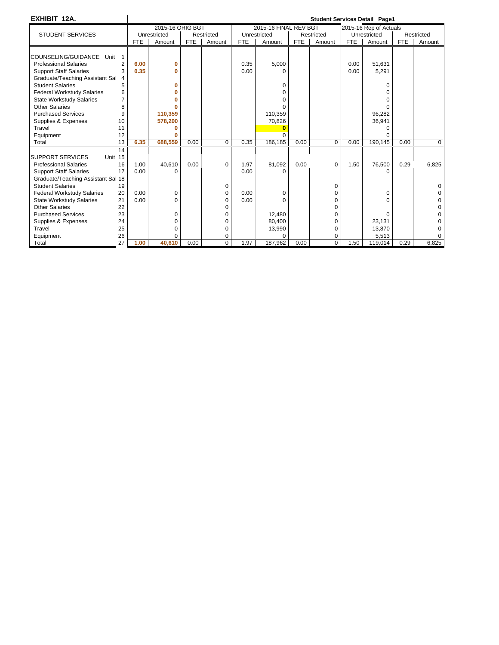| EXHIBIT 12A.                                  |                |            |                  |            |            |            |                       |            |            |            | <b>Student Services Detail Page1</b> |            |             |
|-----------------------------------------------|----------------|------------|------------------|------------|------------|------------|-----------------------|------------|------------|------------|--------------------------------------|------------|-------------|
|                                               |                |            | 2015-16 ORIG BGT |            |            |            | 2015-16 FINAL REV BGT |            |            |            | 2015-16 Rep of Actuals               |            |             |
| <b>STUDENT SERVICES</b>                       |                |            | Unrestricted     |            | Restricted |            | Unrestricted          |            | Restricted |            | Unrestricted                         |            | Restricted  |
|                                               |                | <b>FTE</b> | Amount           | <b>FTE</b> | Amount     | <b>FTE</b> | Amount                | <b>FTE</b> | Amount     | <b>FTE</b> | Amount                               | <b>FTE</b> | Amount      |
|                                               |                |            |                  |            |            |            |                       |            |            |            |                                      |            |             |
| COUNSELING/GUIDANCE<br>Unit                   |                |            |                  |            |            |            |                       |            |            |            |                                      |            |             |
| <b>Professional Salaries</b>                  | $\overline{2}$ | 6.00       | 0                |            |            | 0.35       | 5,000                 |            |            | 0.00       | 51,631                               |            |             |
| <b>Support Staff Salaries</b>                 | 3              | 0.35       | O                |            |            | 0.00       | U                     |            |            | 0.00       | 5,291                                |            |             |
| Graduate/Teaching Assistant Sa                | 4              |            |                  |            |            |            |                       |            |            |            |                                      |            |             |
| <b>Student Salaries</b>                       | 5              |            | Ω                |            |            |            | $\Omega$              |            |            |            | 0                                    |            |             |
| <b>Federal Workstudy Salaries</b>             | 6              |            |                  |            |            |            | O                     |            |            |            |                                      |            |             |
| <b>State Workstudy Salaries</b>               | $\overline{7}$ |            |                  |            |            |            | U                     |            |            |            |                                      |            |             |
| <b>Other Salaries</b>                         | 8              |            |                  |            |            |            |                       |            |            |            |                                      |            |             |
| <b>Purchased Services</b>                     | 9              |            | 110.359          |            |            |            | 110,359               |            |            |            | 96,282                               |            |             |
| Supplies & Expenses                           | 10             |            | 578,200          |            |            |            | 70,826                |            |            |            | 36,941                               |            |             |
| Travel                                        | 11             |            |                  |            |            |            |                       |            |            |            |                                      |            |             |
| Equipment                                     | 12             |            |                  |            |            |            |                       |            |            |            |                                      |            |             |
| Total                                         | 13             | 6.35       | 688.559          | 0.00       | $\Omega$   | 0.35       | 186.185               | 0.00       | $\Omega$   | 0.00       | 190.145                              | 0.00       | $\mathbf 0$ |
|                                               | 14             |            |                  |            |            |            |                       |            |            |            |                                      |            |             |
| <b>SUPPORT SERVICES</b><br>Unit <sub>15</sub> |                |            |                  |            |            |            |                       |            |            |            |                                      |            |             |
| <b>Professional Salaries</b>                  | 16             | 1.00       | 40,610           | 0.00       | $\Omega$   | 1.97       | 81,092                | 0.00       | $\Omega$   | 1.50       | 76,500                               | 0.29       | 6,825       |
| <b>Support Staff Salaries</b>                 | 17             | 0.00       | $\Omega$         |            |            | 0.00       | $\Omega$              |            |            |            | 0                                    |            |             |
| Graduate/Teaching Assistant Sal 18            |                |            |                  |            |            |            |                       |            |            |            |                                      |            |             |
| <b>Student Salaries</b>                       | 19             |            |                  |            | 0          |            |                       |            | 0          |            |                                      |            | 0           |
| <b>Federal Workstudy Salaries</b>             | 20             | 0.00       | 0                |            | 0          | 0.00       | 0                     |            | 0          |            | $\Omega$                             |            |             |
| <b>State Workstudy Salaries</b>               | 21             | 0.00       | 0                |            | $\Omega$   | 0.00       | O                     |            |            |            | U                                    |            |             |
| <b>Other Salaries</b>                         | 22             |            |                  |            | $\Omega$   |            |                       |            | ∩          |            |                                      |            |             |
| <b>Purchased Services</b>                     | 23             |            | $\Omega$         |            | $\Omega$   |            | 12.480                |            | U          |            | $\Omega$                             |            |             |
| Supplies & Expenses                           | 24             |            |                  |            | $\Omega$   |            | 80,400                |            |            |            | 23,131                               |            |             |
| Travel                                        | 25             |            | 0                |            | 0          |            | 13,990                |            | 0          |            | 13,870                               |            |             |
| Equipment                                     | 26             |            | O                |            | $\Omega$   |            |                       |            |            |            | 5,513                                |            | $\Omega$    |
| Total                                         | 27             | 1.00       | 40.610           | 0.00       | $\Omega$   | 1.97       | 187,962               | 0.00       | $\Omega$   | 1.50       | 119,014                              | 0.29       | 6.825       |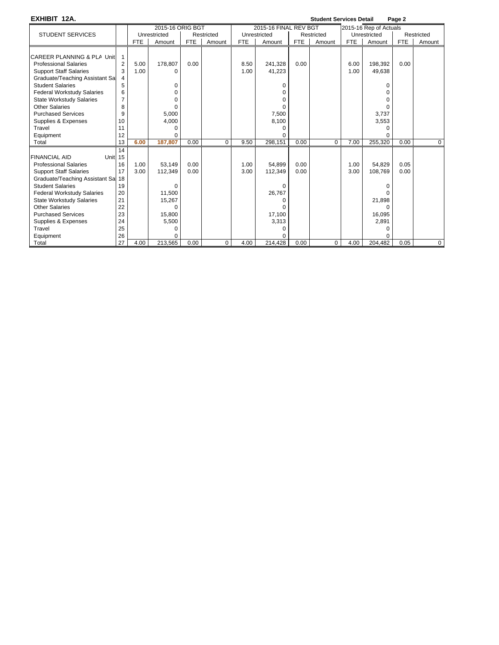| EXHIBIT 12A.                               |                |            |                  |            |             |            |                       |            | <b>Student Services Detail</b> |            |                        | Page 2     |             |
|--------------------------------------------|----------------|------------|------------------|------------|-------------|------------|-----------------------|------------|--------------------------------|------------|------------------------|------------|-------------|
|                                            |                |            | 2015-16 ORIG BGT |            |             |            | 2015-16 FINAL REV BGT |            |                                |            | 2015-16 Rep of Actuals |            |             |
| <b>STUDENT SERVICES</b>                    |                |            | Unrestricted     |            | Restricted  |            | Unrestricted          |            | Restricted                     |            | Unrestricted           |            | Restricted  |
|                                            |                | <b>FTE</b> | Amount           | <b>FTE</b> | Amount      | <b>FTE</b> | Amount                | <b>FTE</b> | Amount                         | <b>FTE</b> | Amount                 | <b>FTE</b> | Amount      |
|                                            |                |            |                  |            |             |            |                       |            |                                |            |                        |            |             |
| CAREER PLANNING & PLA Unit                 | $\mathbf{1}$   |            |                  |            |             |            |                       |            |                                |            |                        |            |             |
| <b>Professional Salaries</b>               | $\overline{2}$ | 5.00       | 178.807          | 0.00       |             | 8.50       | 241.328               | 0.00       |                                | 6.00       | 198.392                | 0.00       |             |
| <b>Support Staff Salaries</b>              | 3              | 1.00       | $\Omega$         |            |             | 1.00       | 41,223                |            |                                | 1.00       | 49,638                 |            |             |
| Graduate/Teaching Assistant Sa             | 4              |            |                  |            |             |            |                       |            |                                |            |                        |            |             |
| <b>Student Salaries</b>                    | 5              |            | 0                |            |             |            | 0                     |            |                                |            | O                      |            |             |
| <b>Federal Workstudy Salaries</b>          | 6              |            | O                |            |             |            | $\Omega$              |            |                                |            | 0                      |            |             |
| <b>State Workstudy Salaries</b>            | $\overline{7}$ |            | O                |            |             |            | $\Omega$              |            |                                |            | O                      |            |             |
| <b>Other Salaries</b>                      | 8              |            | 0                |            |             |            | $\Omega$              |            |                                |            | 0                      |            |             |
| <b>Purchased Services</b>                  | 9              |            | 5,000            |            |             |            | 7,500                 |            |                                |            | 3,737                  |            |             |
| Supplies & Expenses                        | 10             |            | 4,000            |            |             |            | 8,100                 |            |                                |            | 3,553                  |            |             |
| Travel                                     | 11             |            | $\Omega$         |            |             |            | 0                     |            |                                |            | 0                      |            |             |
| Equipment                                  | 12             |            | $\Omega$         |            |             |            | 0                     |            |                                |            | 0                      |            |             |
| Total                                      | 13             | 6.00       | 187,807          | 0.00       | $\Omega$    | 9.50       | 298,151               | 0.00       | 0                              | 7.00       | 255,320                | 0.00       | $\Omega$    |
|                                            | 14             |            |                  |            |             |            |                       |            |                                |            |                        |            |             |
| <b>FINANCIAL AID</b><br>Unit <sub>15</sub> |                |            |                  |            |             |            |                       |            |                                |            |                        |            |             |
| <b>Professional Salaries</b>               | 16             | 1.00       | 53.149           | 0.00       |             | 1.00       | 54.899                | 0.00       |                                | 1.00       | 54.829                 | 0.05       |             |
| <b>Support Staff Salaries</b>              | 17             | 3.00       | 112,349          | 0.00       |             | 3.00       | 112,349               | 0.00       |                                | 3.00       | 108,769                | 0.00       |             |
| Graduate/Teaching Assistant Sal 18         |                |            |                  |            |             |            |                       |            |                                |            |                        |            |             |
| <b>Student Salaries</b>                    | 19             |            | $\Omega$         |            |             |            | $\Omega$              |            |                                |            |                        |            |             |
| <b>Federal Workstudy Salaries</b>          | 20             |            | 11.500           |            |             |            | 26,767                |            |                                |            |                        |            |             |
| <b>State Workstudy Salaries</b>            | 21             |            | 15,267           |            |             |            | 0                     |            |                                |            | 21,898                 |            |             |
| <b>Other Salaries</b>                      | 22             |            | $\Omega$         |            |             |            | $\Omega$              |            |                                |            | U                      |            |             |
| <b>Purchased Services</b>                  | 23             |            | 15,800           |            |             |            | 17,100                |            |                                |            | 16,095                 |            |             |
| Supplies & Expenses                        | 24             |            | 5,500            |            |             |            | 3,313                 |            |                                |            | 2,891                  |            |             |
| Travel                                     | 25             |            | $\Omega$         |            |             |            | 0                     |            |                                |            | 0                      |            |             |
| Equipment                                  | 26             |            | O                |            |             |            | $\Omega$              |            |                                |            | U                      |            |             |
| Total                                      | 27             | 4.00       | 213,565          | 0.00       | $\mathbf 0$ | 4.00       | 214,428               | 0.00       | 0                              | 4.00       | 204,482                | 0.05       | $\mathbf 0$ |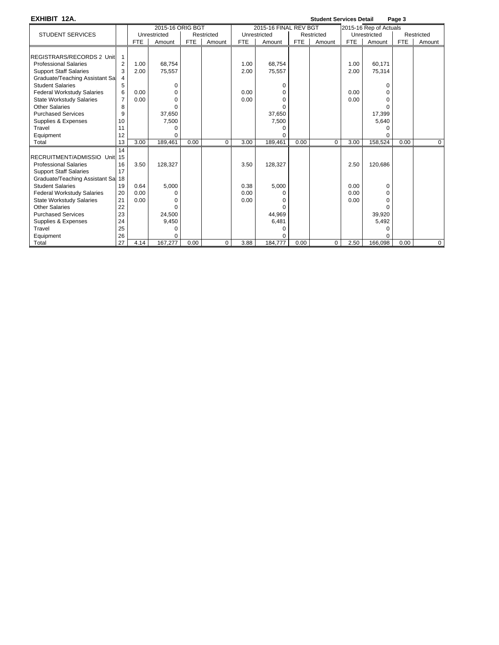**EXHIBIT 12A. Student Services Detail Page 3**

|                                    |                |            | 2015-16 ORIG BGT |            |            |            | 2015-16 FINAL REV BGT |            |            |            | 2015-16 Rep of Actuals |            |             |
|------------------------------------|----------------|------------|------------------|------------|------------|------------|-----------------------|------------|------------|------------|------------------------|------------|-------------|
| <b>STUDENT SERVICES</b>            |                |            | Unrestricted     |            | Restricted |            | Unrestricted          |            | Restricted |            | Unrestricted           |            | Restricted  |
|                                    |                | <b>FTE</b> | Amount           | <b>FTE</b> | Amount     | <b>FTE</b> | Amount                | <b>FTE</b> | Amount     | <b>FTE</b> | Amount                 | <b>FTE</b> | Amount      |
|                                    |                |            |                  |            |            |            |                       |            |            |            |                        |            |             |
| REGISTRARS/RECORDS 2 Unit          |                |            |                  |            |            |            |                       |            |            |            |                        |            |             |
| <b>Professional Salaries</b>       | $\overline{2}$ | 1.00       | 68.754           |            |            | 1.00       | 68,754                |            |            | 1.00       | 60,171                 |            |             |
| <b>Support Staff Salaries</b>      | 3              | 2.00       | 75,557           |            |            | 2.00       | 75,557                |            |            | 2.00       | 75.314                 |            |             |
| Graduate/Teaching Assistant Sal    | 4              |            |                  |            |            |            |                       |            |            |            |                        |            |             |
| <b>Student Salaries</b>            | 5              |            | 0                |            |            |            |                       |            |            |            | O                      |            |             |
| <b>Federal Workstudy Salaries</b>  | 6              | 0.00       | 0                |            |            | 0.00       | n                     |            |            | 0.00       | O                      |            |             |
| <b>State Workstudy Salaries</b>    | $\overline{7}$ | 0.00       | 0                |            |            | 0.00       |                       |            |            | 0.00       | O                      |            |             |
| <b>Other Salaries</b>              | 8              |            | ŋ                |            |            |            |                       |            |            |            |                        |            |             |
| <b>Purchased Services</b>          | 9              |            | 37,650           |            |            |            | 37,650                |            |            |            | 17,399                 |            |             |
| Supplies & Expenses                | 10             |            | 7,500            |            |            |            | 7,500                 |            |            |            | 5,640                  |            |             |
| Travel                             | 11             |            | 0                |            |            |            | U                     |            |            |            |                        |            |             |
| Equipment                          | 12             |            | $\Omega$         |            |            |            | n                     |            |            |            |                        |            |             |
| Total                              | 13             | 3.00       | 189,461          | 0.00       | $\Omega$   | 3.00       | 189,461               | 0.00       | $\Omega$   | 3.00       | 158,524                | 0.00       | $\mathbf 0$ |
|                                    | 14             |            |                  |            |            |            |                       |            |            |            |                        |            |             |
| RECRUITMENT/ADMISSIO Unit 15       |                |            |                  |            |            |            |                       |            |            |            |                        |            |             |
| <b>Professional Salaries</b>       | 16             | 3.50       | 128,327          |            |            | 3.50       | 128,327               |            |            | 2.50       | 120,686                |            |             |
| <b>Support Staff Salaries</b>      | 17             |            |                  |            |            |            |                       |            |            |            |                        |            |             |
| Graduate/Teaching Assistant Sal 18 |                |            |                  |            |            |            |                       |            |            |            |                        |            |             |
| <b>Student Salaries</b>            | 19             | 0.64       | 5,000            |            |            | 0.38       | 5,000                 |            |            | 0.00       | $\Omega$               |            |             |
| <b>Federal Workstudy Salaries</b>  | 20             | 0.00       | O                |            |            | 0.00       |                       |            |            | 0.00       | 0                      |            |             |
| <b>State Workstudy Salaries</b>    | 21             | 0.00       |                  |            |            | 0.00       |                       |            |            | 0.00       | 0                      |            |             |
| Other Salaries                     | 22             |            | O                |            |            |            |                       |            |            |            | ŋ                      |            |             |
| <b>Purchased Services</b>          | 23             |            | 24.500           |            |            |            | 44.969                |            |            |            | 39,920                 |            |             |
| Supplies & Expenses                | 24             |            | 9,450            |            |            |            | 6,481                 |            |            |            | 5,492                  |            |             |
| Travel                             | 25             |            | O                |            |            |            | U                     |            |            |            | ŋ                      |            |             |
| Equipment                          | 26             |            | 0                |            |            |            |                       |            |            |            |                        |            |             |
| Total                              | 27             | 4.14       | 167,277          | 0.00       | 0          | 3.88       | 184,777               | 0.00       | 0          | 2.50       | 166,098                | 0.00       | $\mathbf 0$ |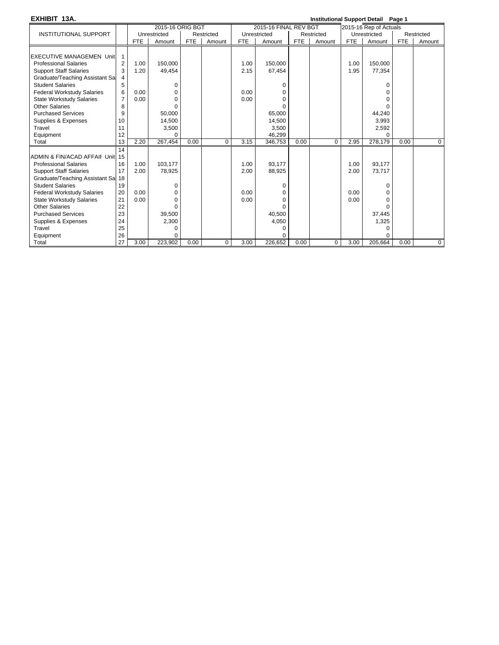| EXHIBIT 13A.                       |                |            |                  |            |            |            |                       |            | <b>Institutional Support Detail Page 1</b> |            |                        |            |                |
|------------------------------------|----------------|------------|------------------|------------|------------|------------|-----------------------|------------|--------------------------------------------|------------|------------------------|------------|----------------|
|                                    |                |            | 2015-16 ORIG BGT |            |            |            | 2015-16 FINAL REV BGT |            |                                            |            | 2015-16 Rep of Actuals |            |                |
| <b>INSTITUTIONAL SUPPORT</b>       |                |            | Unrestricted     |            | Restricted |            | Unrestricted          |            | Restricted                                 |            | Unrestricted           |            | Restricted     |
|                                    |                | <b>FTE</b> | Amount           | <b>FTE</b> | Amount     | <b>FTE</b> | Amount                | <b>FTE</b> | Amount                                     | <b>FTE</b> | Amount                 | <b>FTE</b> | Amount         |
|                                    |                |            |                  |            |            |            |                       |            |                                            |            |                        |            |                |
| <b>EXECUTIVE MANAGEMEN Unit</b>    | 1              |            |                  |            |            |            |                       |            |                                            |            |                        |            |                |
| <b>Professional Salaries</b>       | $\overline{2}$ | 1.00       | 150.000          |            |            | 1.00       | 150.000               |            |                                            | 1.00       | 150.000                |            |                |
| <b>Support Staff Salaries</b>      | 3              | 1.20       | 49,454           |            |            | 2.15       | 67,454                |            |                                            | 1.95       | 77,354                 |            |                |
| Graduate/Teaching Assistant Sal    | 4              |            |                  |            |            |            |                       |            |                                            |            |                        |            |                |
| <b>Student Salaries</b>            | 5              |            | 0                |            |            |            | 0                     |            |                                            |            | 0                      |            |                |
| <b>Federal Workstudy Salaries</b>  | 6              | 0.00       | 0                |            |            | 0.00       |                       |            |                                            |            |                        |            |                |
| <b>State Workstudy Salaries</b>    | $\overline{7}$ | 0.00       | $\Omega$         |            |            | 0.00       |                       |            |                                            |            |                        |            |                |
| <b>Other Salaries</b>              | 8              |            | $\Omega$         |            |            |            |                       |            |                                            |            |                        |            |                |
| <b>Purchased Services</b>          | 9              |            | 50,000           |            |            |            | 65,000                |            |                                            |            | 44,240                 |            |                |
| Supplies & Expenses                | 10             |            | 14,500           |            |            |            | 14,500                |            |                                            |            | 3,993                  |            |                |
| Travel                             | 11             |            | 3,500            |            |            |            | 3,500                 |            |                                            |            | 2,592                  |            |                |
| Equipment                          | 12             |            | $\Omega$         |            |            |            | 46,299                |            |                                            |            | U                      |            |                |
| Total                              | 13             | 2.20       | 267,454          | 0.00       | $\Omega$   | 3.15       | 346,753               | 0.00       | $\Omega$                                   | 2.95       | 278,179                | 0.00       | $\mathbf{0}$   |
|                                    | 14             |            |                  |            |            |            |                       |            |                                            |            |                        |            |                |
| ADMIN & FIN/ACAD AFFAII Unit 15    |                |            |                  |            |            |            |                       |            |                                            |            |                        |            |                |
| <b>Professional Salaries</b>       | 16             | 1.00       | 103,177          |            |            | 1.00       | 93,177                |            |                                            | 1.00       | 93,177                 |            |                |
| <b>Support Staff Salaries</b>      | 17             | 2.00       | 78,925           |            |            | 2.00       | 88,925                |            |                                            | 2.00       | 73.717                 |            |                |
| Graduate/Teaching Assistant Sal 18 |                |            |                  |            |            |            |                       |            |                                            |            |                        |            |                |
| <b>Student Salaries</b>            | 19             |            | 0                |            |            |            | 0                     |            |                                            |            | $\Omega$               |            |                |
| <b>Federal Workstudy Salaries</b>  | 20             | 0.00       | 0                |            |            | 0.00       | <sup>0</sup>          |            |                                            | 0.00       | <sup>0</sup>           |            |                |
| <b>State Workstudy Salaries</b>    | 21             | 0.00       | $\Omega$         |            |            | 0.00       | $\Omega$              |            |                                            | 0.00       |                        |            |                |
| <b>Other Salaries</b>              | 22             |            | $\Omega$         |            |            |            |                       |            |                                            |            | $\Omega$               |            |                |
| <b>Purchased Services</b>          | 23             |            | 39,500           |            |            |            | 40,500                |            |                                            |            | 37,445                 |            |                |
| Supplies & Expenses                | 24             |            | 2,300            |            |            |            | 4,050                 |            |                                            |            | 1,325                  |            |                |
| Travel                             | 25             |            | 0                |            |            |            | 0                     |            |                                            |            | 0                      |            |                |
| Equipment                          | 26             |            | $\Omega$         |            |            |            |                       |            |                                            |            | $\Omega$               |            |                |
| Total                              | 27             | 3.00       | 223,902          | 0.00       | $\Omega$   | 3.00       | 226,652               | 0.00       | 0                                          | 3.00       | 205,664                | 0.00       | $\overline{0}$ |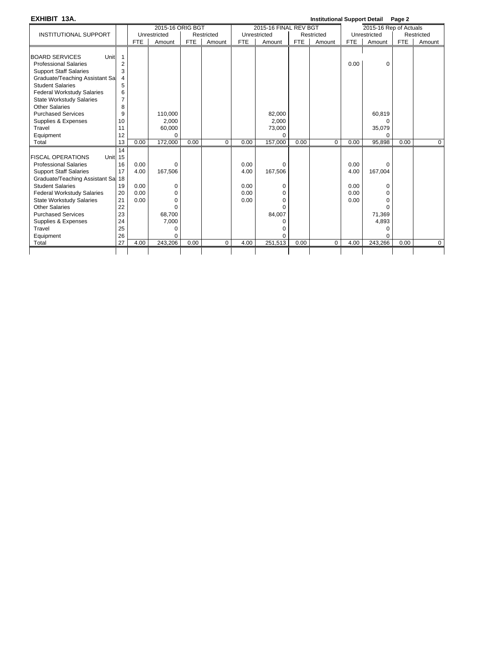### **EXHIBIT 13A. Institutional Support Detail Page 2**

|                                                |    |            |                  |            |             |            |                       |            | www.awww.eapp |            | .                      |            |             |
|------------------------------------------------|----|------------|------------------|------------|-------------|------------|-----------------------|------------|---------------|------------|------------------------|------------|-------------|
|                                                |    |            | 2015-16 ORIG BGT |            |             |            | 2015-16 FINAL REV BGT |            |               |            | 2015-16 Rep of Actuals |            |             |
| <b>INSTITUTIONAL SUPPORT</b>                   |    |            | Unrestricted     |            | Restricted  |            | Unrestricted          |            | Restricted    |            | Unrestricted           |            | Restricted  |
|                                                |    | <b>FTE</b> | Amount           | <b>FTE</b> | Amount      | <b>FTE</b> | Amount                | <b>FTE</b> | Amount        | <b>FTE</b> | Amount                 | <b>FTE</b> | Amount      |
|                                                |    |            |                  |            |             |            |                       |            |               |            |                        |            |             |
| <b>BOARD SERVICES</b><br>Unit                  | 1  |            |                  |            |             |            |                       |            |               |            |                        |            |             |
| <b>Professional Salaries</b>                   | 2  |            |                  |            |             |            |                       |            |               | 0.00       | $\Omega$               |            |             |
| <b>Support Staff Salaries</b>                  | 3  |            |                  |            |             |            |                       |            |               |            |                        |            |             |
| Graduate/Teaching Assistant Sa                 | 4  |            |                  |            |             |            |                       |            |               |            |                        |            |             |
| <b>Student Salaries</b>                        | 5  |            |                  |            |             |            |                       |            |               |            |                        |            |             |
| <b>Federal Workstudy Salaries</b>              | 6  |            |                  |            |             |            |                       |            |               |            |                        |            |             |
| <b>State Workstudy Salaries</b>                | 7  |            |                  |            |             |            |                       |            |               |            |                        |            |             |
| <b>Other Salaries</b>                          | 8  |            |                  |            |             |            |                       |            |               |            |                        |            |             |
| <b>Purchased Services</b>                      | 9  |            | 110,000          |            |             |            | 82.000                |            |               |            | 60,819                 |            |             |
| Supplies & Expenses                            | 10 |            | 2.000            |            |             |            | 2.000                 |            |               |            | ∩                      |            |             |
| Travel                                         | 11 |            | 60,000           |            |             |            | 73,000                |            |               |            | 35,079                 |            |             |
| Equipment                                      | 12 |            | $\Omega$         |            |             |            | <sup>0</sup>          |            |               |            | $\Omega$               |            |             |
| Total                                          | 13 | 0.00       | 172,000          | 0.00       | $\Omega$    | 0.00       | 157,000               | 0.00       | $\Omega$      | 0.00       | 95,898                 | 0.00       | $\mathbf 0$ |
|                                                | 14 |            |                  |            |             |            |                       |            |               |            |                        |            |             |
| <b>FISCAL OPERATIONS</b><br>Unit <sub>15</sub> |    |            |                  |            |             |            |                       |            |               |            |                        |            |             |
| <b>Professional Salaries</b>                   | 16 | 0.00       | 0                |            |             | 0.00       | $\Omega$              |            |               | 0.00       | $\Omega$               |            |             |
| <b>Support Staff Salaries</b>                  | 17 | 4.00       | 167,506          |            |             | 4.00       | 167,506               |            |               | 4.00       | 167,004                |            |             |
| Graduate/Teaching Assistant Sa 18              |    |            |                  |            |             |            |                       |            |               |            |                        |            |             |
| <b>Student Salaries</b>                        | 19 | 0.00       | $\Omega$         |            |             | 0.00       | 0                     |            |               | 0.00       | $\Omega$               |            |             |
| <b>Federal Workstudy Salaries</b>              | 20 | 0.00       | 0                |            |             | 0.00       | 0                     |            |               | 0.00       | O                      |            |             |
| <b>State Workstudy Salaries</b>                | 21 | 0.00       | 0                |            |             | 0.00       | $\Omega$              |            |               | 0.00       | O                      |            |             |
| <b>Other Salaries</b>                          | 22 |            | $\Omega$         |            |             |            | $\Omega$              |            |               |            | $\Omega$               |            |             |
| <b>Purchased Services</b>                      | 23 |            | 68,700           |            |             |            | 84,007                |            |               |            | 71,369                 |            |             |
| Supplies & Expenses                            | 24 |            | 7,000            |            |             |            | O                     |            |               |            | 4,893                  |            |             |
| Travel                                         | 25 |            | $\Omega$         |            |             |            | O                     |            |               |            | $\Omega$               |            |             |
| Equipment                                      | 26 |            | $\Omega$         |            |             |            | $\Omega$              |            |               |            | $\Omega$               |            |             |
| Total                                          | 27 | 4.00       | 243,206          | 0.00       | $\mathbf 0$ | 4.00       | 251,513               | 0.00       | $\Omega$      | 4.00       | 243,266                | 0.00       | $\mathbf 0$ |
|                                                |    |            |                  |            |             |            |                       |            |               |            |                        |            |             |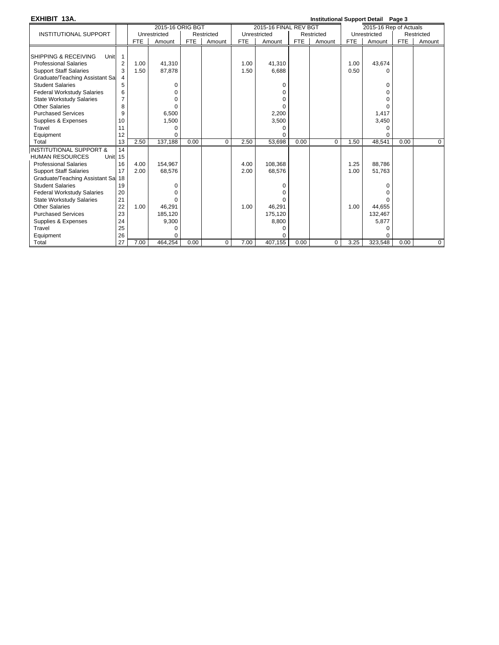| EXHIBIT 13A.                                 |                |            |                  |            |            |            |                       |            | <b>Institutional Support Detail Page 3</b> |            |                        |            |                |
|----------------------------------------------|----------------|------------|------------------|------------|------------|------------|-----------------------|------------|--------------------------------------------|------------|------------------------|------------|----------------|
|                                              |                |            | 2015-16 ORIG BGT |            |            |            | 2015-16 FINAL REV BGT |            |                                            |            | 2015-16 Rep of Actuals |            |                |
| <b>INSTITUTIONAL SUPPORT</b>                 |                |            | Unrestricted     |            | Restricted |            | Unrestricted          |            | Restricted                                 |            | Unrestricted           |            | Restricted     |
|                                              |                | <b>FTE</b> | Amount           | <b>FTE</b> | Amount     | <b>FTE</b> | Amount                | <b>FTE</b> | Amount                                     | <b>FTE</b> | Amount                 | <b>FTE</b> | Amount         |
|                                              |                |            |                  |            |            |            |                       |            |                                            |            |                        |            |                |
| SHIPPING & RECEIVING<br><b>Unit</b>          | $\mathbf{1}$   |            |                  |            |            |            |                       |            |                                            |            |                        |            |                |
| <b>Professional Salaries</b>                 | 2              | 1.00       | 41,310           |            |            | 1.00       | 41,310                |            |                                            | 1.00       | 43,674                 |            |                |
| <b>Support Staff Salaries</b>                | 3              | 1.50       | 87,878           |            |            | 1.50       | 6,688                 |            |                                            | 0.50       | U                      |            |                |
| Graduate/Teaching Assistant Sal              | 4              |            |                  |            |            |            |                       |            |                                            |            |                        |            |                |
| <b>Student Salaries</b>                      | 5              |            | 0                |            |            |            | 0                     |            |                                            |            | 0                      |            |                |
| <b>Federal Workstudy Salaries</b>            | 6              |            |                  |            |            |            | U                     |            |                                            |            |                        |            |                |
| <b>State Workstudy Salaries</b>              | $\overline{7}$ |            | O                |            |            |            | 0                     |            |                                            |            | 0                      |            |                |
| <b>Other Salaries</b>                        | 8              |            | ŋ                |            |            |            |                       |            |                                            |            | $\Omega$               |            |                |
| <b>Purchased Services</b>                    | 9              |            | 6,500            |            |            |            | 2,200                 |            |                                            |            | 1,417                  |            |                |
| Supplies & Expenses                          | 10             |            | 1,500            |            |            |            | 3,500                 |            |                                            |            | 3,450                  |            |                |
| Travel                                       | 11             |            | $\Omega$         |            |            |            | U                     |            |                                            |            | $\Omega$               |            |                |
| Equipment                                    | 12             |            | $\Omega$         |            |            |            |                       |            |                                            |            | U                      |            |                |
| Total                                        | 13             | 2.50       | 137,188          | 0.00       | $\Omega$   | 2.50       | 53,698                | 0.00       | $\Omega$                                   | 1.50       | 48,541                 | 0.00       | $\mathbf 0$    |
| <b>INSTITUTIONAL SUPPORT &amp;</b>           | 14             |            |                  |            |            |            |                       |            |                                            |            |                        |            |                |
| <b>HUMAN RESOURCES</b><br>Unit <sub>15</sub> |                |            |                  |            |            |            |                       |            |                                            |            |                        |            |                |
| <b>Professional Salaries</b>                 | 16             | 4.00       | 154,967          |            |            | 4.00       | 108,368               |            |                                            | 1.25       | 88,786                 |            |                |
| <b>Support Staff Salaries</b>                | 17             | 2.00       | 68,576           |            |            | 2.00       | 68,576                |            |                                            | 1.00       | 51,763                 |            |                |
| Graduate/Teaching Assistant Sal 18           |                |            |                  |            |            |            |                       |            |                                            |            |                        |            |                |
| <b>Student Salaries</b>                      | 19             |            | O                |            |            |            | 0                     |            |                                            |            | 0                      |            |                |
| <b>Federal Workstudy Salaries</b>            | 20             |            |                  |            |            |            |                       |            |                                            |            |                        |            |                |
| <b>State Workstudy Salaries</b>              | 21             |            |                  |            |            |            |                       |            |                                            |            |                        |            |                |
| <b>Other Salaries</b>                        | 22             | 1.00       | 46,291           |            |            | 1.00       | 46,291                |            |                                            | 1.00       | 44,655                 |            |                |
| <b>Purchased Services</b>                    | 23             |            | 185,120          |            |            |            | 175,120               |            |                                            |            | 132,467                |            |                |
| Supplies & Expenses                          | 24             |            | 9,300            |            |            |            | 8,800                 |            |                                            |            | 5,877                  |            |                |
| Travel                                       | 25             |            | O                |            |            |            | O                     |            |                                            |            |                        |            |                |
| Equipment                                    | 26             |            | $\Omega$         |            |            |            |                       |            |                                            |            | $\Omega$               |            |                |
| Total                                        | 27             | 7.00       | 464,254          | 0.00       | 0          | 7.00       | 407,155               | 0.00       | $\Omega$                                   | 3.25       | 323,548                | 0.00       | $\overline{0}$ |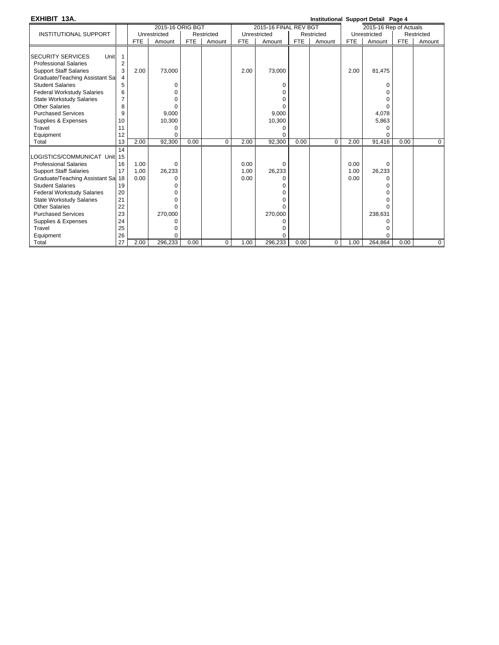| EXHIBIT 13A.                       |                |            |                  |            |            |            |                       |            | Institutional Support Detail Page 4 |            |                        |      |             |
|------------------------------------|----------------|------------|------------------|------------|------------|------------|-----------------------|------------|-------------------------------------|------------|------------------------|------|-------------|
|                                    |                |            | 2015-16 ORIG BGT |            |            |            | 2015-16 FINAL REV BGT |            |                                     |            | 2015-16 Rep of Actuals |      |             |
| <b>INSTITUTIONAL SUPPORT</b>       |                |            | Unrestricted     |            | Restricted |            | Unrestricted          |            | Restricted                          |            | Unrestricted           |      | Restricted  |
|                                    |                | <b>FTE</b> | Amount           | <b>FTE</b> | Amount     | <b>FTE</b> | Amount                | <b>FTE</b> | Amount                              | <b>FTE</b> | Amount                 | FTE  | Amount      |
|                                    |                |            |                  |            |            |            |                       |            |                                     |            |                        |      |             |
| Unit<br><b>SECURITY SERVICES</b>   | 1              |            |                  |            |            |            |                       |            |                                     |            |                        |      |             |
| <b>Professional Salaries</b>       | $\overline{2}$ |            |                  |            |            |            |                       |            |                                     |            |                        |      |             |
| <b>Support Staff Salaries</b>      | 3              | 2.00       | 73,000           |            |            | 2.00       | 73,000                |            |                                     | 2.00       | 81,475                 |      |             |
| Graduate/Teaching Assistant Sa     | 4              |            |                  |            |            |            |                       |            |                                     |            |                        |      |             |
| <b>Student Salaries</b>            | 5              |            | 0                |            |            |            | 0                     |            |                                     |            | 0                      |      |             |
| <b>Federal Workstudy Salaries</b>  | 6              |            | U                |            |            |            | 0                     |            |                                     |            | 0                      |      |             |
| <b>State Workstudy Salaries</b>    | 7              |            | U                |            |            |            | O                     |            |                                     |            | U                      |      |             |
| Other Salaries                     | 8              |            | 0                |            |            |            | <sup>0</sup>          |            |                                     |            | 0                      |      |             |
| <b>Purchased Services</b>          | 9              |            | 9,000            |            |            |            | 9,000                 |            |                                     |            | 4,078                  |      |             |
| Supplies & Expenses                | 10             |            | 10,300           |            |            |            | 10,300                |            |                                     |            | 5,863                  |      |             |
| Travel                             | 11             |            | $\Omega$         |            |            |            | 0                     |            |                                     |            | $\Omega$               |      |             |
| Equipment                          | 12             |            | $\Omega$         |            |            |            | 0                     |            |                                     |            | O                      |      |             |
| Total                              | 13             | 2.00       | 92,300           | 0.00       | $\Omega$   | 2.00       | 92.300                | 0.00       | $\Omega$                            | 2.00       | 91,416                 | 0.00 | $\mathbf 0$ |
|                                    | 14             |            |                  |            |            |            |                       |            |                                     |            |                        |      |             |
| OGISTICS/COMMUNICAT Unit 15        |                |            |                  |            |            |            |                       |            |                                     |            |                        |      |             |
| <b>Professional Salaries</b>       | 16             | 1.00       | 0                |            |            | 0.00       | 0                     |            |                                     | 0.00       | $\Omega$               |      |             |
| <b>Support Staff Salaries</b>      | 17             | 1.00       | 26,233           |            |            | 1.00       | 26,233                |            |                                     | 1.00       | 26,233                 |      |             |
| Graduate/Teaching Assistant Sal 18 |                | 0.00       | U                |            |            | 0.00       | 0                     |            |                                     | 0.00       | 0                      |      |             |
| <b>Student Salaries</b>            | 19             |            |                  |            |            |            | O                     |            |                                     |            | n                      |      |             |
| <b>Federal Workstudy Salaries</b>  | 20             |            | n                |            |            |            | 0                     |            |                                     |            |                        |      |             |
| <b>State Workstudy Salaries</b>    | 21             |            | n                |            |            |            | 0                     |            |                                     |            |                        |      |             |
| Other Salaries                     | 22             |            | $\Omega$         |            |            |            | 0                     |            |                                     |            | $\Omega$               |      |             |
| <b>Purchased Services</b>          | 23             |            | 270,000          |            |            |            | 270,000               |            |                                     |            | 238,631                |      |             |
| Supplies & Expenses                | 24             |            |                  |            |            |            | ∩                     |            |                                     |            |                        |      |             |
| Travel                             | 25             |            |                  |            |            |            | O                     |            |                                     |            | O                      |      |             |
| Equipment                          | 26             |            | 0                |            |            |            |                       |            |                                     |            |                        |      |             |
| Total                              | 27             | 2.00       | 296,233          | 0.00       | $\Omega$   | 1.00       | 296,233               | 0.00       | $\Omega$                            | 1.00       | 264,864                | 0.00 | 0           |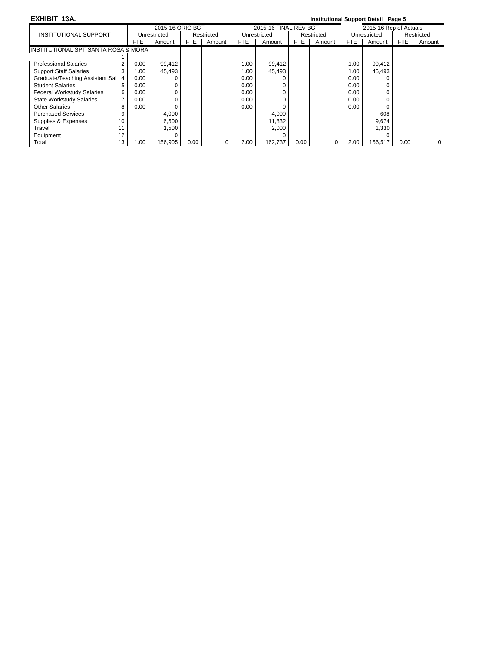### **EXHIBIT 13A. Institutional Support Detail Page 5**

|                                                |                |            | 2015-16 ORIG BGT |            |            |      | 2015-16 FINAL REV BGT |            |            |            | 2015-16 Rep of Actuals |      |            |
|------------------------------------------------|----------------|------------|------------------|------------|------------|------|-----------------------|------------|------------|------------|------------------------|------|------------|
| INSTITUTIONAL SUPPORT                          |                |            | Unrestricted     |            | Restricted |      | Unrestricted          |            | Restricted |            | Unrestricted           |      | Restricted |
|                                                |                | <b>FTE</b> | Amount           | <b>FTE</b> | Amount     | FTE. | Amount                | <b>FTE</b> | Amount     | <b>FTE</b> | Amount                 | FTE  | Amount     |
| <b>INSTITUTIONAL SPT-SANTA ROSA &amp; MORA</b> |                |            |                  |            |            |      |                       |            |            |            |                        |      |            |
|                                                |                |            |                  |            |            |      |                       |            |            |            |                        |      |            |
| <b>Professional Salaries</b>                   | $\overline{2}$ | 0.00       | 99,412           |            |            | 1.00 | 99,412                |            |            | 1.00       | 99,412                 |      |            |
| <b>Support Staff Salaries</b>                  | 3              | 1.00       | 45,493           |            |            | 1.00 | 45,493                |            |            | 1.00       | 45,493                 |      |            |
| Graduate/Teaching Assistant Sal                |                | 0.00       |                  |            |            | 0.00 |                       |            |            | 0.00       |                        |      |            |
| <b>Student Salaries</b>                        | 5              | 0.00       | 0                |            |            | 0.00 |                       |            |            | 0.00       |                        |      |            |
| <b>Federal Workstudy Salaries</b>              | 6              | 0.00       |                  |            |            | 0.00 |                       |            |            | 0.00       |                        |      |            |
| <b>State Workstudy Salaries</b>                |                | 0.00       |                  |            |            | 0.00 |                       |            |            | 0.00       |                        |      |            |
| <b>Other Salaries</b>                          | 8              | 0.00       |                  |            |            | 0.00 |                       |            |            | 0.00       |                        |      |            |
| <b>Purchased Services</b>                      | 9              |            | 4,000            |            |            |      | 4,000                 |            |            |            | 608                    |      |            |
| Supplies & Expenses                            | 10             |            | 6,500            |            |            |      | 11,832                |            |            |            | 9.674                  |      |            |
| Travel                                         |                |            | 1,500            |            |            |      | 2,000                 |            |            |            | 330                    |      |            |
| Equipment                                      | 12             |            |                  |            |            |      |                       |            |            |            |                        |      |            |
| Total                                          | 13             | 1.00       | 156.905          | 0.00       |            | 2.00 | 162.737               | 0.00       | 0          | 2.00       | 156.517                | 0.00 | 0          |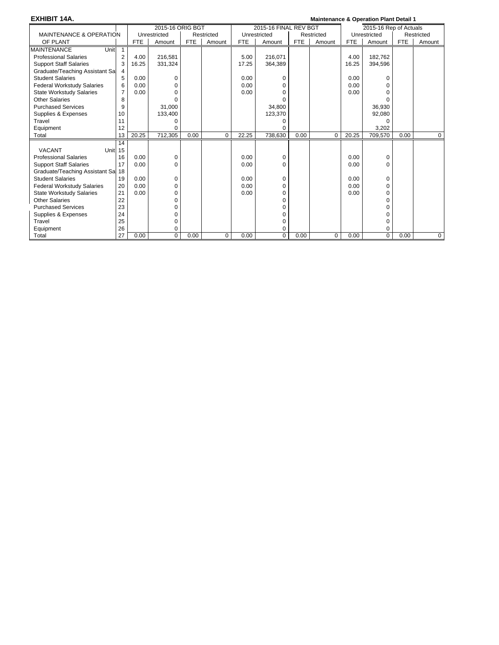| <b>EXHIBIT 14A.</b>                 |                |            |                  |            |            |            |                       |            | <b>Maintenance &amp; Operation Plant Detail 1</b> |            |                        |            |            |
|-------------------------------------|----------------|------------|------------------|------------|------------|------------|-----------------------|------------|---------------------------------------------------|------------|------------------------|------------|------------|
|                                     |                |            | 2015-16 ORIG BGT |            |            |            | 2015-16 FINAL REV BGT |            |                                                   |            | 2015-16 Rep of Actuals |            |            |
| <b>MAINTENANCE &amp; OPERATION</b>  |                |            | Unrestricted     |            | Restricted |            | Unrestricted          |            | Restricted                                        |            | Unrestricted           |            | Restricted |
| OF PLANT                            |                | <b>FTE</b> | Amount           | <b>FTE</b> | Amount     | <b>FTE</b> | Amount                | <b>FTE</b> | Amount                                            | <b>FTE</b> | Amount                 | <b>FTE</b> | Amount     |
| <b>MAINTENANCE</b><br>Unit          | 1              |            |                  |            |            |            |                       |            |                                                   |            |                        |            |            |
| <b>Professional Salaries</b>        | $\overline{2}$ | 4.00       | 216,581          |            |            | 5.00       | 216,071               |            |                                                   | 4.00       | 182,762                |            |            |
| <b>Support Staff Salaries</b>       | 3              | 16.25      | 331,324          |            |            | 17.25      | 364,389               |            |                                                   | 16.25      | 394,596                |            |            |
| Graduate/Teaching Assistant Sal     |                |            |                  |            |            |            |                       |            |                                                   |            |                        |            |            |
| <b>Student Salaries</b>             | 5              | 0.00       | 0                |            |            | 0.00       | 0                     |            |                                                   | 0.00       | $\Omega$               |            |            |
| <b>Federal Workstudy Salaries</b>   | 6              | 0.00       | $\Omega$         |            |            | 0.00       | 0                     |            |                                                   | 0.00       | $\Omega$               |            |            |
| <b>State Workstudy Salaries</b>     | 7              | 0.00       | $\Omega$         |            |            | 0.00       | 0                     |            |                                                   | 0.00       | U                      |            |            |
| <b>Other Salaries</b>               | 8              |            |                  |            |            |            | O                     |            |                                                   |            | ∩                      |            |            |
| <b>Purchased Services</b>           | 9              |            | 31,000           |            |            |            | 34,800                |            |                                                   |            | 36,930                 |            |            |
| Supplies & Expenses                 | 10             |            | 133,400          |            |            |            | 123,370               |            |                                                   |            | 92,080                 |            |            |
| Travel                              | 11             |            | 0                |            |            |            | 0                     |            |                                                   |            | $\Omega$               |            |            |
| Equipment                           | 12             |            | $\Omega$         |            |            |            | 0                     |            |                                                   |            | 3,202                  |            |            |
| Total                               | 13             | 20.25      | 712,305          | 0.00       | $\Omega$   | 22.25      | 738,630               | 0.00       | $\Omega$                                          | 20.25      | 709,570                | 0.00       | 0          |
|                                     | 14             |            |                  |            |            |            |                       |            |                                                   |            |                        |            |            |
| <b>VACANT</b><br>Unit <sub>15</sub> |                |            |                  |            |            |            |                       |            |                                                   |            |                        |            |            |
| <b>Professional Salaries</b>        | 16             | 0.00       | 0                |            |            | 0.00       | 0                     |            |                                                   | 0.00       | 0                      |            |            |
| <b>Support Staff Salaries</b>       | 17             | 0.00       | 0                |            |            | 0.00       | 0                     |            |                                                   | 0.00       | $\Omega$               |            |            |
| Graduate/Teaching Assistant Sal 18  |                |            |                  |            |            |            |                       |            |                                                   |            |                        |            |            |
| <b>Student Salaries</b>             | 19             | 0.00       | 0                |            |            | 0.00       | 0                     |            |                                                   | 0.00       | 0                      |            |            |
| <b>Federal Workstudy Salaries</b>   | 20             | 0.00       | $\Omega$         |            |            | 0.00       | 0                     |            |                                                   | 0.00       | $\Omega$               |            |            |
| <b>State Workstudy Salaries</b>     | 21             | 0.00       | 0                |            |            | 0.00       | 0                     |            |                                                   | 0.00       | 0                      |            |            |
| <b>Other Salaries</b>               | 22             |            | 0                |            |            |            | 0                     |            |                                                   |            | $\Omega$               |            |            |
| <b>Purchased Services</b>           | 23             |            | 0                |            |            |            | 0                     |            |                                                   |            | O                      |            |            |
| Supplies & Expenses                 | 24             |            | 0                |            |            |            | 0                     |            |                                                   |            | O                      |            |            |
| Travel                              | 25             |            | 0                |            |            |            | 0                     |            |                                                   |            | $\Omega$               |            |            |
| Equipment                           | 26             |            | 0                |            |            |            | 0                     |            |                                                   |            | 0                      |            |            |
| Total                               | 27             | 0.00       | $\mathbf 0$      | 0.00       | $\Omega$   | 0.00       | 0                     | 0.00       | $\Omega$                                          | 0.00       | $\Omega$               | 0.00       | $\Omega$   |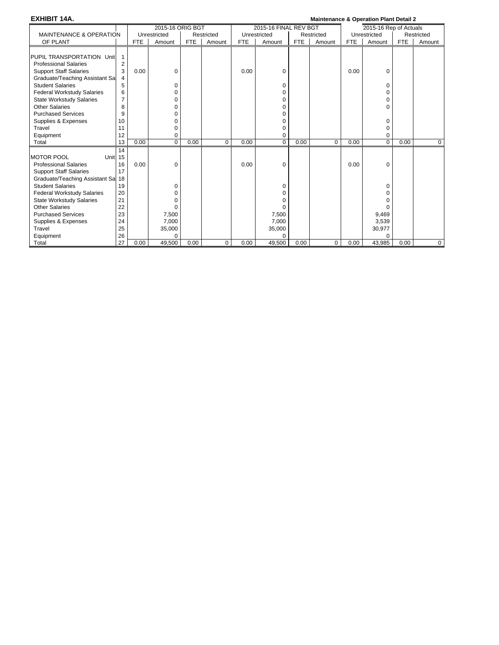| <b>EXHIBIT 14A.</b>                |    |            |                  |            |            |            |                       |            | <b>Maintenance &amp; Operation Plant Detail 2</b> |            |                        |            |             |
|------------------------------------|----|------------|------------------|------------|------------|------------|-----------------------|------------|---------------------------------------------------|------------|------------------------|------------|-------------|
|                                    |    |            | 2015-16 ORIG BGT |            |            |            | 2015-16 FINAL REV BGT |            |                                                   |            | 2015-16 Rep of Actuals |            |             |
| <b>MAINTENANCE &amp; OPERATION</b> |    |            | Unrestricted     |            | Restricted |            | Unrestricted          |            | Restricted                                        |            | Unrestricted           |            | Restricted  |
| OF PLANT                           |    | <b>FTE</b> | Amount           | <b>FTE</b> | Amount     | <b>FTE</b> | Amount                | <b>FTE</b> | Amount                                            | <b>FTE</b> | Amount                 | <b>FTE</b> | Amount      |
|                                    |    |            |                  |            |            |            |                       |            |                                                   |            |                        |            |             |
| PUPIL TRANSPORTATION Unit          | 1  |            |                  |            |            |            |                       |            |                                                   |            |                        |            |             |
| <b>Professional Salaries</b>       | 2  |            |                  |            |            |            |                       |            |                                                   |            |                        |            |             |
| <b>Support Staff Salaries</b>      | 3  | 0.00       | 0                |            |            | 0.00       | 0                     |            |                                                   | 0.00       | $\Omega$               |            |             |
| Graduate/Teaching Assistant Sa     | 4  |            |                  |            |            |            |                       |            |                                                   |            |                        |            |             |
| <b>Student Salaries</b>            | 5  |            | 0                |            |            |            | 0                     |            |                                                   |            | 0                      |            |             |
| <b>Federal Workstudy Salaries</b>  | 6  |            | 0                |            |            |            | 0                     |            |                                                   |            | 0                      |            |             |
| <b>State Workstudy Salaries</b>    | 7  |            | 0                |            |            |            | 0                     |            |                                                   |            | $\Omega$               |            |             |
| <b>Other Salaries</b>              | 8  |            | $\Omega$         |            |            |            | 0                     |            |                                                   |            | ∩                      |            |             |
| <b>Purchased Services</b>          | 9  |            | $\Omega$         |            |            |            | O                     |            |                                                   |            |                        |            |             |
| Supplies & Expenses                | 10 |            | 0                |            |            |            | O                     |            |                                                   |            | $\Omega$               |            |             |
| Travel                             | 11 |            | 0                |            |            |            | 0                     |            |                                                   |            | 0                      |            |             |
| Equipment                          | 12 |            | 0                |            |            |            | 0                     |            |                                                   |            | $\Omega$               |            |             |
| Total                              | 13 | 0.00       | $\mathbf 0$      | 0.00       | $\Omega$   | 0.00       | $\mathbf 0$           | 0.00       | $\Omega$                                          | 0.00       | $\mathbf 0$            | 0.00       | $\mathbf 0$ |
|                                    | 14 |            |                  |            |            |            |                       |            |                                                   |            |                        |            |             |
| <b>MOTOR POOL</b><br>Unit 15       |    |            |                  |            |            |            |                       |            |                                                   |            |                        |            |             |
| <b>Professional Salaries</b>       | 16 | 0.00       | 0                |            |            | 0.00       | $\Omega$              |            |                                                   | 0.00       | $\Omega$               |            |             |
| <b>Support Staff Salaries</b>      | 17 |            |                  |            |            |            |                       |            |                                                   |            |                        |            |             |
| Graduate/Teaching Assistant Sal 18 |    |            |                  |            |            |            |                       |            |                                                   |            |                        |            |             |
| <b>Student Salaries</b>            | 19 |            | 0                |            |            |            | 0                     |            |                                                   |            | $\Omega$               |            |             |
| <b>Federal Workstudy Salaries</b>  | 20 |            | 0                |            |            |            | 0                     |            |                                                   |            |                        |            |             |
| <b>State Workstudy Salaries</b>    | 21 |            | 0                |            |            |            | O                     |            |                                                   |            |                        |            |             |
| <b>Other Salaries</b>              | 22 |            | 0                |            |            |            |                       |            |                                                   |            |                        |            |             |
| <b>Purchased Services</b>          | 23 |            | 7,500            |            |            |            | 7,500                 |            |                                                   |            | 9,469                  |            |             |
| Supplies & Expenses                | 24 |            | 7,000            |            |            |            | 7,000                 |            |                                                   |            | 3,539                  |            |             |
| Travel                             | 25 |            | 35,000           |            |            |            | 35,000                |            |                                                   |            | 30,977                 |            |             |
| Equipment                          | 26 |            | $\Omega$         |            |            |            |                       |            |                                                   |            | $\Omega$               |            |             |
| Total                              | 27 | 0.00       | 49,500           | 0.00       | $\Omega$   | 0.00       | 49,500                | 0.00       | $\Omega$                                          | 0.00       | 43,985                 | 0.00       | $\Omega$    |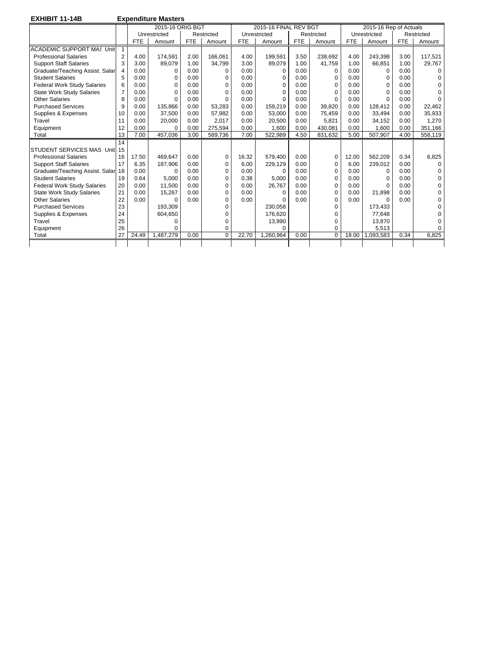**EXHIBIT 11-14B Expenditure Masters** 

|                                    |    |            | 2015-16 ORIG BGT |            |            |            | 2015-16 FINAL REV BGT |            |            |            | 2015-16 Rep of Actuals |            |             |
|------------------------------------|----|------------|------------------|------------|------------|------------|-----------------------|------------|------------|------------|------------------------|------------|-------------|
|                                    |    |            | Unrestricted     |            | Restricted |            | Unrestricted          |            | Restricted |            | Unrestricted           |            | Restricted  |
|                                    |    | <b>FTE</b> | Amount           | <b>FTE</b> | Amount     | <b>FTE</b> | Amount                | <b>FTE</b> | Amount     | <b>FTE</b> | Amount                 | <b>FTE</b> | Amount      |
| <b>ACADEMIC SUPPORT MAS Unit</b>   |    |            |                  |            |            |            |                       |            |            |            |                        |            |             |
| <b>Professional Salaries</b>       | 2  | 4.00       | 174,591          | 2.00       | 166.061    | 4.00       | 199.591               | 3.50       | 238.692    | 4.00       | 243,398                | 3.00       | 117,521     |
| <b>Support Staff Salaries</b>      | 3  | 3.00       | 89,079           | 1.00       | 34.799     | 3.00       | 89.079                | 1.00       | 41.759     | 1.00       | 66.851                 | 1.00       | 29,767      |
| Graduate/Teaching Assist. Salar    | 4  | 0.00       | 0                | 0.00       | $\Omega$   | 0.00       | $\Omega$              | 0.00       | $\Omega$   | 0.00       | $\Omega$               | 0.00       | $\Omega$    |
| <b>Student Salaries</b>            | 5  | 0.00       | 0                | 0.00       | 0          | 0.00       | $\Omega$              | 0.00       | $\Omega$   | 0.00       | $\Omega$               | 0.00       | 0           |
| <b>Federal Work Study Salaries</b> | 6  | 0.00       | $\Omega$         | 0.00       | $\Omega$   | 0.00       | O                     | 0.00       | $\Omega$   | 0.00       | $\Omega$               | 0.00       | $\Omega$    |
| <b>State Work Study Salaries</b>   | 7  | 0.00       | 0                | 0.00       | $\Omega$   | 0.00       |                       | 0.00       | $\Omega$   | 0.00       | $\Omega$               | 0.00       | $\Omega$    |
| <b>Other Salaries</b>              | 8  | 0.00       | $\Omega$         | 0.00       | $\Omega$   | 0.00       |                       | 0.00       | $\Omega$   | 0.00       | $\Omega$               | 0.00       | $\Omega$    |
| <b>Purchased Services</b>          | 9  | 0.00       | 135,866          | 0.00       | 53,283     | 0.00       | 159,219               | 0.00       | 39.820     | 0.00       | 128,412                | 0.00       | 22,462      |
| Supplies & Expenses                | 10 | 0.00       | 37,500           | 0.00       | 57.982     | 0.00       | 53,000                | 0.00       | 75.459     | 0.00       | 33,494                 | 0.00       | 35,933      |
| Travel                             | 11 | 0.00       | 20,000           | 0.00       | 2,017      | 0.00       | 20,500                | 0.00       | 5.821      | 0.00       | 34,152                 | 0.00       | 1,270       |
| Equipment                          | 12 | 0.00       | $\Omega$         | 0.00       | 275,594    | 0.00       | 1,600                 | 0.00       | 430.081    | 0.00       | 1,600                  | 0.00       | 351,166     |
| Total                              | 13 | 7.00       | 457,036          | 3.00       | 589,736    | 7.00       | 522,989               | 4.50       | 831,632    | 5.00       | 507,907                | 4.00       | 558,119     |
|                                    | 14 |            |                  |            |            |            |                       |            |            |            |                        |            |             |
| STUDENT SERVICES MAS Unit 15       |    |            |                  |            |            |            |                       |            |            |            |                        |            |             |
| <b>Professional Salaries</b>       | 16 | 17.50      | 469,647          | 0.00       | 0          | 16.32      | 579,400               | 0.00       | 0          | 12.00      | 562,209                | 0.34       | 6,825       |
| <b>Support Staff Salaries</b>      | 17 | 6.35       | 187,906          | 0.00       | 0          | 6.00       | 229,129               | 0.00       | $\Omega$   | 6.00       | 239.012                | 0.00       | $\Omega$    |
| Graduate/Teaching Assist. Salar 18 |    | 0.00       | $\Omega$         | 0.00       | $\Omega$   | 0.00       | $\Omega$              | 0.00       | $\Omega$   | 0.00       | $\Omega$               | 0.00       | $\mathbf 0$ |
| <b>Student Salaries</b>            | 19 | 0.64       | 5.000            | 0.00       | $\Omega$   | 0.38       | 5.000                 | 0.00       | $\Omega$   | 0.00       | $\Omega$               | 0.00       | 0           |
| <b>Federal Work Study Salaries</b> | 20 | 0.00       | 11,500           | 0.00       | $\Omega$   | 0.00       | 26.767                | 0.00       | $\Omega$   | 0.00       | $\Omega$               | 0.00       | $\Omega$    |
| <b>State Work Study Salaries</b>   | 21 | 0.00       | 15,267           | 0.00       | $\Omega$   | 0.00       | n                     | 0.00       | $\Omega$   | 0.00       | 21,898                 | 0.00       | $\Omega$    |
| <b>Other Salaries</b>              | 22 | 0.00       | $\Omega$         | 0.00       | $\Omega$   | 0.00       |                       | 0.00       | $\Omega$   | 0.00       | $\Omega$               | 0.00       | 0           |
| <b>Purchased Services</b>          | 23 |            | 193.309          |            | ი          |            | 230.058               |            | $\Omega$   |            | 173.433                |            | $\Omega$    |
| Supplies & Expenses                | 24 |            | 604,650          |            | n          |            | 176.620               |            | ∩          |            | 77.648                 |            | 0           |
| Travel                             | 25 |            | O                |            |            |            | 13,990                |            | $\Omega$   |            | 13,870                 |            | 0           |
| Equipment                          | 26 |            | 0                |            | 0          |            |                       |            | $\Omega$   |            | 5,513                  |            | $\Omega$    |
| Total                              | 27 | 24.49      | 1.487.279        | 0.00       | $\Omega$   | 22.70      | 1.260.964             | 0.00       | $\Omega$   | 18.00      | 1,093,583              | 0.34       | 6.825       |
|                                    |    |            |                  |            |            |            |                       |            |            |            |                        |            |             |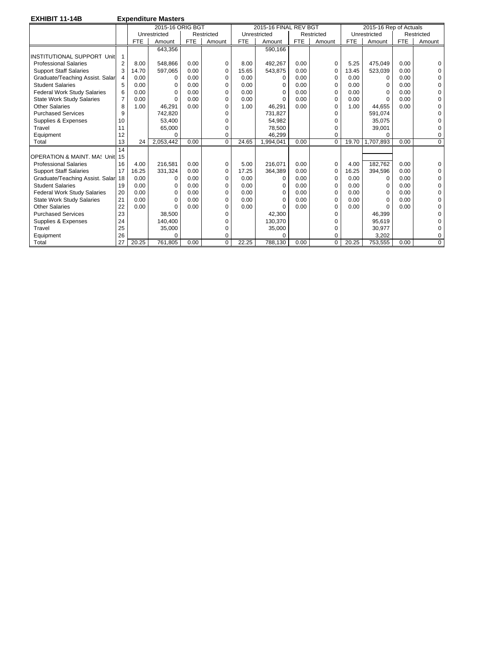| <b>EXHIBIT 11-14B</b> |  |
|-----------------------|--|
|-----------------------|--|

**Expenditure Masters** 

|                                     |                |            | 2015-16 ORIG BGT |            |            |            | 2015-16 FINAL REV BGT |            |                |            | 2015-16 Rep of Actuals |            |            |
|-------------------------------------|----------------|------------|------------------|------------|------------|------------|-----------------------|------------|----------------|------------|------------------------|------------|------------|
|                                     |                |            | Unrestricted     |            | Restricted |            | Unrestricted          |            | Restricted     |            | Unrestricted           |            | Restricted |
|                                     |                | <b>FTE</b> | Amount           | <b>FTE</b> | Amount     | <b>FTE</b> | Amount                | <b>FTE</b> | Amount         | <b>FTE</b> | Amount                 | <b>FTE</b> | Amount     |
|                                     |                |            |                  |            |            |            |                       |            |                |            |                        |            |            |
|                                     |                |            | 643,356          |            |            |            | 590,166               |            |                |            |                        |            |            |
| <b>INSTITUTIONAL SUPPORT Unit</b>   |                |            |                  |            |            |            |                       |            |                |            |                        |            |            |
| <b>Professional Salaries</b>        | $\overline{2}$ | 8.00       | 548.866          | 0.00       | 0          | 8.00       | 492.267               | 0.00       | 0              | 5.25       | 475.049                | 0.00       | $\Omega$   |
| <b>Support Staff Salaries</b>       | 3              | 14.70      | 597,065          | 0.00       | $\Omega$   | 15.65      | 543,875               | 0.00       | $\Omega$       | 13.45      | 523,039                | 0.00       | $\Omega$   |
| Graduate/Teaching Assist. Salar     | 4              | 0.00       | 0                | 0.00       | 0          | 0.00       | 0                     | 0.00       | $\Omega$       | 0.00       | $\Omega$               | 0.00       | 0          |
| <b>Student Salaries</b>             | 5              | 0.00       | $\Omega$         | 0.00       | 0          | 0.00       | $\Omega$              | 0.00       | $\Omega$       | 0.00       | $\Omega$               | 0.00       | 0          |
| <b>Federal Work Study Salaries</b>  | 6              | 0.00       | $\Omega$         | 0.00       | 0          | 0.00       | $\Omega$              | 0.00       | $\Omega$       | 0.00       | O                      | 0.00       | $\Omega$   |
| <b>State Work Study Salaries</b>    | $\overline{7}$ | 0.00       | $\Omega$         | 0.00       | 0          | 0.00       | <sup>0</sup>          | 0.00       | $\Omega$       | 0.00       | O                      | 0.00       | U          |
| <b>Other Salaries</b>               | 8              | 1.00       | 46.291           | 0.00       | 0          | 1.00       | 46,291                | 0.00       | $\Omega$       | 1.00       | 44.655                 | 0.00       | U          |
| <b>Purchased Services</b>           | 9              |            | 742,820          |            |            |            | 731.827               |            | $\Omega$       |            | 591.074                |            | O          |
| Supplies & Expenses                 | 10             |            | 53,400           |            |            |            | 54,982                |            | $\Omega$       |            | 35,075                 |            | U          |
| Travel                              | 11             |            | 65,000           |            | n          |            | 78.500                |            | $\Omega$       |            | 39,001                 |            | 0          |
| Equipment                           | 12             |            | $\Omega$         |            | ი          |            | 46.299                |            | $\Omega$       |            | $\Omega$               |            | 0          |
| Total                               | 13             | 24         | 2,053,442        | 0.00       | $\Omega$   | 24.65      | 1,994,041             | 0.00       | $\Omega$       | 19.70      | 1.707.893              | 0.00       | $\Omega$   |
|                                     | 14             |            |                  |            |            |            |                       |            |                |            |                        |            |            |
| OPERATION & MAINT, MA: Unit 15      |                |            |                  |            |            |            |                       |            |                |            |                        |            |            |
| <b>Professional Salaries</b>        | 16             | 4.00       | 216.581          | 0.00       | $\Omega$   | 5.00       | 216.071               | 0.00       | $\Omega$       | 4.00       | 182.762                | 0.00       | $\Omega$   |
| <b>Support Staff Salaries</b>       | 17             | 16.25      | 331,324          | 0.00       | $\Omega$   | 17.25      | 364,389               | 0.00       | 0              | 16.25      | 394,596                | 0.00       | $\Omega$   |
| Graduate/Teaching Assist. Salar  18 |                | 0.00       | 0                | 0.00       | 0          | 0.00       | $\Omega$              | 0.00       | $\Omega$       | 0.00       | $\Omega$               | 0.00       | $\Omega$   |
| <b>Student Salaries</b>             | 19             | 0.00       | 0                | 0.00       | 0          | 0.00       | $\Omega$              | 0.00       | $\Omega$       | 0.00       | 0                      | 0.00       | O          |
| <b>Federal Work Study Salaries</b>  | 20             | 0.00       | $\Omega$         | 0.00       | 0          | 0.00       | 0                     | 0.00       | $\Omega$       | 0.00       | $\Omega$               | 0.00       | $\Omega$   |
| <b>State Work Study Salaries</b>    | 21             | 0.00       | $\Omega$         | 0.00       | 0          | 0.00       | <sup>0</sup>          | 0.00       | $\Omega$       | 0.00       | $\Omega$               | 0.00       | $\Omega$   |
| <b>Other Salaries</b>               | 22             | 0.00       | $\Omega$         | 0.00       | O          | 0.00       | $\Omega$              | 0.00       | $\Omega$       | 0.00       | $\Omega$               | 0.00       | $\Omega$   |
| <b>Purchased Services</b>           | 23             |            | 38.500           |            |            |            | 42.300                |            | $\Omega$       |            | 46.399                 |            | U          |
| Supplies & Expenses                 | 24             |            | 140.400          |            |            |            | 130.370               |            | $\Omega$       |            | 95.619                 |            |            |
| Travel                              | 25             |            | 35,000           |            |            |            | 35,000                |            | 0              |            | 30,977                 |            |            |
| Equipment                           | 26             |            | $\Omega$         |            | ი          |            |                       |            | $\Omega$       |            | 3.202                  |            | 0          |
| Total                               | 27             | 20.25      | 761,805          | 0.00       | 0          | 22.25      | 788,130               | 0.00       | $\overline{0}$ | 20.25      | 753,555                | 0.00       | 0          |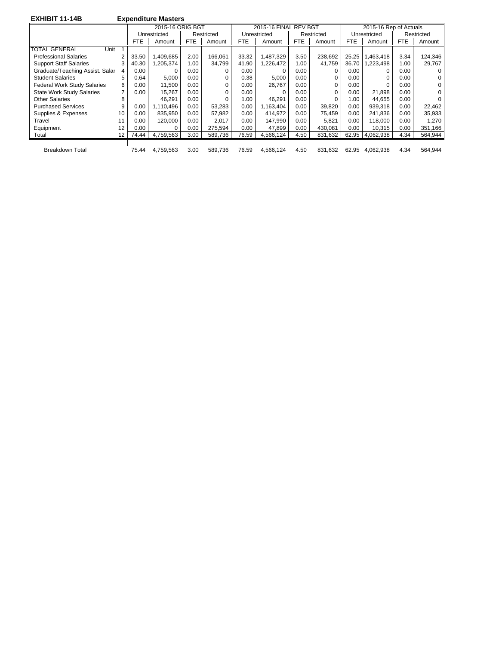| <b>EXHIBIT 11-14B</b>              |    |            | <b>Expenditure Masters</b> |      |            |            |                       |            |            |            |                        |            |            |
|------------------------------------|----|------------|----------------------------|------|------------|------------|-----------------------|------------|------------|------------|------------------------|------------|------------|
|                                    |    |            | 2015-16 ORIG BGT           |      |            |            | 2015-16 FINAL REV BGT |            |            |            | 2015-16 Rep of Actuals |            |            |
|                                    |    |            | Unrestricted               |      | Restricted |            | Unrestricted          |            | Restricted |            | Unrestricted           |            | Restricted |
|                                    |    | <b>FTE</b> | Amount                     | FTE  | Amount     | <b>FTE</b> | Amount                | <b>FTE</b> | Amount     | <b>FTE</b> | Amount                 | <b>FTE</b> | Amount     |
| <b>TOTAL GENERAL</b><br>Unit       |    |            |                            |      |            |            |                       |            |            |            |                        |            |            |
| <b>Professional Salaries</b>       | 2  | 33.50      | 1,409,685                  | 2.00 | 166.061    | 33.32      | 1,487,329             | 3.50       | 238,692    | 25.25      | 1,463,418              | 3.34       | 124,346    |
| <b>Support Staff Salaries</b>      | 3  | 40.30      | 1,205,374                  | 1.00 | 34,799     | 41.90      | 1.226.472             | 1.00       | 41.759     | 36.70      | 1,223,498              | 1.00       | 29,767     |
| Graduate/Teaching Assist. Salar    | 4  | 0.00       |                            | 0.00 |            | 0.00       | 0                     | 0.00       | 0          | 0.00       | 0                      | 0.00       | $\Omega$   |
| <b>Student Salaries</b>            | 5  | 0.64       | 5,000                      | 0.00 | 0          | 0.38       | 5,000                 | 0.00       | 0          | 0.00       | $\Omega$               | 0.00       | 0          |
| <b>Federal Work Study Salaries</b> | 6  | 0.00       | 11.500                     | 0.00 | $\Omega$   | 0.00       | 26.767                | 0.00       | 0          | 0.00       |                        | 0.00       | 0          |
| <b>State Work Study Salaries</b>   | 7  | 0.00       | 15,267                     | 0.00 |            | 0.00       | $\Omega$              | 0.00       | O          | 0.00       | 21,898                 | 0.00       | 0          |
| Other Salaries                     | 8  |            | 46.291                     | 0.00 |            | 1.00       | 46.291                | 0.00       |            | 1.00       | 44.655                 | 0.00       |            |
| <b>Purchased Services</b>          | 9  | 0.00       | 1.110.496                  | 0.00 | 53,283     | 0.00       | 1,163,404             | 0.00       | 39,820     | 0.00       | 939.318                | 0.00       | 22,462     |
| Supplies & Expenses                | 10 | 0.00       | 835.950                    | 0.00 | 57,982     | 0.00       | 414.972               | 0.00       | 75.459     | 0.00       | 241.836                | 0.00       | 35,933     |
| Travel                             | 11 | 0.00       | 120.000                    | 0.00 | 2.017      | 0.00       | 147,990               | 0.00       | 5.821      | 0.00       | 118.000                | 0.00       | 1.270      |
| Equipment                          | 12 | 0.00       | $\Omega$                   | 0.00 | 275.594    | 0.00       | 47,899                | 0.00       | 430.081    | 0.00       | 10.315                 | 0.00       | 351,166    |
| Total                              | 12 | 74.44      | 4,759,563                  | 3.00 | 589.736    | 76.59      | 4,566,124             | 4.50       | 831.632    | 62.95      | 4,062,938              | 4.34       | 564,944    |

 $\mathbf{I}$ 

Breakdown Total 75.44 4,759,563 3.00 589,736 76.59 4,566,124 4.50 831,632 62.95 4,062,938 4.34 564,944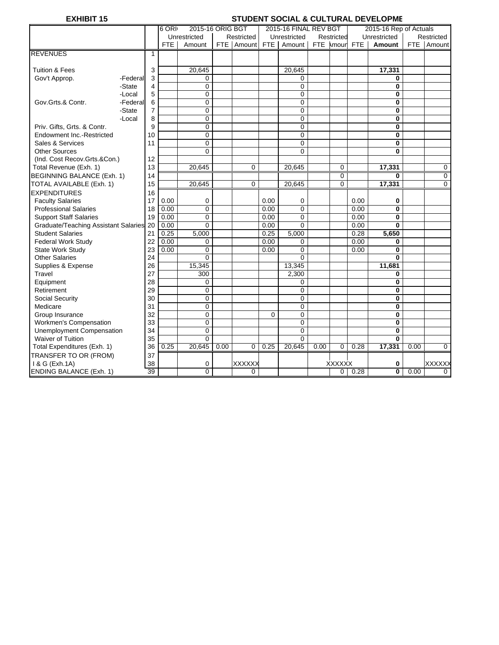# **EXHIBIT 15** STUDENT SOCIAL & CULTURAL DEVELOPME

|                                         |          |                 | 6 ORI      | 2015-16 ORIG BGT |      |             |          | 2015-16 FINAL REV BGT |           |                |            | 2015-16 Rep of Actuals |      |                |
|-----------------------------------------|----------|-----------------|------------|------------------|------|-------------|----------|-----------------------|-----------|----------------|------------|------------------------|------|----------------|
|                                         |          |                 |            | Unrestricted     |      | Restricted  |          | Unrestricted          |           | Restricted     |            | Unrestricted           |      | Restricted     |
|                                         |          |                 | <b>FTE</b> | Amount           |      | FTE Amount  | FTE I    | Amount                | FTE Amour |                | <b>FTE</b> | Amount                 |      | FTE Amount     |
| <b>REVENUES</b>                         |          | 1               |            |                  |      |             |          |                       |           |                |            |                        |      |                |
|                                         |          |                 |            |                  |      |             |          |                       |           |                |            |                        |      |                |
| <b>Tuition &amp; Fees</b>               |          | 3               |            | 20,645           |      |             |          | 20,645                |           |                |            | 17,331                 |      |                |
| Gov't Approp.                           | -Federal | 3               |            | 0                |      |             |          | 0                     |           |                |            | 0                      |      |                |
|                                         | -State   | 4               |            | $\Omega$         |      |             |          | $\mathbf 0$           |           |                |            | $\bf{0}$               |      |                |
|                                         | -Local   | 5               |            | $\Omega$         |      |             |          | $\mathbf 0$           |           |                |            | 0                      |      |                |
| Gov.Grts.& Contr.                       | -Federal | 6               |            | 0                |      |             |          | $\pmb{0}$             |           |                |            | $\mathbf{0}$           |      |                |
|                                         | -State   | $\overline{7}$  |            | 0                |      |             |          | $\mathbf 0$           |           |                |            | $\bf{0}$               |      |                |
|                                         | -Local   | 8               |            | 0                |      |             |          | 0                     |           |                |            | $\bf{0}$               |      |                |
| Priv. Gifts, Grts. & Contr.             |          | 9               |            | 0                |      |             |          | 0                     |           |                |            | $\mathbf 0$            |      |                |
| Endowment Inc.-Restricted               |          | 10              |            | 0                |      |             |          | 0                     |           |                |            | $\bf{0}$               |      |                |
| Sales & Services                        |          | 11              |            | $\Omega$         |      |             |          | $\mathbf 0$           |           |                |            | $\bf{0}$               |      |                |
| <b>Other Sources</b>                    |          |                 |            | $\Omega$         |      |             |          | $\Omega$              |           |                |            | $\bf{0}$               |      |                |
| (Ind. Cost Recov.Grts.&Con.)            |          | 12              |            |                  |      |             |          |                       |           |                |            |                        |      |                |
| Total Revenue (Exh. 1)                  |          | 13              |            | 20,645           |      | $\mathbf 0$ |          | 20,645                |           | 0              |            | 17,331                 |      | 0              |
| <b>BEGINNING BALANCE (Exh. 1)</b>       |          | 14              |            |                  |      |             |          |                       |           | $\overline{0}$ |            | $\bf{0}$               |      | $\overline{0}$ |
| TOTAL AVAILABLE (Exh. 1)                |          | 15              |            | 20,645           |      | $\Omega$    |          | 20,645                |           | $\overline{0}$ |            | 17,331                 |      | $\mathbf 0$    |
| <b>EXPENDITURES</b>                     |          | 16              |            |                  |      |             |          |                       |           |                |            |                        |      |                |
| <b>Faculty Salaries</b>                 |          | 17              | 0.00       | $\mathbf 0$      |      |             | 0.00     | 0                     |           |                | 0.00       | 0                      |      |                |
| <b>Professional Salaries</b>            |          | 18              | 0.00       | $\overline{0}$   |      |             | 0.00     | $\mathbf 0$           |           |                | 0.00       | $\mathbf{0}$           |      |                |
| <b>Support Staff Salaries</b>           |          | 19              | 0.00       | $\mathbf{0}$     |      |             | 0.00     | $\mathbf 0$           |           |                | 0.00       | $\bf{0}$               |      |                |
| Graduate/Teaching Assistant Salaries 20 |          |                 | 0.00       | $\Omega$         |      |             | 0.00     | $\Omega$              |           |                | 0.00       | $\mathbf{0}$           |      |                |
| <b>Student Salaries</b>                 |          | 21              | 0.25       | 5,000            |      |             | 0.25     | 5,000                 |           |                | 0.28       | 5,650                  |      |                |
| Federal Work Study                      |          | 22              | 0.00       | $\mathbf 0$      |      |             | 0.00     | 0                     |           |                | 0.00       | $\bf{0}$               |      |                |
| State Work Study                        |          | 23              | 0.00       | $\mathbf 0$      |      |             | 0.00     | 0                     |           |                | 0.00       | $\mathbf 0$            |      |                |
| <b>Other Salaries</b>                   |          | 24              |            | $\Omega$         |      |             |          | $\Omega$              |           |                |            | $\mathbf{0}$           |      |                |
| Supplies & Expense                      |          | 26              |            | 15,345           |      |             |          | 13,345                |           |                |            | 11,681                 |      |                |
| Travel                                  |          | 27              |            | 300              |      |             |          | 2,300                 |           |                |            | 0                      |      |                |
| Equipment                               |          | 28              |            | 0                |      |             |          | 0                     |           |                |            | $\bf{0}$               |      |                |
| Retirement                              |          | 29              |            | $\mathbf{0}$     |      |             |          | $\mathbf 0$           |           |                |            | $\bf{0}$               |      |                |
| <b>Social Security</b>                  |          | 30              |            | 0                |      |             |          | 0                     |           |                |            | $\bf{0}$               |      |                |
| Medicare                                |          | 31              |            | 0                |      |             |          | 0                     |           |                |            | $\mathbf 0$            |      |                |
| Group Insurance                         |          | 32              |            | $\mathbf 0$      |      |             | $\Omega$ | $\pmb{0}$             |           |                |            | $\bf{0}$               |      |                |
| <b>Workmen's Compensation</b>           |          | 33              |            | $\Omega$         |      |             |          | $\mathbf 0$           |           |                |            | $\bf{0}$               |      |                |
| Unemployment Compensation               |          | 34              |            | $\mathbf 0$      |      |             |          | $\mathbf 0$           |           |                |            | $\bf{0}$               |      |                |
| <b>Waiver of Tuition</b>                |          | 35              |            | $\Omega$         |      |             |          | $\Omega$              |           |                |            | $\mathbf{0}$           |      |                |
| Total Expenditures (Exh. 1)             |          | 36              | 0.25       | 20.645           | 0.00 | $\Omega$    | 0.25     | 20,645                | 0.00      | 0              | 0.28       | 17,331                 | 0.00 | $\mathbf 0$    |
| TRANSFER TO OR (FROM)                   |          | 37              |            |                  |      |             |          |                       |           |                |            |                        |      |                |
| 1 & G (Exh.1A)                          |          | 38              |            | 0                |      | XXXXXX      |          |                       |           | <b>XXXXXX</b>  |            | 0                      |      | <b>XXXXXX</b>  |
| <b>ENDING BALANCE (Exh. 1)</b>          |          | $\overline{39}$ |            | 0                |      | $\mathbf 0$ |          |                       |           | 0              | 0.28       | 0                      | 0.00 | 0              |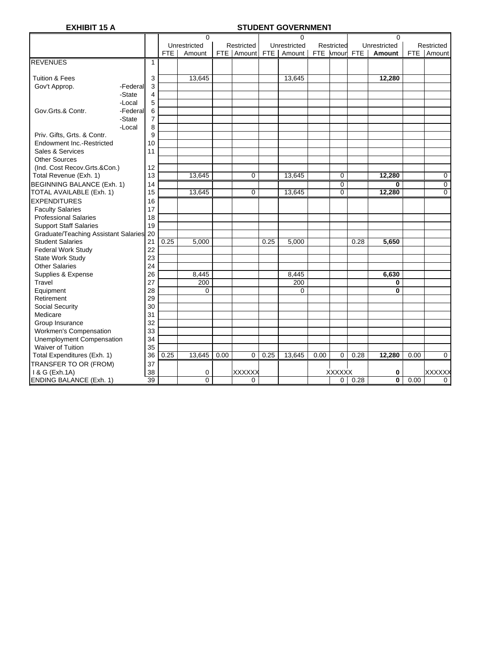# **EXHIBIT 15 A STUDENT GOVERNMENT**

|                                         |                |            | 0              |      |               |      | 0            |      |               |               | 0                       |      |             |
|-----------------------------------------|----------------|------------|----------------|------|---------------|------|--------------|------|---------------|---------------|-------------------------|------|-------------|
|                                         |                |            | Unrestricted   |      | Restricted    |      | Unrestricted |      | Restricted    |               | Unrestricted            |      | Restricted  |
|                                         |                | <b>FTE</b> | Amount         |      | FTE Amount    | FTE  | Amount       |      |               | FTE Amour FTE | Amount                  |      | FTE Amount  |
| <b>REVENUES</b>                         | $\mathbf{1}$   |            |                |      |               |      |              |      |               |               |                         |      |             |
|                                         |                |            |                |      |               |      |              |      |               |               |                         |      |             |
| <b>Tuition &amp; Fees</b>               | 3              |            | 13,645         |      |               |      | 13,645       |      |               |               | 12,280                  |      |             |
| Gov't Approp.                           | 3<br>-Federal  |            |                |      |               |      |              |      |               |               |                         |      |             |
| -State                                  | $\overline{4}$ |            |                |      |               |      |              |      |               |               |                         |      |             |
| -Local                                  | 5              |            |                |      |               |      |              |      |               |               |                         |      |             |
| Gov.Grts.& Contr.                       | 6<br>-Federal  |            |                |      |               |      |              |      |               |               |                         |      |             |
| -State                                  | $\overline{7}$ |            |                |      |               |      |              |      |               |               |                         |      |             |
| -Local                                  | 8              |            |                |      |               |      |              |      |               |               |                         |      |             |
| Priv. Gifts, Grts. & Contr.             | 9              |            |                |      |               |      |              |      |               |               |                         |      |             |
| Endowment Inc.-Restricted               | 10             |            |                |      |               |      |              |      |               |               |                         |      |             |
| Sales & Services                        | 11             |            |                |      |               |      |              |      |               |               |                         |      |             |
| <b>Other Sources</b>                    |                |            |                |      |               |      |              |      |               |               |                         |      |             |
| (Ind. Cost Recov.Grts.&Con.)            | 12             |            |                |      |               |      |              |      |               |               |                         |      |             |
| Total Revenue (Exh. 1)                  | 13             |            | 13,645         |      | $\Omega$      |      | 13,645       |      | 0             |               | 12,280                  |      | 0           |
| BEGINNING BALANCE (Exh. 1)              | 14             |            |                |      |               |      |              |      | 0             |               | 0                       |      | 0           |
| TOTAL AVAILABLE (Exh. 1)                | 15             |            | 13,645         |      | 0             |      | 13,645       |      | 0             |               | 12,280                  |      | 0           |
| <b>EXPENDITURES</b>                     | 16             |            |                |      |               |      |              |      |               |               |                         |      |             |
| <b>Faculty Salaries</b>                 | 17             |            |                |      |               |      |              |      |               |               |                         |      |             |
| <b>Professional Salaries</b>            | 18             |            |                |      |               |      |              |      |               |               |                         |      |             |
| <b>Support Staff Salaries</b>           | 19             |            |                |      |               |      |              |      |               |               |                         |      |             |
| Graduate/Teaching Assistant Salaries 20 |                |            |                |      |               |      |              |      |               |               |                         |      |             |
| <b>Student Salaries</b>                 | 21             | 0.25       | 5,000          |      |               | 0.25 | 5,000        |      |               | 0.28          | 5,650                   |      |             |
| <b>Federal Work Study</b>               | 22             |            |                |      |               |      |              |      |               |               |                         |      |             |
| <b>State Work Study</b>                 | 23             |            |                |      |               |      |              |      |               |               |                         |      |             |
| <b>Other Salaries</b>                   | 24             |            |                |      |               |      |              |      |               |               |                         |      |             |
| Supplies & Expense                      | 26             |            | 8,445          |      |               |      | 8,445        |      |               |               | 6,630                   |      |             |
| Travel                                  | 27             |            | 200            |      |               |      | 200          |      |               |               | 0                       |      |             |
| Equipment                               | 28             |            | $\mathbf{0}$   |      |               |      | 0            |      |               |               | $\bf{0}$                |      |             |
| Retirement                              | 29             |            |                |      |               |      |              |      |               |               |                         |      |             |
| Social Security                         | 30             |            |                |      |               |      |              |      |               |               |                         |      |             |
| Medicare                                | 31             |            |                |      |               |      |              |      |               |               |                         |      |             |
| Group Insurance                         | 32             |            |                |      |               |      |              |      |               |               |                         |      |             |
| Workmen's Compensation                  | 33             |            |                |      |               |      |              |      |               |               |                         |      |             |
| Unemployment Compensation               | 34             |            |                |      |               |      |              |      |               |               |                         |      |             |
| Waiver of Tuition                       | 35             |            |                |      |               |      |              |      |               |               |                         |      |             |
| Total Expenditures (Exh. 1)             | 36             | 0.25       | 13,645         | 0.00 | $\mathbf 0$   | 0.25 | 13,645       | 0.00 | 0             | 0.28          | 12,280                  | 0.00 | $\mathbf 0$ |
| TRANSFER TO OR (FROM)                   | 37             |            |                |      |               |      |              |      |               |               |                         |      |             |
| 1 & G (Exh.1A)                          | 38             |            | 0              |      | <b>XXXXXX</b> |      |              |      | <b>XXXXXX</b> |               | 0                       |      | XXXXXX      |
| <b>ENDING BALANCE (Exh. 1)</b>          | 39             |            | $\overline{0}$ |      | 0             |      |              |      | 0             | 0.28          | $\overline{\mathbf{0}}$ | 0.00 | 0           |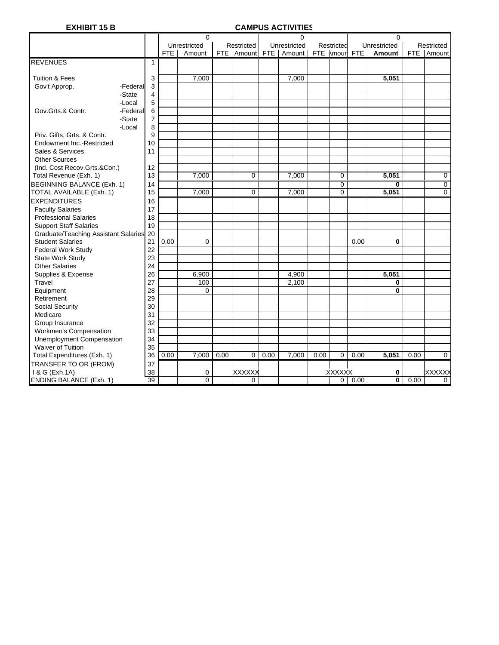# **EXHIBIT 15 B CAMPUS ACTIVITIES**

|                                         |          |                |            | $\mathbf 0$  |      |               |      | 0            |      |                |            | 0            |      |                |
|-----------------------------------------|----------|----------------|------------|--------------|------|---------------|------|--------------|------|----------------|------------|--------------|------|----------------|
|                                         |          |                |            | Unrestricted |      | Restricted    |      | Unrestricted |      | Restricted     |            | Unrestricted |      | Restricted     |
|                                         |          |                | <b>FTE</b> | Amount       |      | FTE Amount    | FTE  | Amount       |      | FTE Amour      | <b>FTE</b> | Amount       | FTE  | Amount         |
| <b>REVENUES</b>                         |          | 1              |            |              |      |               |      |              |      |                |            |              |      |                |
|                                         |          |                |            |              |      |               |      |              |      |                |            |              |      |                |
| <b>Tuition &amp; Fees</b>               |          | 3              |            | 7,000        |      |               |      | 7,000        |      |                |            | 5,051        |      |                |
| Gov't Approp.                           | -Federal | 3              |            |              |      |               |      |              |      |                |            |              |      |                |
|                                         | -State   | $\overline{4}$ |            |              |      |               |      |              |      |                |            |              |      |                |
|                                         | -Local   | 5              |            |              |      |               |      |              |      |                |            |              |      |                |
| Gov.Grts.& Contr.                       | -Federal | 6              |            |              |      |               |      |              |      |                |            |              |      |                |
|                                         | -State   | $\overline{7}$ |            |              |      |               |      |              |      |                |            |              |      |                |
|                                         | -Local   | 8              |            |              |      |               |      |              |      |                |            |              |      |                |
| Priv. Gifts, Grts. & Contr.             |          | 9              |            |              |      |               |      |              |      |                |            |              |      |                |
| Endowment Inc.-Restricted               |          | 10             |            |              |      |               |      |              |      |                |            |              |      |                |
| Sales & Services                        |          | 11             |            |              |      |               |      |              |      |                |            |              |      |                |
| <b>Other Sources</b>                    |          |                |            |              |      |               |      |              |      |                |            |              |      |                |
| (Ind. Cost Recov.Grts.&Con.)            |          | 12             |            |              |      |               |      |              |      |                |            |              |      |                |
| Total Revenue (Exh. 1)                  |          | 13             |            | 7,000        |      | 0             |      | 7,000        |      | 0              |            | 5,051        |      | 0              |
| <b>BEGINNING BALANCE (Exh. 1)</b>       |          | 14             |            |              |      |               |      |              |      | 0              |            | 0            |      | 0              |
| TOTAL AVAILABLE (Exh. 1)                |          | 15             |            | 7,000        |      | $\mathbf 0$   |      | 7,000        |      | $\overline{0}$ |            | 5,051        |      | $\overline{0}$ |
| <b>EXPENDITURES</b>                     |          | 16             |            |              |      |               |      |              |      |                |            |              |      |                |
| <b>Faculty Salaries</b>                 |          | 17             |            |              |      |               |      |              |      |                |            |              |      |                |
| <b>Professional Salaries</b>            |          | 18             |            |              |      |               |      |              |      |                |            |              |      |                |
| <b>Support Staff Salaries</b>           |          | 19             |            |              |      |               |      |              |      |                |            |              |      |                |
| Graduate/Teaching Assistant Salaries 20 |          |                |            |              |      |               |      |              |      |                |            |              |      |                |
| <b>Student Salaries</b>                 |          | 21             | 0.00       | 0            |      |               |      |              |      |                | 0.00       | 0            |      |                |
| Federal Work Study                      |          | 22             |            |              |      |               |      |              |      |                |            |              |      |                |
| State Work Study                        |          | 23             |            |              |      |               |      |              |      |                |            |              |      |                |
| <b>Other Salaries</b>                   |          | 24             |            |              |      |               |      |              |      |                |            |              |      |                |
| Supplies & Expense                      |          | 26             |            | 6,900        |      |               |      | 4,900        |      |                |            | 5,051        |      |                |
| Travel                                  |          | 27             |            | 100          |      |               |      | 2,100        |      |                |            | 0            |      |                |
| Equipment                               |          | 28             |            | $\Omega$     |      |               |      |              |      |                |            | 0            |      |                |
| Retirement                              |          | 29             |            |              |      |               |      |              |      |                |            |              |      |                |
| Social Security                         |          | 30             |            |              |      |               |      |              |      |                |            |              |      |                |
| Medicare                                |          | 31             |            |              |      |               |      |              |      |                |            |              |      |                |
| Group Insurance                         |          | 32             |            |              |      |               |      |              |      |                |            |              |      |                |
| Workmen's Compensation                  |          | 33             |            |              |      |               |      |              |      |                |            |              |      |                |
| Unemployment Compensation               |          | 34             |            |              |      |               |      |              |      |                |            |              |      |                |
| <b>Waiver of Tuition</b>                |          | 35             |            |              |      |               |      |              |      |                |            |              |      |                |
| Total Expenditures (Exh. 1)             |          | 36             | 0.00       | 7,000        | 0.00 | $\mathbf 0$   | 0.00 | 7,000        | 0.00 | $\mathbf 0$    | 0.00       | 5,051        | 0.00 | $\mathbf 0$    |
| TRANSFER TO OR (FROM)                   |          | 37             |            |              |      |               |      |              |      |                |            |              |      |                |
| 1 & G (Exh.1A)                          |          | 38             |            | 0            |      | <b>XXXXXX</b> |      |              |      | <b>XXXXXX</b>  |            | 0            |      | XXXXXX         |
| <b>ENDING BALANCE (Exh. 1)</b>          |          | 39             |            | 0            |      | $\mathbf 0$   |      |              |      | 0              | 0.00       | 0            | 0.00 | 0              |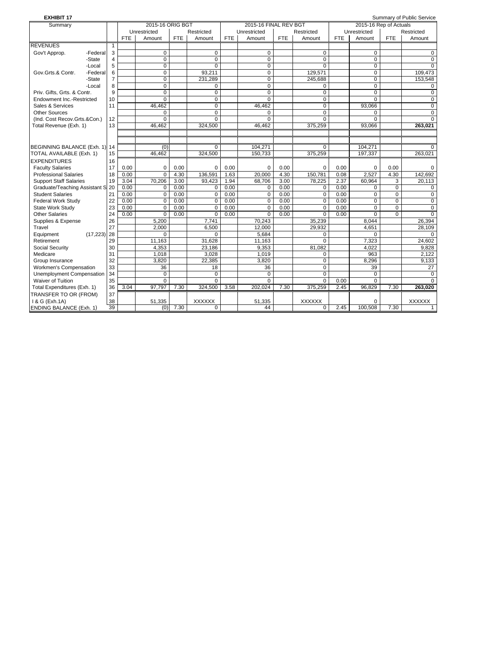| <b>EXHIBIT 17</b>              |                |            |                  |            |                |            |                       |      |                |            |                        |            | Summary of Public Service |
|--------------------------------|----------------|------------|------------------|------------|----------------|------------|-----------------------|------|----------------|------------|------------------------|------------|---------------------------|
| Summary                        |                |            | 2015-16 ORIG BGT |            |                |            | 2015-16 FINAL REV BGT |      |                |            | 2015-16 Rep of Actuals |            |                           |
|                                |                |            | Unrestricted     |            | Restricted     |            | Unrestricted          |      | Restricted     |            | Unrestricted           |            | Restricted                |
|                                |                | <b>FTE</b> | Amount           | <b>FTE</b> | Amount         | <b>FTE</b> | Amount                | FTE  | Amount         | <b>FTE</b> | Amount                 | <b>FTE</b> | Amount                    |
| <b>REVENUES</b>                | $\mathbf{1}$   |            |                  |            |                |            |                       |      |                |            |                        |            |                           |
| Gov't Approp.<br>-Federal      | 3              |            | $\mathbf 0$      |            | $\mathbf 0$    |            | $\mathbf 0$           |      | 0              |            | $\mathbf 0$            |            | 0                         |
| -State                         | $\overline{4}$ |            | $\overline{0}$   |            | $\mathbf 0$    |            | $\overline{0}$        |      | 0              |            | $\mathbf 0$            |            | $\Omega$                  |
| -Local                         | 5              |            | $\overline{0}$   |            | $\Omega$       |            | $\overline{0}$        |      | $\overline{0}$ |            | $\mathbf 0$            |            | $\Omega$                  |
| Gov.Grts.& Contr.<br>-Federal  | 6              |            | 0                |            | 93,211         |            | 0                     |      | 129,571        |            | $\mathbf 0$            |            | 109,473                   |
| -State                         | $\overline{7}$ |            | $\mathbf 0$      |            | 231,289        |            | $\mathbf 0$           |      | 245,688        |            | $\mathbf 0$            |            | 153,548                   |
| -Local                         | 8              |            | $\Omega$         |            | $\Omega$       |            | $\Omega$              |      | $\Omega$       |            | $\Omega$               |            | $\Omega$                  |
| Priv. Gifts. Grts. & Contr.    | 9              |            | 0                |            | 0              |            | $\Omega$              |      | 0              |            | $\Omega$               |            | $\Omega$                  |
| Endowment Inc.-Restricted      | 10             |            | $\mathbf 0$      |            | $\mathbf 0$    |            | $\mathbf 0$           |      | 0              |            | $\Omega$               |            | $\Omega$                  |
| Sales & Services               | 11             |            | 46.462           |            | $\Omega$       |            | 46.462                |      | $\Omega$       |            | 93,066                 |            | $\Omega$                  |
| <b>Other Sources</b>           |                |            | 0                |            | $\mathbf 0$    |            | 0                     |      | 0              |            | $\Omega$               |            | $\Omega$                  |
| (Ind. Cost Recov.Grts.&Con.)   | 12             |            | 0                |            | $\Omega$       |            | $\mathbf 0$           |      | $\overline{0}$ |            | $\mathbf 0$            |            | $\Omega$                  |
| Total Revenue (Exh. 1)         | 13             |            | 46.462           |            | 324,500        |            | 46.462                |      | 375,259        |            | 93,066                 |            | 263.021                   |
|                                |                |            |                  |            |                |            |                       |      |                |            |                        |            |                           |
|                                |                |            |                  |            |                |            |                       |      |                |            |                        |            |                           |
| BEGINNING BALANCE (Exh. 1) 14  |                |            | (0)              |            | $\Omega$       |            | 104.271               |      | $\Omega$       |            | 104.271                |            | 0                         |
| TOTAL AVAILABLE (Exh. 1)       | 15             |            | 46.462           |            | 324,500        |            | 150,733               |      | 375,259        |            | 197,337                |            | 263.021                   |
| <b>EXPENDITURES</b>            | 16             |            |                  |            |                |            |                       |      |                |            |                        |            |                           |
| <b>Faculty Salaries</b>        | 17             | 0.00       | $\Omega$         | 0.00       | $\Omega$       | 0.00       | $\Omega$              | 0.00 | $\Omega$       | 0.00       | $\Omega$               | 0.00       | $\Omega$                  |
| <b>Professional Salaries</b>   | 18             | 0.00       | $\mathbf 0$      | 4.30       | 136,591        | 1.63       | 20,000                | 4.30 | 150.781        | 0.08       | 2.527                  | 4.30       | 142.692                   |
| <b>Support Staff Salaries</b>  | 19             | 3.04       | 70,206           | 3.00       | 93,423         | 1.94       | 68,706                | 3.00 | 78,225         | 2.37       | 60,964                 | 3          | 20,113                    |
| Graduate/Teaching Assistant S  | 20             | 0.00       | 0                | 0.00       | 0              | 0.00       | 0                     | 0.00 | 0              | 0.00       | 0                      | $\Omega$   | 0                         |
| <b>Student Salaries</b>        | 21             | 0.00       | 0                | 0.00       | $\mathbf 0$    | 0.00       | $\mathbf 0$           | 0.00 | 0              | 0.00       | 0                      | 0          | 0                         |
| <b>Federal Work Study</b>      | 22             | 0.00       | $\mathbf 0$      | 0.00       | $\mathbf 0$    | 0.00       | $\mathbf 0$           | 0.00 | $\mathbf 0$    | 0.00       | $\Omega$               | $\Omega$   | $\Omega$                  |
| <b>State Work Study</b>        | 23             | 0.00       | $\overline{0}$   | 0.00       | $\mathbf 0$    | 0.00       | 0                     | 0.00 | 0              | 0.00       | $\mathbf 0$            | $\Omega$   | 0                         |
| <b>Other Salaries</b>          | 24             | 0.00       | $\Omega$         | 0.00       | $\Omega$       | 0.00       | $\Omega$              | 0.00 | $\Omega$       | 0.00       | $\Omega$               | $\Omega$   | $\Omega$                  |
| Supplies & Expense             | 26             |            | 5,200            |            | 7,741          |            | 70.243                |      | 35,239         |            | 8.044                  |            | 26,394                    |
| Travel                         | 27             |            | 2.000            |            | 6.500          |            | 12.000                |      | 29.932         |            | 4.651                  |            | 28.109                    |
| Equipment<br>(17, 223)         | 28             |            | $\Omega$         |            | $\Omega$       |            | 5,684                 |      | 0              |            | 0                      |            | $\Omega$                  |
| Retirement                     | 29             |            | 11,163           |            | 31,628         |            | 11,163                |      | 0              |            | 7,323                  |            | 24,602                    |
| Social Security                | 30             |            | 4.353            |            | 23.186         |            | 9.353                 |      | 81,082         |            | 4.022                  |            | 9.828                     |
| Medicare                       | 31             |            | 1.018            |            | 3.028          |            | 1,019                 |      | 0              |            | 963                    |            | 2.122                     |
| Group Insurance                | 32             |            | 3,820            |            | 22,385         |            | 3,820                 |      | $\overline{0}$ |            | 8.296                  |            | 9,133                     |
| Workmen's Compensation         | 33             |            | 36               |            | 18             |            | 36                    |      | $\Omega$       |            | 39                     |            | 27                        |
| Unemployment Compensation      | 34             |            | $\mathbf 0$      |            | $\Omega$       |            | $\Omega$              |      | 0              |            | $\Omega$               |            | $\Omega$                  |
| Waiver of Tuition              | 35             |            | $\overline{0}$   |            | $\overline{0}$ |            | $\overline{0}$        |      | $\overline{0}$ | 0.00       | $\overline{0}$         |            | $\Omega$                  |
| Total Expenditures (Exh. 1)    | 36             | 3.04       | 97,797           | 7.30       | 324,500        | 3.58       | 202,024               | 7.30 | 375,259        | 2.45       | 96,829                 | 7.30       | 263,020                   |
| TRANSFER TO OR (FROM)          | 37             |            |                  |            |                |            |                       |      |                |            |                        |            |                           |
| 1 & G (Exh.1A)                 | 38             |            | 51,335           |            | <b>XXXXXX</b>  |            | 51,335                |      | <b>XXXXXX</b>  |            | $\mathbf 0$            |            | <b>XXXXXX</b>             |
| <b>ENDING BALANCE (Exh. 1)</b> | 39             |            | (0)              | 7.30       | $\mathbf 0$    |            | 44                    |      | 0              | 2.45       | 100,508                | 7.30       |                           |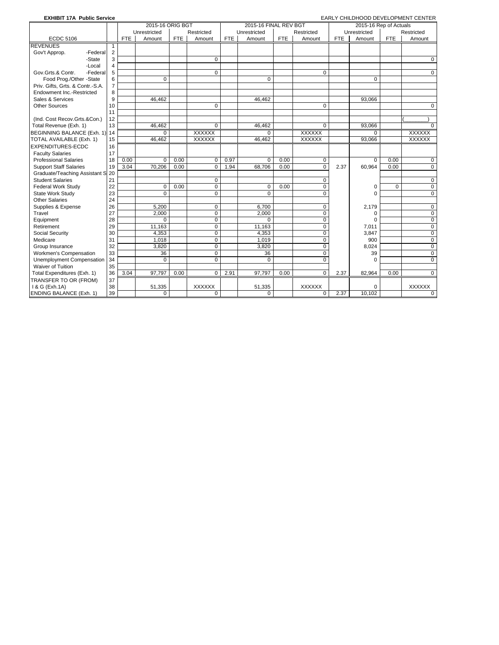| <b>EXHIBIT 17A Public Service</b>                           |                |            | 2015-16 ORIG BGT |            |                |            | 2015-16 FINAL REV BGT |            |                |            | 2015-16 Rep of Actuals |             | EARLY CHILDHOOD DEVELOPMENT CENTER |
|-------------------------------------------------------------|----------------|------------|------------------|------------|----------------|------------|-----------------------|------------|----------------|------------|------------------------|-------------|------------------------------------|
|                                                             |                |            | Unrestricted     |            | Restricted     |            | Unrestricted          |            | Restricted     |            | Unrestricted           |             | Restricted                         |
| <b>ECDC 5106</b>                                            |                | <b>FTE</b> | Amount           | <b>FTE</b> | Amount         | <b>FTE</b> | Amount                | <b>FTE</b> | Amount         | <b>FTE</b> | Amount                 | <b>FTE</b>  | Amount                             |
|                                                             |                |            |                  |            |                |            |                       |            |                |            |                        |             |                                    |
| <b>REVENUES</b>                                             | $\mathbf{1}$   |            |                  |            |                |            |                       |            |                |            |                        |             |                                    |
| Gov't Approp.<br>-Federal                                   | $\overline{2}$ |            |                  |            |                |            |                       |            |                |            |                        |             |                                    |
| -State                                                      | 3              |            |                  |            | $\mathbf 0$    |            |                       |            |                |            |                        |             | 0                                  |
| -Local                                                      | $\overline{4}$ |            |                  |            |                |            |                       |            |                |            |                        |             |                                    |
| Gov.Grts.& Contr.<br>-Federal                               | 5              |            |                  |            | $\mathbf 0$    |            |                       |            | $\Omega$       |            |                        |             | $\mathbf 0$                        |
| Food Prog./Other -State<br>Priv. Gifts, Grts. & Contr.-S.A. | 6              |            | $\Omega$         |            |                |            | $\Omega$              |            |                |            | $\Omega$               |             |                                    |
| Endowment Inc.-Restricted                                   | 7              |            |                  |            |                |            |                       |            |                |            |                        |             |                                    |
|                                                             | 8              |            |                  |            |                |            |                       |            |                |            |                        |             |                                    |
| Sales & Services                                            | 9              |            | 46.462           |            |                |            | 46.462                |            |                |            | 93.066                 |             |                                    |
| <b>Other Sources</b>                                        | 10             |            |                  |            | $\mathbf 0$    |            |                       |            | $\mathbf 0$    |            |                        |             | $\mathbf 0$                        |
|                                                             | 11             |            |                  |            |                |            |                       |            |                |            |                        |             |                                    |
| (Ind. Cost Recov.Grts.&Con.)<br>Total Revenue (Exh. 1)      | 12<br>13       |            | 46.462           |            | $\mathbf 0$    |            | 46.462                |            | $\mathbf 0$    |            | 93.066                 |             | $\mathbf 0$                        |
|                                                             |                |            |                  |            |                |            |                       |            |                |            |                        |             |                                    |
| BEGINNING BALANCE (Exh. 1) 14                               |                |            | $\Omega$         |            | <b>XXXXXX</b>  |            | $\Omega$              |            | <b>XXXXXX</b>  |            | $\Omega$               |             | <b>XXXXXX</b>                      |
| TOTAL AVAILABLE (Exh. 1)                                    | 15             |            | 46,462           |            | <b>XXXXXX</b>  |            | 46,462                |            | <b>XXXXXX</b>  |            | 93,066                 |             | <b>XXXXXX</b>                      |
| <b>EXPENDITURES-ECDC</b>                                    | 16             |            |                  |            |                |            |                       |            |                |            |                        |             |                                    |
| <b>Faculty Salaries</b>                                     | 17             |            |                  |            |                |            |                       |            |                |            |                        |             |                                    |
| <b>Professional Salaries</b>                                | 18             | 0.00       | $\Omega$         | 0.00       | $\mathbf 0$    | 0.97       | $\Omega$              | 0.00       | 0              |            | $\Omega$               | 0.00        | 0                                  |
| <b>Support Staff Salaries</b>                               | 19             | 3.04       | 70.206           | 0.00       | $\mathbf 0$    | 1.94       | 68,706                | 0.00       | $\overline{0}$ | 2.37       | 60,964                 | 0.00        | $\overline{0}$                     |
| Graduate/Teaching Assistant S 20                            |                |            |                  |            |                |            |                       |            |                |            |                        |             |                                    |
| <b>Student Salaries</b>                                     | 21             |            |                  |            | $\mathbf 0$    |            |                       |            | $\mathbf 0$    |            |                        |             | $\mathbf 0$                        |
| <b>Federal Work Study</b>                                   | 22             |            | $\mathbf 0$      | 0.00       | 0              |            | $\mathbf 0$           | 0.00       | $\mathbf 0$    |            | $\Omega$               | $\mathbf 0$ | $\mathbf 0$                        |
| State Work Study                                            | 23             |            | $\Omega$         |            | $\mathbf 0$    |            | $\Omega$              |            | $\overline{0}$ |            | $\Omega$               |             | $\overline{0}$                     |
| Other Salaries                                              | 24             |            |                  |            |                |            |                       |            |                |            |                        |             |                                    |
| Supplies & Expense                                          | 26             |            | 5,200            |            | $\mathbf 0$    |            | 6.700                 |            | $\mathbf 0$    |            | 2.179                  |             | $\mathbf 0$                        |
| Travel                                                      | 27             |            | 2,000            |            | $\mathbf 0$    |            | 2.000                 |            | $\mathbf 0$    |            | $\Omega$               |             | $\mathbf 0$                        |
| Equipment                                                   | 28             |            | $\Omega$         |            | 0              |            | $\Omega$              |            | $\mathbf 0$    |            | $\Omega$               |             | 0                                  |
| Retirement                                                  | 29             |            | 11,163           |            | $\overline{0}$ |            | 11,163                |            | $\overline{0}$ |            | 7,011                  |             | $\overline{0}$                     |
| Social Security                                             | 30             |            | 4,353            |            | $\mathbf 0$    |            | 4,353                 |            | $\mathbf 0$    |            | 3,847                  |             | $\mathbf 0$                        |
| Medicare                                                    | 31             |            | 1,018            |            | $\mathbf 0$    |            | 1,019                 |            | $\Omega$       |            | 900                    |             | $\mathbf 0$                        |
| Group Insurance                                             | 32             |            | 3,820            |            | 0              |            | 3,820                 |            | 0              |            | 8,024                  |             | $\mathbf 0$                        |
| Workmen's Compensation                                      | 33             |            | 36               |            | $\mathbf 0$    |            | 36                    |            | $\Omega$       |            | 39                     |             | $\overline{0}$                     |
| Unemployment Compensation                                   | 34             |            | $\Omega$         |            | $\mathbf 0$    |            | $\Omega$              |            | $\Omega$       |            | $\Omega$               |             | $\Omega$                           |
| Waiver of Tuition                                           | 35             |            |                  |            |                |            |                       |            |                |            |                        |             |                                    |
| Total Expenditures (Exh. 1)                                 | 36             | 3.04       | 97,797           | 0.00       | 0              | 2.91       | 97,797                | 0.00       | $\overline{0}$ | 2.37       | 82,964                 | 0.00        | $\mathbf 0$                        |
| TRANSFER TO OR (FROM)                                       | 37             |            |                  |            |                |            |                       |            |                |            |                        |             |                                    |
| 1 & G (Exh.1A)                                              | 38             |            | 51,335           |            | XXXXXX         |            | 51,335                |            | <b>XXXXXX</b>  |            | $\Omega$               |             | <b>XXXXXX</b>                      |
| <b>ENDING BALANCE (Exh. 1)</b>                              | 39             |            | $\mathbf 0$      |            | $\mathbf 0$    |            | $\mathbf 0$           |            | $\mathbf 0$    | 2.37       | 10,102                 |             | 0                                  |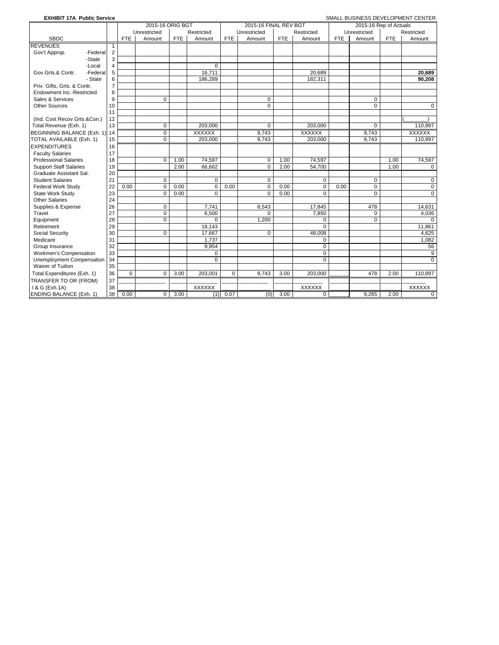| <b>EXHIBIT 17A Public Service</b> |                |             |                  |      |                |             |                       |      |                |            |                        |            | SMALL BUSINESS DEVELOPMENT CENTER |
|-----------------------------------|----------------|-------------|------------------|------|----------------|-------------|-----------------------|------|----------------|------------|------------------------|------------|-----------------------------------|
|                                   |                |             | 2015-16 ORIG BGT |      |                |             | 2015-16 FINAL REV BGT |      |                |            | 2015-16 Rep of Actuals |            |                                   |
|                                   |                |             | Unrestricted     |      | Restricted     |             | Unrestricted          |      | Restricted     |            | Unrestricted           |            | Restricted                        |
| <b>SBDC</b>                       |                | <b>FTE</b>  | Amount           | FTE  | Amount         | <b>FTE</b>  | Amount                | FTE  | Amount         | <b>FTE</b> | Amount                 | <b>FTE</b> | Amount                            |
| <b>REVENUES</b>                   | 1              |             |                  |      |                |             |                       |      |                |            |                        |            |                                   |
| Gov't Approp.<br>-Federal         | $\overline{2}$ |             |                  |      |                |             |                       |      |                |            |                        |            |                                   |
| -State                            | 3              |             |                  |      |                |             |                       |      |                |            |                        |            |                                   |
| -Local                            | 4              |             |                  |      | $\overline{0}$ |             |                       |      |                |            |                        |            |                                   |
| -Federal<br>Gov.Grts.& Contr.     | 5              |             |                  |      | 16,711         |             |                       |      | 20.689         |            |                        |            | 20.689                            |
| - State                           | 6              |             |                  |      | 186,289        |             |                       |      | 182,311        |            |                        |            | 90,208                            |
| Priv. Gifts, Grts. & Contr.       | $\overline{7}$ |             |                  |      |                |             |                       |      |                |            |                        |            |                                   |
| <b>Endowment Inc.-Restricted</b>  | 8              |             |                  |      |                |             |                       |      |                |            |                        |            |                                   |
| Sales & Services                  | 9              |             | $\Omega$         |      |                |             | $\Omega$              |      |                |            | $\Omega$               |            |                                   |
| <b>Other Sources</b>              | 10             |             |                  |      |                |             | $\mathbf 0$           |      |                |            | $\Omega$               |            | 0                                 |
|                                   | 11             |             |                  |      |                |             |                       |      |                |            |                        |            |                                   |
| (Ind. Cost Recov.Grts.&Con.)      | 12             |             |                  |      |                |             |                       |      |                |            |                        |            |                                   |
| Total Revenue (Exh. 1)            | 13             |             | $\mathbf 0$      |      | 203,000        |             | 0                     |      | 203,000        |            | 0                      |            | 110,897                           |
| BEGINNING BALANCE (Exh. 1)        | 14             |             | $\mathbf 0$      |      | <b>XXXXXX</b>  |             | 9,743                 |      | <b>XXXXXX</b>  |            | 9,743                  |            | <b>XXXXXX</b>                     |
| TOTAL AVAILABLE (Exh. 1)          | 15             |             | $\mathbf 0$      |      | 203,000        |             | 9.743                 |      | 203.000        |            | 9.743                  |            | 110.897                           |
| <b>EXPENDITURES</b>               | 16             |             |                  |      |                |             |                       |      |                |            |                        |            |                                   |
| <b>Faculty Salaries</b>           | 17             |             |                  |      |                |             |                       |      |                |            |                        |            |                                   |
| <b>Professional Salaries</b>      | 18             |             | $\Omega$         | 1.00 | 74,597         |             | $\Omega$              | 1.00 | 74,597         |            |                        | 1.00       | 74,597                            |
| <b>Support Staff Salaries</b>     | 19             |             |                  | 2.00 | 66.662         |             | $\Omega$              | 2.00 | 54,700         |            |                        | 1.00       | $\Omega$                          |
| Graduate Assistant Sal.           | 20             |             |                  |      |                |             |                       |      |                |            |                        |            |                                   |
| <b>Student Salaries</b>           | 21             |             | $\mathbf 0$      |      | $\mathbf 0$    |             | $\mathbf 0$           |      | $\mathbf 0$    |            | 0                      |            | 0                                 |
| <b>Federal Work Study</b>         | 22             | 0.00        | $\Omega$         | 0.00 | $\mathbf 0$    | 0.00        | $\mathbf 0$           | 0.00 | $\mathbf 0$    | 0.00       | $\mathbf 0$            |            | $\mathbf 0$                       |
| State Work Study                  | 23             |             | $\mathbf 0$      | 0.00 | $\Omega$       |             | $\Omega$              | 0.00 | $\Omega$       |            | $\Omega$               |            | $\Omega$                          |
| <b>Other Salaries</b>             | 24             |             |                  |      |                |             |                       |      |                |            |                        |            |                                   |
| Supplies & Expense                | 26             |             | $\mathbf 0$      |      | 7,741          |             | 8,543                 |      | 17,845         |            | 478                    |            | 14,631                            |
| Travel                            | 27             |             | $\mathbf 0$      |      | 6,500          |             | $\Omega$              |      | 7,850          |            | 0                      |            | 4,036                             |
| Equipment                         | 28             |             | $\mathbf 0$      |      | $\Omega$       |             | 1,200                 |      | 0              |            | $\Omega$               |            | $\Omega$                          |
| Retirement                        | 29             |             |                  |      | 18.143         |             |                       |      | $\Omega$       |            |                        |            | 11.861                            |
| Social Security                   | 30             |             | $\Omega$         |      | 17.667         |             | $\Omega$              |      | 48,008         |            |                        |            | 4.625                             |
| Medicare                          | 31             |             |                  |      | 1,737          |             |                       |      | 0              |            |                        |            | 1,082                             |
| Group Insurance                   | 32             |             |                  |      | 9,954          |             |                       |      | $\overline{0}$ |            |                        |            | 56                                |
| Workmen's Compensation            | 33             |             |                  |      | $\mathbf 0$    |             |                       |      | $\overline{0}$ |            |                        |            | $\overline{9}$                    |
| Unemployment Compensation         | 34             |             |                  |      | $\Omega$       |             |                       |      | $\Omega$       |            |                        |            | $\Omega$                          |
| <b>Waiver of Tuition</b>          | 35             |             |                  |      |                |             |                       |      |                |            |                        |            |                                   |
| Total Expenditures (Exh. 1)       | 36             | $\mathbf 0$ | $\mathbf 0$      | 3.00 | 203.001        | $\mathbf 0$ | 9.743                 | 3.00 | 203.000        |            | 478                    | 2.00       | 110.897                           |
| TRANSFER TO OR (FROM)             | 37             |             |                  |      |                |             |                       |      |                |            |                        |            |                                   |
| 1 & G (Exh.1A)                    | 38             |             |                  |      | <b>XXXXXX</b>  |             |                       |      | <b>XXXXXX</b>  |            |                        |            | <b>XXXXXX</b>                     |
| <b>ENDING BALANCE (Exh. 1)</b>    | 38             | 0.00        | 0                | 3.00 | (1)            | 0.07        | (0)                   | 3.00 | $\mathbf 0$    |            | 9.265                  | 2.00       | $\mathbf 0$                       |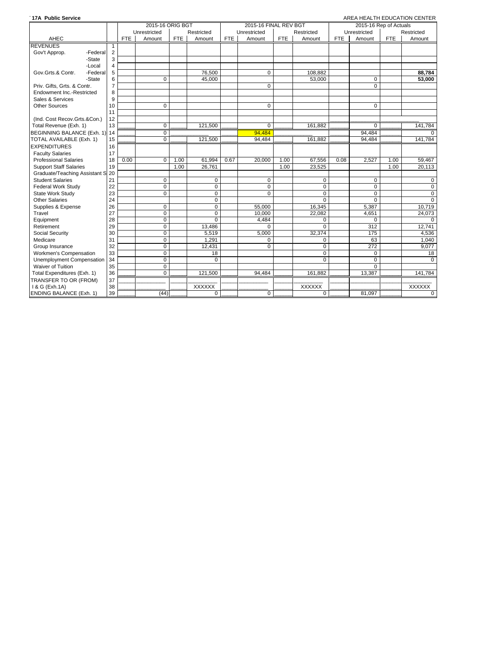| 17A Public Service               |                |            |                  |            |               |            |                       |            |             |            |                        |            | AREA HEALTH EDUCATION CENTER |
|----------------------------------|----------------|------------|------------------|------------|---------------|------------|-----------------------|------------|-------------|------------|------------------------|------------|------------------------------|
|                                  |                |            | 2015-16 ORIG BGT |            |               |            | 2015-16 FINAL REV BGT |            |             |            | 2015-16 Rep of Actuals |            |                              |
|                                  |                |            | Unrestricted     |            | Restricted    |            | Unrestricted          |            | Restricted  |            | Unrestricted           |            | Restricted                   |
| AHEC                             |                | <b>FTE</b> | Amount           | <b>FTE</b> | Amount        | <b>FTE</b> | Amount                | <b>FTE</b> | Amount      | <b>FTE</b> | Amount                 | <b>FTE</b> | Amount                       |
| <b>REVENUES</b>                  | -1             |            |                  |            |               |            |                       |            |             |            |                        |            |                              |
| Gov't Approp.<br>-Federal        | $\overline{2}$ |            |                  |            |               |            |                       |            |             |            |                        |            |                              |
| -State                           | 3              |            |                  |            |               |            |                       |            |             |            |                        |            |                              |
| -Local                           | $\overline{4}$ |            |                  |            |               |            |                       |            |             |            |                        |            |                              |
| Gov.Grts.& Contr.<br>-Federal    | 5              |            |                  |            | 76.500        |            | $\mathbf 0$           |            | 108.882     |            |                        |            | 88,784                       |
| -State                           | 6              |            | 0                |            | 45.000        |            |                       |            | 53,000      |            | 0                      |            | 53.000                       |
| Priv. Gifts. Grts. & Contr.      | $\overline{7}$ |            |                  |            |               |            | $\mathbf 0$           |            |             |            | $\mathbf 0$            |            |                              |
| Endowment Inc.-Restricted        | 8              |            |                  |            |               |            |                       |            |             |            |                        |            |                              |
| Sales & Services                 | 9              |            |                  |            |               |            |                       |            |             |            |                        |            |                              |
| <b>Other Sources</b>             | 10             |            | 0                |            |               |            | $\Omega$              |            |             |            | $\Omega$               |            |                              |
|                                  | 11             |            |                  |            |               |            |                       |            |             |            |                        |            |                              |
| (Ind. Cost Recov.Grts.&Con.)     | 12             |            |                  |            |               |            |                       |            |             |            |                        |            |                              |
| Total Revenue (Exh. 1)           | 13             |            | $\Omega$         |            | 121,500       |            | $\Omega$              |            | 161.882     |            | $\Omega$               |            | 141,784                      |
| BEGINNING BALANCE (Exh. 1) 14    |                |            | 0                |            |               |            | 94.484                |            |             |            | 94.484                 |            | $\Omega$                     |
| TOTAL AVAILABLE (Exh. 1)         | 15             |            | 0                |            | 121,500       |            | 94,484                |            | 161.882     |            | 94,484                 |            | 141.784                      |
| <b>EXPENDITURES</b>              | 16             |            |                  |            |               |            |                       |            |             |            |                        |            |                              |
| <b>Faculty Salaries</b>          | 17             |            |                  |            |               |            |                       |            |             |            |                        |            |                              |
| <b>Professional Salaries</b>     | 18             | 0.00       | 0                | 1.00       | 61,994        | 0.67       | 20,000                | 1.00       | 67,556      | 0.08       | 2,527                  | 1.00       | 59,467                       |
| <b>Support Staff Salaries</b>    | 19             |            |                  | 1.00       | 26,761        |            |                       | 1.00       | 23,525      |            |                        | 1.00       | 20.113                       |
| Graduate/Teaching Assistant S 20 |                |            |                  |            |               |            |                       |            |             |            |                        |            |                              |
| <b>Student Salaries</b>          | 21             |            | 0                |            | $\mathbf 0$   |            | 0                     |            | 0           |            | 0                      |            | 0                            |
| Federal Work Study               | 22             |            | $\Omega$         |            | $\mathbf 0$   |            | $\Omega$              |            | $\Omega$    |            | $\Omega$               |            | 0                            |
| State Work Study                 | 23             |            | 0                |            | $\mathbf 0$   |            | $\Omega$              |            | $\mathbf 0$ |            | $\mathbf 0$            |            | $\mathbf 0$                  |
| <b>Other Salaries</b>            | 24             |            |                  |            | 0             |            |                       |            | $\Omega$    |            | $\mathbf 0$            |            | $\mathbf 0$                  |
| Supplies & Expense               | 26             |            | 0                |            | $\mathbf 0$   |            | 55.000                |            | 16,345      |            | 5.387                  |            | 10,719                       |
| Travel                           | 27             |            | $\mathbf 0$      |            | $\mathbf 0$   |            | 10.000                |            | 22,082      |            | 4,651                  |            | 24,073                       |
| Equipment                        | 28             |            | 0                |            | $\mathbf 0$   |            | 4,484                 |            | $\mathbf 0$ |            | 0                      |            | $\Omega$                     |
| Retirement                       | 29             |            | $\overline{0}$   |            | 13,486        |            | $\Omega$              |            | $\Omega$    |            | 312                    |            | 12,741                       |
| Social Security                  | 30             |            | $\Omega$         |            | 5,519         |            | 5.000                 |            | 32,374      |            | 175                    |            | 4,536                        |
| Medicare                         | 31             |            | $\mathbf 0$      |            | 1.291         |            | $\Omega$              |            | $\mathbf 0$ |            | 63                     |            | 1.040                        |
| Group Insurance                  | 32             |            | $\mathbf 0$      |            | 12,431        |            | $\mathbf 0$           |            | $\mathbf 0$ |            | 272                    |            | 9.077                        |
| Workmen's Compensation           | 33             |            | $\overline{0}$   |            | 18            |            |                       |            | $\mathbf 0$ |            | $\mathbf 0$            |            | 18                           |
| Unemployment Compensation        | 34             |            | $\Omega$         |            | $\Omega$      |            |                       |            | $\Omega$    |            | $\Omega$               |            | $\Omega$                     |
| <b>Waiver of Tuition</b>         | 35             |            | $\mathbf 0$      |            |               |            |                       |            |             |            | $\Omega$               |            |                              |
| Total Expenditures (Exh. 1)      | 36             |            | $\mathbf 0$      |            | 121,500       |            | 94,484                |            | 161,882     |            | 13,387                 |            | 141,784                      |
| TRANSFER TO OR (FROM)            | 37             |            |                  |            |               |            |                       |            |             |            |                        |            |                              |
| 1 & G (Exh.1A)                   | 38             |            |                  |            | <b>XXXXXX</b> |            |                       |            | XXXXXX      |            |                        |            | <b>XXXXXX</b>                |
| <b>ENDING BALANCE (Exh. 1)</b>   | 39             |            | (44)             |            | $\mathbf 0$   |            | $\mathbf 0$           |            | $\mathbf 0$ |            | 81.097                 |            | $\mathbf 0$                  |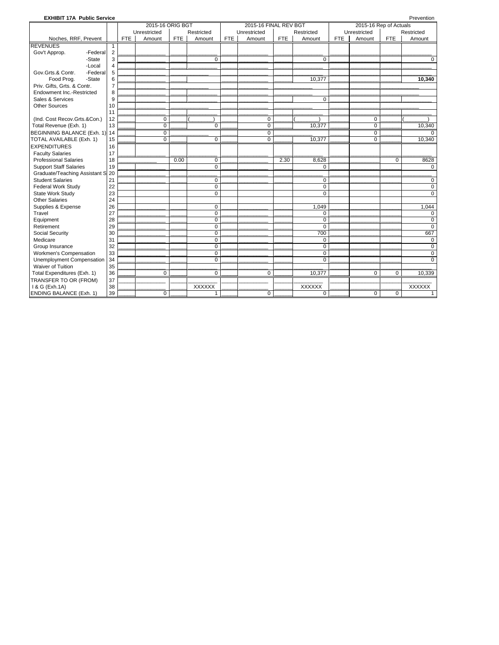| <b>EXHIBIT 17A Public Service</b> |                |            |                  |            |                |            |                       |            |                |            |                        |             | Prevention     |
|-----------------------------------|----------------|------------|------------------|------------|----------------|------------|-----------------------|------------|----------------|------------|------------------------|-------------|----------------|
|                                   |                |            | 2015-16 ORIG BGT |            |                |            | 2015-16 FINAL REV BGT |            |                |            | 2015-16 Rep of Actuals |             |                |
|                                   |                |            | Unrestricted     |            | Restricted     |            | Unrestricted          |            | Restricted     |            | Unrestricted           |             | Restricted     |
| Noches, RRF, Prevent              |                | <b>FTE</b> | Amount           | <b>FTE</b> | Amount         | <b>FTE</b> | Amount                | <b>FTE</b> | Amount         | <b>FTE</b> | Amount                 | <b>FTE</b>  | Amount         |
| <b>REVENUES</b>                   | $\mathbf{1}$   |            |                  |            |                |            |                       |            |                |            |                        |             |                |
| Gov't Approp.<br>-Federal         | $\overline{2}$ |            |                  |            |                |            |                       |            |                |            |                        |             |                |
| -State                            | 3              |            |                  |            | $\overline{0}$ |            |                       |            | $\overline{0}$ |            |                        |             | $\Omega$       |
| -Local                            | 4              |            |                  |            |                |            |                       |            |                |            |                        |             |                |
| -Federal<br>Gov.Grts.& Contr.     | 5              |            |                  |            |                |            |                       |            |                |            |                        |             |                |
| Food Prog.<br>-State              | 6              |            |                  |            |                |            |                       |            | 10,377         |            |                        |             | 10,340         |
| Priv. Gifts, Grts. & Contr.       | $\overline{7}$ |            |                  |            |                |            |                       |            |                |            |                        |             |                |
| Endowment Inc.-Restricted         | 8              |            |                  |            |                |            |                       |            |                |            |                        |             |                |
| Sales & Services                  | 9              |            |                  |            |                |            |                       |            | $\mathbf 0$    |            |                        |             |                |
| <b>Other Sources</b>              | 10             |            |                  |            |                |            |                       |            |                |            |                        |             |                |
|                                   | 11             |            |                  |            |                |            |                       |            |                |            |                        |             |                |
| (Ind. Cost Recov.Grts.&Con.)      | 12             |            | $\mathbf 0$      |            |                |            | 0                     |            |                |            | 0                      |             |                |
| Total Revenue (Exh. 1)            | 13             |            | $\mathbf 0$      |            | $\mathbf 0$    |            | $\mathbf 0$           |            | 10.377         |            | $\mathbf 0$            |             | 10,340         |
| BEGINNING BALANCE (Exh. 1)        | 14             |            | $\mathbf 0$      |            |                |            | 0                     |            |                |            | $\mathbf 0$            |             |                |
| TOTAL AVAILABLE (Exh. 1)          | 15             |            | $\Omega$         |            | $\mathbf 0$    |            | $\Omega$              |            | 10,377         |            | $\Omega$               |             | 10,340         |
| <b>EXPENDITURES</b>               | 16             |            |                  |            |                |            |                       |            |                |            |                        |             |                |
| <b>Faculty Salaries</b>           | 17             |            |                  |            |                |            |                       |            |                |            |                        |             |                |
| <b>Professional Salaries</b>      | 18             |            |                  | 0.00       | 0              |            |                       | 2.30       | 8,628          |            |                        | 0           | 8628           |
| <b>Support Staff Salaries</b>     | 19             |            |                  |            | $\overline{0}$ |            |                       |            | 0              |            |                        |             | $\Omega$       |
| Graduate/Teaching Assistant S     | 20             |            |                  |            |                |            |                       |            |                |            |                        |             |                |
| <b>Student Salaries</b>           | 21             |            |                  |            | $\mathbf 0$    |            |                       |            | $\mathbf 0$    |            |                        |             | 0              |
| <b>Federal Work Study</b>         | 22             |            |                  |            | $\mathbf 0$    |            |                       |            | $\mathbf 0$    |            |                        |             | $\mathbf 0$    |
| State Work Study                  | 23             |            |                  |            | $\mathbf 0$    |            |                       |            | $\Omega$       |            |                        |             | $\Omega$       |
| <b>Other Salaries</b>             | 24             |            |                  |            |                |            |                       |            |                |            |                        |             |                |
| Supplies & Expense                | 26             |            |                  |            | $\mathbf 0$    |            |                       |            | 1,049          |            |                        |             | 1,044          |
| Travel                            | 27             |            |                  |            | $\mathbf 0$    |            |                       |            | $\Omega$       |            |                        |             | $\Omega$       |
| Equipment                         | 28             |            |                  |            | $\overline{0}$ |            |                       |            | $\overline{0}$ |            |                        |             | $\Omega$       |
| Retirement                        | 29             |            |                  |            | $\overline{0}$ |            |                       |            | $\overline{0}$ |            |                        |             | $\Omega$       |
| <b>Social Security</b>            | 30             |            |                  |            | $\mathbf 0$    |            |                       |            | 700            |            |                        |             | 667            |
| Medicare                          | 31             |            |                  |            | $\mathbf 0$    |            |                       |            | $\mathbf 0$    |            |                        |             | $\mathbf 0$    |
| Group Insurance                   | 32             |            |                  |            | $\mathbf 0$    |            |                       |            | $\mathbf 0$    |            |                        |             | $\mathbf 0$    |
| Workmen's Compensation            | 33             |            |                  |            | $\overline{0}$ |            |                       |            | $\overline{0}$ |            |                        |             | $\overline{0}$ |
| Unemployment Compensation         | 34             |            |                  |            | $\mathbf 0$    |            |                       |            | $\Omega$       |            |                        |             | $\Omega$       |
| <b>Waiver of Tuition</b>          | 35             |            |                  |            |                |            |                       |            |                |            |                        |             |                |
| Total Expenditures (Exh. 1)       | 36             |            | $\mathbf 0$      |            | $\mathbf 0$    |            | 0                     |            | 10,377         |            | 0                      | $\mathbf 0$ | 10,339         |
| TRANSFER TO OR (FROM)             | 37             |            |                  |            |                |            |                       |            |                |            |                        |             |                |
| 1 & G (Exh.1A)                    | 38             |            |                  |            | <b>XXXXXX</b>  |            |                       |            | <b>XXXXXX</b>  |            |                        |             | <b>XXXXXX</b>  |
| ENDING BALANCE (Exh. 1)           | 39             |            | $\mathbf 0$      |            | $\mathbf{1}$   |            | 0                     |            | $\mathbf 0$    |            | $\mathbf 0$            | $\mathbf 0$ | 1              |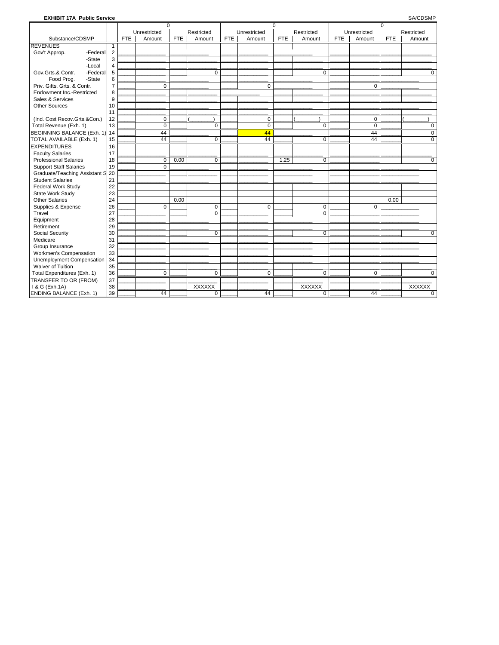### **EXHIBIT 17A Public Service**

SA/CDSMP

|                               |                |            | $\Omega$     |            |               |            |                | $\Omega$   |               |            |              | $\mathbf 0$ |               |
|-------------------------------|----------------|------------|--------------|------------|---------------|------------|----------------|------------|---------------|------------|--------------|-------------|---------------|
|                               |                |            | Unrestricted |            | Restricted    |            | Unrestricted   |            | Restricted    |            | Unrestricted |             | Restricted    |
| Substance/CDSMP               |                | <b>FTE</b> | Amount       | <b>FTE</b> | Amount        | <b>FTE</b> | Amount         | <b>FTE</b> | Amount        | <b>FTE</b> | Amount       | <b>FTE</b>  | Amount        |
| <b>REVENUES</b>               | 1              |            |              |            |               |            |                |            |               |            |              |             |               |
| Gov't Approp.<br>-Federal     | $\overline{2}$ |            |              |            |               |            |                |            |               |            |              |             |               |
| -State                        | 3              |            |              |            |               |            |                |            |               |            |              |             |               |
| -Local                        | $\overline{4}$ |            |              |            |               |            |                |            |               |            |              |             |               |
| Gov.Grts.& Contr.<br>-Federal | 5              |            |              |            | $\Omega$      |            |                |            | $\Omega$      |            |              |             | $\Omega$      |
| -State<br>Food Prog.          | 6              |            |              |            |               |            |                |            |               |            |              |             |               |
| Priv. Gifts, Grts. & Contr.   | $\overline{7}$ |            | $\Omega$     |            |               |            | 0              |            |               |            | $\Omega$     |             |               |
| Endowment Inc.-Restricted     | 8              |            |              |            |               |            |                |            |               |            |              |             |               |
| Sales & Services              | 9              |            |              |            |               |            |                |            |               |            |              |             |               |
| <b>Other Sources</b>          | 10             |            |              |            |               |            |                |            |               |            |              |             |               |
|                               | 11             |            |              |            |               |            |                |            |               |            |              |             |               |
| (Ind. Cost Recov.Grts.&Con.)  | 12             |            | $\mathbf 0$  |            |               |            | 0              |            |               |            | $\mathbf 0$  |             |               |
| Total Revenue (Exh. 1)        | 13             |            | $\Omega$     |            | $\mathbf 0$   |            | $\overline{0}$ |            | $\Omega$      |            | $\Omega$     |             | $\Omega$      |
| BEGINNING BALANCE (Exh. 1)    | 14             |            | 44           |            |               |            | 44             |            |               |            | 44           |             | 0             |
| TOTAL AVAILABLE (Exh. 1)      | 15             |            | 44           |            | $\mathbf 0$   |            | 44             |            | $\mathbf 0$   |            | 44           |             | $\mathbf 0$   |
| <b>EXPENDITURES</b>           | 16             |            |              |            |               |            |                |            |               |            |              |             |               |
| <b>Faculty Salaries</b>       | 17             |            |              |            |               |            |                |            |               |            |              |             |               |
| <b>Professional Salaries</b>  | 18             |            | $\Omega$     | 0.00       | $\mathbf 0$   |            |                | 1.25       | $\mathbf 0$   |            |              |             | 0             |
| <b>Support Staff Salaries</b> | 19             |            | $\mathbf 0$  |            |               |            |                |            |               |            |              |             |               |
| Graduate/Teaching Assistant S | 20             |            |              |            |               |            |                |            |               |            |              |             |               |
| <b>Student Salaries</b>       | 21             |            |              |            |               |            |                |            |               |            |              |             |               |
| <b>Federal Work Study</b>     | 22             |            |              |            |               |            |                |            |               |            |              |             |               |
| State Work Study              | 23             |            |              |            |               |            |                |            |               |            |              |             |               |
| <b>Other Salaries</b>         | 24             |            |              | 0.00       |               |            |                |            |               |            |              | 0.00        |               |
| Supplies & Expense            | 26             |            | $\Omega$     |            | $\mathbf 0$   |            | $\Omega$       |            | 0             |            | $\Omega$     |             |               |
| Travel                        | 27             |            |              |            | $\Omega$      |            |                |            | $\Omega$      |            |              |             |               |
| Equipment                     | 28             |            |              |            |               |            |                |            |               |            |              |             |               |
| Retirement                    | 29             |            |              |            |               |            |                |            |               |            |              |             |               |
| Social Security               | 30             |            |              |            | $\Omega$      |            |                |            | $\Omega$      |            |              |             | $\Omega$      |
| Medicare                      | 31             |            |              |            |               |            |                |            |               |            |              |             |               |
| Group Insurance               | 32             |            |              |            |               |            |                |            |               |            |              |             |               |
| Workmen's Compensation        | 33             |            |              |            |               |            |                |            |               |            |              |             |               |
| Unemployment Compensation     | 34             |            |              |            |               |            |                |            |               |            |              |             |               |
| <b>Waiver of Tuition</b>      | 35             |            |              |            |               |            |                |            |               |            |              |             |               |
| Total Expenditures (Exh. 1)   | 36             |            | $\Omega$     |            | $\Omega$      |            | 0              |            | $\Omega$      |            | $\Omega$     |             | 0             |
| TRANSFER TO OR (FROM)         | 37             |            |              |            |               |            |                |            |               |            |              |             |               |
| 1 & G (Exh.1A)                | 38             |            |              |            | <b>XXXXXX</b> |            |                |            | <b>XXXXXX</b> |            |              |             | <b>XXXXXX</b> |
| ENDING BALANCE (Exh. 1)       | 39             |            | 44           |            | $\mathbf 0$   |            | 44             |            | $\mathbf 0$   |            | 44           |             | $\Omega$      |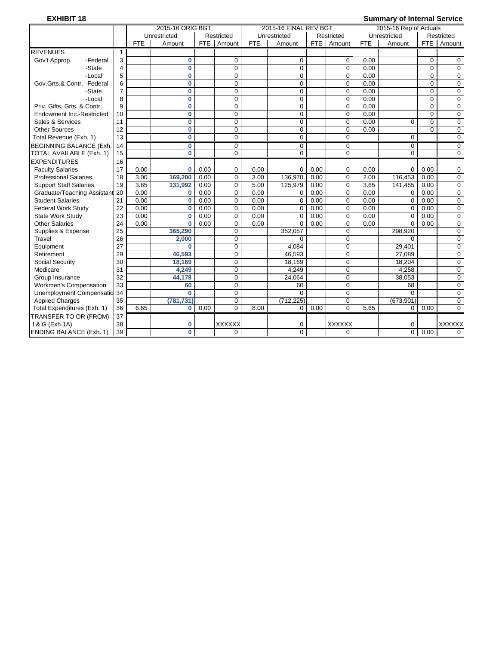# **EXHIBIT 18 Summary of Internal Service**

|                                |                |            | 2015-16 ORIG BGT        |      |                |            | 2015-16 FINAL REV BGT |            |                  |            | 2015-16 Rep of Actuals |             |               |
|--------------------------------|----------------|------------|-------------------------|------|----------------|------------|-----------------------|------------|------------------|------------|------------------------|-------------|---------------|
|                                |                |            | Unrestricted            |      | Restricted     |            | Unrestricted          |            | Restricted       |            | Unrestricted           |             | Restricted    |
|                                |                | <b>FTE</b> | Amount                  |      | FTE Amount     | <b>FTE</b> | Amount                | <b>FTE</b> | Amount           | <b>FTE</b> | Amount                 | <b>FTE</b>  | Amount        |
| <b>REVENUES</b>                | 1              |            |                         |      |                |            |                       |            |                  |            |                        |             |               |
| Gov't Approp.<br>-Federal      | 3              |            | $\mathbf 0$             |      | 0              |            | 0                     |            | $\mathbf 0$      | 0.00       |                        | $\mathbf 0$ | 0             |
| -State                         | $\overline{4}$ |            | $\overline{\mathbf{0}}$ |      | $\overline{0}$ |            | 0                     |            | $\overline{0}$   | 0.00       |                        | $\Omega$    | $\mathbf 0$   |
| -Local                         | 5              |            | $\mathbf{0}$            |      | 0              |            | 0                     |            | $\mathbf 0$      | 0.00       |                        | $\Omega$    | 0             |
| Gov.Grts.& Contr. -Federal     | 6              |            | $\bf{0}$                |      | 0              |            | $\Omega$              |            | $\mathbf 0$      | 0.00       |                        | $\Omega$    | 0             |
| -State                         | $\overline{7}$ |            | $\bf{0}$                |      | $\Omega$       |            | $\Omega$              |            | $\mathbf 0$      | 0.00       |                        | $\Omega$    | $\mathbf 0$   |
| -Local                         | 8              |            | $\bf{0}$                |      | 0              |            | $\mathbf 0$           |            | $\mathbf 0$      | 0.00       |                        | $\Omega$    | 0             |
| Priv. Gifts, Grts. & Contr.    | 9              |            | $\mathbf{0}$            |      | 0              |            | $\Omega$              |            | $\mathbf 0$      | 0.00       |                        | $\Omega$    | $\mathbf 0$   |
| Endowment Inc.-Restricted      | 10             |            | $\bf{0}$                |      | 0              |            | $\Omega$              |            | $\Omega$         | 0.00       |                        | $\Omega$    | $\mathbf 0$   |
| Sales & Services               | 11             |            | $\bf{0}$                |      | 0              |            | $\mathbf 0$           |            | $\Omega$         | 0.00       | $\Omega$               | $\Omega$    | $\mathbf 0$   |
| <b>Other Sources</b>           | 12             |            | $\bf{0}$                |      | 0              |            | $\mathbf 0$           |            | $\mathbf 0$      | 0.00       |                        | $\Omega$    | $\mathbf 0$   |
| Total Revenue (Exh. 1)         | 13             |            | $\bf{0}$                |      | 0              |            | $\mathbf 0$           |            | $\mathbf 0$      |            | $\mathbf 0$            |             | 0             |
| <b>BEGINNING BALANCE (Exh</b>  | 14             |            | $\bf{0}$                |      | $\overline{0}$ |            | $\mathbf 0$           |            | $\mathbf 0$      |            | $\mathbf 0$            |             | $\mathbf 0$   |
| TOTAL AVAILABLE (Exh. 1)       | 15             |            | $\overline{\mathbf{0}}$ |      | $\overline{0}$ |            | $\mathbf 0$           |            | $\overline{0}$   |            | $\overline{0}$         |             | $\mathbf 0$   |
| <b>EXPENDITURES</b>            | 16             |            |                         |      |                |            |                       |            |                  |            |                        |             |               |
| <b>Faculty Salaries</b>        | 17             | 0.00       | $\bf{0}$                | 0.00 | 0              | 0.00       | 0                     | 0.00       | $\mathbf 0$      | 0.00       | 0                      | 0.00        | 0             |
| <b>Professional Salaries</b>   | 18             | 3.00       | 169,200                 | 0.00 | $\Omega$       | 3.00       | 136.970               | 0.00       | $\Omega$         | 2.00       | 116.453                | 0.00        | $\mathbf 0$   |
| <b>Support Staff Salaries</b>  | 19             | 3.65       | 131,992                 | 0.00 | 0              | 5.00       | 125.979               | 0.00       | $\mathbf 0$      | 3.65       | 141.455                | 0.00        | $\mathbf 0$   |
| Graduate/Teaching Assistant 20 |                | 0.00       | $\bf{0}$                | 0.00 | 0              | 0.00       | $\Omega$              | 0.00       | $\mathbf 0$      | 0.00       | 0                      | 0.00        | $\mathbf 0$   |
| <b>Student Salaries</b>        | 21             | 0.00       | $\bf{0}$                | 0.00 | 0              | 0.00       | $\mathbf 0$           | 0.00       | $\mathbf 0$      | 0.00       | 0                      | 0.00        | 0             |
| <b>Federal Work Study</b>      | 22             | 0.00       | $\bf{0}$                | 0.00 | 0              | 0.00       | $\Omega$              | 0.00       | $\mathbf 0$      | 0.00       | $\Omega$               | 0.00        | $\mathbf 0$   |
| State Work Study               | 23             | 0.00       | $\bf{0}$                | 0.00 | $\Omega$       | 0.00       | $\Omega$              | 0.00       | $\mathbf 0$      | 0.00       | $\Omega$               | 0.00        | $\mathbf 0$   |
| <b>Other Salaries</b>          | 24             | 0.00       | $\mathbf{0}$            | 0.00 | 0              | 0.00       | $\Omega$              | 0.00       | $\mathbf 0$      | 0.00       | $\Omega$               | 0.00        | 0             |
| Supplies & Expense             | 25             |            | 365,290                 |      | $\Omega$       |            | 352,057               |            | $\Omega$         |            | 298,920                |             | $\mathbf 0$   |
| Travel                         | 26             |            | 2,000                   |      | $\Omega$       |            | $\Omega$              |            | $\Omega$         |            | 0                      |             | $\mathbf 0$   |
| Equipment                      | 27             |            | $\mathbf{0}$            |      | 0              |            | 4.084                 |            | $\mathbf 0$      |            | 29,401                 |             | $\mathbf 0$   |
| Retirement                     | 29             |            | 46,593                  |      | $\mathbf 0$    |            | 46,593                |            | $\mathbf 0$      |            | 27.089                 |             | $\mathbf 0$   |
| <b>Social Security</b>         | 30             |            | 18,169                  |      | $\Omega$       |            | 18,169                |            | $\Omega$         |            | 18,204                 |             | $\Omega$      |
| Medicare                       | 31             |            | 4.249                   |      | 0              |            | 4.249                 |            | $\mathbf 0$      |            | 4.258                  |             | 0             |
| Group Insurance                | 32             |            | 44.178                  |      | 0              |            | 24.064                |            | $\mathbf 0$      |            | 38.053                 |             | $\mathbf 0$   |
| Workmen's Compensation         | 33             |            | 60                      |      | 0              |            | 60                    |            | $\mathbf 0$      |            | 68                     |             | $\mathbf 0$   |
| Unemployment Compensatio 34    |                |            | $\bf{0}$                |      | $\overline{0}$ |            | $\Omega$              |            | $\boldsymbol{0}$ |            | $\mathbf 0$            |             | $\mathbf 0$   |
| <b>Applied Charges</b>         | 35             |            | (781, 731)              |      | $\overline{0}$ |            | (712, 225)            |            | $\overline{0}$   |            | (673,901)              |             | $\mathbf 0$   |
| Total Expenditures (Exh. 1)    | 36             | 6.65       | 0                       | 0.00 | $\overline{0}$ | 8.00       | 0                     | 0.00       | $\mathbf 0$      | 5.65       | $\mathbf{0}$           | 0.00        | $\mathbf 0$   |
| TRANSFER TO OR (FROM)          | 37             |            |                         |      |                |            |                       |            |                  |            |                        |             |               |
| 1 & G (Exh.1A)                 | 38             |            | 0                       |      | <b>XXXXXX</b>  |            | 0                     |            | <b>XXXXXX</b>    |            | 0                      |             | <b>XXXXXX</b> |
| <b>ENDING BALANCE (Exh. 1)</b> | 39             |            | $\Omega$                |      | $\Omega$       |            | $\Omega$              |            | 0                |            | $\mathbf 0$            | 0.00        | $\Omega$      |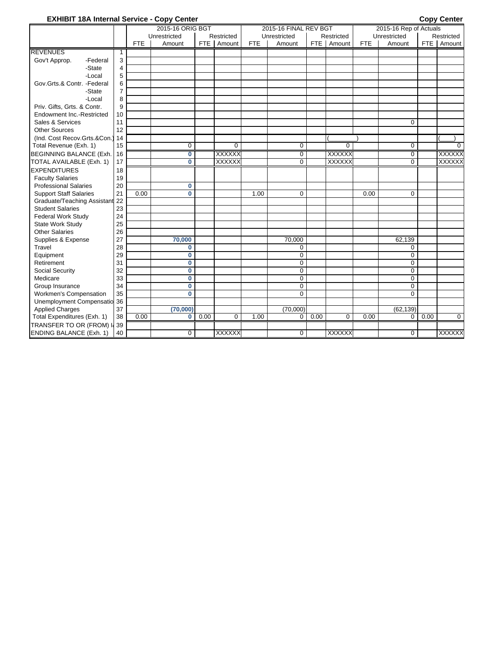# **EXHIBIT 18A Internal Service - Copy Center Copy Center Copy Center Copy Center**

|                                  |                |            | 2015-16 ORIG BGT |            |               |            | 2015-16 FINAL REV BGT |       |                |            | 2015-16 Rep of Actuals |            |               |
|----------------------------------|----------------|------------|------------------|------------|---------------|------------|-----------------------|-------|----------------|------------|------------------------|------------|---------------|
|                                  |                |            | Unrestricted     |            | Restricted    |            | Unrestricted          |       | Restricted     |            | Unrestricted           |            | Restricted    |
|                                  |                | <b>FTE</b> | Amount           | <b>FTE</b> | Amount        | <b>FTE</b> | Amount                | FTE I | Amount         | <b>FTE</b> | Amount                 | <b>FTE</b> | Amount        |
| <b>REVENUES</b>                  | $\mathbf{1}$   |            |                  |            |               |            |                       |       |                |            |                        |            |               |
| Gov't Approp.<br>-Federal        | 3              |            |                  |            |               |            |                       |       |                |            |                        |            |               |
| -State                           | 4              |            |                  |            |               |            |                       |       |                |            |                        |            |               |
| -Local                           | 5              |            |                  |            |               |            |                       |       |                |            |                        |            |               |
| Gov.Grts.& Contr. -Federal       | 6              |            |                  |            |               |            |                       |       |                |            |                        |            |               |
| -State                           | $\overline{7}$ |            |                  |            |               |            |                       |       |                |            |                        |            |               |
| -Local                           | 8              |            |                  |            |               |            |                       |       |                |            |                        |            |               |
| Priv. Gifts, Grts. & Contr.      | 9              |            |                  |            |               |            |                       |       |                |            |                        |            |               |
| <b>Endowment Inc.-Restricted</b> | 10             |            |                  |            |               |            |                       |       |                |            |                        |            |               |
| Sales & Services                 | 11             |            |                  |            |               |            |                       |       |                |            | $\mathbf 0$            |            |               |
| <b>Other Sources</b>             | 12             |            |                  |            |               |            |                       |       |                |            |                        |            |               |
| (Ind. Cost Recov.Grts.&Con.)     | 14             |            |                  |            |               |            |                       |       |                |            |                        |            |               |
| Total Revenue (Exh. 1)           | 15             |            | 0                |            | $\mathbf 0$   |            | $\mathbf 0$           |       | $\overline{0}$ |            | $\mathbf 0$            |            | $\Omega$      |
| BEGINNING BALANCE (Exh.          | 16             |            | 0                |            | <b>XXXXXX</b> |            | $\mathbf 0$           |       | <b>XXXXXX</b>  |            | $\mathbf 0$            |            | <b>XXXXXX</b> |
| TOTAL AVAILABLE (Exh. 1)         | 17             |            | $\bf{0}$         |            | <b>XXXXXX</b> |            | $\mathbf 0$           |       | <b>XXXXXX</b>  |            | 0                      |            | <b>XXXXXX</b> |
| <b>EXPENDITURES</b>              | 18             |            |                  |            |               |            |                       |       |                |            |                        |            |               |
| <b>Faculty Salaries</b>          | 19             |            |                  |            |               |            |                       |       |                |            |                        |            |               |
| <b>Professional Salaries</b>     | 20             |            | 0                |            |               |            |                       |       |                |            |                        |            |               |
| <b>Support Staff Salaries</b>    | 21             | 0.00       | $\mathbf{0}$     |            |               | 1.00       | $\mathbf 0$           |       |                | 0.00       | 0                      |            |               |
| Graduate/Teaching Assistant      | 22             |            |                  |            |               |            |                       |       |                |            |                        |            |               |
| <b>Student Salaries</b>          | 23             |            |                  |            |               |            |                       |       |                |            |                        |            |               |
| <b>Federal Work Study</b>        | 24             |            |                  |            |               |            |                       |       |                |            |                        |            |               |
| State Work Study                 | 25             |            |                  |            |               |            |                       |       |                |            |                        |            |               |
| <b>Other Salaries</b>            | 26             |            |                  |            |               |            |                       |       |                |            |                        |            |               |
| Supplies & Expense               | 27             |            | 70,000           |            |               |            | 70,000                |       |                |            | 62,139                 |            |               |
| Travel                           | 28             |            | 0                |            |               |            | $\mathbf 0$           |       |                |            | $\mathbf 0$            |            |               |
| Equipment                        | 29             |            | $\bf{0}$         |            |               |            | $\mathbf 0$           |       |                |            | 0                      |            |               |
| Retirement                       | 31             |            | 0                |            |               |            | $\mathbf 0$           |       |                |            | 0                      |            |               |
| Social Security                  | 32             |            | 0                |            |               |            | $\mathbf 0$           |       |                |            | $\mathbf 0$            |            |               |
| Medicare                         | 33             |            | $\bf{0}$         |            |               |            | $\mathbf 0$           |       |                |            | $\mathbf 0$            |            |               |
| Group Insurance                  | 34             |            | 0                |            |               |            | $\mathbf 0$           |       |                |            | $\mathbf 0$            |            |               |
| <b>Workmen's Compensation</b>    | 35             |            | $\bf{0}$         |            |               |            | $\Omega$              |       |                |            | $\Omega$               |            |               |
| Unemployment Compensatio         | 36             |            |                  |            |               |            |                       |       |                |            |                        |            |               |
| <b>Applied Charges</b>           | 37             |            | (70,000)         |            |               |            | (70,000)              |       |                |            | (62, 139)              |            |               |
| Total Expenditures (Exh. 1)      | 38             | 0.00       | 0                | 0.00       | 0             | 1.00       | 0                     | 0.00  | $\Omega$       | 0.00       | 0                      | 0.00       | 0             |
| TRANSFER TO OR (FROM) I          | 39             |            |                  |            |               |            |                       |       |                |            |                        |            |               |
| <b>ENDING BALANCE (Exh. 1)</b>   | 40             |            | $\Omega$         |            | <b>XXXXXX</b> |            | $\Omega$              |       | <b>XXXXXX</b>  |            | $\mathbf 0$            |            | <b>XXXXXX</b> |
|                                  |                |            |                  |            |               |            |                       |       |                |            |                        |            |               |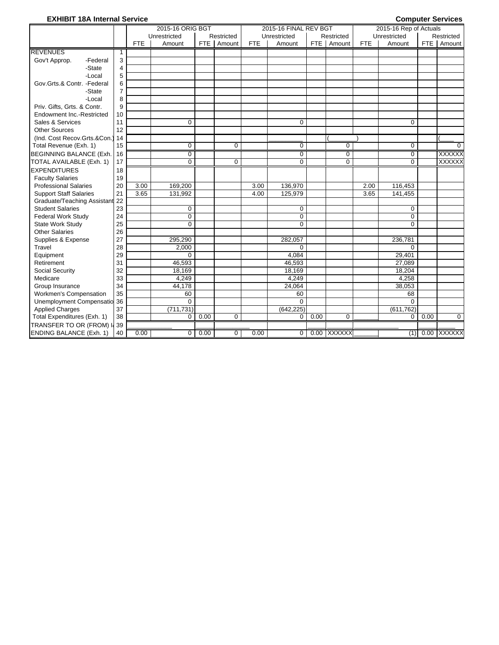# **EXHIBIT 18A Internal Service Computer Services**

|                                  |                |            | 2015-16 ORIG BGT |       |            |            | 2015-16 FINAL REV BGT |       |             |            | 2015-16 Rep of Actuals |       |               |
|----------------------------------|----------------|------------|------------------|-------|------------|------------|-----------------------|-------|-------------|------------|------------------------|-------|---------------|
|                                  |                |            | Unrestricted     |       | Restricted |            | Unrestricted          |       | Restricted  |            | Unrestricted           |       | Restricted    |
|                                  |                | <b>FTE</b> | Amount           | FTE I | Amount     | <b>FTE</b> | Amount                | FTE I | Amount      | <b>FTE</b> | Amount                 | FTE I | Amount        |
| <b>REVENUES</b>                  | $\mathbf{1}$   |            |                  |       |            |            |                       |       |             |            |                        |       |               |
| Gov't Approp.<br>-Federal        | 3              |            |                  |       |            |            |                       |       |             |            |                        |       |               |
| -State                           | 4              |            |                  |       |            |            |                       |       |             |            |                        |       |               |
| -Local                           | 5              |            |                  |       |            |            |                       |       |             |            |                        |       |               |
| Gov.Grts.& Contr. -Federal       | 6              |            |                  |       |            |            |                       |       |             |            |                        |       |               |
| -State                           | $\overline{7}$ |            |                  |       |            |            |                       |       |             |            |                        |       |               |
| -Local                           | 8              |            |                  |       |            |            |                       |       |             |            |                        |       |               |
| Priv. Gifts, Grts. & Contr.      | 9              |            |                  |       |            |            |                       |       |             |            |                        |       |               |
| <b>Endowment Inc.-Restricted</b> | 10             |            |                  |       |            |            |                       |       |             |            |                        |       |               |
| Sales & Services                 | 11             |            | 0                |       |            |            | $\Omega$              |       |             |            | $\Omega$               |       |               |
| <b>Other Sources</b>             | 12             |            |                  |       |            |            |                       |       |             |            |                        |       |               |
| (Ind. Cost Recov.Grts.&Con.)     | 14             |            |                  |       |            |            |                       |       |             |            |                        |       |               |
| Total Revenue (Exh. 1)           | 15             |            | 0                |       | 0          |            | $\mathbf 0$           |       | $\mathbf 0$ |            | $\Omega$               |       | $\Omega$      |
| <b>BEGINNING BALANCE (Exh.</b>   | 16             |            | 0                |       |            |            | 0                     |       | 0           |            | $\Omega$               |       | <b>XXXXXX</b> |
| TOTAL AVAILABLE (Exh. 1)         | 17             |            | $\Omega$         |       | $\Omega$   |            | $\Omega$              |       | $\Omega$    |            | $\Omega$               |       | <b>XXXXXX</b> |
| <b>EXPENDITURES</b>              | 18             |            |                  |       |            |            |                       |       |             |            |                        |       |               |
| <b>Faculty Salaries</b>          | 19             |            |                  |       |            |            |                       |       |             |            |                        |       |               |
| <b>Professional Salaries</b>     | 20             | 3.00       | 169,200          |       |            | 3.00       | 136,970               |       |             | 2.00       | 116,453                |       |               |
| <b>Support Staff Salaries</b>    | 21             | 3.65       | 131,992          |       |            | 4.00       | 125.979               |       |             | 3.65       | 141,455                |       |               |
| Graduate/Teaching Assistant      | 22             |            |                  |       |            |            |                       |       |             |            |                        |       |               |
| <b>Student Salaries</b>          | 23             |            | 0                |       |            |            | 0                     |       |             |            | $\Omega$               |       |               |
| <b>Federal Work Study</b>        | 24             |            | 0                |       |            |            | $\mathbf 0$           |       |             |            | $\Omega$               |       |               |
| State Work Study                 | 25             |            | $\Omega$         |       |            |            | $\Omega$              |       |             |            | $\Omega$               |       |               |
| <b>Other Salaries</b>            | 26             |            |                  |       |            |            |                       |       |             |            |                        |       |               |
| Supplies & Expense               | 27             |            | 295,290          |       |            |            | 282,057               |       |             |            | 236,781                |       |               |
| Travel                           | 28             |            | 2,000            |       |            |            | $\Omega$              |       |             |            | $\Omega$               |       |               |
| Equipment                        | 29             |            | $\Omega$         |       |            |            | 4,084                 |       |             |            | 29,401                 |       |               |
| Retirement                       | 31             |            | 46,593           |       |            |            | 46,593                |       |             |            | 27,089                 |       |               |
| Social Security                  | 32             |            | 18,169           |       |            |            | 18,169                |       |             |            | 18,204                 |       |               |
| Medicare                         | 33             |            | 4,249            |       |            |            | 4,249                 |       |             |            | 4,258                  |       |               |
| Group Insurance                  | 34             |            | 44.178           |       |            |            | 24,064                |       |             |            | 38,053                 |       |               |
| Workmen's Compensation           | 35             |            | 60               |       |            |            | 60                    |       |             |            | 68                     |       |               |
| Unemployment Compensatio 36      |                |            | $\Omega$         |       |            |            | $\Omega$              |       |             |            | $\Omega$               |       |               |
| <b>Applied Charges</b>           | 37             |            | (711, 731)       |       |            |            | (642, 225)            |       |             |            | (611, 762)             |       |               |
| Total Expenditures (Exh. 1)      | 38             |            | 0                | 0.00  | 0          |            | $\Omega$              | 0.00  | $\Omega$    |            | $\Omega$               | 0.00  | $\Omega$      |
| TRANSFER TO OR (FROM) II 39      |                |            |                  |       |            |            |                       |       |             |            |                        |       |               |
| <b>ENDING BALANCE (Exh. 1)</b>   | 40             | 0.00       | 0                | 0.00  | 0          | 0.00       | $\Omega$              |       | 0.00 XXXXXX |            | (1)                    |       | 0.00 XXXXXX   |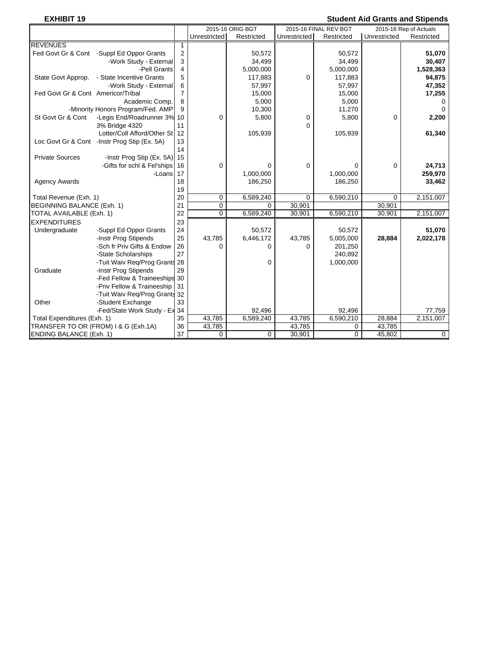# **EXHIBIT 19** Student Aid Grants and Stipends

| -^''''''                                               |                |              |                  |              |                       |              | oluuciil Alu Oranis ahu olipenus |
|--------------------------------------------------------|----------------|--------------|------------------|--------------|-----------------------|--------------|----------------------------------|
|                                                        |                |              | 2015-16 ORIG BGT |              | 2015-16 FINAL REV BGT |              | 2015-16 Rep of Actuals           |
|                                                        |                | Unrestricted | Restricted       | Unrestricted | Restricted            | Unrestricted | Restricted                       |
| <b>REVENUES</b>                                        | 1              |              |                  |              |                       |              |                                  |
| Fed Govt Gr & Cont -Suppl Ed Oppor Grants              | $\mathbf 2$    |              | 50,572           |              | 50,572                |              | 51,070                           |
| -Work Study - External                                 | 3              |              | 34,499           |              | 34,499                |              | 30,407                           |
| -Pell Grants                                           | 4              |              | 5,000,000        |              | 5,000,000             |              | 1,528,363                        |
| State Govt Approp.<br>- State Incentive Grants         | 5              |              | 117,883          | 0            | 117,883               |              | 94,875                           |
| -Work Study - External                                 | 6              |              | 57,997           |              | 57,997                |              | 47,352                           |
| Fed Govt Gr & Cont Americor/Tribal                     | $\overline{7}$ |              | 15,000           |              | 15,000                |              | 17,255                           |
| Academic Comp.                                         | 8              |              | 5,000            |              | 5,000                 |              | $\Omega$                         |
| -Minority Honors Program/Fed. AMP                      | 9              |              | 10,300           |              | 11,270                |              | $\Omega$                         |
| St Govt Gr & Cont<br>-Legis End/Roadrunner 3% 10       |                | 0            | 5,800            | 0            | 5,800                 | $\Omega$     | 2,200                            |
| 3% Bridge 4320                                         | 11             |              |                  | $\Omega$     |                       |              |                                  |
| Lotter/Coll Afford/Other St                            | 12             |              | 105,939          |              | 105,939               |              | 61,340                           |
| Loc Govt Gr & Cont -Instr Prog Stip (Ex. 5A)           | 13             |              |                  |              |                       |              |                                  |
|                                                        | 14             |              |                  |              |                       |              |                                  |
| <b>Private Sources</b><br>-Instr Prog Stip (Ex. 5A) 15 |                |              |                  |              |                       |              |                                  |
| -Gifts for schl & Fel'ships                            | 16             | 0            | 0                | 0            | 0                     | 0            | 24,713                           |
| -Loans                                                 | 17             |              | 1,000,000        |              | 1,000,000             |              | 259,970                          |
| <b>Agency Awards</b>                                   | 18             |              | 186,250          |              | 186,250               |              | 33,462                           |
|                                                        | 19             |              |                  |              |                       |              |                                  |
| Total Revenue (Exh. 1)                                 | 20             | 0            | 6,589,240        | $\Omega$     | 6,590,210             | $\mathbf 0$  | 2,151,007                        |
| <b>BEGINNING BALANCE (Exh. 1)</b>                      | 21             | 0            | $\Omega$         | 30,901       |                       | 30,901       |                                  |
| TOTAL AVAILABLE (Exh. 1)                               | 22             | 0            | 6,589,240        | 30,901       | 6,590,210             | 30,901       | 2,151,007                        |
| <b>EXPENDITURES</b>                                    | 23             |              |                  |              |                       |              |                                  |
| Undergraduate<br>-Suppl Ed Oppor Grants                | 24             |              | 50,572           |              | 50,572                |              | 51,070                           |
| -Instr Prog Stipends                                   | 25             | 43,785       | 6,446,172        | 43,785       | 5,005,000             | 28,884       | 2,022,178                        |
| -Sch fr Priv Gifts & Endow                             | 26             | 0            | 0                | 0            | 201,250               |              |                                  |
| -State Scholarships                                    | 27             |              |                  |              | 240,892               |              |                                  |
| -Tuit Waiv Reg/Prog Grants 28                          |                |              | 0                |              | 1,000,000             |              |                                  |
| Graduate<br>-Instr Prog Stipends                       | 29             |              |                  |              |                       |              |                                  |
| -Fed Fellow & Traineeships                             | 30             |              |                  |              |                       |              |                                  |
| -Priv Fellow & Traineeship                             | 31             |              |                  |              |                       |              |                                  |
| -Tuit Waiv Req/Prog Grants 32                          |                |              |                  |              |                       |              |                                  |
| Other<br>-Student Exchange                             | 33             |              |                  |              |                       |              |                                  |
| -Fed/State Work Study - Ex                             | 34             |              | 92,496           |              | 92,496                |              | 77,759                           |
| Total Expenditures (Exh. 1)                            | 35             | 43,785       | 6,589,240        | 43,785       | 6,590,210             | 28,884       | 2,151,007                        |
| TRANSFER TO OR (FROM) I & G (Exh.1A)                   | 36             | 43,785       |                  | 43,785       | 0                     | 43,785       |                                  |
| <b>ENDING BALANCE (Exh. 1)</b>                         | 37             | 0            | $\mathbf 0$      | 30,901       | 0                     | 45,802       | $\mathbf 0$                      |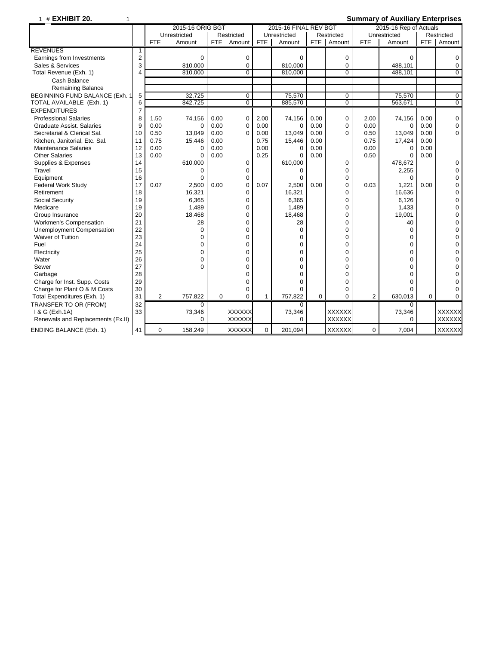# 1 # **EXHIBIT 20.** 1 **Summary of Auxiliary Enterprises**

|                                   |                         |                | 2015-16 ORIG BGT |                |                |              | 2015-16 FINAL REV BGT |                |                |                | 2015-16 Rep of Actuals |                |                |
|-----------------------------------|-------------------------|----------------|------------------|----------------|----------------|--------------|-----------------------|----------------|----------------|----------------|------------------------|----------------|----------------|
|                                   |                         |                | Unrestricted     |                | Restricted     |              | Unrestricted          |                | Restricted     |                | Unrestricted           |                | Restricted     |
|                                   |                         | <b>FTE</b>     | Amount           | FTE            | Amount         | <b>FTE</b>   | Amount                | FTE            | Amount         | <b>FTE</b>     | Amount                 | FTE            | Amount         |
| <b>REVENUES</b>                   | 1                       |                |                  |                |                |              |                       |                |                |                |                        |                |                |
| Earnings from Investments         | $\overline{2}$          |                | $\Omega$         |                | 0              |              | $\Omega$              |                | 0              |                | $\Omega$               |                | 0              |
| Sales & Services                  | 3                       |                | 810,000          |                | 0              |              | 810,000               |                | $\Omega$       |                | 488,101                |                | 0              |
| Total Revenue (Exh. 1)            | $\overline{\mathbf{A}}$ |                | 810.000          |                | $\Omega$       |              | 810,000               |                | $\Omega$       |                | 488,101                |                | 0              |
| Cash Balance                      |                         |                |                  |                |                |              |                       |                |                |                |                        |                |                |
| <b>Remaining Balance</b>          |                         |                |                  |                |                |              |                       |                |                |                |                        |                |                |
| BEGINNING FUND BALANCE (Exh. 1    | 5                       |                | 32,725           |                | 0              |              | 75,570                |                | 0              |                | 75.570                 |                | $\mathbf 0$    |
| TOTAL AVAILABLE (Exh. 1)          | 6                       |                | 842,725          |                | $\overline{0}$ |              | 885,570               |                | $\overline{0}$ |                | 563,671                |                | $\overline{0}$ |
| <b>EXPENDITURES</b>               | $\overline{7}$          |                |                  |                |                |              |                       |                |                |                |                        |                |                |
| <b>Professional Salaries</b>      | 8                       | 1.50           | 74,156           | 0.00           | $\mathbf 0$    | 2.00         | 74,156                | 0.00           | 0              | 2.00           | 74,156                 | 0.00           | 0              |
| <b>Graduate Assist, Salaries</b>  | 9                       | 0.00           | $\Omega$         | 0.00           | 0              | 0.00         | 0                     | 0.00           | $\mathbf 0$    | 0.00           | $\Omega$               | 0.00           | 0              |
| Secretarial & Clerical Sal.       | 10                      | 0.50           | 13,049           | 0.00           | $\Omega$       | 0.00         | 13,049                | 0.00           | $\Omega$       | 0.50           | 13,049                 | 0.00           | $\mathbf 0$    |
| Kitchen, Janitorial, Etc. Sal.    | 11                      | 0.75           | 15,446           | 0.00           |                | 0.75         | 15,446                | 0.00           |                | 0.75           | 17,424                 | 0.00           |                |
| <b>Maintenance Salaries</b>       | 12                      | 0.00           | $\Omega$         | 0.00           |                | 0.00         | 0                     | 0.00           |                | 0.00           | $\Omega$               | 0.00           |                |
| <b>Other Salaries</b>             | 13                      | 0.00           | $\Omega$         | 0.00           |                | 0.25         | 0                     | 0.00           |                | 0.50           | $\Omega$               | 0.00           |                |
| Supplies & Expenses               | 14                      |                | 610,000          |                | 0              |              | 610,000               |                | 0              |                | 478,672                |                | 0              |
| Travel                            | 15                      |                | $\Omega$         |                | 0              |              | $\Omega$              |                | 0              |                | 2,255                  |                | 0              |
| Equipment                         | 16                      |                | $\Omega$         |                | 0              |              | $\Omega$              |                | 0              |                | $\Omega$               |                | 0              |
| <b>Federal Work Study</b>         | 17                      | 0.07           | 2,500            | 0.00           | $\Omega$       | 0.07         | 2,500                 | 0.00           | $\Omega$       | 0.03           | 1,221                  | 0.00           | 0              |
| Retirement                        | 18                      |                | 16,321           |                | $\Omega$       |              | 16,321                |                | 0              |                | 16,636                 |                | 0              |
| Social Security                   | 19                      |                | 6,365            |                | 0              |              | 6,365                 |                | 0              |                | 6,126                  |                | $\mathbf 0$    |
| Medicare                          | 19                      |                | 1,489            |                | 0              |              | 1,489                 |                | 0              |                | 1,433                  |                | 0              |
| Group Insurance                   | 20                      |                | 18,468           |                | $\Omega$       |              | 18,468                |                | 0              |                | 19,001                 |                | 0              |
| <b>Workmen's Compensation</b>     | 21                      |                | 28               |                | $\Omega$       |              | 28                    |                | $\Omega$       |                | 40                     |                | 0              |
| Unemployment Compensation         | 22                      |                | $\Omega$         |                | $\Omega$       |              | $\Omega$              |                | 0              |                | $\Omega$               |                | $\mathbf 0$    |
| Waiver of Tuition                 | 23                      |                | $\Omega$         |                | $\Omega$       |              | 0                     |                | 0              |                | 0                      |                | 0              |
| Fuel                              | 24                      |                | 0                |                | $\Omega$       |              | 0                     |                | 0              |                | $\mathbf 0$            |                | 0              |
| Electricity                       | 25                      |                | $\Omega$         |                | $\Omega$       |              | 0                     |                | $\Omega$       |                | $\Omega$               |                | 0              |
| Water                             | 26                      |                | $\Omega$         |                | $\Omega$       |              | 0                     |                | 0              |                | $\Omega$               |                | 0              |
| Sewer                             | 27                      |                | $\Omega$         |                | $\Omega$       |              | 0                     |                | 0              |                | 0                      |                | 0              |
| Garbage                           | 28                      |                |                  |                | $\Omega$       |              | 0                     |                | 0              |                | $\Omega$               |                | 0              |
| Charge for Inst. Supp. Costs      | 29                      |                |                  |                | $\Omega$       |              | 0                     |                | 0              |                | $\Omega$               |                | 0              |
| Charge for Plant O & M Costs      | 30                      |                |                  |                | 0              |              | 0                     |                | 0              |                | $\Omega$               |                | $\mathbf 0$    |
| Total Expenditures (Exh. 1)       | 31                      | $\overline{2}$ | 757,822          | $\overline{0}$ | 0              | $\mathbf{1}$ | 757,822               | $\overline{0}$ | 0              | $\overline{2}$ | 630,013                | $\overline{0}$ | $\overline{0}$ |
| TRANSFER TO OR (FROM)             | 32                      |                | 0                |                |                |              | 0                     |                |                |                | $\Omega$               |                |                |
| 1 & G (Exh.1A)                    | 33                      |                | 73,346           |                | <b>XXXXXX</b>  |              | 73,346                |                | <b>XXXXXX</b>  |                | 73,346                 |                | <b>XXXXXX</b>  |
| Renewals and Replacements (Ex.II) |                         |                | $\Omega$         |                | <b>XXXXXX</b>  |              | 0                     |                | XXXXXX         |                | $\Omega$               |                | <b>XXXXXX</b>  |
| <b>ENDING BALANCE (Exh. 1)</b>    | 41                      | $\mathbf 0$    | 158,249          |                | <b>XXXXXX</b>  | $\mathbf 0$  | 201,094               |                | <b>XXXXXX</b>  | $\mathbf 0$    | 7,004                  |                | <b>XXXXXX</b>  |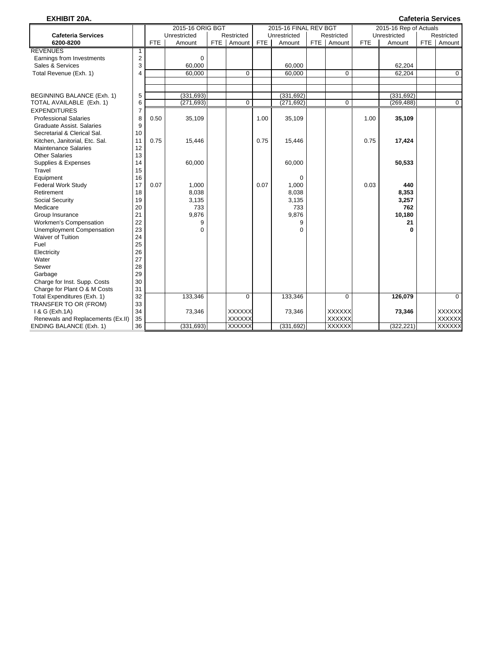| <b>EXHIBIT 20A.</b>               |                |            |                  |       |               |            |                       |     |               |            |                        |       | <b>Cafeteria Services</b> |
|-----------------------------------|----------------|------------|------------------|-------|---------------|------------|-----------------------|-----|---------------|------------|------------------------|-------|---------------------------|
|                                   |                |            | 2015-16 ORIG BGT |       |               |            | 2015-16 FINAL REV BGT |     |               |            | 2015-16 Rep of Actuals |       |                           |
| <b>Cafeteria Services</b>         |                |            | Unrestricted     |       | Restricted    |            | Unrestricted          |     | Restricted    |            | Unrestricted           |       | Restricted                |
| 6200-8200                         |                | <b>FTE</b> | Amount           | FTE I | Amount        | <b>FTE</b> | Amount                | FTE | Amount        | <b>FTE</b> | Amount                 | FTE I | Amount                    |
| <b>REVENUES</b>                   | 1              |            |                  |       |               |            |                       |     |               |            |                        |       |                           |
| Earnings from Investments         | $\overline{c}$ |            | $\mathbf 0$      |       |               |            |                       |     |               |            |                        |       |                           |
| Sales & Services                  | 3              |            | 60,000           |       |               |            | 60,000                |     |               |            | 62,204                 |       |                           |
| Total Revenue (Exh. 1)            | $\overline{4}$ |            | 60,000           |       | $\Omega$      |            | 60,000                |     | $\Omega$      |            | 62,204                 |       | $\mathbf 0$               |
|                                   |                |            |                  |       |               |            |                       |     |               |            |                        |       |                           |
|                                   |                |            |                  |       |               |            |                       |     |               |            |                        |       |                           |
| BEGINNING BALANCE (Exh. 1)        | 5              |            | (331, 693)       |       |               |            | (331, 692)            |     |               |            | (331, 692)             |       |                           |
| TOTAL AVAILABLE (Exh. 1)          | 6              |            | (271, 693)       |       | $\Omega$      |            | (271, 692)            |     | $\mathbf 0$   |            | (269, 488)             |       | $\mathbf 0$               |
| <b>EXPENDITURES</b>               | $\overline{7}$ |            |                  |       |               |            |                       |     |               |            |                        |       |                           |
| <b>Professional Salaries</b>      | 8              | 0.50       | 35,109           |       |               | 1.00       | 35.109                |     |               | 1.00       | 35,109                 |       |                           |
| Graduate Assist, Salaries         | 9              |            |                  |       |               |            |                       |     |               |            |                        |       |                           |
| Secretarial & Clerical Sal.       | 10             |            |                  |       |               |            |                       |     |               |            |                        |       |                           |
| Kitchen, Janitorial, Etc. Sal.    | 11             | 0.75       | 15,446           |       |               | 0.75       | 15,446                |     |               | 0.75       | 17,424                 |       |                           |
| <b>Maintenance Salaries</b>       | 12             |            |                  |       |               |            |                       |     |               |            |                        |       |                           |
| <b>Other Salaries</b>             | 13             |            |                  |       |               |            |                       |     |               |            |                        |       |                           |
| Supplies & Expenses               | 14             |            | 60,000           |       |               |            | 60,000                |     |               |            | 50,533                 |       |                           |
| Travel                            | 15             |            |                  |       |               |            |                       |     |               |            |                        |       |                           |
| Equipment                         | 16             |            |                  |       |               |            | 0                     |     |               |            |                        |       |                           |
| <b>Federal Work Study</b>         | 17             | 0.07       | 1,000            |       |               | 0.07       | 1.000                 |     |               | 0.03       | 440                    |       |                           |
| Retirement                        | 18             |            | 8,038            |       |               |            | 8,038                 |     |               |            | 8,353                  |       |                           |
| Social Security                   | 19             |            | 3,135            |       |               |            | 3,135                 |     |               |            | 3,257                  |       |                           |
| Medicare                          | 20             |            | 733              |       |               |            | 733                   |     |               |            | 762                    |       |                           |
| Group Insurance                   | 21             |            | 9,876            |       |               |            | 9,876                 |     |               |            | 10,180                 |       |                           |
| Workmen's Compensation            | 22             |            | 9<br>$\Omega$    |       |               |            | 9                     |     |               |            | 21<br>O                |       |                           |
| <b>Unemployment Compensation</b>  | 23<br>24       |            |                  |       |               |            | $\Omega$              |     |               |            |                        |       |                           |
| <b>Waiver of Tuition</b><br>Fuel  | 25             |            |                  |       |               |            |                       |     |               |            |                        |       |                           |
| Electricity                       | 26             |            |                  |       |               |            |                       |     |               |            |                        |       |                           |
| Water                             | 27             |            |                  |       |               |            |                       |     |               |            |                        |       |                           |
| Sewer                             | 28             |            |                  |       |               |            |                       |     |               |            |                        |       |                           |
| Garbage                           | 29             |            |                  |       |               |            |                       |     |               |            |                        |       |                           |
| Charge for Inst. Supp. Costs      | 30             |            |                  |       |               |            |                       |     |               |            |                        |       |                           |
| Charge for Plant O & M Costs      | 31             |            |                  |       |               |            |                       |     |               |            |                        |       |                           |
| Total Expenditures (Exh. 1)       | 32             |            | 133,346          |       | 0             |            | 133,346               |     | $\mathbf 0$   |            | 126,079                |       | $\mathbf 0$               |
| TRANSFER TO OR (FROM)             | 33             |            |                  |       |               |            |                       |     |               |            |                        |       |                           |
| 1 & G (Exh.1A)                    | 34             |            | 73,346           |       | <b>XXXXXX</b> |            | 73,346                |     | <b>XXXXXX</b> |            | 73,346                 |       | <b>XXXXXX</b>             |
| Renewals and Replacements (Ex.II) | 35             |            |                  |       | <b>XXXXXX</b> |            |                       |     | <b>XXXXXX</b> |            |                        |       | <b>XXXXXX</b>             |
| <b>ENDING BALANCE (Exh. 1)</b>    | 36             |            | (331, 693)       |       | <b>XXXXXX</b> |            | (331, 692)            |     | <b>XXXXXX</b> |            | (322, 221)             |       | <b>XXXXXX</b>             |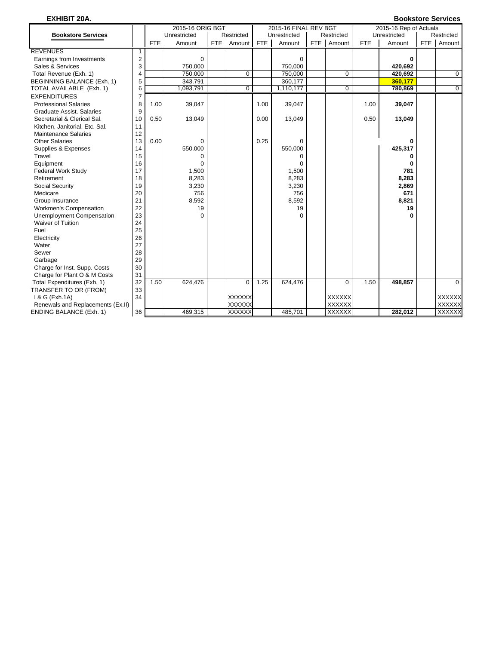# **EXHIBIT 20A. Bookstore Services**

|                                   |                |            | 2015-16 ORIG BGT |               |            | 2015-16 FINAL REV BGT |       |               |            | 2015-16 Rep of Actuals |     |               |
|-----------------------------------|----------------|------------|------------------|---------------|------------|-----------------------|-------|---------------|------------|------------------------|-----|---------------|
| <b>Bookstore Services</b>         |                |            | Unrestricted     | Restricted    |            | Unrestricted          |       | Restricted    |            | Unrestricted           |     | Restricted    |
|                                   |                | <b>FTE</b> | Amount           | FTE Amount    | <b>FTE</b> | Amount                | FTE I | Amount        | <b>FTE</b> | Amount                 | FTE | Amount        |
| <b>REVENUES</b>                   |                |            |                  |               |            |                       |       |               |            |                        |     |               |
| Earnings from Investments         | $\overline{2}$ |            | $\mathbf 0$      |               |            | $\mathbf 0$           |       |               |            | 0                      |     |               |
| Sales & Services                  | 3              |            | 750,000          |               |            | 750,000               |       |               |            | 420,692                |     |               |
| Total Revenue (Exh. 1)            | 4              |            | 750,000          | $\Omega$      |            | 750,000               |       | $\Omega$      |            | 420.692                |     | $\Omega$      |
| BEGINNING BALANCE (Exh. 1)        | 5              |            | 343,791          |               |            | 360,177               |       |               |            | 360.177                |     |               |
| TOTAL AVAILABLE (Exh. 1)          | 6              |            | 1,093,791        | 0             |            | 1,110,177             |       | $\mathbf 0$   |            | 780,869                |     | $\mathbf{0}$  |
| <b>EXPENDITURES</b>               | $\overline{7}$ |            |                  |               |            |                       |       |               |            |                        |     |               |
| <b>Professional Salaries</b>      | 8              | 1.00       | 39,047           |               | 1.00       | 39,047                |       |               | 1.00       | 39,047                 |     |               |
| <b>Graduate Assist, Salaries</b>  | 9              |            |                  |               |            |                       |       |               |            |                        |     |               |
| Secretarial & Clerical Sal.       | 10             | 0.50       | 13,049           |               | 0.00       | 13,049                |       |               | 0.50       | 13,049                 |     |               |
| Kitchen, Janitorial, Etc. Sal.    | 11             |            |                  |               |            |                       |       |               |            |                        |     |               |
| <b>Maintenance Salaries</b>       | 12             |            |                  |               |            |                       |       |               |            |                        |     |               |
| <b>Other Salaries</b>             | 13             | 0.00       | $\Omega$         |               | 0.25       | 0                     |       |               |            | 0                      |     |               |
| Supplies & Expenses               | 14             |            | 550,000          |               |            | 550,000               |       |               |            | 425,317                |     |               |
| Travel                            | 15             |            | $\Omega$         |               |            | 0                     |       |               |            | 0                      |     |               |
| Equipment                         | 16             |            | $\Omega$         |               |            | $\Omega$              |       |               |            |                        |     |               |
| <b>Federal Work Study</b>         | 17             |            | 1,500            |               |            | 1,500                 |       |               |            | 781                    |     |               |
| Retirement                        | 18             |            | 8,283            |               |            | 8,283                 |       |               |            | 8,283                  |     |               |
| Social Security                   | 19             |            | 3,230            |               |            | 3,230                 |       |               |            | 2,869                  |     |               |
| Medicare                          | 20             |            | 756              |               |            | 756                   |       |               |            | 671                    |     |               |
| Group Insurance                   | 21             |            | 8,592            |               |            | 8,592                 |       |               |            | 8,821                  |     |               |
| Workmen's Compensation            | 22             |            | 19               |               |            | 19                    |       |               |            | 19                     |     |               |
| Unemployment Compensation         | 23             |            | $\Omega$         |               |            | $\Omega$              |       |               |            | 0                      |     |               |
| Waiver of Tuition                 | 24             |            |                  |               |            |                       |       |               |            |                        |     |               |
| Fuel                              | 25             |            |                  |               |            |                       |       |               |            |                        |     |               |
| Electricity                       | 26             |            |                  |               |            |                       |       |               |            |                        |     |               |
| Water                             | 27             |            |                  |               |            |                       |       |               |            |                        |     |               |
| Sewer                             | 28             |            |                  |               |            |                       |       |               |            |                        |     |               |
| Garbage                           | 29             |            |                  |               |            |                       |       |               |            |                        |     |               |
| Charge for Inst. Supp. Costs      | 30             |            |                  |               |            |                       |       |               |            |                        |     |               |
| Charge for Plant O & M Costs      | 31             |            |                  |               |            |                       |       |               |            |                        |     |               |
| Total Expenditures (Exh. 1)       | 32             | 1.50       | 624,476          | $\mathbf 0$   | 1.25       | 624,476               |       | $\mathbf 0$   | 1.50       | 498,857                |     | 0             |
| TRANSFER TO OR (FROM)             | 33             |            |                  |               |            |                       |       |               |            |                        |     |               |
| 1 & G (Exh.1A)                    | 34             |            |                  | <b>XXXXXX</b> |            |                       |       | <b>XXXXXX</b> |            |                        |     | <b>XXXXXX</b> |
| Renewals and Replacements (Ex.II) |                |            |                  | <b>XXXXXX</b> |            |                       |       | <b>XXXXXX</b> |            |                        |     | <b>XXXXXX</b> |
| <b>ENDING BALANCE (Exh. 1)</b>    | 36             |            | 469,315          | <b>XXXXXX</b> |            | 485.701               |       | <b>XXXXXX</b> |            | 282.012                |     | <b>XXXXXX</b> |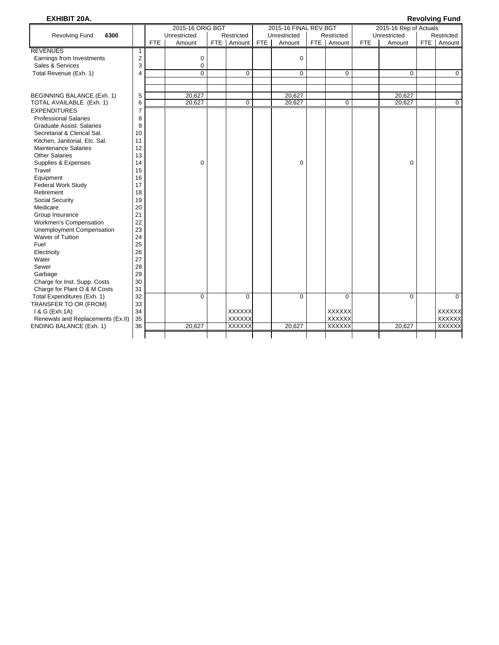# **EXHIBIT 20A. Revolving Fund**

|                                                      |                |     | 2015-16 ORIG BGT |               |     | 2015-16 FINAL REV BGT |               |     | 2015-16 Rep of Actuals |     |               |
|------------------------------------------------------|----------------|-----|------------------|---------------|-----|-----------------------|---------------|-----|------------------------|-----|---------------|
| <b>Revolving Fund</b><br>6300                        |                |     | Unrestricted     | Restricted    |     | Unrestricted          | Restricted    |     | Unrestricted           |     | Restricted    |
|                                                      |                | FTE | Amount           | FTE   Amount  | FTE | Amount                | FTE   Amount  | FTE | Amount                 | FTE | Amount        |
| <b>REVENUES</b>                                      | $\mathbf{1}$   |     |                  |               |     |                       |               |     |                        |     |               |
| Earnings from Investments                            | $\overline{c}$ |     | 0                |               |     | $\mathbf 0$           |               |     |                        |     |               |
| Sales & Services                                     | 3              |     | $\mathbf 0$      |               |     |                       |               |     |                        |     |               |
| Total Revenue (Exh. 1)                               | 4              |     | $\Omega$         | $\Omega$      |     | 0                     | $\Omega$      |     | $\Omega$               |     | 0             |
|                                                      |                |     |                  |               |     |                       |               |     |                        |     |               |
|                                                      |                |     |                  |               |     |                       |               |     |                        |     |               |
| BEGINNING BALANCE (Exh. 1)                           | 5              |     | 20,627           |               |     | 20,627                |               |     | 20,627                 |     |               |
| TOTAL AVAILABLE (Exh. 1)                             | 6              |     | 20,627           | 0             |     | 20,627                | $\mathbf 0$   |     | 20,627                 |     | $\mathbf 0$   |
| <b>EXPENDITURES</b>                                  | $\overline{7}$ |     |                  |               |     |                       |               |     |                        |     |               |
| <b>Professional Salaries</b>                         | 8              |     |                  |               |     |                       |               |     |                        |     |               |
| Graduate Assist, Salaries                            | 9              |     |                  |               |     |                       |               |     |                        |     |               |
| Secretarial & Clerical Sal.                          | 10             |     |                  |               |     |                       |               |     |                        |     |               |
| Kitchen, Janitorial, Etc. Sal.                       | 11             |     |                  |               |     |                       |               |     |                        |     |               |
| <b>Maintenance Salaries</b><br><b>Other Salaries</b> | 12<br>13       |     |                  |               |     |                       |               |     |                        |     |               |
| Supplies & Expenses                                  | 14             |     | $\mathbf 0$      |               |     | $\mathbf 0$           |               |     | 0                      |     |               |
| Travel                                               | 15             |     |                  |               |     |                       |               |     |                        |     |               |
| Equipment                                            | 16             |     |                  |               |     |                       |               |     |                        |     |               |
| <b>Federal Work Study</b>                            | 17             |     |                  |               |     |                       |               |     |                        |     |               |
| Retirement                                           | 18             |     |                  |               |     |                       |               |     |                        |     |               |
| Social Security                                      | 19             |     |                  |               |     |                       |               |     |                        |     |               |
| Medicare                                             | 20             |     |                  |               |     |                       |               |     |                        |     |               |
| Group Insurance                                      | 21             |     |                  |               |     |                       |               |     |                        |     |               |
| Workmen's Compensation                               | 22             |     |                  |               |     |                       |               |     |                        |     |               |
| Unemployment Compensation                            | 23             |     |                  |               |     |                       |               |     |                        |     |               |
| Waiver of Tuition                                    | 24             |     |                  |               |     |                       |               |     |                        |     |               |
| Fuel                                                 | 25             |     |                  |               |     |                       |               |     |                        |     |               |
| Electricity                                          | 26             |     |                  |               |     |                       |               |     |                        |     |               |
| Water                                                | 27             |     |                  |               |     |                       |               |     |                        |     |               |
| Sewer                                                | 28             |     |                  |               |     |                       |               |     |                        |     |               |
| Garbage                                              | 29             |     |                  |               |     |                       |               |     |                        |     |               |
| Charge for Inst. Supp. Costs                         | 30             |     |                  |               |     |                       |               |     |                        |     |               |
| Charge for Plant O & M Costs                         | 31             |     |                  |               |     |                       |               |     |                        |     |               |
| Total Expenditures (Exh. 1)                          | 32             |     | $\Omega$         | $\Omega$      |     | $\Omega$              | $\Omega$      |     | $\Omega$               |     | $\Omega$      |
| TRANSFER TO OR (FROM)                                | 33             |     |                  |               |     |                       |               |     |                        |     |               |
| 1 & G (Exh.1A)                                       | 34             |     |                  | <b>XXXXXX</b> |     |                       | <b>XXXXXX</b> |     |                        |     | <b>XXXXXX</b> |
| Renewals and Replacements (Ex.II)                    | 35             |     |                  | <b>XXXXXX</b> |     |                       | <b>XXXXXX</b> |     |                        |     | <b>XXXXXX</b> |
| <b>ENDING BALANCE (Exh. 1)</b>                       | 36             |     | 20,627           | <b>XXXXXX</b> |     | 20,627                | <b>XXXXXX</b> |     | 20,627                 |     | <b>XXXXXX</b> |
|                                                      |                |     |                  |               |     |                       |               |     |                        |     |               |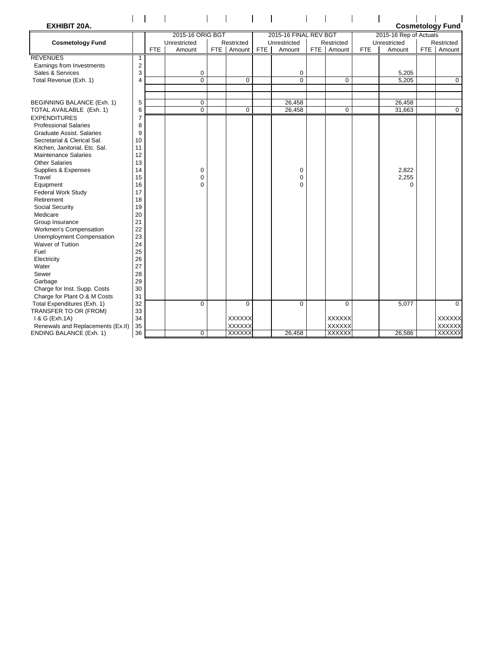| <b>EXHIBIT 20A.</b>               |                |            |                  |               |            |                       |               |            |                        | <b>Cosmetology Fund</b> |
|-----------------------------------|----------------|------------|------------------|---------------|------------|-----------------------|---------------|------------|------------------------|-------------------------|
|                                   |                |            | 2015-16 ORIG BGT |               |            | 2015-16 FINAL REV BGT |               |            | 2015-16 Rep of Actuals |                         |
| <b>Cosmetology Fund</b>           |                |            | Unrestricted     | Restricted    |            | Unrestricted          | Restricted    |            | Unrestricted           | Restricted              |
|                                   |                | <b>FTE</b> | Amount           | FTE   Amount  | <b>FTE</b> | Amount                | FTE Amount    | <b>FTE</b> | Amount                 | FTE   Amount            |
| <b>REVENUES</b>                   | $\mathbf{1}$   |            |                  |               |            |                       |               |            |                        |                         |
| Earnings from Investments         | 2              |            |                  |               |            |                       |               |            |                        |                         |
| Sales & Services                  | 3              |            | $\mathbf 0$      |               |            | 0                     |               |            | 5,205                  |                         |
| Total Revenue (Exh. 1)            | $\overline{4}$ |            | $\overline{0}$   | $\Omega$      |            | $\overline{0}$        | 0             |            | 5,205                  | $\overline{0}$          |
|                                   |                |            |                  |               |            |                       |               |            |                        |                         |
| BEGINNING BALANCE (Exh. 1)        | 5              |            | $\pmb{0}$        |               |            | 26,458                |               |            | 26,458                 |                         |
| TOTAL AVAILABLE (Exh. 1)          | 6              |            | $\Omega$         | $\Omega$      |            | 26,458                | 0             |            | 31,663                 | $\overline{0}$          |
| <b>EXPENDITURES</b>               | $\overline{7}$ |            |                  |               |            |                       |               |            |                        |                         |
| <b>Professional Salaries</b>      | 8              |            |                  |               |            |                       |               |            |                        |                         |
| <b>Graduate Assist, Salaries</b>  | 9              |            |                  |               |            |                       |               |            |                        |                         |
| Secretarial & Clerical Sal.       | 10             |            |                  |               |            |                       |               |            |                        |                         |
| Kitchen, Janitorial, Etc. Sal.    | 11             |            |                  |               |            |                       |               |            |                        |                         |
| <b>Maintenance Salaries</b>       | 12             |            |                  |               |            |                       |               |            |                        |                         |
| <b>Other Salaries</b>             | 13             |            |                  |               |            |                       |               |            |                        |                         |
| Supplies & Expenses               | 14             |            | 0                |               |            | 0                     |               |            | 2,822                  |                         |
| Travel                            | 15             |            | 0                |               |            | $\mathbf 0$           |               |            | 2,255                  |                         |
| Equipment                         | 16             |            | $\Omega$         |               |            | $\Omega$              |               |            | $\Omega$               |                         |
| <b>Federal Work Study</b>         | 17             |            |                  |               |            |                       |               |            |                        |                         |
| Retirement                        | 18             |            |                  |               |            |                       |               |            |                        |                         |
| Social Security                   | 19             |            |                  |               |            |                       |               |            |                        |                         |
| Medicare                          | 20             |            |                  |               |            |                       |               |            |                        |                         |
| Group Insurance                   | 21             |            |                  |               |            |                       |               |            |                        |                         |
| Workmen's Compensation            | 22             |            |                  |               |            |                       |               |            |                        |                         |
| Unemployment Compensation         | 23             |            |                  |               |            |                       |               |            |                        |                         |
| Waiver of Tuition                 | 24             |            |                  |               |            |                       |               |            |                        |                         |
| Fuel                              | 25             |            |                  |               |            |                       |               |            |                        |                         |
| Electricity                       | 26             |            |                  |               |            |                       |               |            |                        |                         |
| Water                             | 27             |            |                  |               |            |                       |               |            |                        |                         |
| Sewer                             | 28             |            |                  |               |            |                       |               |            |                        |                         |
| Garbage                           | 29             |            |                  |               |            |                       |               |            |                        |                         |
| Charge for Inst. Supp. Costs      | 30             |            |                  |               |            |                       |               |            |                        |                         |
| Charge for Plant O & M Costs      | 31             |            |                  |               |            |                       |               |            |                        |                         |
| Total Expenditures (Exh. 1)       | 32             |            | $\mathbf 0$      | $\Omega$      |            | $\Omega$              | $\Omega$      |            | 5,077                  | 0                       |
| TRANSFER TO OR (FROM)             | 33             |            |                  |               |            |                       |               |            |                        |                         |
| 1 & G (Exh.1A)                    | 34             |            |                  | <b>XXXXXX</b> |            |                       | <b>XXXXXX</b> |            |                        | <b>XXXXXX</b>           |
| Renewals and Replacements (Ex.II) | 35             |            |                  | <b>XXXXXX</b> |            |                       | <b>XXXXXX</b> |            |                        | XXXXXX                  |
| <b>ENDING BALANCE (Exh. 1)</b>    | 36             |            | $\mathbf 0$      | <b>XXXXXX</b> |            | 26,458                | <b>XXXXXX</b> |            | 26,586                 | <b>XXXXXX</b>           |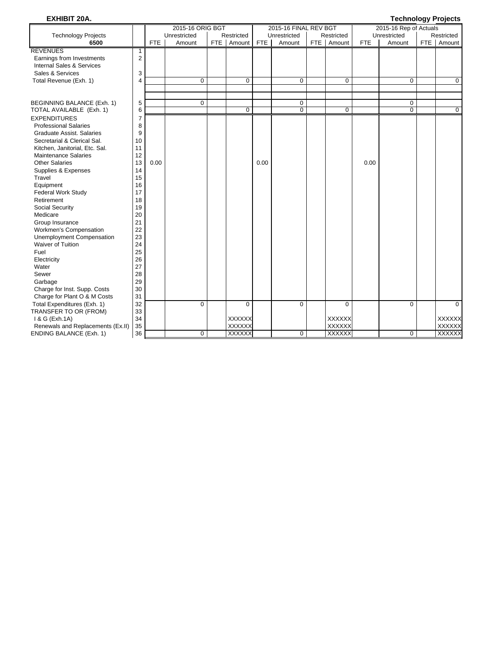# **EXHIBIT 20A. Technology Projects**

|                                      |    |      | 2015-16 ORIG BGT |     |               |            | 2015-16 FINAL REV BGT |               |            | 2015-16 Rep of Actuals | ັ          |               |
|--------------------------------------|----|------|------------------|-----|---------------|------------|-----------------------|---------------|------------|------------------------|------------|---------------|
| <b>Technology Projects</b>           |    |      | Unrestricted     |     | Restricted    |            | Unrestricted          | Restricted    |            | Unrestricted           |            | Restricted    |
| 6500                                 |    | FTE  | Amount           | FTE | Amount        | <b>FTE</b> | Amount                | FTE Amount    | <b>FTE</b> | Amount                 | <b>FTE</b> | Amount        |
| <b>REVENUES</b>                      | 1  |      |                  |     |               |            |                       |               |            |                        |            |               |
| Earnings from Investments            | 2  |      |                  |     |               |            |                       |               |            |                        |            |               |
| <b>Internal Sales &amp; Services</b> |    |      |                  |     |               |            |                       |               |            |                        |            |               |
| Sales & Services                     | 3  |      |                  |     |               |            |                       |               |            |                        |            |               |
| Total Revenue (Exh. 1)               | 4  |      | $\mathbf 0$      |     | $\mathbf 0$   |            | $\mathbf 0$           | $\mathbf 0$   |            | $\mathbf 0$            |            | $\mathbf 0$   |
|                                      |    |      |                  |     |               |            |                       |               |            |                        |            |               |
|                                      |    |      |                  |     |               |            |                       |               |            |                        |            |               |
| BEGINNING BALANCE (Exh. 1)           | 5  |      | $\mathbf 0$      |     |               |            | $\mathbf 0$           |               |            | 0                      |            |               |
| TOTAL AVAILABLE (Exh. 1)             | 6  |      |                  |     | $\Omega$      |            | $\overline{0}$        | $\Omega$      |            | $\overline{0}$         |            | $\mathbf 0$   |
| <b>EXPENDITURES</b>                  | 7  |      |                  |     |               |            |                       |               |            |                        |            |               |
| <b>Professional Salaries</b>         | 8  |      |                  |     |               |            |                       |               |            |                        |            |               |
| <b>Graduate Assist, Salaries</b>     | 9  |      |                  |     |               |            |                       |               |            |                        |            |               |
| Secretarial & Clerical Sal.          | 10 |      |                  |     |               |            |                       |               |            |                        |            |               |
| Kitchen, Janitorial, Etc. Sal.       | 11 |      |                  |     |               |            |                       |               |            |                        |            |               |
| <b>Maintenance Salaries</b>          | 12 |      |                  |     |               |            |                       |               |            |                        |            |               |
| <b>Other Salaries</b>                | 13 | 0.00 |                  |     |               | 0.00       |                       |               | 0.00       |                        |            |               |
| Supplies & Expenses                  | 14 |      |                  |     |               |            |                       |               |            |                        |            |               |
| Travel                               | 15 |      |                  |     |               |            |                       |               |            |                        |            |               |
| Equipment                            | 16 |      |                  |     |               |            |                       |               |            |                        |            |               |
| <b>Federal Work Study</b>            | 17 |      |                  |     |               |            |                       |               |            |                        |            |               |
| Retirement                           | 18 |      |                  |     |               |            |                       |               |            |                        |            |               |
| Social Security                      | 19 |      |                  |     |               |            |                       |               |            |                        |            |               |
| Medicare                             | 20 |      |                  |     |               |            |                       |               |            |                        |            |               |
| Group Insurance                      | 21 |      |                  |     |               |            |                       |               |            |                        |            |               |
| Workmen's Compensation               | 22 |      |                  |     |               |            |                       |               |            |                        |            |               |
| <b>Unemployment Compensation</b>     | 23 |      |                  |     |               |            |                       |               |            |                        |            |               |
| Waiver of Tuition                    | 24 |      |                  |     |               |            |                       |               |            |                        |            |               |
| Fuel                                 | 25 |      |                  |     |               |            |                       |               |            |                        |            |               |
| Electricity                          | 26 |      |                  |     |               |            |                       |               |            |                        |            |               |
| Water                                | 27 |      |                  |     |               |            |                       |               |            |                        |            |               |
| Sewer                                | 28 |      |                  |     |               |            |                       |               |            |                        |            |               |
| Garbage                              | 29 |      |                  |     |               |            |                       |               |            |                        |            |               |
| Charge for Inst. Supp. Costs         | 30 |      |                  |     |               |            |                       |               |            |                        |            |               |
| Charge for Plant O & M Costs         | 31 |      |                  |     |               |            |                       |               |            |                        |            |               |
| Total Expenditures (Exh. 1)          | 32 |      | $\Omega$         |     | $\Omega$      |            | $\Omega$              | $\Omega$      |            | $\Omega$               |            | $\Omega$      |
| TRANSFER TO OR (FROM)                | 33 |      |                  |     |               |            |                       |               |            |                        |            |               |
| 1 & G (Exh.1A)                       | 34 |      |                  |     | <b>XXXXXX</b> |            |                       | <b>XXXXXX</b> |            |                        |            | <b>XXXXXX</b> |
| Renewals and Replacements (Ex.II)    | 35 |      |                  |     | XXXXXX        |            |                       | <b>XXXXXX</b> |            |                        |            | <b>XXXXXX</b> |
| <b>ENDING BALANCE (Exh. 1)</b>       | 36 |      | $\mathbf 0$      |     | <b>XXXXXX</b> |            | 0                     | <b>XXXXXX</b> |            | $\mathbf 0$            |            | <b>XXXXXX</b> |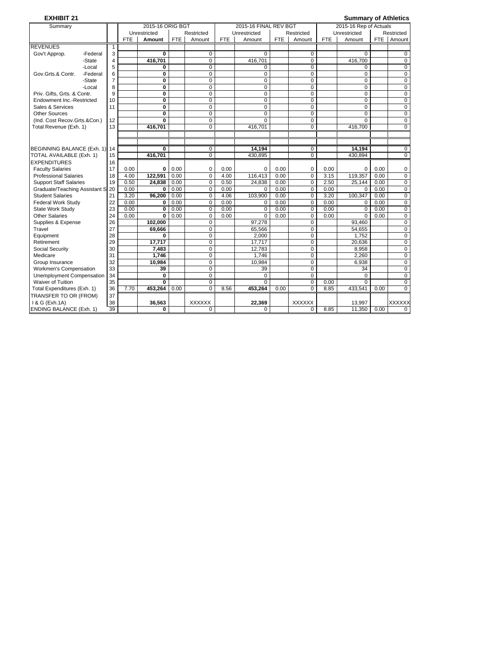| <b>EXHIBIT 21</b>                 |          |                |            |                         |            |                |            |                       |            |                |            | <b>Summary of Athletics</b> |            |                |
|-----------------------------------|----------|----------------|------------|-------------------------|------------|----------------|------------|-----------------------|------------|----------------|------------|-----------------------------|------------|----------------|
| Summarv                           |          |                |            | 2015-16 ORIG BGT        |            |                |            | 2015-16 FINAL REV BGT |            |                |            | 2015-16 Rep of Actuals      |            |                |
|                                   |          |                |            | Unrestricted            |            | Restricted     |            | Unrestricted          |            | Restricted     |            | Unrestricted                |            | Restricted     |
|                                   |          |                | <b>FTE</b> | Amount                  | <b>FTE</b> | Amount         | <b>FTE</b> | Amount                | <b>FTE</b> | Amount         | <b>FTE</b> | Amount                      | <b>FTE</b> | Amount         |
| <b>REVENUES</b>                   |          | $\mathbf{1}$   |            |                         |            |                |            |                       |            |                |            |                             |            |                |
| Gov't Approp.                     | -Federal | 3              |            | $\mathbf{0}$            |            | $\Omega$       |            | $\Omega$              |            | $\Omega$       |            | $\Omega$                    |            | 0              |
|                                   | -State   | $\overline{4}$ |            | 416,701                 |            | $\Omega$       |            | 416.701               |            | $\Omega$       |            | 416.700                     |            | $\Omega$       |
|                                   | -Local   | 5              |            | 0                       |            | $\mathbf 0$    |            | 0                     |            | $\Omega$       |            | 0                           |            | $\mathbf 0$    |
| Gov.Grts.& Contr.                 | -Federal | 6              |            | $\overline{\mathbf{0}}$ |            | 0              |            | 0                     |            | $\overline{0}$ |            | 0                           |            | 0              |
|                                   | -State   | 7              |            | 0                       |            | $\mathbf 0$    |            | 0                     |            | $\mathbf 0$    |            | 0                           |            | $\mathbf 0$    |
|                                   | -Local   | 8              |            | 0                       |            | $\mathbf 0$    |            | 0                     |            | $\mathbf 0$    |            | 0                           |            | $\mathbf 0$    |
| Priv. Gifts, Grts. & Contr.       |          | 9              |            | $\overline{\mathbf{0}}$ |            | $\overline{0}$ |            | $\overline{0}$        |            | 0              |            | 0                           |            | 0              |
| Endowment Inc.-Restricted         |          | 10             |            | Ō                       |            | 0              |            | 0                     |            | 0              |            | 0                           |            | $\mathbf 0$    |
| Sales & Services                  |          | 11             |            | $\bf{0}$                |            | $\mathbf 0$    |            | $\mathbf 0$           |            | $\mathbf 0$    |            | 0                           |            | $\mathbf 0$    |
| Other Sources                     |          |                |            | $\mathbf{0}$            |            | $\Omega$       |            | $\Omega$              |            | $\Omega$       |            | $\Omega$                    |            | $\mathbf 0$    |
| (Ind. Cost Recov.Grts.&Con.)      |          | 12             |            | 0                       |            | $\Omega$       |            | $\Omega$              |            | $\Omega$       |            | $\Omega$                    |            | $\mathbf 0$    |
| Total Revenue (Exh. 1)            |          | 13             |            | 416,701                 |            | 0              |            | 416,701               |            | $\Omega$       |            | 416,700                     |            | $\Omega$       |
|                                   |          |                |            |                         |            |                |            |                       |            |                |            |                             |            |                |
|                                   |          |                |            |                         |            |                |            |                       |            |                |            |                             |            |                |
| BEGINNING BALANCE (Exh. 1) 14     |          |                |            | 0                       |            | 0              |            | 14.194                |            | 0              |            | 14.194                      |            | 0              |
| TOTAL AVAILABLE (Exh. 1)          |          | 15             |            | 416,701                 |            | $\Omega$       |            | 430.895               |            | 0              |            | 430.894                     |            | $\mathbf 0$    |
| <b>EXPENDITURES</b>               |          | 16             |            |                         |            |                |            |                       |            |                |            |                             |            |                |
| <b>Faculty Salaries</b>           |          | 17             | 0.00       | 0                       | 0.00       | $\Omega$       | 0.00       | $\Omega$              | 0.00       | 0              | 0.00       | $\Omega$                    | 0.00       | 0              |
| <b>Professional Salaries</b>      |          | 18             | 4.00       | 122.591                 | 0.00       | $\overline{0}$ | 4.00       | 116.413               | 0.00       | $\overline{0}$ | 3.15       | 119.357                     | 0.00       | $\mathbf 0$    |
| <b>Support Staff Salaries</b>     |          | 19             | 0.50       | 24.838                  | 0.00       | $\mathbf 0$    | 0.50       | 24.838                | 0.00       | $\mathbf 0$    | 2.50       | 25.144                      | 0.00       | $\mathbf 0$    |
| Graduate/Teaching Assistant Si 20 |          |                | 0.00       | $\bf{0}$                | 0.00       | $\Omega$       | 0.00       | $\Omega$              | 0.00       | $\Omega$       | 0.00       | $\Omega$                    | 0.00       | $\mathbf 0$    |
| <b>Student Salaries</b>           |          | 21             | 3.20       | 96.200                  | 0.00       | $\Omega$       | 4.06       | 103.900               | 0.00       | $\Omega$       | 3.20       | 100.347                     | 0.00       | $\mathbf 0$    |
| <b>Federal Work Study</b>         |          | 22             | 0.00       | 0                       | 0.00       | $\Omega$       | 0.00       | 0                     | 0.00       | $\mathbf 0$    | 0.00       | 0                           | 0.00       | 0              |
| State Work Study                  |          | 23             | 0.00       | $\bf{0}$                | 0.00       | $\Omega$       | 0.00       | 0                     | 0.00       | $\Omega$       | 0.00       | $\Omega$                    | 0.00       | $\mathbf 0$    |
| <b>Other Salaries</b>             |          | 24             | 0.00       | $\Omega$                | 0.00       | $\Omega$       | 0.00       | $\Omega$              | 0.00       | $\Omega$       | 0.00       | $\Omega$                    | 0.00       | 0              |
| Supplies & Expense                |          | 26             |            | 102,000                 |            | $\mathbf 0$    |            | 97,278                |            | $\mathbf 0$    |            | 93,460                      |            | $\mathbf 0$    |
| Travel                            |          | 27             |            | 69,666                  |            | $\overline{0}$ |            | 65,566                |            | 0              |            | 54,655                      |            | $\overline{0}$ |
| Equipment                         |          | 28             |            | 0                       |            | $\mathbf 0$    |            | 2,000                 |            | $\mathbf 0$    |            | 1,752                       |            | 0              |
| Retirement                        |          | 29             |            | 17,717                  |            | $\mathbf 0$    |            | 17.717                |            | $\mathbf 0$    |            | 20.636                      |            | 0              |
| Social Security                   |          | 30             |            | 7.483                   |            | 0              |            | 12,783                |            | 0              |            | 8.958                       |            | $\mathbf 0$    |
| Medicare                          |          | 31             |            | 1.746                   |            | $\Omega$       |            | 1.746                 |            | $\Omega$       |            | 2.260                       |            | 0              |
| Group Insurance                   |          | 32             |            | 10.984                  |            | $\Omega$       |            | 10.984                |            | $\Omega$       |            | 6,938                       |            | $\mathbf 0$    |
| Workmen's Compensation            |          | 33             |            | 39                      |            | $\mathbf 0$    |            | 39                    |            | $\Omega$       |            | 34                          |            | $\mathbf 0$    |
| <b>Unemployment Compensation</b>  |          | 34             |            | 0                       |            | $\Omega$       |            | $\Omega$              |            | $\mathbf 0$    |            | $\Omega$                    |            | $\mathbf 0$    |
| Waiver of Tuition                 |          | 35             |            | $\mathbf{0}$            |            | $\Omega$       |            | $\Omega$              |            | $\Omega$       | 0.00       | $\Omega$                    |            | $\mathbf 0$    |
| Total Expenditures (Exh. 1)       |          | 36             | 7.70       | 453,264                 | 0.00       | $\overline{0}$ | 8.56       | 453,264               | 0.00       | $\overline{0}$ | 8.85       | 433,541                     | 0.00       | $\overline{0}$ |
| TRANSFER TO OR (FROM)             |          | 37             |            |                         |            |                |            |                       |            |                |            |                             |            |                |
| 1 & G (Exh.1A)                    |          | 38             |            | 36,563                  |            | <b>XXXXXX</b>  |            | 22,369                |            | <b>XXXXXX</b>  |            | 13,997                      |            | <b>XXXXXX</b>  |
| ENDING BALANCE (Exh. 1)           |          | 39             |            | 0                       |            | 0              |            | $\Omega$              |            | $\Omega$       | 8.85       | 11.350                      | 0.00       | 0              |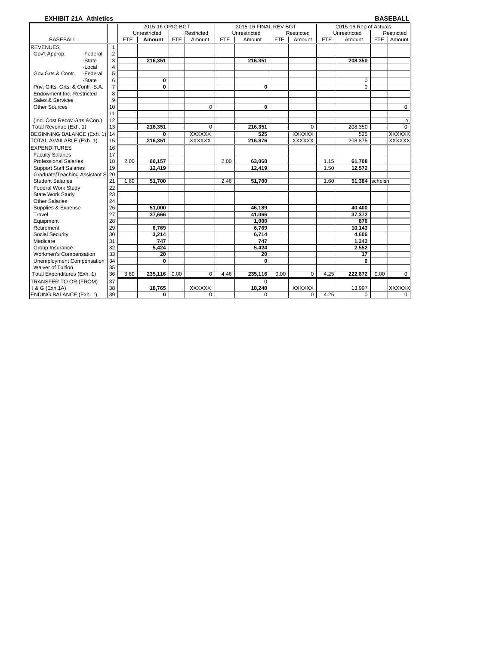| <b>EXHIBIT 21A Athletics</b>     |                |            |                  |            |               |            |                       |            |               |            |                        |            | <b>BASEBALL</b> |
|----------------------------------|----------------|------------|------------------|------------|---------------|------------|-----------------------|------------|---------------|------------|------------------------|------------|-----------------|
|                                  |                |            | 2015-16 ORIG BGT |            |               |            | 2015-16 FINAL REV BGT |            |               |            | 2015-16 Rep of Actuals |            |                 |
|                                  |                |            | Unrestricted     |            | Restricted    |            | Unrestricted          |            | Restricted    |            | Unrestricted           |            | Restricted      |
| <b>BASEBALL</b>                  |                | <b>FTE</b> | Amount           | <b>FTE</b> | Amount        | <b>FTE</b> | Amount                | <b>FTE</b> | Amount        | <b>FTE</b> | Amount                 | <b>FTE</b> | Amount          |
| <b>REVENUES</b>                  | $\mathbf{1}$   |            |                  |            |               |            |                       |            |               |            |                        |            |                 |
| Gov't Approp.<br>-Federal        | $\overline{2}$ |            |                  |            |               |            |                       |            |               |            |                        |            |                 |
| -State                           | 3              |            | 216,351          |            |               |            | 216,351               |            |               |            | 208,350                |            |                 |
| -Local                           | 4              |            |                  |            |               |            |                       |            |               |            |                        |            |                 |
| Gov.Grts.& Contr.<br>-Federal    | 5              |            |                  |            |               |            |                       |            |               |            |                        |            |                 |
| -State                           | 6              |            | $\bf{0}$         |            |               |            |                       |            |               |            | $\Omega$               |            |                 |
| Priv. Gifts, Grts. & Contr.-S.A. | $\overline{7}$ |            | 0                |            |               |            | 0                     |            |               |            | $\Omega$               |            |                 |
| Endowment Inc.-Restricted        | 8              |            |                  |            |               |            |                       |            |               |            |                        |            |                 |
| Sales & Services                 | 9              |            |                  |            |               |            |                       |            |               |            |                        |            |                 |
| <b>Other Sources</b>             | 10             |            |                  |            | $\Omega$      |            | $\bf{0}$              |            |               |            |                        |            | $\mathbf 0$     |
|                                  | 11             |            |                  |            |               |            |                       |            |               |            |                        |            |                 |
| (Ind. Cost Recov.Grts.&Con.)     | 12             |            |                  |            |               |            |                       |            |               |            |                        |            | $\mathsf 0$     |
| Total Revenue (Exh. 1)           | 13             |            | 216,351          |            | $\Omega$      |            | 216,351               |            | $\Omega$      |            | 208,350                |            | 0               |
| BEGINNING BALANCE (Exh. 1) 14    |                |            | 0                |            | <b>XXXXXX</b> |            | 525                   |            | XXXXXX        |            | 525                    |            | <b>XXXXXX</b>   |
| TOTAL AVAILABLE (Exh. 1)         | 15             |            | 216,351          |            | <b>XXXXXX</b> |            | 216,876               |            | <b>XXXXXX</b> |            | 208,875                |            | <b>XXXXXX</b>   |
| <b>EXPENDITURES</b>              | 16             |            |                  |            |               |            |                       |            |               |            |                        |            |                 |
| <b>Faculty Salaries</b>          | 17             |            |                  |            |               |            |                       |            |               |            |                        |            |                 |
| <b>Professional Salaries</b>     | 18             | 2.00       | 66,157           |            |               | 2.00       | 63,068                |            |               | 1.15       | 61,708                 |            |                 |
| <b>Support Staff Salaries</b>    | 19             |            | 12,419           |            |               |            | 12.419                |            |               | 1.50       | 12.572                 |            |                 |
| Graduate/Teaching Assistant S    | 20             |            |                  |            |               |            |                       |            |               |            |                        |            |                 |
| <b>Student Salaries</b>          | 21             | 1.60       | 51,700           |            |               | 2.46       | 51,700                |            |               | 1.60       | 51,384                 | scholsh    |                 |
| <b>Federal Work Study</b>        | 22             |            |                  |            |               |            |                       |            |               |            |                        |            |                 |
| State Work Study                 | 23             |            |                  |            |               |            |                       |            |               |            |                        |            |                 |
| <b>Other Salaries</b>            | 24             |            |                  |            |               |            |                       |            |               |            |                        |            |                 |
| Supplies & Expense               | 26             |            | 51.000           |            |               |            | 46.189                |            |               |            | 40,400                 |            |                 |
| Travel                           | 27             |            | 37.666           |            |               |            | 41,066                |            |               |            | 37.372                 |            |                 |
| Equipment                        | 28             |            |                  |            |               |            | 1,000                 |            |               |            | 876                    |            |                 |
| Retirement                       | 29             |            | 6,769            |            |               |            | 6,769                 |            |               |            | 10,143                 |            |                 |
| Social Security                  | 30             |            | 3.214            |            |               |            | 6,714                 |            |               |            | 4,606                  |            |                 |
| Medicare                         | 31             |            | 747              |            |               |            | 747                   |            |               |            | 1,242                  |            |                 |
| Group Insurance                  | 32             |            | 5,424            |            |               |            | 5,424                 |            |               |            | 2,552                  |            |                 |
| Workmen's Compensation           | 33             |            | 20               |            |               |            | 20                    |            |               |            | 17                     |            |                 |
| Unemployment Compensation        | 34             |            | $\mathbf{0}$     |            |               |            | 0                     |            |               |            | 0                      |            |                 |
| Waiver of Tuition                | 35             |            |                  |            |               |            |                       |            |               |            |                        |            |                 |
| Total Expenditures (Exh. 1)      | 36             | 3.60       | 235.116          | 0.00       | $\Omega$      | 4.46       | 235.116               | 0.00       | $\Omega$      | 4.25       | 222.872                | 0.00       | 0               |
| TRANSFER TO OR (FROM)            | 37             |            |                  |            |               |            | $\Omega$              |            |               |            |                        |            |                 |
| 1 & G (Exh.1A)                   | 38             |            | 18,765           |            | <b>XXXXXX</b> |            | 18,240                |            | <b>XXXXXX</b> |            | 13,997                 |            | <b>XXXXXX</b>   |
| <b>ENDING BALANCE (Exh. 1)</b>   | 39             |            | 0                |            | 0             |            | $\mathbf 0$           |            | 0             | 4.25       | 0                      |            | $\mathbf 0$     |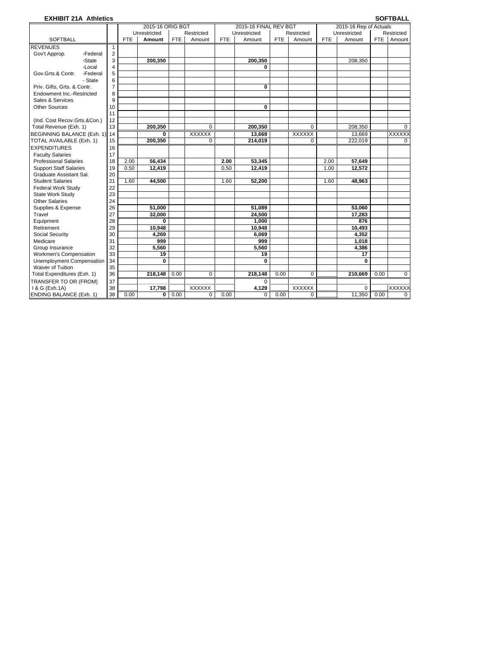### **EXHIBIT 21A Athletics SOFTBALL**

|                                |                |            | 2015-16 ORIG BGT |            |               |            | 2015-16 FINAL REV BGT |            |             |            | 2015-16 Rep of Actuals |            |                |
|--------------------------------|----------------|------------|------------------|------------|---------------|------------|-----------------------|------------|-------------|------------|------------------------|------------|----------------|
|                                |                |            | Unrestricted     |            | Restricted    |            | Unrestricted          |            | Restricted  |            | Unrestricted           |            | Restricted     |
| <b>SOFTBALL</b>                |                | <b>FTE</b> | Amount           | <b>FTE</b> | Amount        | <b>FTE</b> | Amount                | <b>FTE</b> | Amount      | <b>FTE</b> | Amount                 | <b>FTE</b> | Amount         |
| <b>REVENUES</b>                | $\mathbf{1}$   |            |                  |            |               |            |                       |            |             |            |                        |            |                |
| Gov't Approp.<br>-Federal      | $\overline{2}$ |            |                  |            |               |            |                       |            |             |            |                        |            |                |
| -State                         | 3              |            | 200.350          |            |               |            | 200,350               |            |             |            | 208,350                |            |                |
| -Local                         | 4              |            |                  |            |               |            | 0                     |            |             |            |                        |            |                |
| Gov.Grts.& Contr.<br>-Federal  | 5              |            |                  |            |               |            |                       |            |             |            |                        |            |                |
| - State                        | 6              |            |                  |            |               |            |                       |            |             |            |                        |            |                |
| Priv. Gifts, Grts. & Contr.    | $\overline{7}$ |            |                  |            |               |            | $\bf{0}$              |            |             |            |                        |            |                |
| Endowment Inc.-Restricted      | 8              |            |                  |            |               |            |                       |            |             |            |                        |            |                |
| Sales & Services               | 9              |            |                  |            |               |            |                       |            |             |            |                        |            |                |
| <b>Other Sources</b>           | 10             |            |                  |            |               |            | 0                     |            |             |            |                        |            |                |
|                                | 11             |            |                  |            |               |            |                       |            |             |            |                        |            |                |
| (Ind. Cost Recov.Grts.&Con.)   | 12             |            |                  |            |               |            |                       |            |             |            |                        |            |                |
| Total Revenue (Exh. 1)         | 13             |            | 200.350          |            | 0             |            | 200.350               |            | 0           |            | 208.350                |            | 0              |
| BEGINNING BALANCE (Exh. 1)     | 14             |            | $\bf{0}$         |            | <b>XXXXXX</b> |            | 13,669                |            | XXXXXX      |            | 13,669                 |            | <b>XXXXXX</b>  |
| TOTAL AVAILABLE (Exh. 1)       | 15             |            | 200,350          |            | $\mathbf 0$   |            | 214,019               |            | $\mathbf 0$ |            | 222,019                |            | $\overline{0}$ |
| <b>EXPENDITURES</b>            | 16             |            |                  |            |               |            |                       |            |             |            |                        |            |                |
| <b>Faculty Salaries</b>        | 17             |            |                  |            |               |            |                       |            |             |            |                        |            |                |
| <b>Professional Salaries</b>   | 18             | 2.00       | 56,434           |            |               | 2.00       | 53,345                |            |             | 2.00       | 57,649                 |            |                |
| <b>Support Staff Salaries</b>  | 19             | 0.50       | 12,419           |            |               | 0.50       | 12,419                |            |             | 1.00       | 12,572                 |            |                |
| Graduate Assistant Sal.        | 20             |            |                  |            |               |            |                       |            |             |            |                        |            |                |
| <b>Student Salaries</b>        | 21             | 1.60       | 44,500           |            |               | 1.60       | 52,200                |            |             | 1.60       | 48,963                 |            |                |
| <b>Federal Work Study</b>      | 22             |            |                  |            |               |            |                       |            |             |            |                        |            |                |
| State Work Study               | 23             |            |                  |            |               |            |                       |            |             |            |                        |            |                |
| <b>Other Salaries</b>          | 24             |            |                  |            |               |            |                       |            |             |            |                        |            |                |
| Supplies & Expense             | 26             |            | 51.000           |            |               |            | 51.089                |            |             |            | 53.060                 |            |                |
| Travel                         | 27             |            | 32,000           |            |               |            | 24,500                |            |             |            | 17,283                 |            |                |
| Equipment                      | 28             |            | 0                |            |               |            | 1,000                 |            |             |            | 876                    |            |                |
| Retirement                     | 29             |            | 10,948           |            |               |            | 10.948                |            |             |            | 10,493                 |            |                |
| Social Security                | 30             |            | 4.269            |            |               |            | 6.069                 |            |             |            | 4,352                  |            |                |
| Medicare                       | 31             |            | 999              |            |               |            | 999                   |            |             |            | 1.018                  |            |                |
| Group Insurance                | 32             |            | 5.560            |            |               |            | 5,560                 |            |             |            | 4,386                  |            |                |
| Workmen's Compensation         | 33             |            | 19               |            |               |            | 19                    |            |             |            | 17                     |            |                |
| Unemployment Compensation      | 34             |            | $\bf{0}$         |            |               |            | 0                     |            |             |            | 0                      |            |                |
| Waiver of Tuition              | 35             |            |                  |            |               |            |                       |            |             |            |                        |            |                |
| Total Expenditures (Exh. 1)    | 36             |            | 218,148          | 0.00       | 0             |            | 218,148               | 0.00       | 0           |            | 210,669                | 0.00       | $\mathbf 0$    |
| TRANSFER TO OR (FROM)          | 37             |            |                  |            |               |            | $\Omega$              |            |             |            |                        |            |                |
| 1 & G (Exh.1A)                 | 38             |            | 17,798           |            | <b>XXXXXX</b> |            | 4,129                 |            | XXXXXX      |            | $\Omega$               |            | XXXXXX         |
| <b>ENDING BALANCE (Exh. 1)</b> | 38             | 0.00       | 0                | 0.00       | 0             | 0.00       | $\mathbf 0$           | 0.00       | 0           |            | 11,350                 | 0.00       | 0              |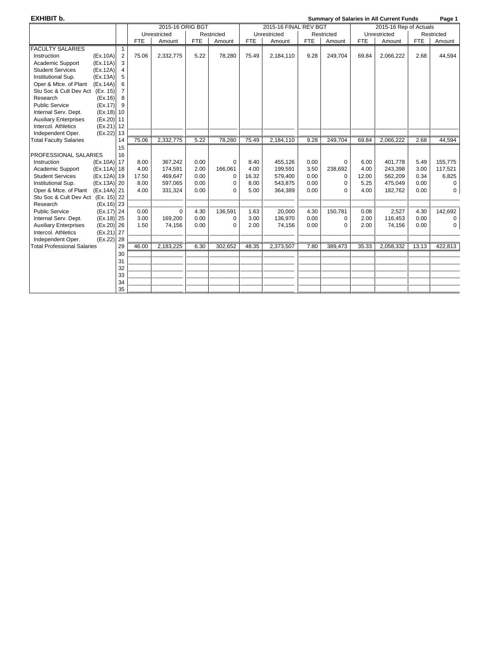### **EXHIBIT b. CONFIDENT BY A SUMMARY OF SALARCE STATES IN SUMMARY of Salaries in All Current Funds** Page 1

| Unrestricted<br>Restricted<br>Unrestricted<br>Unrestricted<br>Restricted<br>Restricted<br><b>FTE</b><br>Amount<br><b>FTE</b><br>Amount<br><b>FTE</b><br>Amount<br><b>FTE</b><br>Amount<br><b>FTE</b><br>Amount<br><b>FTE</b><br>Amount<br>1<br>75.06<br>9.28<br>44,594<br>Instruction<br>(EX.10A)<br>$\overline{2}$<br>2,332,775<br>5.22<br>78,280<br>75.49<br>2,184,110<br>249,704<br>69.84<br>2,066,222<br>2.68<br>3<br>Academic Support<br>(EX.11A)<br><b>Student Services</b><br>(EX.12A)<br>4<br>Institutional Sup.<br>(EX.13A)<br>5<br>Oper & Mtce. of Plant<br>(Ex.14A)<br>6<br>Stu Soc & Cult Dev Act (Ex. 15)<br>Research<br>(EX.16)<br>8<br><b>Public Service</b><br>(EX.17)<br>9<br>Internal Serv. Dept.<br>$(Ex.18)$ 10<br><b>Auxiliary Enterprises</b><br>(Ex.20) 11<br>Intercol. Athletics<br>$(Ex.21)$ 12<br>Independent Oper.<br>(Ex.22) 13<br>2,332,775<br>78,280<br><b>Total Faculty Salaries</b><br>75.06<br>5.22<br>75.49<br>2,184,110<br>9.28<br>249,704<br>69.84<br>2,066,222<br>2.68<br>44,594<br>14<br>15<br>16<br>155,775<br>(Ex.10A) 17<br>8.00<br>367,242<br>0.00<br>0<br>455,126<br>0.00<br>6.00<br>401,778<br>Instruction<br>8.40<br>$\mathbf 0$<br>5.49<br>(Ex.11A) 18<br>4.00<br>166,061<br>3.50<br>238,692<br>4.00<br>Academic Support<br>2.00<br>4.00<br>199,591<br>243,398<br>3.00<br>117,521<br>174,591<br>0.00<br><b>Student Services</b><br>(Ex.12A) 19<br>17.50<br>0.00<br>16.32<br>12.00<br>562,209<br>0.34<br>6,825<br>469,647<br>0<br>579,400<br>$\mathbf 0$<br>(Ex.13A) 20<br>0.00<br>475,049<br>Institutional Sup.<br>8.00<br>597,065<br>0.00<br>0<br>8.00<br>543,875<br>$\mathbf 0$<br>5.25<br>0.00<br>$\Omega$<br>Oper & Mtce. of Plant (Ex.14A) 21<br>4.00<br>0.00<br>0<br>331,324<br>0.00<br>$\Omega$<br>5.00<br>364,389<br>$\Omega$<br>4.00<br>182,762<br>0.00<br>Stu Soc & Cult Dev Act (Ex. 15) 22<br>$(Ex.16)$ 23<br>Research<br>142,692<br>(Ex.17) 24<br>0.00<br>$\Omega$<br>4.30<br>136,591<br>150,781<br>2,527<br>4.30<br><b>Public Service</b><br>1.63<br>20,000<br>4.30<br>0.08<br>Internal Serv. Dept.<br>(Ex.18) 25<br>3.00<br>169,200<br>0.00<br>136,970<br>0.00<br>116,453<br>0<br>3.00<br>$\Omega$<br>2.00<br>0.00<br>0<br><b>Auxiliary Enterprises</b><br>$(Ex.20)$ 26<br>1.50<br>74,156<br>0.00<br>2.00<br>0.00<br>$\Omega$<br>2.00<br>74,156<br>0.00<br>$\mathbf 0$<br>$\Omega$<br>74,156<br>(Ex.21) 27<br>Intercol. Athletics<br>28<br>Independent Oper.<br>(EX.22)<br>29<br><b>Total Professional Salaries</b><br>46.00<br>2,183,225<br>302,652<br>2,373,507<br>7.80<br>389,473<br>2,058,332<br>422,813<br>6.30<br>48.35<br>35.33<br>13.13<br>30<br>31<br>32<br>33<br>34<br>35 |                         | 2015-16 ORIG BGT |  |  |  | 2015-16 FINAL REV BGT |  |  |  | 2015-16 Rep of Actuals |  |  |  |
|--------------------------------------------------------------------------------------------------------------------------------------------------------------------------------------------------------------------------------------------------------------------------------------------------------------------------------------------------------------------------------------------------------------------------------------------------------------------------------------------------------------------------------------------------------------------------------------------------------------------------------------------------------------------------------------------------------------------------------------------------------------------------------------------------------------------------------------------------------------------------------------------------------------------------------------------------------------------------------------------------------------------------------------------------------------------------------------------------------------------------------------------------------------------------------------------------------------------------------------------------------------------------------------------------------------------------------------------------------------------------------------------------------------------------------------------------------------------------------------------------------------------------------------------------------------------------------------------------------------------------------------------------------------------------------------------------------------------------------------------------------------------------------------------------------------------------------------------------------------------------------------------------------------------------------------------------------------------------------------------------------------------------------------------------------------------------------------------------------------------------------------------------------------------------------------------------------------------------------------------------------------------------------------------------------------------------------------------------------------------------------------------------------------------------------------------------------------------------------------------------------------------------------------------------------------------------------------------------------------------------------------------------|-------------------------|------------------|--|--|--|-----------------------|--|--|--|------------------------|--|--|--|
|                                                                                                                                                                                                                                                                                                                                                                                                                                                                                                                                                                                                                                                                                                                                                                                                                                                                                                                                                                                                                                                                                                                                                                                                                                                                                                                                                                                                                                                                                                                                                                                                                                                                                                                                                                                                                                                                                                                                                                                                                                                                                                                                                                                                                                                                                                                                                                                                                                                                                                                                                                                                                                                  |                         |                  |  |  |  |                       |  |  |  |                        |  |  |  |
|                                                                                                                                                                                                                                                                                                                                                                                                                                                                                                                                                                                                                                                                                                                                                                                                                                                                                                                                                                                                                                                                                                                                                                                                                                                                                                                                                                                                                                                                                                                                                                                                                                                                                                                                                                                                                                                                                                                                                                                                                                                                                                                                                                                                                                                                                                                                                                                                                                                                                                                                                                                                                                                  |                         |                  |  |  |  |                       |  |  |  |                        |  |  |  |
|                                                                                                                                                                                                                                                                                                                                                                                                                                                                                                                                                                                                                                                                                                                                                                                                                                                                                                                                                                                                                                                                                                                                                                                                                                                                                                                                                                                                                                                                                                                                                                                                                                                                                                                                                                                                                                                                                                                                                                                                                                                                                                                                                                                                                                                                                                                                                                                                                                                                                                                                                                                                                                                  | <b>FACULTY SALARIES</b> |                  |  |  |  |                       |  |  |  |                        |  |  |  |
|                                                                                                                                                                                                                                                                                                                                                                                                                                                                                                                                                                                                                                                                                                                                                                                                                                                                                                                                                                                                                                                                                                                                                                                                                                                                                                                                                                                                                                                                                                                                                                                                                                                                                                                                                                                                                                                                                                                                                                                                                                                                                                                                                                                                                                                                                                                                                                                                                                                                                                                                                                                                                                                  |                         |                  |  |  |  |                       |  |  |  |                        |  |  |  |
|                                                                                                                                                                                                                                                                                                                                                                                                                                                                                                                                                                                                                                                                                                                                                                                                                                                                                                                                                                                                                                                                                                                                                                                                                                                                                                                                                                                                                                                                                                                                                                                                                                                                                                                                                                                                                                                                                                                                                                                                                                                                                                                                                                                                                                                                                                                                                                                                                                                                                                                                                                                                                                                  |                         |                  |  |  |  |                       |  |  |  |                        |  |  |  |
|                                                                                                                                                                                                                                                                                                                                                                                                                                                                                                                                                                                                                                                                                                                                                                                                                                                                                                                                                                                                                                                                                                                                                                                                                                                                                                                                                                                                                                                                                                                                                                                                                                                                                                                                                                                                                                                                                                                                                                                                                                                                                                                                                                                                                                                                                                                                                                                                                                                                                                                                                                                                                                                  |                         |                  |  |  |  |                       |  |  |  |                        |  |  |  |
|                                                                                                                                                                                                                                                                                                                                                                                                                                                                                                                                                                                                                                                                                                                                                                                                                                                                                                                                                                                                                                                                                                                                                                                                                                                                                                                                                                                                                                                                                                                                                                                                                                                                                                                                                                                                                                                                                                                                                                                                                                                                                                                                                                                                                                                                                                                                                                                                                                                                                                                                                                                                                                                  |                         |                  |  |  |  |                       |  |  |  |                        |  |  |  |
|                                                                                                                                                                                                                                                                                                                                                                                                                                                                                                                                                                                                                                                                                                                                                                                                                                                                                                                                                                                                                                                                                                                                                                                                                                                                                                                                                                                                                                                                                                                                                                                                                                                                                                                                                                                                                                                                                                                                                                                                                                                                                                                                                                                                                                                                                                                                                                                                                                                                                                                                                                                                                                                  |                         |                  |  |  |  |                       |  |  |  |                        |  |  |  |
|                                                                                                                                                                                                                                                                                                                                                                                                                                                                                                                                                                                                                                                                                                                                                                                                                                                                                                                                                                                                                                                                                                                                                                                                                                                                                                                                                                                                                                                                                                                                                                                                                                                                                                                                                                                                                                                                                                                                                                                                                                                                                                                                                                                                                                                                                                                                                                                                                                                                                                                                                                                                                                                  |                         |                  |  |  |  |                       |  |  |  |                        |  |  |  |
|                                                                                                                                                                                                                                                                                                                                                                                                                                                                                                                                                                                                                                                                                                                                                                                                                                                                                                                                                                                                                                                                                                                                                                                                                                                                                                                                                                                                                                                                                                                                                                                                                                                                                                                                                                                                                                                                                                                                                                                                                                                                                                                                                                                                                                                                                                                                                                                                                                                                                                                                                                                                                                                  |                         |                  |  |  |  |                       |  |  |  |                        |  |  |  |
|                                                                                                                                                                                                                                                                                                                                                                                                                                                                                                                                                                                                                                                                                                                                                                                                                                                                                                                                                                                                                                                                                                                                                                                                                                                                                                                                                                                                                                                                                                                                                                                                                                                                                                                                                                                                                                                                                                                                                                                                                                                                                                                                                                                                                                                                                                                                                                                                                                                                                                                                                                                                                                                  |                         |                  |  |  |  |                       |  |  |  |                        |  |  |  |
|                                                                                                                                                                                                                                                                                                                                                                                                                                                                                                                                                                                                                                                                                                                                                                                                                                                                                                                                                                                                                                                                                                                                                                                                                                                                                                                                                                                                                                                                                                                                                                                                                                                                                                                                                                                                                                                                                                                                                                                                                                                                                                                                                                                                                                                                                                                                                                                                                                                                                                                                                                                                                                                  |                         |                  |  |  |  |                       |  |  |  |                        |  |  |  |
|                                                                                                                                                                                                                                                                                                                                                                                                                                                                                                                                                                                                                                                                                                                                                                                                                                                                                                                                                                                                                                                                                                                                                                                                                                                                                                                                                                                                                                                                                                                                                                                                                                                                                                                                                                                                                                                                                                                                                                                                                                                                                                                                                                                                                                                                                                                                                                                                                                                                                                                                                                                                                                                  |                         |                  |  |  |  |                       |  |  |  |                        |  |  |  |
|                                                                                                                                                                                                                                                                                                                                                                                                                                                                                                                                                                                                                                                                                                                                                                                                                                                                                                                                                                                                                                                                                                                                                                                                                                                                                                                                                                                                                                                                                                                                                                                                                                                                                                                                                                                                                                                                                                                                                                                                                                                                                                                                                                                                                                                                                                                                                                                                                                                                                                                                                                                                                                                  |                         |                  |  |  |  |                       |  |  |  |                        |  |  |  |
|                                                                                                                                                                                                                                                                                                                                                                                                                                                                                                                                                                                                                                                                                                                                                                                                                                                                                                                                                                                                                                                                                                                                                                                                                                                                                                                                                                                                                                                                                                                                                                                                                                                                                                                                                                                                                                                                                                                                                                                                                                                                                                                                                                                                                                                                                                                                                                                                                                                                                                                                                                                                                                                  |                         |                  |  |  |  |                       |  |  |  |                        |  |  |  |
|                                                                                                                                                                                                                                                                                                                                                                                                                                                                                                                                                                                                                                                                                                                                                                                                                                                                                                                                                                                                                                                                                                                                                                                                                                                                                                                                                                                                                                                                                                                                                                                                                                                                                                                                                                                                                                                                                                                                                                                                                                                                                                                                                                                                                                                                                                                                                                                                                                                                                                                                                                                                                                                  |                         |                  |  |  |  |                       |  |  |  |                        |  |  |  |
|                                                                                                                                                                                                                                                                                                                                                                                                                                                                                                                                                                                                                                                                                                                                                                                                                                                                                                                                                                                                                                                                                                                                                                                                                                                                                                                                                                                                                                                                                                                                                                                                                                                                                                                                                                                                                                                                                                                                                                                                                                                                                                                                                                                                                                                                                                                                                                                                                                                                                                                                                                                                                                                  |                         |                  |  |  |  |                       |  |  |  |                        |  |  |  |
|                                                                                                                                                                                                                                                                                                                                                                                                                                                                                                                                                                                                                                                                                                                                                                                                                                                                                                                                                                                                                                                                                                                                                                                                                                                                                                                                                                                                                                                                                                                                                                                                                                                                                                                                                                                                                                                                                                                                                                                                                                                                                                                                                                                                                                                                                                                                                                                                                                                                                                                                                                                                                                                  | PROFESSIONAL SALARIES   |                  |  |  |  |                       |  |  |  |                        |  |  |  |
|                                                                                                                                                                                                                                                                                                                                                                                                                                                                                                                                                                                                                                                                                                                                                                                                                                                                                                                                                                                                                                                                                                                                                                                                                                                                                                                                                                                                                                                                                                                                                                                                                                                                                                                                                                                                                                                                                                                                                                                                                                                                                                                                                                                                                                                                                                                                                                                                                                                                                                                                                                                                                                                  |                         |                  |  |  |  |                       |  |  |  |                        |  |  |  |
|                                                                                                                                                                                                                                                                                                                                                                                                                                                                                                                                                                                                                                                                                                                                                                                                                                                                                                                                                                                                                                                                                                                                                                                                                                                                                                                                                                                                                                                                                                                                                                                                                                                                                                                                                                                                                                                                                                                                                                                                                                                                                                                                                                                                                                                                                                                                                                                                                                                                                                                                                                                                                                                  |                         |                  |  |  |  |                       |  |  |  |                        |  |  |  |
|                                                                                                                                                                                                                                                                                                                                                                                                                                                                                                                                                                                                                                                                                                                                                                                                                                                                                                                                                                                                                                                                                                                                                                                                                                                                                                                                                                                                                                                                                                                                                                                                                                                                                                                                                                                                                                                                                                                                                                                                                                                                                                                                                                                                                                                                                                                                                                                                                                                                                                                                                                                                                                                  |                         |                  |  |  |  |                       |  |  |  |                        |  |  |  |
|                                                                                                                                                                                                                                                                                                                                                                                                                                                                                                                                                                                                                                                                                                                                                                                                                                                                                                                                                                                                                                                                                                                                                                                                                                                                                                                                                                                                                                                                                                                                                                                                                                                                                                                                                                                                                                                                                                                                                                                                                                                                                                                                                                                                                                                                                                                                                                                                                                                                                                                                                                                                                                                  |                         |                  |  |  |  |                       |  |  |  |                        |  |  |  |
|                                                                                                                                                                                                                                                                                                                                                                                                                                                                                                                                                                                                                                                                                                                                                                                                                                                                                                                                                                                                                                                                                                                                                                                                                                                                                                                                                                                                                                                                                                                                                                                                                                                                                                                                                                                                                                                                                                                                                                                                                                                                                                                                                                                                                                                                                                                                                                                                                                                                                                                                                                                                                                                  |                         |                  |  |  |  |                       |  |  |  |                        |  |  |  |
|                                                                                                                                                                                                                                                                                                                                                                                                                                                                                                                                                                                                                                                                                                                                                                                                                                                                                                                                                                                                                                                                                                                                                                                                                                                                                                                                                                                                                                                                                                                                                                                                                                                                                                                                                                                                                                                                                                                                                                                                                                                                                                                                                                                                                                                                                                                                                                                                                                                                                                                                                                                                                                                  |                         |                  |  |  |  |                       |  |  |  |                        |  |  |  |
|                                                                                                                                                                                                                                                                                                                                                                                                                                                                                                                                                                                                                                                                                                                                                                                                                                                                                                                                                                                                                                                                                                                                                                                                                                                                                                                                                                                                                                                                                                                                                                                                                                                                                                                                                                                                                                                                                                                                                                                                                                                                                                                                                                                                                                                                                                                                                                                                                                                                                                                                                                                                                                                  |                         |                  |  |  |  |                       |  |  |  |                        |  |  |  |
|                                                                                                                                                                                                                                                                                                                                                                                                                                                                                                                                                                                                                                                                                                                                                                                                                                                                                                                                                                                                                                                                                                                                                                                                                                                                                                                                                                                                                                                                                                                                                                                                                                                                                                                                                                                                                                                                                                                                                                                                                                                                                                                                                                                                                                                                                                                                                                                                                                                                                                                                                                                                                                                  |                         |                  |  |  |  |                       |  |  |  |                        |  |  |  |
|                                                                                                                                                                                                                                                                                                                                                                                                                                                                                                                                                                                                                                                                                                                                                                                                                                                                                                                                                                                                                                                                                                                                                                                                                                                                                                                                                                                                                                                                                                                                                                                                                                                                                                                                                                                                                                                                                                                                                                                                                                                                                                                                                                                                                                                                                                                                                                                                                                                                                                                                                                                                                                                  |                         |                  |  |  |  |                       |  |  |  |                        |  |  |  |
|                                                                                                                                                                                                                                                                                                                                                                                                                                                                                                                                                                                                                                                                                                                                                                                                                                                                                                                                                                                                                                                                                                                                                                                                                                                                                                                                                                                                                                                                                                                                                                                                                                                                                                                                                                                                                                                                                                                                                                                                                                                                                                                                                                                                                                                                                                                                                                                                                                                                                                                                                                                                                                                  |                         |                  |  |  |  |                       |  |  |  |                        |  |  |  |
|                                                                                                                                                                                                                                                                                                                                                                                                                                                                                                                                                                                                                                                                                                                                                                                                                                                                                                                                                                                                                                                                                                                                                                                                                                                                                                                                                                                                                                                                                                                                                                                                                                                                                                                                                                                                                                                                                                                                                                                                                                                                                                                                                                                                                                                                                                                                                                                                                                                                                                                                                                                                                                                  |                         |                  |  |  |  |                       |  |  |  |                        |  |  |  |
|                                                                                                                                                                                                                                                                                                                                                                                                                                                                                                                                                                                                                                                                                                                                                                                                                                                                                                                                                                                                                                                                                                                                                                                                                                                                                                                                                                                                                                                                                                                                                                                                                                                                                                                                                                                                                                                                                                                                                                                                                                                                                                                                                                                                                                                                                                                                                                                                                                                                                                                                                                                                                                                  |                         |                  |  |  |  |                       |  |  |  |                        |  |  |  |
|                                                                                                                                                                                                                                                                                                                                                                                                                                                                                                                                                                                                                                                                                                                                                                                                                                                                                                                                                                                                                                                                                                                                                                                                                                                                                                                                                                                                                                                                                                                                                                                                                                                                                                                                                                                                                                                                                                                                                                                                                                                                                                                                                                                                                                                                                                                                                                                                                                                                                                                                                                                                                                                  |                         |                  |  |  |  |                       |  |  |  |                        |  |  |  |
|                                                                                                                                                                                                                                                                                                                                                                                                                                                                                                                                                                                                                                                                                                                                                                                                                                                                                                                                                                                                                                                                                                                                                                                                                                                                                                                                                                                                                                                                                                                                                                                                                                                                                                                                                                                                                                                                                                                                                                                                                                                                                                                                                                                                                                                                                                                                                                                                                                                                                                                                                                                                                                                  |                         |                  |  |  |  |                       |  |  |  |                        |  |  |  |
|                                                                                                                                                                                                                                                                                                                                                                                                                                                                                                                                                                                                                                                                                                                                                                                                                                                                                                                                                                                                                                                                                                                                                                                                                                                                                                                                                                                                                                                                                                                                                                                                                                                                                                                                                                                                                                                                                                                                                                                                                                                                                                                                                                                                                                                                                                                                                                                                                                                                                                                                                                                                                                                  |                         |                  |  |  |  |                       |  |  |  |                        |  |  |  |
|                                                                                                                                                                                                                                                                                                                                                                                                                                                                                                                                                                                                                                                                                                                                                                                                                                                                                                                                                                                                                                                                                                                                                                                                                                                                                                                                                                                                                                                                                                                                                                                                                                                                                                                                                                                                                                                                                                                                                                                                                                                                                                                                                                                                                                                                                                                                                                                                                                                                                                                                                                                                                                                  |                         |                  |  |  |  |                       |  |  |  |                        |  |  |  |
|                                                                                                                                                                                                                                                                                                                                                                                                                                                                                                                                                                                                                                                                                                                                                                                                                                                                                                                                                                                                                                                                                                                                                                                                                                                                                                                                                                                                                                                                                                                                                                                                                                                                                                                                                                                                                                                                                                                                                                                                                                                                                                                                                                                                                                                                                                                                                                                                                                                                                                                                                                                                                                                  |                         |                  |  |  |  |                       |  |  |  |                        |  |  |  |
|                                                                                                                                                                                                                                                                                                                                                                                                                                                                                                                                                                                                                                                                                                                                                                                                                                                                                                                                                                                                                                                                                                                                                                                                                                                                                                                                                                                                                                                                                                                                                                                                                                                                                                                                                                                                                                                                                                                                                                                                                                                                                                                                                                                                                                                                                                                                                                                                                                                                                                                                                                                                                                                  |                         |                  |  |  |  |                       |  |  |  |                        |  |  |  |
|                                                                                                                                                                                                                                                                                                                                                                                                                                                                                                                                                                                                                                                                                                                                                                                                                                                                                                                                                                                                                                                                                                                                                                                                                                                                                                                                                                                                                                                                                                                                                                                                                                                                                                                                                                                                                                                                                                                                                                                                                                                                                                                                                                                                                                                                                                                                                                                                                                                                                                                                                                                                                                                  |                         |                  |  |  |  |                       |  |  |  |                        |  |  |  |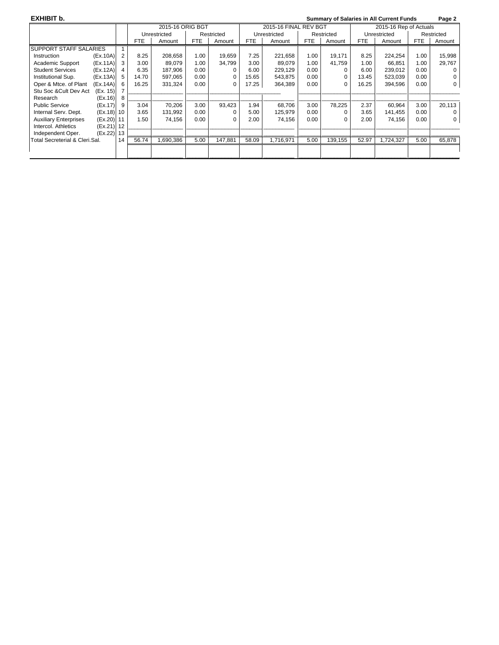**EXHIBIT b. Summary of Salaries in All Current Funds Page 2**  2015-16 ORIG BGT 2015-16 FINAL REV BGT 2015-16 Rep of Actuals Unrestricted | Restricted | Unrestricted | Restricted | Unrestricted | Restricted | Restricted | Restricted | Restricted | Restricted | Restricted | Restricted | Restricted | Restricted | Restricted | Restricted | Restrict FTE Amount SUPPORT STAFF SALARIES 1<br>Instruction (Ex.10A) 2 Instruction (Ex.10A) 2 8.25 208,658 1.00 19,659 7.25 221,658 1.00 19,171 8.25 224,254 1.00 15,998 Academic Support (Ex.11A) 3 3.00 89,079 1.00 34,799 3.00 89,079 1.00 41,759 1.00 66,851 1.00 29,767<br>Student Services (Ex.12A) 4 6.35 187,906 0.00 0 6.00 229,129 0.00 0 6.00 239,012 0.00 0 Student Services (Ex.12A) 4 | 6.35 | 187,906 | 0.00 | 0 | 6.00 | 229,129 | 0.00 | 0 | 6.00 | 239,012 | 0.00 | 0 Institutional Sup. (Ex.13A) 5 | 14.70 | 597,065 | 0.00 | 0 | 15.65 | 543,875 | 0.00 | 0 | 13.45 | 523,039 0.00 | 0<br>Oper & Mtce. of Plant (Ex.14A) 6 | 16.25 | 331,324 0.00 | 0 | 17.25 | 364,389 0.00 | 0 | 16.25 | 394,596 0. Oper & Mtce. of Plant (Ex.14A) Stu Soc &Cult Dev Act (Ex. 15) 7 Research (Ex.16) 8 \_\_\_\_\_\_\_\_\_\_\_\_\_\_\_\_\_\_ \_\_\_\_\_\_\_\_\_\_\_\_\_\_\_\_\_\_\_\_\_\_\_\_\_\_\_\_\_\_\_\_\_\_\_\_ \_\_\_\_\_\_\_\_\_\_\_\_\_\_\_\_\_\_\_\_\_\_\_\_\_\_\_\_\_\_\_\_\_\_\_\_ \_\_\_\_\_\_\_\_\_\_\_\_\_\_\_\_\_ Public Service  $(Ex.17) \begin{bmatrix} 9 \\ 3.04 \\ 70,206 \\ 3.00 \\ 93,423 \\ 1.94 \\ 68,706 \\ 3.00 \\ 78,225 \\ 2.37 \\ 60,964 \\ 3.00 \\ 2.07 \end{bmatrix}$ Internal Serv. Dept. (Ex.18) 10 3.65 131,992 0.00 0 5.00 125,979 0.00 0 3.65 141,455 0.00 0 0<br>Auxiliary Enterprises (Ex.20) 11 1.50 74,156 0.00 0 2.00 74,156 0.00 0 2.00 74,156 0.00 0 Auxiliary Enterprises (Ex.20) | 11 | 1.50 | 74,156 | 0.00 | 0 | 2.00 | 74,156 | 0.00 | 0 | 0.00 | 0 | 0.00 | 0 Intercol. Athletics (Ex.21) 12<br>Independent Oper. (Ex.22) 13 Independent Oper. (Ex.22) 13 \_\_\_\_\_\_\_\_\_\_\_\_\_\_\_\_\_\_ \_\_\_\_\_\_\_\_\_\_\_\_\_\_\_\_\_\_\_\_\_\_\_\_\_\_\_\_\_\_\_\_\_\_\_\_ \_\_\_\_\_\_\_\_\_\_\_\_\_\_\_\_\_\_\_\_\_\_\_\_\_\_\_\_\_\_\_\_\_\_\_\_ \_\_\_\_\_\_\_\_\_\_\_\_\_\_\_\_\_ Total Secreterial & Cleri.Sal. 14 \_\_\_\_\_\_\_\_\_\_\_\_\_\_\_\_\_\_ \_\_\_\_\_\_\_\_\_\_\_\_\_\_\_\_\_\_\_\_\_\_\_\_\_\_\_\_\_\_\_\_\_\_\_\_ \_\_\_\_\_\_\_\_\_\_\_\_\_\_\_\_\_\_\_\_\_\_\_\_\_\_\_\_\_\_\_\_\_\_\_\_ \_\_\_\_\_\_\_\_\_\_\_\_\_\_\_\_\_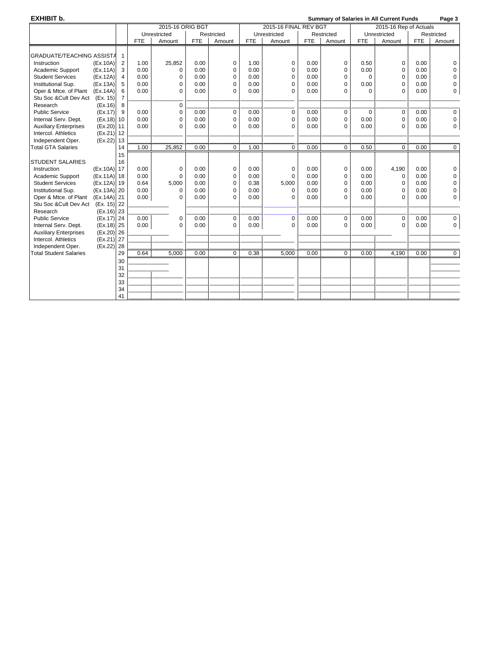### **EXHIBIT b. Summary of Salaries in All Current Funds Page 3**

| Unrestricted<br>Restricted<br>Unrestricted<br>Restricted<br>Unrestricted<br>Restricted<br><b>FTE</b><br><b>FTE</b><br><b>FTE</b><br><b>FTE</b><br><b>FTE</b><br><b>FTE</b><br>Amount<br>Amount<br>Amount<br>Amount<br>Amount<br>Amount<br><b>GRADUATE/TEACHING ASSISTA</b><br>-1<br>2<br>25,852<br>0.00<br>0.00<br>0.50<br>Instruction<br>(EX.10A)<br>1.00<br>0<br>1.00<br>0<br>$\mathbf 0$<br>$\mathbf 0$<br>0.00<br>0<br>3<br>0.00<br>0.00<br>0.00<br>0.00<br>$\mathbf 0$<br>0.00<br>$\mathbf 0$<br>0.00<br>Academic Support<br>(EX.11A)<br>$\mathbf 0$<br>0<br>0<br>0<br><b>Student Services</b><br>(EX.12A)<br>$\overline{4}$<br>0.00<br>0.00<br>0.00<br>0.00<br>0.00<br>0<br>0<br>0<br>$\Omega$<br>0<br>$\Omega$<br>0<br>Institutional Sup.<br>(EX.13A)<br>5<br>0.00<br>0.00<br>0.00<br>0.00<br>0.00<br>$\Omega$<br>0.00<br>0<br>$\Omega$<br>$\Omega$<br>$\Omega$<br>$\Omega$<br>0<br>0.00<br>0.00<br>Oper & Mtce. of Plant<br>(EX.14A)<br>6<br>0.00<br>0.00<br>$\Omega$<br>$\Omega$<br>0.00<br>0<br>$\Omega$<br>$\Omega$<br>$\Omega$<br>Stu Soc & Cult Dev Act<br>(Ex. 15)<br>$\overline{7}$<br>$\mathbf 0$<br>Research<br>(EX.16)<br>8<br><b>Public Service</b><br>(EX.17)<br>$\mathbf{q}$<br>0.00<br>$\mathbf 0$<br>0.00<br>$\mathbf 0$<br>0.00<br>$\mathbf 0$<br>0.00<br>$\mathbf 0$<br>$\mathbf 0$<br>0.00<br>0<br>$\Omega$<br>0.00<br>0.00<br>0.00<br>0.00<br>0.00<br>$\mathbf 0$<br>0.00<br>Internal Serv. Dept.<br>(EX.18)<br>10<br>$\mathbf 0$<br>$\mathbf 0$<br>0<br>0<br>0<br>(EX.20)<br>0.00<br>0.00<br>0.00<br>0<br><b>Auxiliary Enterprises</b><br>11<br>$\Omega$<br>0.00<br>$\Omega$<br>0.00<br>$\Omega$<br>0.00<br>$\mathbf 0$<br>$\Omega$<br>Intercol. Athletics<br>(EX.21)<br>12<br>(EX.22)<br>13<br>Independent Oper.<br>1.00<br>25,852<br>0.00<br>1.00<br>0.00<br>0.50<br>0.00<br>14<br>$\mathbf 0$<br>$\mathbf 0$<br>$\Omega$<br>$\Omega$<br>$\mathbf 0$<br>15<br>16<br>17<br>(EX.10A)<br>0.00<br>0.00<br>0.00<br>0.00<br>$\mathbf 0$<br>0.00<br>4,190<br>0.00<br>Instruction<br>0<br>0<br>$\mathbf 0$<br>$\mathbf 0$<br>(Ex.11A) 18<br>0.00<br>0.00<br>0.00<br>0.00<br>Academic Support<br>0.00<br>$\Omega$<br>$\Omega$<br>$\mathbf 0$<br>0.00<br>$\mathbf 0$<br>0<br>0<br>(Ex.12A) 19<br>0.64<br>5,000<br>0.38<br>5,000<br>0.00<br><b>Student Services</b><br>0.00<br>$\mathbf 0$<br>0.00<br>$\mathbf 0$<br>0.00<br>0<br>0<br>(Ex.13A) 20<br>0.00<br>0.00<br>0<br>Institutional Sup.<br>0.00<br>0.00<br>$\mathbf 0$<br>0.00<br>$\mathbf 0$<br>0.00<br>$\mathbf 0$<br>0<br>$\Omega$<br>Oper & Mtce. of Plant (Ex.14A) 21<br>0.00<br>0.00<br>0.00<br>0.00<br>0<br>0.00<br>$\Omega$<br>0.00<br>$\Omega$<br>$\Omega$<br>O<br>$\Omega$<br>(Ex. 15) 22<br>Stu Soc & Cult Dev Act<br>$(Ex.16)$ 23<br>Research<br>(Ex.17) 24<br>0.00<br>0.00<br><b>Public Service</b><br>0.00<br>$\mathbf 0$<br>$\mathbf 0$<br>0.00<br>$\mathbf 0$<br>0.00<br>$\mathbf 0$<br>0.00<br>0<br>0<br>0.00<br>0.00<br>(Ex.18) 25<br>0.00<br>0.00<br>0.00<br>$\mathbf 0$<br>Internal Serv. Dept.<br>$\Omega$<br>0.00<br>$\Omega$<br>$\Omega$<br>$\Omega$<br>$\Omega$<br>$(Ex.20)$ 26<br><b>Auxiliary Enterprises</b><br>(Ex.21) 27<br>Intercol. Athletics<br>(Ex.22) 28<br>Independent Oper.<br>29<br>0.64<br>5,000<br>0.00<br>0.38<br>0.00<br>$\mathbf 0$<br>$\mathbf 0$<br>5,000<br>0.00<br>4,190<br>0.00<br>$\mathbf 0$<br>30<br>31<br>32<br>33<br>34<br>41 |                               |  | 2015-16 ORIG BGT |  | 2015-16 FINAL REV BGT |  | 2015-16 Rep of Actuals |  |  |  |
|------------------------------------------------------------------------------------------------------------------------------------------------------------------------------------------------------------------------------------------------------------------------------------------------------------------------------------------------------------------------------------------------------------------------------------------------------------------------------------------------------------------------------------------------------------------------------------------------------------------------------------------------------------------------------------------------------------------------------------------------------------------------------------------------------------------------------------------------------------------------------------------------------------------------------------------------------------------------------------------------------------------------------------------------------------------------------------------------------------------------------------------------------------------------------------------------------------------------------------------------------------------------------------------------------------------------------------------------------------------------------------------------------------------------------------------------------------------------------------------------------------------------------------------------------------------------------------------------------------------------------------------------------------------------------------------------------------------------------------------------------------------------------------------------------------------------------------------------------------------------------------------------------------------------------------------------------------------------------------------------------------------------------------------------------------------------------------------------------------------------------------------------------------------------------------------------------------------------------------------------------------------------------------------------------------------------------------------------------------------------------------------------------------------------------------------------------------------------------------------------------------------------------------------------------------------------------------------------------------------------------------------------------------------------------------------------------------------------------------------------------------------------------------------------------------------------------------------------------------------------------------------------------------------------------------------------------------------------------------------------------------------------------------------------------------------------------------------------------------------------------------------------------------------------------------------------------------------------------------------------------------------------------------------------------------------------------------------------------------|-------------------------------|--|------------------|--|-----------------------|--|------------------------|--|--|--|
|                                                                                                                                                                                                                                                                                                                                                                                                                                                                                                                                                                                                                                                                                                                                                                                                                                                                                                                                                                                                                                                                                                                                                                                                                                                                                                                                                                                                                                                                                                                                                                                                                                                                                                                                                                                                                                                                                                                                                                                                                                                                                                                                                                                                                                                                                                                                                                                                                                                                                                                                                                                                                                                                                                                                                                                                                                                                                                                                                                                                                                                                                                                                                                                                                                                                                                                                                            |                               |  |                  |  |                       |  |                        |  |  |  |
|                                                                                                                                                                                                                                                                                                                                                                                                                                                                                                                                                                                                                                                                                                                                                                                                                                                                                                                                                                                                                                                                                                                                                                                                                                                                                                                                                                                                                                                                                                                                                                                                                                                                                                                                                                                                                                                                                                                                                                                                                                                                                                                                                                                                                                                                                                                                                                                                                                                                                                                                                                                                                                                                                                                                                                                                                                                                                                                                                                                                                                                                                                                                                                                                                                                                                                                                                            |                               |  |                  |  |                       |  |                        |  |  |  |
|                                                                                                                                                                                                                                                                                                                                                                                                                                                                                                                                                                                                                                                                                                                                                                                                                                                                                                                                                                                                                                                                                                                                                                                                                                                                                                                                                                                                                                                                                                                                                                                                                                                                                                                                                                                                                                                                                                                                                                                                                                                                                                                                                                                                                                                                                                                                                                                                                                                                                                                                                                                                                                                                                                                                                                                                                                                                                                                                                                                                                                                                                                                                                                                                                                                                                                                                                            |                               |  |                  |  |                       |  |                        |  |  |  |
|                                                                                                                                                                                                                                                                                                                                                                                                                                                                                                                                                                                                                                                                                                                                                                                                                                                                                                                                                                                                                                                                                                                                                                                                                                                                                                                                                                                                                                                                                                                                                                                                                                                                                                                                                                                                                                                                                                                                                                                                                                                                                                                                                                                                                                                                                                                                                                                                                                                                                                                                                                                                                                                                                                                                                                                                                                                                                                                                                                                                                                                                                                                                                                                                                                                                                                                                                            |                               |  |                  |  |                       |  |                        |  |  |  |
|                                                                                                                                                                                                                                                                                                                                                                                                                                                                                                                                                                                                                                                                                                                                                                                                                                                                                                                                                                                                                                                                                                                                                                                                                                                                                                                                                                                                                                                                                                                                                                                                                                                                                                                                                                                                                                                                                                                                                                                                                                                                                                                                                                                                                                                                                                                                                                                                                                                                                                                                                                                                                                                                                                                                                                                                                                                                                                                                                                                                                                                                                                                                                                                                                                                                                                                                                            |                               |  |                  |  |                       |  |                        |  |  |  |
|                                                                                                                                                                                                                                                                                                                                                                                                                                                                                                                                                                                                                                                                                                                                                                                                                                                                                                                                                                                                                                                                                                                                                                                                                                                                                                                                                                                                                                                                                                                                                                                                                                                                                                                                                                                                                                                                                                                                                                                                                                                                                                                                                                                                                                                                                                                                                                                                                                                                                                                                                                                                                                                                                                                                                                                                                                                                                                                                                                                                                                                                                                                                                                                                                                                                                                                                                            |                               |  |                  |  |                       |  |                        |  |  |  |
|                                                                                                                                                                                                                                                                                                                                                                                                                                                                                                                                                                                                                                                                                                                                                                                                                                                                                                                                                                                                                                                                                                                                                                                                                                                                                                                                                                                                                                                                                                                                                                                                                                                                                                                                                                                                                                                                                                                                                                                                                                                                                                                                                                                                                                                                                                                                                                                                                                                                                                                                                                                                                                                                                                                                                                                                                                                                                                                                                                                                                                                                                                                                                                                                                                                                                                                                                            |                               |  |                  |  |                       |  |                        |  |  |  |
|                                                                                                                                                                                                                                                                                                                                                                                                                                                                                                                                                                                                                                                                                                                                                                                                                                                                                                                                                                                                                                                                                                                                                                                                                                                                                                                                                                                                                                                                                                                                                                                                                                                                                                                                                                                                                                                                                                                                                                                                                                                                                                                                                                                                                                                                                                                                                                                                                                                                                                                                                                                                                                                                                                                                                                                                                                                                                                                                                                                                                                                                                                                                                                                                                                                                                                                                                            |                               |  |                  |  |                       |  |                        |  |  |  |
|                                                                                                                                                                                                                                                                                                                                                                                                                                                                                                                                                                                                                                                                                                                                                                                                                                                                                                                                                                                                                                                                                                                                                                                                                                                                                                                                                                                                                                                                                                                                                                                                                                                                                                                                                                                                                                                                                                                                                                                                                                                                                                                                                                                                                                                                                                                                                                                                                                                                                                                                                                                                                                                                                                                                                                                                                                                                                                                                                                                                                                                                                                                                                                                                                                                                                                                                                            |                               |  |                  |  |                       |  |                        |  |  |  |
|                                                                                                                                                                                                                                                                                                                                                                                                                                                                                                                                                                                                                                                                                                                                                                                                                                                                                                                                                                                                                                                                                                                                                                                                                                                                                                                                                                                                                                                                                                                                                                                                                                                                                                                                                                                                                                                                                                                                                                                                                                                                                                                                                                                                                                                                                                                                                                                                                                                                                                                                                                                                                                                                                                                                                                                                                                                                                                                                                                                                                                                                                                                                                                                                                                                                                                                                                            |                               |  |                  |  |                       |  |                        |  |  |  |
|                                                                                                                                                                                                                                                                                                                                                                                                                                                                                                                                                                                                                                                                                                                                                                                                                                                                                                                                                                                                                                                                                                                                                                                                                                                                                                                                                                                                                                                                                                                                                                                                                                                                                                                                                                                                                                                                                                                                                                                                                                                                                                                                                                                                                                                                                                                                                                                                                                                                                                                                                                                                                                                                                                                                                                                                                                                                                                                                                                                                                                                                                                                                                                                                                                                                                                                                                            |                               |  |                  |  |                       |  |                        |  |  |  |
|                                                                                                                                                                                                                                                                                                                                                                                                                                                                                                                                                                                                                                                                                                                                                                                                                                                                                                                                                                                                                                                                                                                                                                                                                                                                                                                                                                                                                                                                                                                                                                                                                                                                                                                                                                                                                                                                                                                                                                                                                                                                                                                                                                                                                                                                                                                                                                                                                                                                                                                                                                                                                                                                                                                                                                                                                                                                                                                                                                                                                                                                                                                                                                                                                                                                                                                                                            |                               |  |                  |  |                       |  |                        |  |  |  |
|                                                                                                                                                                                                                                                                                                                                                                                                                                                                                                                                                                                                                                                                                                                                                                                                                                                                                                                                                                                                                                                                                                                                                                                                                                                                                                                                                                                                                                                                                                                                                                                                                                                                                                                                                                                                                                                                                                                                                                                                                                                                                                                                                                                                                                                                                                                                                                                                                                                                                                                                                                                                                                                                                                                                                                                                                                                                                                                                                                                                                                                                                                                                                                                                                                                                                                                                                            |                               |  |                  |  |                       |  |                        |  |  |  |
|                                                                                                                                                                                                                                                                                                                                                                                                                                                                                                                                                                                                                                                                                                                                                                                                                                                                                                                                                                                                                                                                                                                                                                                                                                                                                                                                                                                                                                                                                                                                                                                                                                                                                                                                                                                                                                                                                                                                                                                                                                                                                                                                                                                                                                                                                                                                                                                                                                                                                                                                                                                                                                                                                                                                                                                                                                                                                                                                                                                                                                                                                                                                                                                                                                                                                                                                                            |                               |  |                  |  |                       |  |                        |  |  |  |
|                                                                                                                                                                                                                                                                                                                                                                                                                                                                                                                                                                                                                                                                                                                                                                                                                                                                                                                                                                                                                                                                                                                                                                                                                                                                                                                                                                                                                                                                                                                                                                                                                                                                                                                                                                                                                                                                                                                                                                                                                                                                                                                                                                                                                                                                                                                                                                                                                                                                                                                                                                                                                                                                                                                                                                                                                                                                                                                                                                                                                                                                                                                                                                                                                                                                                                                                                            |                               |  |                  |  |                       |  |                        |  |  |  |
|                                                                                                                                                                                                                                                                                                                                                                                                                                                                                                                                                                                                                                                                                                                                                                                                                                                                                                                                                                                                                                                                                                                                                                                                                                                                                                                                                                                                                                                                                                                                                                                                                                                                                                                                                                                                                                                                                                                                                                                                                                                                                                                                                                                                                                                                                                                                                                                                                                                                                                                                                                                                                                                                                                                                                                                                                                                                                                                                                                                                                                                                                                                                                                                                                                                                                                                                                            |                               |  |                  |  |                       |  |                        |  |  |  |
|                                                                                                                                                                                                                                                                                                                                                                                                                                                                                                                                                                                                                                                                                                                                                                                                                                                                                                                                                                                                                                                                                                                                                                                                                                                                                                                                                                                                                                                                                                                                                                                                                                                                                                                                                                                                                                                                                                                                                                                                                                                                                                                                                                                                                                                                                                                                                                                                                                                                                                                                                                                                                                                                                                                                                                                                                                                                                                                                                                                                                                                                                                                                                                                                                                                                                                                                                            | <b>Total GTA Salaries</b>     |  |                  |  |                       |  |                        |  |  |  |
|                                                                                                                                                                                                                                                                                                                                                                                                                                                                                                                                                                                                                                                                                                                                                                                                                                                                                                                                                                                                                                                                                                                                                                                                                                                                                                                                                                                                                                                                                                                                                                                                                                                                                                                                                                                                                                                                                                                                                                                                                                                                                                                                                                                                                                                                                                                                                                                                                                                                                                                                                                                                                                                                                                                                                                                                                                                                                                                                                                                                                                                                                                                                                                                                                                                                                                                                                            |                               |  |                  |  |                       |  |                        |  |  |  |
|                                                                                                                                                                                                                                                                                                                                                                                                                                                                                                                                                                                                                                                                                                                                                                                                                                                                                                                                                                                                                                                                                                                                                                                                                                                                                                                                                                                                                                                                                                                                                                                                                                                                                                                                                                                                                                                                                                                                                                                                                                                                                                                                                                                                                                                                                                                                                                                                                                                                                                                                                                                                                                                                                                                                                                                                                                                                                                                                                                                                                                                                                                                                                                                                                                                                                                                                                            | <b>STUDENT SALARIES</b>       |  |                  |  |                       |  |                        |  |  |  |
|                                                                                                                                                                                                                                                                                                                                                                                                                                                                                                                                                                                                                                                                                                                                                                                                                                                                                                                                                                                                                                                                                                                                                                                                                                                                                                                                                                                                                                                                                                                                                                                                                                                                                                                                                                                                                                                                                                                                                                                                                                                                                                                                                                                                                                                                                                                                                                                                                                                                                                                                                                                                                                                                                                                                                                                                                                                                                                                                                                                                                                                                                                                                                                                                                                                                                                                                                            |                               |  |                  |  |                       |  |                        |  |  |  |
|                                                                                                                                                                                                                                                                                                                                                                                                                                                                                                                                                                                                                                                                                                                                                                                                                                                                                                                                                                                                                                                                                                                                                                                                                                                                                                                                                                                                                                                                                                                                                                                                                                                                                                                                                                                                                                                                                                                                                                                                                                                                                                                                                                                                                                                                                                                                                                                                                                                                                                                                                                                                                                                                                                                                                                                                                                                                                                                                                                                                                                                                                                                                                                                                                                                                                                                                                            |                               |  |                  |  |                       |  |                        |  |  |  |
|                                                                                                                                                                                                                                                                                                                                                                                                                                                                                                                                                                                                                                                                                                                                                                                                                                                                                                                                                                                                                                                                                                                                                                                                                                                                                                                                                                                                                                                                                                                                                                                                                                                                                                                                                                                                                                                                                                                                                                                                                                                                                                                                                                                                                                                                                                                                                                                                                                                                                                                                                                                                                                                                                                                                                                                                                                                                                                                                                                                                                                                                                                                                                                                                                                                                                                                                                            |                               |  |                  |  |                       |  |                        |  |  |  |
|                                                                                                                                                                                                                                                                                                                                                                                                                                                                                                                                                                                                                                                                                                                                                                                                                                                                                                                                                                                                                                                                                                                                                                                                                                                                                                                                                                                                                                                                                                                                                                                                                                                                                                                                                                                                                                                                                                                                                                                                                                                                                                                                                                                                                                                                                                                                                                                                                                                                                                                                                                                                                                                                                                                                                                                                                                                                                                                                                                                                                                                                                                                                                                                                                                                                                                                                                            |                               |  |                  |  |                       |  |                        |  |  |  |
|                                                                                                                                                                                                                                                                                                                                                                                                                                                                                                                                                                                                                                                                                                                                                                                                                                                                                                                                                                                                                                                                                                                                                                                                                                                                                                                                                                                                                                                                                                                                                                                                                                                                                                                                                                                                                                                                                                                                                                                                                                                                                                                                                                                                                                                                                                                                                                                                                                                                                                                                                                                                                                                                                                                                                                                                                                                                                                                                                                                                                                                                                                                                                                                                                                                                                                                                                            |                               |  |                  |  |                       |  |                        |  |  |  |
|                                                                                                                                                                                                                                                                                                                                                                                                                                                                                                                                                                                                                                                                                                                                                                                                                                                                                                                                                                                                                                                                                                                                                                                                                                                                                                                                                                                                                                                                                                                                                                                                                                                                                                                                                                                                                                                                                                                                                                                                                                                                                                                                                                                                                                                                                                                                                                                                                                                                                                                                                                                                                                                                                                                                                                                                                                                                                                                                                                                                                                                                                                                                                                                                                                                                                                                                                            |                               |  |                  |  |                       |  |                        |  |  |  |
|                                                                                                                                                                                                                                                                                                                                                                                                                                                                                                                                                                                                                                                                                                                                                                                                                                                                                                                                                                                                                                                                                                                                                                                                                                                                                                                                                                                                                                                                                                                                                                                                                                                                                                                                                                                                                                                                                                                                                                                                                                                                                                                                                                                                                                                                                                                                                                                                                                                                                                                                                                                                                                                                                                                                                                                                                                                                                                                                                                                                                                                                                                                                                                                                                                                                                                                                                            |                               |  |                  |  |                       |  |                        |  |  |  |
|                                                                                                                                                                                                                                                                                                                                                                                                                                                                                                                                                                                                                                                                                                                                                                                                                                                                                                                                                                                                                                                                                                                                                                                                                                                                                                                                                                                                                                                                                                                                                                                                                                                                                                                                                                                                                                                                                                                                                                                                                                                                                                                                                                                                                                                                                                                                                                                                                                                                                                                                                                                                                                                                                                                                                                                                                                                                                                                                                                                                                                                                                                                                                                                                                                                                                                                                                            |                               |  |                  |  |                       |  |                        |  |  |  |
|                                                                                                                                                                                                                                                                                                                                                                                                                                                                                                                                                                                                                                                                                                                                                                                                                                                                                                                                                                                                                                                                                                                                                                                                                                                                                                                                                                                                                                                                                                                                                                                                                                                                                                                                                                                                                                                                                                                                                                                                                                                                                                                                                                                                                                                                                                                                                                                                                                                                                                                                                                                                                                                                                                                                                                                                                                                                                                                                                                                                                                                                                                                                                                                                                                                                                                                                                            |                               |  |                  |  |                       |  |                        |  |  |  |
|                                                                                                                                                                                                                                                                                                                                                                                                                                                                                                                                                                                                                                                                                                                                                                                                                                                                                                                                                                                                                                                                                                                                                                                                                                                                                                                                                                                                                                                                                                                                                                                                                                                                                                                                                                                                                                                                                                                                                                                                                                                                                                                                                                                                                                                                                                                                                                                                                                                                                                                                                                                                                                                                                                                                                                                                                                                                                                                                                                                                                                                                                                                                                                                                                                                                                                                                                            |                               |  |                  |  |                       |  |                        |  |  |  |
|                                                                                                                                                                                                                                                                                                                                                                                                                                                                                                                                                                                                                                                                                                                                                                                                                                                                                                                                                                                                                                                                                                                                                                                                                                                                                                                                                                                                                                                                                                                                                                                                                                                                                                                                                                                                                                                                                                                                                                                                                                                                                                                                                                                                                                                                                                                                                                                                                                                                                                                                                                                                                                                                                                                                                                                                                                                                                                                                                                                                                                                                                                                                                                                                                                                                                                                                                            |                               |  |                  |  |                       |  |                        |  |  |  |
|                                                                                                                                                                                                                                                                                                                                                                                                                                                                                                                                                                                                                                                                                                                                                                                                                                                                                                                                                                                                                                                                                                                                                                                                                                                                                                                                                                                                                                                                                                                                                                                                                                                                                                                                                                                                                                                                                                                                                                                                                                                                                                                                                                                                                                                                                                                                                                                                                                                                                                                                                                                                                                                                                                                                                                                                                                                                                                                                                                                                                                                                                                                                                                                                                                                                                                                                                            |                               |  |                  |  |                       |  |                        |  |  |  |
|                                                                                                                                                                                                                                                                                                                                                                                                                                                                                                                                                                                                                                                                                                                                                                                                                                                                                                                                                                                                                                                                                                                                                                                                                                                                                                                                                                                                                                                                                                                                                                                                                                                                                                                                                                                                                                                                                                                                                                                                                                                                                                                                                                                                                                                                                                                                                                                                                                                                                                                                                                                                                                                                                                                                                                                                                                                                                                                                                                                                                                                                                                                                                                                                                                                                                                                                                            | <b>Total Student Salaries</b> |  |                  |  |                       |  |                        |  |  |  |
|                                                                                                                                                                                                                                                                                                                                                                                                                                                                                                                                                                                                                                                                                                                                                                                                                                                                                                                                                                                                                                                                                                                                                                                                                                                                                                                                                                                                                                                                                                                                                                                                                                                                                                                                                                                                                                                                                                                                                                                                                                                                                                                                                                                                                                                                                                                                                                                                                                                                                                                                                                                                                                                                                                                                                                                                                                                                                                                                                                                                                                                                                                                                                                                                                                                                                                                                                            |                               |  |                  |  |                       |  |                        |  |  |  |
|                                                                                                                                                                                                                                                                                                                                                                                                                                                                                                                                                                                                                                                                                                                                                                                                                                                                                                                                                                                                                                                                                                                                                                                                                                                                                                                                                                                                                                                                                                                                                                                                                                                                                                                                                                                                                                                                                                                                                                                                                                                                                                                                                                                                                                                                                                                                                                                                                                                                                                                                                                                                                                                                                                                                                                                                                                                                                                                                                                                                                                                                                                                                                                                                                                                                                                                                                            |                               |  |                  |  |                       |  |                        |  |  |  |
|                                                                                                                                                                                                                                                                                                                                                                                                                                                                                                                                                                                                                                                                                                                                                                                                                                                                                                                                                                                                                                                                                                                                                                                                                                                                                                                                                                                                                                                                                                                                                                                                                                                                                                                                                                                                                                                                                                                                                                                                                                                                                                                                                                                                                                                                                                                                                                                                                                                                                                                                                                                                                                                                                                                                                                                                                                                                                                                                                                                                                                                                                                                                                                                                                                                                                                                                                            |                               |  |                  |  |                       |  |                        |  |  |  |
|                                                                                                                                                                                                                                                                                                                                                                                                                                                                                                                                                                                                                                                                                                                                                                                                                                                                                                                                                                                                                                                                                                                                                                                                                                                                                                                                                                                                                                                                                                                                                                                                                                                                                                                                                                                                                                                                                                                                                                                                                                                                                                                                                                                                                                                                                                                                                                                                                                                                                                                                                                                                                                                                                                                                                                                                                                                                                                                                                                                                                                                                                                                                                                                                                                                                                                                                                            |                               |  |                  |  |                       |  |                        |  |  |  |
|                                                                                                                                                                                                                                                                                                                                                                                                                                                                                                                                                                                                                                                                                                                                                                                                                                                                                                                                                                                                                                                                                                                                                                                                                                                                                                                                                                                                                                                                                                                                                                                                                                                                                                                                                                                                                                                                                                                                                                                                                                                                                                                                                                                                                                                                                                                                                                                                                                                                                                                                                                                                                                                                                                                                                                                                                                                                                                                                                                                                                                                                                                                                                                                                                                                                                                                                                            |                               |  |                  |  |                       |  |                        |  |  |  |
|                                                                                                                                                                                                                                                                                                                                                                                                                                                                                                                                                                                                                                                                                                                                                                                                                                                                                                                                                                                                                                                                                                                                                                                                                                                                                                                                                                                                                                                                                                                                                                                                                                                                                                                                                                                                                                                                                                                                                                                                                                                                                                                                                                                                                                                                                                                                                                                                                                                                                                                                                                                                                                                                                                                                                                                                                                                                                                                                                                                                                                                                                                                                                                                                                                                                                                                                                            |                               |  |                  |  |                       |  |                        |  |  |  |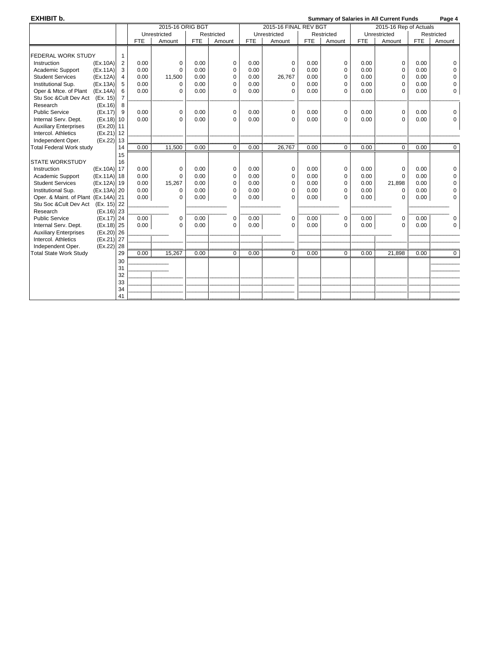**EXHIBIT b. CONSULTANT SUMMARY CONSULTER SUMMARY OF SALARIES IN ALL Current Funds** Page 4

|                                     |              |                |            | 2015-16 ORIG BGT |            |             | 2015-16 FINAL REV BGT |              |            |             | 2015-16 Rep of Actuals |              |            |                |
|-------------------------------------|--------------|----------------|------------|------------------|------------|-------------|-----------------------|--------------|------------|-------------|------------------------|--------------|------------|----------------|
|                                     |              |                |            | Unrestricted     |            | Restricted  |                       | Unrestricted |            | Restricted  |                        | Unrestricted |            | Restricted     |
|                                     |              |                | <b>FTE</b> | Amount           | <b>FTE</b> | Amount      | <b>FTE</b>            | Amount       | <b>FTE</b> | Amount      | <b>FTE</b>             | Amount       | <b>FTE</b> | Amount         |
|                                     |              |                |            |                  |            |             |                       |              |            |             |                        |              |            |                |
| FEDERAL WORK STUDY                  |              |                |            |                  |            |             |                       |              |            |             |                        |              |            |                |
| Instruction                         | (EX.10A)     | 2              | 0.00       | 0                | 0.00       | 0           | 0.00                  | 0            | 0.00       | 0           | 0.00                   | 0            | 0.00       | 0              |
| Academic Support                    | (EX.11A)     | 3              | 0.00       | $\Omega$         | 0.00       | $\mathbf 0$ | 0.00                  | $\Omega$     | 0.00       | $\mathbf 0$ | 0.00                   | $\mathbf 0$  | 0.00       | $\Omega$       |
| <b>Student Services</b>             | (EX.12A)     | 4              | 0.00       | 11,500           | 0.00       | 0           | 0.00                  | 26,767       | 0.00       | $\Omega$    | 0.00                   | $\mathbf 0$  | 0.00       | 0              |
| Institutional Sup.                  | (EX.13A)     | 5              | 0.00       | $\Omega$         | 0.00       | $\Omega$    | 0.00                  | $\Omega$     | 0.00       | $\Omega$    | 0.00                   | $\mathbf 0$  | 0.00       | 0              |
| Oper & Mtce. of Plant               | (EX.14A)     | 6              | 0.00       | $\Omega$         | 0.00       | $\Omega$    | 0.00                  | $\Omega$     | 0.00       | $\Omega$    | 0.00                   | $\Omega$     | 0.00       | 0              |
| Stu Soc & Cult Dev Act              | (Ex. 15)     | $\overline{7}$ |            |                  |            |             |                       |              |            |             |                        |              |            |                |
| Research                            | (EX.16)      | 8              |            |                  |            |             |                       |              |            |             |                        |              |            |                |
| <b>Public Service</b>               | (EX.17)      | $\mathbf{q}$   | 0.00       | $\mathbf 0$      | 0.00       | 0           | 0.00                  | 0            | 0.00       | 0           | 0.00                   | $\mathbf 0$  | 0.00       | 0              |
| Internal Serv. Dept.                | (EX.18)      | 10             | 0.00       | $\Omega$         | 0.00       | $\Omega$    | 0.00                  | $\Omega$     | 0.00       | $\Omega$    | 0.00                   | $\Omega$     | 0.00       | 0              |
| <b>Auxiliary Enterprises</b>        | (EX.20)      | 11             |            |                  |            |             |                       |              |            |             |                        |              |            |                |
| Intercol. Athletics                 | (EX.21)      | 12             |            |                  |            |             |                       |              |            |             |                        |              |            |                |
| Independent Oper.                   | (EX.22)      | 13             |            |                  |            |             |                       |              |            |             |                        |              |            |                |
| <b>Total Federal Work study</b>     |              | 14             | 0.00       | 11,500           | 0.00       | $\Omega$    | 0.00                  | 26,767       | 0.00       | $\Omega$    | 0.00                   | $\Omega$     | 0.00       | 0              |
|                                     |              | 15             |            |                  |            |             |                       |              |            |             |                        |              |            |                |
| <b>STATE WORKSTUDY</b>              |              | 16             |            |                  |            |             |                       |              |            |             |                        |              |            |                |
| Instruction                         | (EX.10A)     | 17             | 0.00       | 0                | 0.00       | 0           | 0.00                  | 0            | 0.00       | $\mathbf 0$ | 0.00                   | $\mathbf 0$  | 0.00       | $\Omega$       |
| Academic Support                    | (Ex.11A) 18  |                | 0.00       | $\Omega$         | 0.00       | 0           | 0.00                  | 0            | 0.00       | $\mathbf 0$ | 0.00                   | $\mathbf 0$  | 0.00       | $\Omega$       |
| <b>Student Services</b>             | (Ex.12A) 19  |                | 0.00       | 15,267           | 0.00       | 0           | 0.00                  | 0            | 0.00       | $\mathbf 0$ | 0.00                   | 21,898       | 0.00       | $\Omega$       |
| Institutional Sup.                  | (Ex.13A) 20  |                | 0.00       | $\Omega$         | 0.00       | $\Omega$    | 0.00                  | $\Omega$     | 0.00       | $\Omega$    | 0.00                   | $\Omega$     | 0.00       | $\Omega$       |
| Oper. & Maint. of Plant (Ex.14A) 21 |              |                | 0.00       | $\Omega$         | 0.00       | $\Omega$    | 0.00                  | $\Omega$     | 0.00       | $\Omega$    | 0.00                   | $\Omega$     | 0.00       | $\Omega$       |
| Stu Soc & Cult Dev Act              | (Ex. 15) 22  |                |            |                  |            |             |                       |              |            |             |                        |              |            |                |
| Research                            | $(Ex.16)$ 23 |                |            |                  |            |             |                       |              |            |             |                        |              |            |                |
| <b>Public Service</b>               | (Ex.17) 24   |                | 0.00       | $\pmb{0}$        | 0.00       | 0           | 0.00                  | 0            | 0.00       | 0           | 0.00                   | 0            | 0.00       | 0              |
| Internal Serv. Dept.                | (Ex.18) 25   |                | 0.00       | $\Omega$         | 0.00       | $\Omega$    | 0.00                  | $\Omega$     | 0.00       | $\Omega$    | 0.00                   | $\Omega$     | 0.00       | $\mathbf{0}$   |
| <b>Auxiliary Enterprises</b>        | $(Ex.20)$ 26 |                |            |                  |            |             |                       |              |            |             |                        |              |            |                |
| Intercol. Athletics                 | (Ex.21) 27   |                |            |                  |            |             |                       |              |            |             |                        |              |            |                |
| Independent Oper.                   | (Ex.22) 28   |                |            |                  |            |             |                       |              |            |             |                        |              |            |                |
| <b>Total State Work Study</b>       |              | 29             | 0.00       | 15,267           | 0.00       | $\mathbf 0$ | 0.00                  | $\mathbf 0$  | 0.00       | $\mathbf 0$ | 0.00                   | 21,898       | 0.00       | $\overline{0}$ |
|                                     |              | 30             |            |                  |            |             |                       |              |            |             |                        |              |            |                |
|                                     |              | 31             |            |                  |            |             |                       |              |            |             |                        |              |            |                |
|                                     |              | 32             |            |                  |            |             |                       |              |            |             |                        |              |            |                |
|                                     |              | 33             |            |                  |            |             |                       |              |            |             |                        |              |            |                |
|                                     |              | 34             |            |                  |            |             |                       |              |            |             |                        |              |            |                |
|                                     |              | 41             |            |                  |            |             |                       |              |            |             |                        |              |            |                |
|                                     |              |                |            |                  |            |             |                       |              |            |             |                        |              |            |                |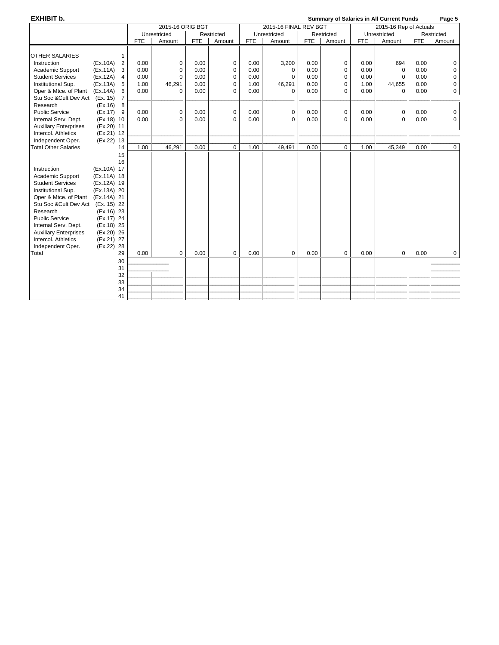**EXHIBIT b. Summary of Salaries in All Current Funds Page 5**

|                                                         |                            |            | 2015-16 ORIG BGT |              |                  |              | 2015-16 FINAL REV BGT |              |                  | 2015-16 Rep of Actuals |                 |            |                      |
|---------------------------------------------------------|----------------------------|------------|------------------|--------------|------------------|--------------|-----------------------|--------------|------------------|------------------------|-----------------|------------|----------------------|
|                                                         |                            |            | Unrestricted     |              | Restricted       |              | Unrestricted          |              | Restricted       |                        | Unrestricted    |            | Restricted           |
|                                                         |                            | <b>FTE</b> | Amount           | <b>FTE</b>   | Amount           | FTE          | Amount                | <b>FTE</b>   | Amount           | <b>FTE</b>             | Amount          | <b>FTE</b> | Amount               |
|                                                         |                            |            |                  |              |                  |              |                       |              |                  |                        |                 |            |                      |
| <b>OTHER SALARIES</b>                                   |                            | 0.00       |                  |              |                  |              |                       |              |                  |                        |                 | 0.00       |                      |
| Instruction<br>(EX.10A)<br>(EX.11A)                     | $\overline{2}$<br>3        | 0.00       | 0<br>$\Omega$    | 0.00<br>0.00 | $\mathbf 0$<br>0 | 0.00<br>0.00 | 3,200                 | 0.00<br>0.00 | 0<br>$\mathbf 0$ | 0.00<br>0.00           | 694<br>$\Omega$ | 0.00       | $\Omega$<br>$\Omega$ |
| Academic Support<br><b>Student Services</b><br>(EX.12A) | 4                          | 0.00       | $\Omega$         | 0.00         | 0                | 0.00         | $\Omega$<br>0         | 0.00         | $\mathbf 0$      | 0.00                   | $\mathbf 0$     | 0.00       | 0                    |
| Institutional Sup.<br>(EX.13A)                          | 5                          | 1.00       | 46,291           | 0.00         | 0                | 1.00         | 46,291                | 0.00         | $\mathbf 0$      | 1.00                   | 44,655          | 0.00       | 0                    |
| Oper & Mtce. of Plant<br>(Ex.14A)                       | 6                          | 0.00       | $\Omega$         | 0.00         | $\Omega$         | 0.00         | $\Omega$              | 0.00         | $\Omega$         | 0.00                   | $\Omega$        | 0.00       | $\mathbf{0}$         |
| Stu Soc & Cult Dev Act<br>(Ex. 15)                      | $\overline{7}$             |            |                  |              |                  |              |                       |              |                  |                        |                 |            |                      |
| Research<br>(EX.16)                                     | 8                          |            |                  |              |                  |              |                       |              |                  |                        |                 |            |                      |
| <b>Public Service</b><br>(EX.17)                        | 9                          | 0.00       | 0                | 0.00         | $\mathbf 0$      | 0.00         | 0                     | 0.00         | 0                | 0.00                   | $\mathbf 0$     | 0.00       | $\mathbf 0$          |
| Internal Serv. Dept.                                    | $(Ex.18)$ 10               | 0.00       | $\Omega$         | 0.00         | $\Omega$         | 0.00         | $\Omega$              | 0.00         | $\Omega$         | 0.00                   | $\Omega$        | 0.00       | 0                    |
| <b>Auxiliary Enterprises</b>                            | (Ex.20) 11                 |            |                  |              |                  |              |                       |              |                  |                        |                 |            |                      |
| Intercol. Athletics                                     | (Ex.21) 12                 |            |                  |              |                  |              |                       |              |                  |                        |                 |            |                      |
| Independent Oper.                                       | (Ex.22) 13                 |            |                  |              |                  |              |                       |              |                  |                        |                 |            |                      |
| <b>Total Other Salaries</b>                             | 14                         | 1.00       | 46,291           | 0.00         | $\mathbf 0$      | 1.00         | 49,491                | 0.00         | $\Omega$         | 1.00                   | 45,349          | 0.00       | $\overline{0}$       |
|                                                         | 15                         |            |                  |              |                  |              |                       |              |                  |                        |                 |            |                      |
|                                                         | 16                         |            |                  |              |                  |              |                       |              |                  |                        |                 |            |                      |
| Instruction<br>Academic Support                         | (Ex.10A) 17<br>(Ex.11A) 18 |            |                  |              |                  |              |                       |              |                  |                        |                 |            |                      |
| <b>Student Services</b>                                 | (Ex.12A) 19                |            |                  |              |                  |              |                       |              |                  |                        |                 |            |                      |
| Institutional Sup.                                      | (Ex.13A) 20                |            |                  |              |                  |              |                       |              |                  |                        |                 |            |                      |
| Oper & Mtce. of Plant                                   | (Ex.14A) 21                |            |                  |              |                  |              |                       |              |                  |                        |                 |            |                      |
| Stu Soc & Cult Dev Act (Ex. 15) 22                      |                            |            |                  |              |                  |              |                       |              |                  |                        |                 |            |                      |
| Research                                                | $(Ex.16)$ 23               |            |                  |              |                  |              |                       |              |                  |                        |                 |            |                      |
| <b>Public Service</b>                                   | (Ex.17) 24                 |            |                  |              |                  |              |                       |              |                  |                        |                 |            |                      |
| Internal Serv. Dept.                                    | (Ex.18) 25                 |            |                  |              |                  |              |                       |              |                  |                        |                 |            |                      |
| <b>Auxiliary Enterprises</b>                            | $(Ex.20)$ 26               |            |                  |              |                  |              |                       |              |                  |                        |                 |            |                      |
| Intercol. Athletics                                     | (Ex.21) 27                 |            |                  |              |                  |              |                       |              |                  |                        |                 |            |                      |
| Independent Oper.<br>(EX.22)                            | 28                         |            |                  |              |                  |              |                       |              |                  |                        |                 |            |                      |
| Total                                                   | 29                         | 0.00       | $\mathbf 0$      | 0.00         | $\mathbf 0$      | 0.00         | $\mathbf 0$           | 0.00         | $\mathbf 0$      | 0.00                   | $\mathbf 0$     | 0.00       | $\overline{0}$       |
|                                                         | 30<br>31                   |            |                  |              |                  |              |                       |              |                  |                        |                 |            |                      |
|                                                         | 32                         |            |                  |              |                  |              |                       |              |                  |                        |                 |            |                      |
|                                                         | 33                         |            |                  |              |                  |              |                       |              |                  |                        |                 |            |                      |
|                                                         | 34                         |            |                  |              |                  |              |                       |              |                  |                        |                 |            |                      |
|                                                         | 41                         |            |                  |              |                  |              |                       |              |                  |                        |                 |            |                      |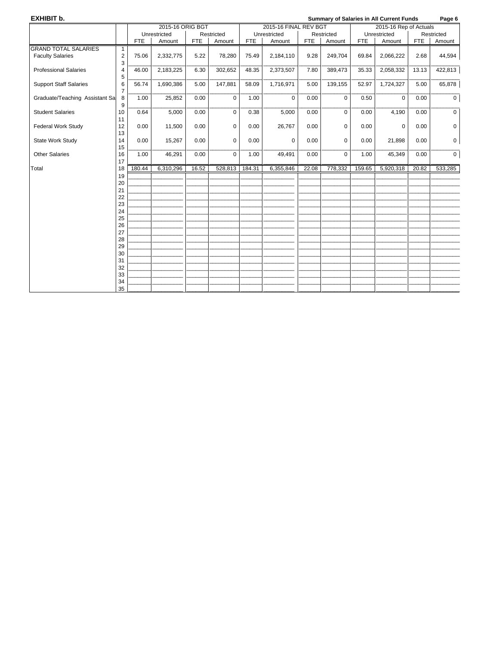| EXHIBIT b.                     |                              |            |                  |            |             | Page 6<br><b>Summary of Salaries in All Current Funds</b> |                       |            |            |            |                        |            |                     |
|--------------------------------|------------------------------|------------|------------------|------------|-------------|-----------------------------------------------------------|-----------------------|------------|------------|------------|------------------------|------------|---------------------|
|                                |                              |            | 2015-16 ORIG BGT |            |             |                                                           | 2015-16 FINAL REV BGT |            |            |            | 2015-16 Rep of Actuals |            |                     |
|                                |                              |            | Unrestricted     |            | Restricted  |                                                           | Unrestricted          |            | Restricted |            | Unrestricted           |            | Restricted          |
|                                |                              | <b>FTE</b> | Amount           | <b>FTE</b> | Amount      | <b>FTE</b>                                                | Amount                | <b>FTE</b> | Amount     | <b>FTE</b> | Amount                 | <b>FTE</b> | Amount              |
| <b>GRAND TOTAL SALARIES</b>    | $\mathbf{1}$                 |            |                  |            |             |                                                           |                       |            |            |            |                        |            |                     |
| <b>Faculty Salaries</b>        | $\overline{\mathbf{c}}$<br>3 | 75.06      | 2,332,775        | 5.22       | 78,280      | 75.49                                                     | 2,184,110             | 9.28       | 249,704    | 69.84      | 2,066,222              | 2.68       | 44,594              |
| <b>Professional Salaries</b>   | $\overline{4}$<br>5          | 46.00      | 2,183,225        | 6.30       | 302,652     | 48.35                                                     | 2,373,507             | 7.80       | 389,473    | 35.33      | 2,058,332              | 13.13      | 422,813             |
| <b>Support Staff Salaries</b>  | 6<br>$\overline{7}$          | 56.74      | 1,690,386        | 5.00       | 147,881     | 58.09                                                     | 1,716,971             | 5.00       | 139,155    | 52.97      | 1,724,327              | 5.00       | 65,878              |
| Graduate/Teaching Assistant Sa | 8<br>9                       | 1.00       | 25,852           | 0.00       | $\mathbf 0$ | 1.00                                                      | $\mathbf 0$           | 0.00       | $\Omega$   | 0.50       | $\mathbf 0$            | 0.00       | $\mathbf 0$         |
| <b>Student Salaries</b>        | 10<br>11                     | 0.64       | 5,000            | 0.00       | $\mathbf 0$ | 0.38                                                      | 5,000                 | 0.00       | 0          | 0.00       | 4,190                  | 0.00       | $\mathbf 0$         |
| <b>Federal Work Study</b>      | 12<br>13                     | 0.00       | 11,500           | 0.00       | $\mathbf 0$ | 0.00                                                      | 26,767                | 0.00       | 0          | 0.00       | 0                      | 0.00       | $\mathsf 0$         |
| State Work Study               | 14<br>15                     | 0.00       | 15,267           | 0.00       | $\Omega$    | 0.00                                                      | $\Omega$              | 0.00       | $\Omega$   | 0.00       | 21,898                 | 0.00       | $\mathsf{O}\xspace$ |
| <b>Other Salaries</b>          | 16<br>17                     | 1.00       | 46,291           | 0.00       | $\mathbf 0$ | 1.00                                                      | 49,491                | 0.00       | $\Omega$   | 1.00       | 45,349                 | 0.00       | $\mathbf 0$         |
| Total                          | 18                           | 180.44     | 6,310,296        | 16.52      | 528,813     | 184.31                                                    | 6,355,846             | 22.08      | 778,332    | 159.65     | 5,920,318              | 20.82      | 533,285             |
|                                | 19                           |            |                  |            |             |                                                           |                       |            |            |            |                        |            |                     |
|                                | 20                           |            |                  |            |             |                                                           |                       |            |            |            |                        |            |                     |
|                                | 21                           |            |                  |            |             |                                                           |                       |            |            |            |                        |            |                     |
|                                | 22                           |            |                  |            |             |                                                           |                       |            |            |            |                        |            |                     |
|                                | 23                           |            |                  |            |             |                                                           |                       |            |            |            |                        |            |                     |
|                                | 24                           |            |                  |            |             |                                                           |                       |            |            |            |                        |            |                     |
|                                | 25<br>26                     |            |                  |            |             |                                                           |                       |            |            |            |                        |            |                     |
|                                | 27                           |            |                  |            |             |                                                           |                       |            |            |            |                        |            |                     |
|                                | 28                           |            |                  |            |             |                                                           |                       |            |            |            |                        |            |                     |
|                                | 29                           |            |                  |            |             |                                                           |                       |            |            |            |                        |            |                     |
|                                | 30                           |            |                  |            |             |                                                           |                       |            |            |            |                        |            |                     |
|                                | 31                           |            |                  |            |             |                                                           |                       |            |            |            |                        |            |                     |
|                                | 32                           |            |                  |            |             |                                                           |                       |            |            |            |                        |            |                     |
|                                | 33                           |            |                  |            |             |                                                           |                       |            |            |            |                        |            |                     |
|                                | 34                           |            |                  |            |             |                                                           |                       |            |            |            |                        |            |                     |
|                                | 35                           |            |                  |            |             |                                                           |                       |            |            |            |                        |            |                     |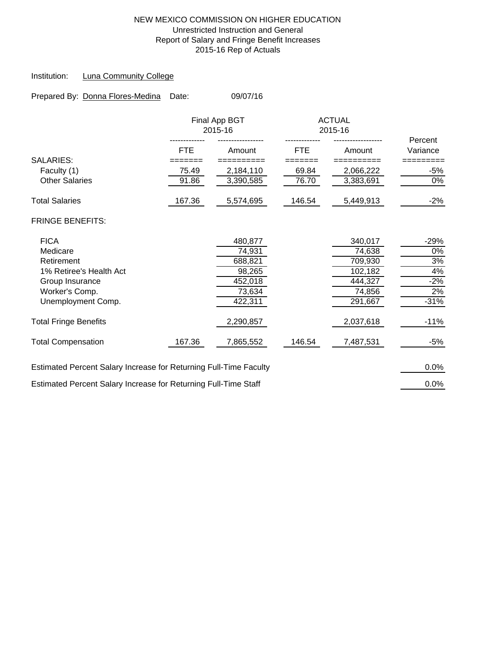### NEW MEXICO COMMISSION ON HIGHER EDUCATION Unrestricted Instruction and General Report of Salary and Fringe Benefit Increases 2015-16 Rep of Actuals

### Institution: Luna Community College

| Prepared By: Donna Flores-Medina Date: | 09/07/16 |
|----------------------------------------|----------|
|                                        |          |

|                                                                   |            | Final App BGT<br>2015-16 |            | <b>ACTUAL</b><br>2015-16 | Percent  |
|-------------------------------------------------------------------|------------|--------------------------|------------|--------------------------|----------|
|                                                                   | <b>FTE</b> | Amount                   | <b>FTE</b> | Amount                   | Variance |
| <b>SALARIES:</b>                                                  |            |                          |            |                          |          |
| Faculty (1)                                                       | 75.49      | 2,184,110                | 69.84      | 2,066,222                | -5%      |
| <b>Other Salaries</b>                                             | 91.86      | 3,390,585                | 76.70      | 3,383,691                | 0%       |
| <b>Total Salaries</b>                                             | 167.36     | 5,574,695                | 146.54     | 5,449,913                | $-2%$    |
| <b>FRINGE BENEFITS:</b>                                           |            |                          |            |                          |          |
| <b>FICA</b>                                                       |            | 480,877                  |            | 340,017                  | $-29%$   |
| Medicare                                                          |            | 74,931                   |            | 74,638                   | 0%       |
| Retirement                                                        |            | 688,821                  |            | 709,930                  | 3%       |
| 1% Retiree's Health Act                                           |            | 98,265                   |            | 102,182                  | 4%       |
| Group Insurance                                                   |            | 452,018                  |            | 444,327                  | $-2%$    |
| Worker's Comp.                                                    |            | 73,634                   |            | 74,856                   | 2%       |
| Unemployment Comp.                                                |            | 422,311                  |            | 291,667                  | $-31%$   |
| <b>Total Fringe Benefits</b>                                      |            | 2,290,857                |            | 2,037,618                | $-11%$   |
| <b>Total Compensation</b>                                         | 167.36     | 7,865,552                | 146.54     | 7,487,531                | $-5%$    |
| Estimated Percent Salary Increase for Returning Full-Time Faculty |            |                          |            |                          | 0.0%     |
| Estimated Percent Salary Increase for Returning Full-Time Staff   |            |                          |            |                          | 0.0%     |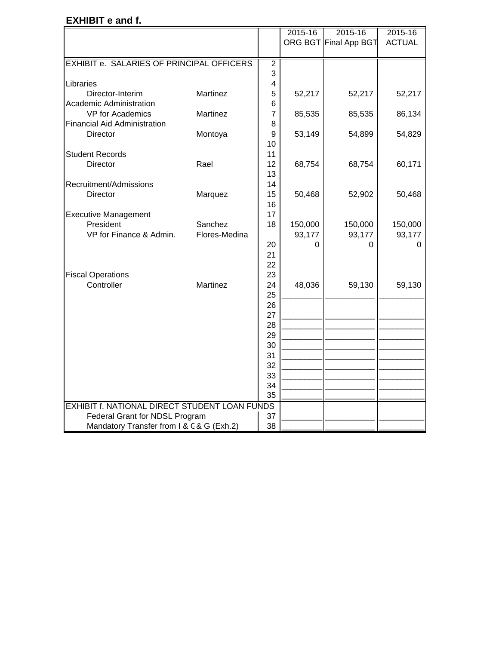## **EXHIBIT e and f.**

|                                                      |                 |                | 2015-16 | 2015-16               | 2015-16       |
|------------------------------------------------------|-----------------|----------------|---------|-----------------------|---------------|
|                                                      |                 |                |         | ORG BGT Final App BGT | <b>ACTUAL</b> |
|                                                      |                 |                |         |                       |               |
| EXHIBIT e. SALARIES OF PRINCIPAL OFFICERS            |                 | $\overline{2}$ |         |                       |               |
|                                                      |                 | 3              |         |                       |               |
| Libraries                                            |                 | $\overline{4}$ |         |                       |               |
| Director-Interim                                     | <b>Martinez</b> | 5              | 52,217  | 52,217                | 52,217        |
| <b>Academic Administration</b>                       |                 | 6              |         |                       |               |
| VP for Academics                                     | Martinez        | $\overline{7}$ | 85,535  | 85,535                | 86,134        |
| <b>Financial Aid Administration</b>                  |                 | 8              |         |                       |               |
| <b>Director</b>                                      | Montoya         | 9              | 53,149  | 54,899                | 54,829        |
|                                                      |                 | 10             |         |                       |               |
| <b>Student Records</b>                               |                 | 11             |         |                       |               |
| <b>Director</b>                                      | Rael            | 12             | 68,754  | 68,754                | 60,171        |
|                                                      |                 | 13             |         |                       |               |
| Recruitment/Admissions                               |                 | 14             |         |                       |               |
| <b>Director</b>                                      | Marquez         | 15             | 50,468  | 52,902                | 50,468        |
|                                                      |                 | 16             |         |                       |               |
| <b>Executive Management</b>                          |                 | 17             |         |                       |               |
| President                                            | Sanchez         | 18             | 150,000 | 150,000               | 150,000       |
| VP for Finance & Admin.                              | Flores-Medina   |                | 93,177  | 93,177                | 93,177        |
|                                                      |                 | 20             | 0       | 0                     | 0             |
|                                                      |                 | 21<br>22       |         |                       |               |
| <b>Fiscal Operations</b>                             |                 | 23             |         |                       |               |
| Controller                                           | Martinez        | 24             | 48,036  | 59,130                | 59,130        |
|                                                      |                 | 25             |         |                       |               |
|                                                      |                 | 26             |         |                       |               |
|                                                      |                 | 27             |         |                       |               |
|                                                      |                 | 28             |         |                       |               |
|                                                      |                 | 29             |         |                       |               |
|                                                      |                 | 30             |         |                       |               |
|                                                      |                 | 31             |         |                       |               |
|                                                      |                 | 32             |         |                       |               |
|                                                      |                 | 33             |         |                       |               |
|                                                      |                 | 34             |         |                       |               |
|                                                      |                 | 35             |         |                       |               |
| <b>EXHIBIT f. NATIONAL DIRECT STUDENT LOAN FUNDS</b> |                 |                |         |                       |               |
| Federal Grant for NDSL Program                       |                 | 37             |         |                       |               |
| Mandatory Transfer from I & C & G (Exh.2)            |                 | 38             |         |                       |               |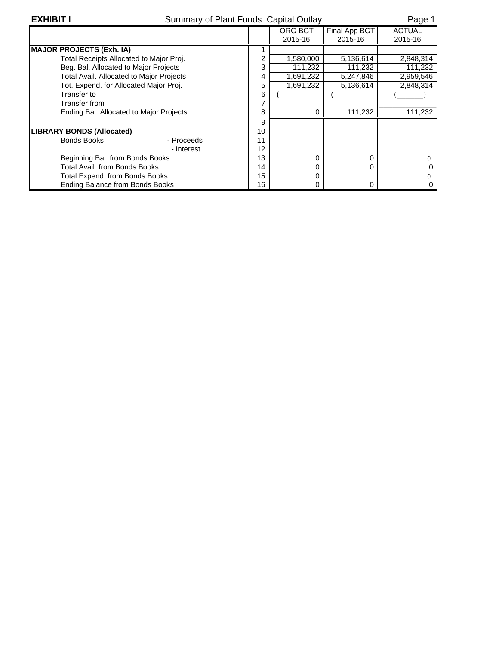| <b>EXHIBIT I</b><br>Summary of Plant Funds Capital Outlay |    |           |               | Page 1        |
|-----------------------------------------------------------|----|-----------|---------------|---------------|
|                                                           |    | ORG BGT   | Final App BGT | <b>ACTUAL</b> |
|                                                           |    | 2015-16   | 2015-16       | 2015-16       |
| <b>MAJOR PROJECTS (Exh. IA)</b>                           |    |           |               |               |
| Total Receipts Allocated to Major Proj.                   | ⌒  | 1,580,000 | 5,136,614     | 2,848,314     |
| Beg. Bal. Allocated to Major Projects                     | 3  | 111,232   | 111,232       | 111,232       |
| <b>Total Avail. Allocated to Major Projects</b>           | 4  | 1,691,232 | 5,247,846     | 2,959,546     |
| Tot. Expend. for Allocated Major Proj.                    | 5  | 1,691,232 | 5,136,614     | 2,848,314     |
| Transfer to                                               | 6  |           |               |               |
| Transfer from                                             |    |           |               |               |
| Ending Bal. Allocated to Major Projects                   | 8  |           | 111,232       | 111,232       |
|                                                           | 9  |           |               |               |
| <b>LIBRARY BONDS (Allocated)</b>                          | 10 |           |               |               |
| Bonds Books<br>- Proceeds                                 | 11 |           |               |               |
| - Interest                                                | 12 |           |               |               |
| Beginning Bal. from Bonds Books                           | 13 | 0         | 0             | 0             |
| Total Avail, from Bonds Books                             | 14 | 0         | $\Omega$      | 0             |
| Total Expend. from Bonds Books                            | 15 | 0         |               | 0             |
| Ending Balance from Bonds Books                           | 16 | 0         | $\Omega$      | 0             |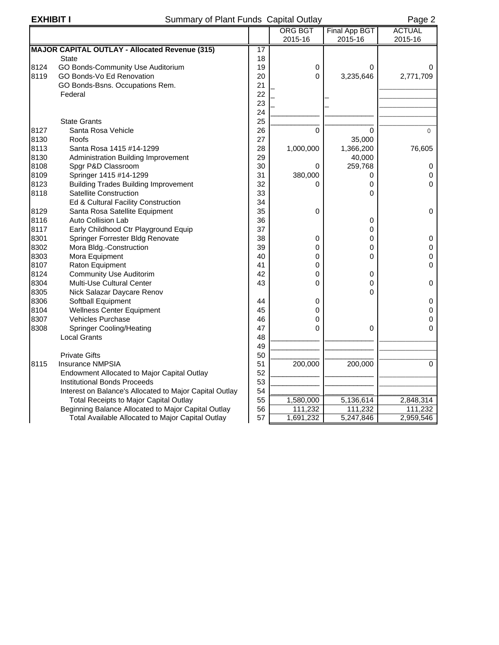## **EXHIBIT I EXHIBIT I** Summary of Plant Funds Capital Outlay **Page 2**

|      |                                                         |    | <b>ORG BGT</b> | Final App BGT | <b>ACTUAL</b> |
|------|---------------------------------------------------------|----|----------------|---------------|---------------|
|      |                                                         |    | 2015-16        | 2015-16       | 2015-16       |
|      | <b>MAJOR CAPITAL OUTLAY - Allocated Revenue (315)</b>   | 17 |                |               |               |
|      | <b>State</b>                                            | 18 |                |               |               |
| 8124 | GO Bonds-Community Use Auditorium                       | 19 | 0              | 0             | 0             |
| 8119 | GO Bonds-Vo Ed Renovation                               | 20 | $\Omega$       | 3,235,646     | 2,771,709     |
|      | GO Bonds-Bsns. Occupations Rem.                         | 21 |                |               |               |
|      | Federal                                                 | 22 |                |               |               |
|      |                                                         | 23 |                |               |               |
|      |                                                         | 24 |                |               |               |
|      | <b>State Grants</b>                                     | 25 |                |               |               |
| 8127 | Santa Rosa Vehicle                                      | 26 | 0              | $\Omega$      | $\Omega$      |
| 8130 | Roofs                                                   | 27 |                | 35,000        |               |
| 8113 | Santa Rosa 1415 #14-1299                                | 28 | 1,000,000      | 1,366,200     | 76,605        |
| 8130 | <b>Administration Building Improvement</b>              | 29 |                | 40,000        |               |
| 8108 | Spgr P&D Classroom                                      | 30 | 0              | 259,768       | 0             |
| 8109 | Springer 1415 #14-1299                                  | 31 | 380,000        | 0             | 0             |
| 8123 | <b>Building Trades Building Improvement</b>             | 32 | 0              | 0             | 0             |
| 8118 | <b>Satellite Construction</b>                           | 33 |                | 0             |               |
|      | Ed & Cultural Facility Construction                     | 34 |                |               |               |
| 8129 | Santa Rosa Satellite Equipment                          | 35 | 0              |               | 0             |
| 8116 | Auto Collision Lab                                      | 36 |                | 0             |               |
| 8117 | Early Childhood Ctr Playground Equip                    | 37 |                | 0             |               |
| 8301 | Springer Forrester Bldg Renovate                        | 38 | 0              | 0             | 0             |
| 8302 | Mora Bldg.-Construction                                 | 39 | 0              | 0             | 0             |
| 8303 | Mora Equipment                                          | 40 | 0              | $\Omega$      | 0             |
| 8107 | Raton Equipment                                         | 41 | 0              |               | 0             |
| 8124 | <b>Community Use Auditorim</b>                          | 42 | 0              | 0             |               |
| 8304 | Multi-Use Cultural Center                               | 43 | 0              | 0             | 0             |
| 8305 | Nick Salazar Daycare Renov                              |    |                | 0             |               |
| 8306 | Softball Equipment                                      | 44 | 0              |               | 0             |
| 8104 | <b>Wellness Center Equipment</b>                        | 45 | 0              |               | 0             |
| 8307 | Vehicles Purchase                                       | 46 | 0              |               | 0             |
| 8308 | <b>Springer Cooling/Heating</b>                         | 47 | 0              | 0             | 0             |
|      | <b>Local Grants</b>                                     | 48 |                |               |               |
|      |                                                         | 49 |                |               |               |
|      | <b>Private Gifts</b>                                    | 50 |                |               |               |
| 8115 | <b>Insurance NMPSIA</b>                                 | 51 | 200,000        | 200,000       | 0             |
|      | Endowment Allocated to Major Capital Outlay             | 52 |                |               |               |
|      | <b>Institutional Bonds Proceeds</b>                     | 53 |                |               |               |
|      | Interest on Balance's Allocated to Major Capital Outlay | 54 |                |               |               |
|      | <b>Total Receipts to Major Capital Outlay</b>           | 55 | 1,580,000      | 5,136,614     | 2,848,314     |
|      | Beginning Balance Allocated to Major Capital Outlay     | 56 | 111,232        | 111,232       | 111,232       |
|      | Total Available Allocated to Major Capital Outlay       | 57 | 1,691,232      | 5,247,846     | 2,959,546     |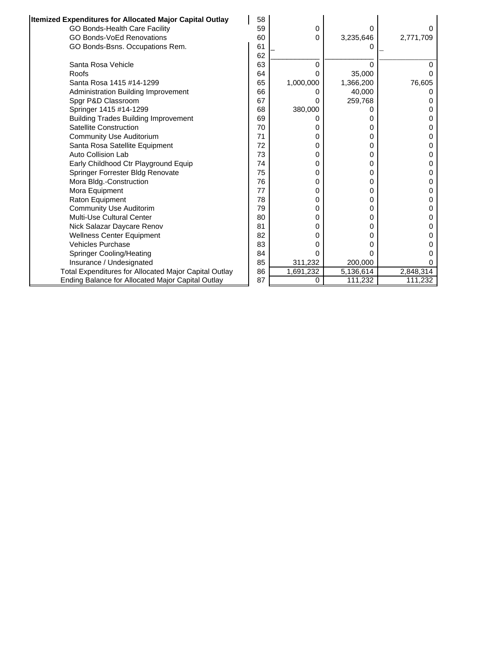| Itemized Expenditures for Allocated Major Capital Outlay | 58 |           |           |              |
|----------------------------------------------------------|----|-----------|-----------|--------------|
| GO Bonds-Health Care Facility                            | 59 | 0         | 0         |              |
| <b>GO Bonds-VoEd Renovations</b>                         | 60 | 0         | 3,235,646 | 2,771,709    |
| GO Bonds-Bsns. Occupations Rem.                          | 61 |           |           |              |
|                                                          | 62 |           |           |              |
| Santa Rosa Vehicle                                       | 63 | 0         | $\Omega$  |              |
| Roofs                                                    | 64 | 0         | 35,000    |              |
| Santa Rosa 1415 #14-1299                                 | 65 | 1,000,000 | 1,366,200 | 76,605       |
| Administration Building Improvement                      | 66 | $\Omega$  | 40,000    |              |
| Spgr P&D Classroom                                       | 67 | 0         | 259,768   |              |
| Springer 1415 #14-1299                                   | 68 | 380,000   | Ω         |              |
| <b>Building Trades Building Improvement</b>              | 69 | 0         | 0         |              |
| Satellite Construction                                   | 70 | 0         | 0         | O            |
| <b>Community Use Auditorium</b>                          | 71 | 0         | 0         |              |
| Santa Rosa Satellite Equipment                           | 72 | 0         | 0         | O            |
| Auto Collision Lab                                       | 73 | 0         | 0         | O            |
| Early Childhood Ctr Playground Equip                     | 74 | 0         | 0         | $\mathbf{0}$ |
| Springer Forrester Bldg Renovate                         | 75 | 0         | 0         |              |
| Mora Bldg.-Construction                                  | 76 | 0         | 0         |              |
| Mora Equipment                                           | 77 | 0         | 0         |              |
| Raton Equipment                                          | 78 | 0         | 0         |              |
| <b>Community Use Auditorim</b>                           | 79 | 0         | 0         |              |
| Multi-Use Cultural Center                                | 80 | 0         | 0         |              |
| Nick Salazar Daycare Renov                               | 81 | 0         | 0         |              |
| <b>Wellness Center Equipment</b>                         | 82 | 0         | 0         |              |
| <b>Vehicles Purchase</b>                                 | 83 | 0         | 0         |              |
| <b>Springer Cooling/Heating</b>                          | 84 | 0         | 0         |              |
| Insurance / Undesignated                                 | 85 | 311,232   | 200,000   |              |
| Total Expenditures for Allocated Major Capital Outlay    | 86 | 1,691,232 | 5,136,614 | 2,848,314    |
| Ending Balance for Allocated Major Capital Outlay        | 87 | 0         | 111,232   | 111,232      |

Ŀ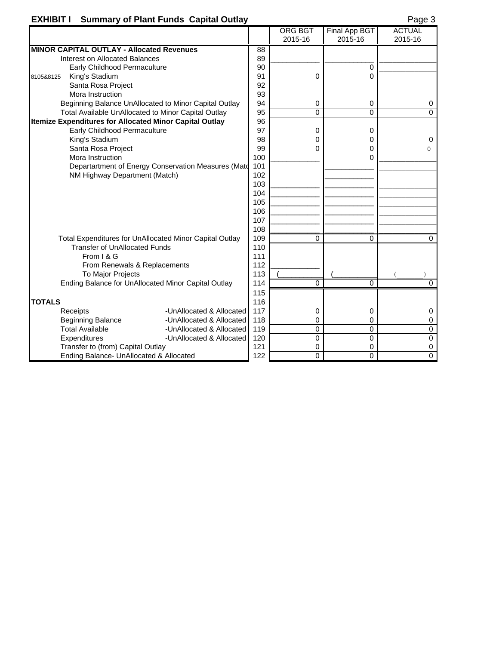## **EXHIBIT I Summary of Plant Funds Capital Outlay Page 3** Page 3

|               |                                                         |                                                         |     | <b>ORG BGT</b> | Final App BGT | <b>ACTUAL</b>  |
|---------------|---------------------------------------------------------|---------------------------------------------------------|-----|----------------|---------------|----------------|
|               |                                                         |                                                         |     | 2015-16        | 2015-16       | 2015-16        |
|               | <b>MINOR CAPITAL OUTLAY - Allocated Revenues</b>        |                                                         | 88  |                |               |                |
|               | Interest on Allocated Balances                          |                                                         | 89  |                |               |                |
|               | Early Childhood Permaculture                            |                                                         | 90  |                | 0             |                |
| 8105&8125     | King's Stadium                                          |                                                         | 91  | 0              | 0             |                |
|               | Santa Rosa Project                                      |                                                         | 92  |                |               |                |
|               | Mora Instruction                                        |                                                         | 93  |                |               |                |
|               |                                                         | Beginning Balance UnAllocated to Minor Capital Outlay   | 94  | 0              | 0             | 0              |
|               | Total Available UnAllocated to Minor Capital Outlay     |                                                         | 95  | $\Omega$       | $\Omega$      | $\Omega$       |
|               | Itemize Expenditures for Allocated Minor Capital Outlay |                                                         | 96  |                |               |                |
|               | Early Childhood Permaculture                            |                                                         | 97  | 0              | 0             |                |
|               | King's Stadium                                          |                                                         | 98  | 0              | 0             | 0              |
|               | Santa Rosa Project                                      |                                                         | 99  | 0              | 0             | $\Omega$       |
|               | Mora Instruction                                        |                                                         | 100 |                | 0             |                |
|               |                                                         | Departartment of Energy Conservation Measures (Mate     | 101 |                |               |                |
|               | NM Highway Department (Match)                           |                                                         | 102 |                |               |                |
|               |                                                         |                                                         | 103 |                |               |                |
|               |                                                         |                                                         | 104 |                |               |                |
|               |                                                         |                                                         | 105 |                |               |                |
|               |                                                         |                                                         | 106 |                |               |                |
|               |                                                         |                                                         | 107 |                |               |                |
|               |                                                         |                                                         | 108 |                |               |                |
|               |                                                         | Total Expenditures for UnAllocated Minor Capital Outlay | 109 | 0              | 0             | $\mathbf 0$    |
|               | <b>Transfer of UnAllocated Funds</b>                    |                                                         | 110 |                |               |                |
|               | From I & G                                              |                                                         | 111 |                |               |                |
|               | From Renewals & Replacements                            |                                                         | 112 |                |               |                |
|               | To Major Projects                                       |                                                         | 113 |                |               |                |
|               | Ending Balance for UnAllocated Minor Capital Outlay     |                                                         | 114 | 0              | 0             | $\Omega$       |
|               |                                                         |                                                         | 115 |                |               |                |
| <b>TOTALS</b> |                                                         |                                                         | 116 |                |               |                |
|               | Receipts                                                | -UnAllocated & Allocated                                | 117 | 0              | 0             | 0              |
|               | <b>Beginning Balance</b>                                | -UnAllocated & Allocated                                | 118 | 0              | 0             | 0              |
|               | <b>Total Available</b>                                  | -UnAllocated & Allocated                                | 119 | $\Omega$       | 0             | $\overline{0}$ |
|               | Expenditures                                            | -UnAllocated & Allocated                                | 120 | 0              | 0             | $\mathbf 0$    |
|               | Transfer to (from) Capital Outlay                       |                                                         | 121 | 0              | 0             | 0              |
|               | Ending Balance- UnAllocated & Allocated                 |                                                         | 122 | $\Omega$       | $\Omega$      | $\overline{0}$ |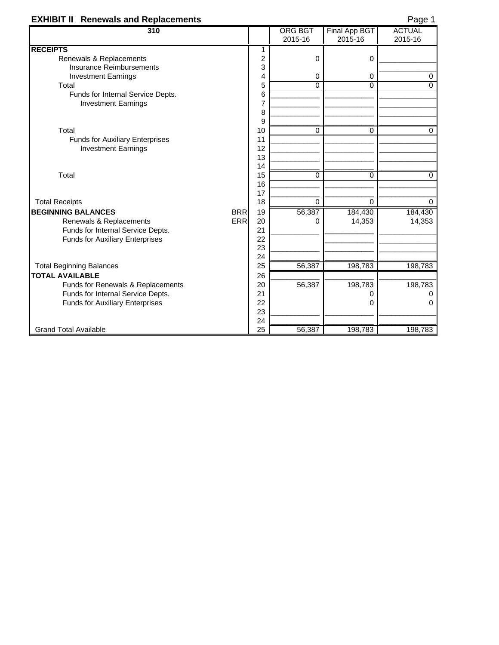# **EXHIBIT II Renewals and Replacements** Page 1944

| 310                                     |                | <b>ORG BGT</b> | Final App BGT | <b>ACTUAL</b> |
|-----------------------------------------|----------------|----------------|---------------|---------------|
|                                         |                | 2015-16        | 2015-16       | 2015-16       |
| <b>RECEIPTS</b>                         | 1              |                |               |               |
| Renewals & Replacements                 | $\overline{c}$ | 0              | 0             |               |
| <b>Insurance Reimbursements</b>         | 3              |                |               |               |
| <b>Investment Earnings</b>              | 4              | 0              | 0             | 0             |
| Total                                   | 5              | $\Omega$       | $\Omega$      | $\Omega$      |
| Funds for Internal Service Depts.       | 6              |                |               |               |
| <b>Investment Earnings</b>              | 7              |                |               |               |
|                                         | 8              |                |               |               |
|                                         | 9              |                |               |               |
| Total                                   | 10             | 0              | $\Omega$      | 0             |
| <b>Funds for Auxiliary Enterprises</b>  | 11             |                |               |               |
| <b>Investment Earnings</b>              | 12             |                |               |               |
|                                         | 13             |                |               |               |
|                                         | 14             |                |               |               |
| Total                                   | 15             | $\Omega$       | $\Omega$      | $\Omega$      |
|                                         | 16<br>17       |                |               |               |
| <b>Total Receipts</b>                   | 18             | $\Omega$       | 0             | $\Omega$      |
| <b>BEGINNING BALANCES</b><br><b>BRR</b> | 19             | 56,387         | 184,430       | 184,430       |
| <b>ERR</b><br>Renewals & Replacements   | 20             | $\Omega$       | 14,353        | 14,353        |
| Funds for Internal Service Depts.       | 21             |                |               |               |
| <b>Funds for Auxiliary Enterprises</b>  | 22             |                |               |               |
|                                         | 23             |                |               |               |
|                                         | 24             |                |               |               |
| <b>Total Beginning Balances</b>         | 25             | 56,387         | 198,783       | 198,783       |
| <b>TOTAL AVAILABLE</b>                  | 26             |                |               |               |
| Funds for Renewals & Replacements       | 20             | 56,387         | 198,783       | 198,783       |
| Funds for Internal Service Depts.       | 21             |                | Ω             | $\Omega$      |
| <b>Funds for Auxiliary Enterprises</b>  | 22             |                | 0             | 0             |
|                                         | 23             |                |               |               |
|                                         | 24             |                |               |               |
| <b>Grand Total Available</b>            | 25             | 56,387         | 198,783       | 198,783       |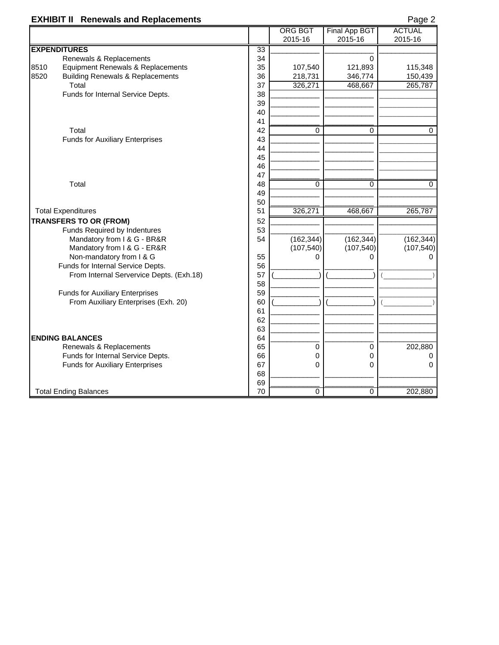|      | <b>EXHIBIT II Renewals and Replacements</b> |                 |                |               | Page 2        |
|------|---------------------------------------------|-----------------|----------------|---------------|---------------|
|      |                                             |                 | <b>ORG BGT</b> | Final App BGT | <b>ACTUAL</b> |
|      |                                             |                 | 2015-16        | 2015-16       | 2015-16       |
|      | <b>EXPENDITURES</b>                         | $\overline{33}$ |                |               |               |
|      | Renewals & Replacements                     | 34              |                | 0             |               |
| 8510 | Equipment Renewals & Replacements           | 35              | 107,540        | 121,893       | 115,348       |
| 8520 | <b>Building Renewals &amp; Replacements</b> | 36              | 218,731        | 346,774       | 150,439       |
|      | Total                                       | 37              | 326,271        | 468,667       | 265,787       |
|      | Funds for Internal Service Depts.           | 38              |                |               |               |
|      |                                             | 39              |                |               |               |
|      |                                             | 40              |                |               |               |
|      |                                             | 41              |                |               |               |
|      | Total                                       | 42              | $\Omega$       | $\Omega$      | 0             |
|      | <b>Funds for Auxiliary Enterprises</b>      | 43              |                |               |               |
|      |                                             | 44              |                |               |               |
|      |                                             | 45              |                |               |               |
|      |                                             | 46              |                |               |               |
|      |                                             | 47              |                |               |               |
|      | Total                                       | 48              | 0              | 0             | 0             |
|      |                                             | 49              |                |               |               |
|      |                                             | 50              |                |               |               |
|      | <b>Total Expenditures</b>                   | 51              | 326,271        | 468,667       | 265,787       |
|      | <b>TRANSFERS TO OR (FROM)</b>               | 52              |                |               |               |
|      | Funds Required by Indentures                | 53              |                |               |               |
|      | Mandatory from I & G - BR&R                 | 54              | (162, 344)     | (162, 344)    | (162, 344)    |
|      | Mandatory from I & G - ER&R                 |                 | (107, 540)     | (107, 540)    | (107, 540)    |
|      | Non-mandatory from I & G                    | 55              | O              | 0             |               |
|      | Funds for Internal Service Depts.           | 56              |                |               |               |
|      | From Internal Servervice Depts. (Exh.18)    | 57              |                |               |               |
|      |                                             | 58              |                |               |               |
|      | <b>Funds for Auxiliary Enterprises</b>      | 59              |                |               |               |
|      | From Auxiliary Enterprises (Exh. 20)        | 60              |                |               |               |
|      |                                             | 61              |                |               |               |
|      |                                             | 62              |                |               |               |
|      |                                             | 63              |                |               |               |
|      | <b>ENDING BALANCES</b>                      | 64              |                |               |               |
|      | Renewals & Replacements                     | 65              | $\mathbf 0$    | 0             | 202,880       |
|      | Funds for Internal Service Depts.           | 66              | 0              | 0             | 0             |
|      | <b>Funds for Auxiliary Enterprises</b>      | 67              | 0              | 0             | 0             |
|      |                                             | 68              |                |               |               |
|      |                                             | 69              |                |               |               |
|      | <b>Total Ending Balances</b>                | 70              | $\overline{0}$ | 0             | 202,880       |